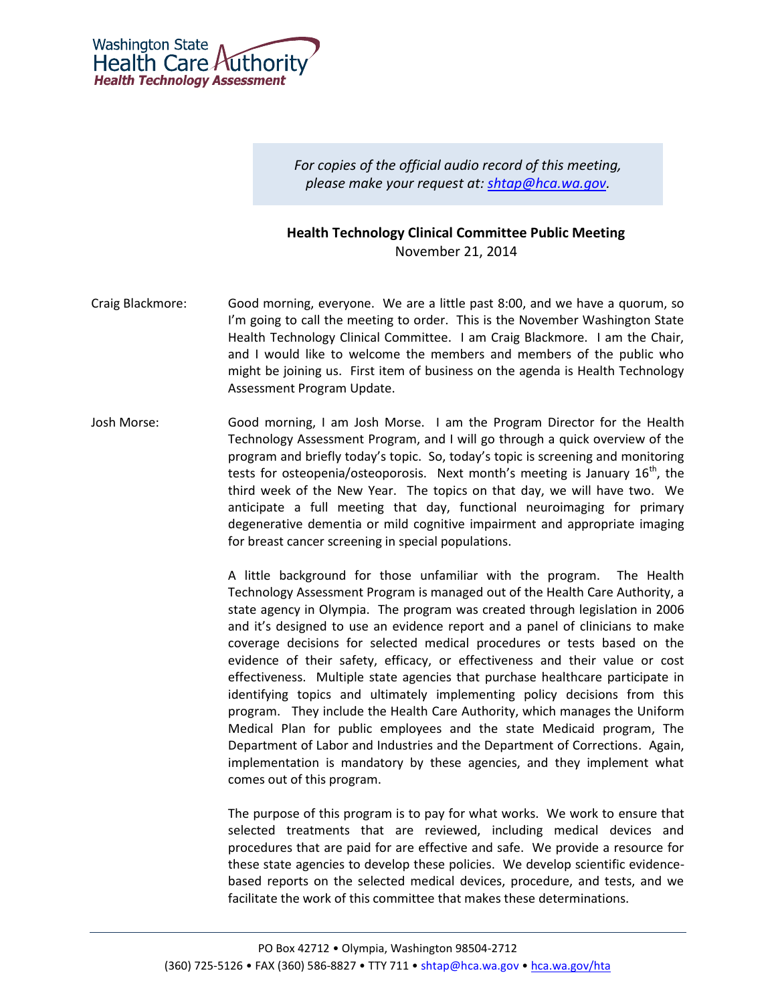

*For copies of the official audio record of this meeting, please make your request at: [shtap@hca.wa.gov.](mailto:shtap@hca.wa.gov)*

## **Health Technology Clinical Committee Public Meeting** November 21, 2014

- Craig Blackmore: Good morning, everyone. We are a little past 8:00, and we have a quorum, so I'm going to call the meeting to order. This is the November Washington State Health Technology Clinical Committee. I am Craig Blackmore. I am the Chair, and I would like to welcome the members and members of the public who might be joining us. First item of business on the agenda is Health Technology Assessment Program Update.
- Josh Morse: Good morning, I am Josh Morse. I am the Program Director for the Health Technology Assessment Program, and I will go through a quick overview of the program and briefly today's topic. So, today's topic is screening and monitoring tests for osteopenia/osteoporosis. Next month's meeting is January  $16<sup>th</sup>$ , the third week of the New Year. The topics on that day, we will have two. We anticipate a full meeting that day, functional neuroimaging for primary degenerative dementia or mild cognitive impairment and appropriate imaging for breast cancer screening in special populations.

A little background for those unfamiliar with the program. The Health Technology Assessment Program is managed out of the Health Care Authority, a state agency in Olympia. The program was created through legislation in 2006 and it's designed to use an evidence report and a panel of clinicians to make coverage decisions for selected medical procedures or tests based on the evidence of their safety, efficacy, or effectiveness and their value or cost effectiveness. Multiple state agencies that purchase healthcare participate in identifying topics and ultimately implementing policy decisions from this program. They include the Health Care Authority, which manages the Uniform Medical Plan for public employees and the state Medicaid program, The Department of Labor and Industries and the Department of Corrections. Again, implementation is mandatory by these agencies, and they implement what comes out of this program.

The purpose of this program is to pay for what works. We work to ensure that selected treatments that are reviewed, including medical devices and procedures that are paid for are effective and safe. We provide a resource for these state agencies to develop these policies. We develop scientific evidencebased reports on the selected medical devices, procedure, and tests, and we facilitate the work of this committee that makes these determinations.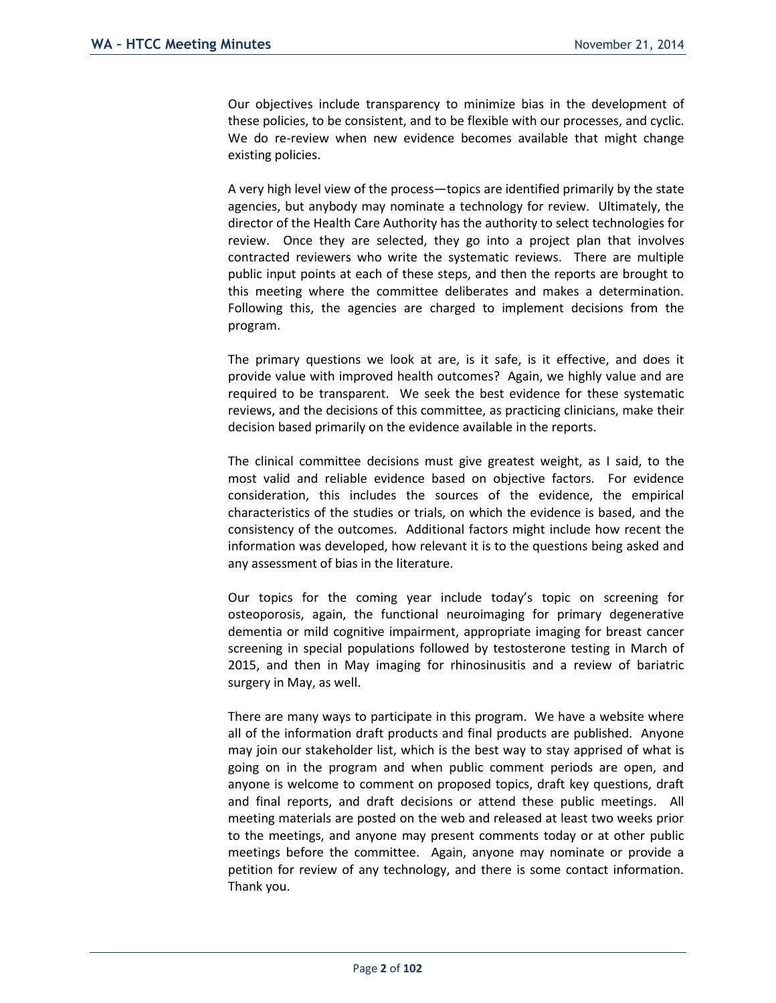Our objectives include transparency to minimize bias in the development of these policies, to be consistent, and to be flexible with our processes, and cyclic. We do re-review when new evidence becomes available that might change existing policies.

A very high level view of the process—topics are identified primarily by the state agencies, but anybody may nominate a technology for review. Ultimately, the director of the Health Care Authority has the authority to select technologies for review. Once they are selected, they go into a project plan that involves contracted reviewers who write the systematic reviews. There are multiple public input points at each of these steps, and then the reports are brought to this meeting where the committee deliberates and makes a determination. Following this, the agencies are charged to implement decisions from the program.

The primary questions we look at are, is it safe, is it effective, and does it provide value with improved health outcomes? Again, we highly value and are required to be transparent. We seek the best evidence for these systematic reviews, and the decisions of this committee, as practicing clinicians, make their decision based primarily on the evidence available in the reports.

The clinical committee decisions must give greatest weight, as I said, to the most valid and reliable evidence based on objective factors. For evidence consideration, this includes the sources of the evidence, the empirical characteristics of the studies or trials, on which the evidence is based, and the consistency of the outcomes. Additional factors might include how recent the information was developed, how relevant it is to the questions being asked and any assessment of bias in the literature.

Our topics for the coming year include today's topic on screening for osteoporosis, again, the functional neuroimaging for primary degenerative dementia or mild cognitive impairment, appropriate imaging for breast cancer screening in special populations followed by testosterone testing in March of 2015, and then in May imaging for rhinosinusitis and a review of bariatric surgery in May, as well.

There are many ways to participate in this program. We have a website where all of the information draft products and final products are published. Anyone may join our stakeholder list, which is the best way to stay apprised of what is going on in the program and when public comment periods are open, and anyone is welcome to comment on proposed topics, draft key questions, draft and final reports, and draft decisions or attend these public meetings. All meeting materials are posted on the web and released at least two weeks prior to the meetings, and anyone may present comments today or at other public meetings before the committee. Again, anyone may nominate or provide a petition for review of any technology, and there is some contact information. Thank you.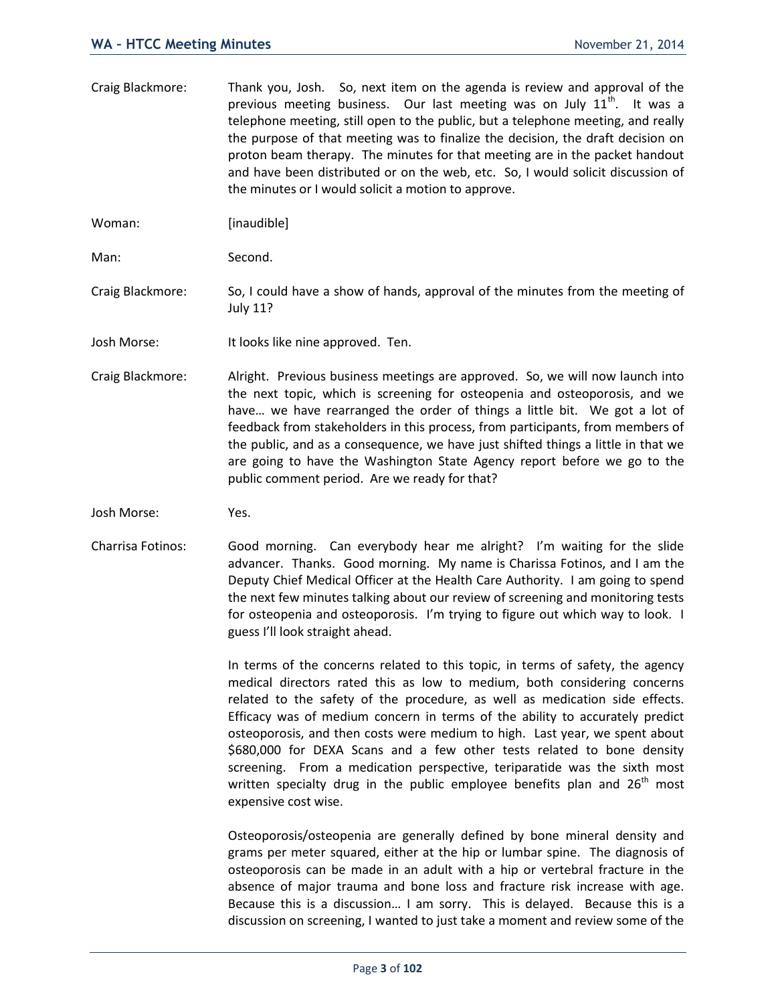Craig Blackmore: Thank you, Josh. So, next item on the agenda is review and approval of the previous meeting business. Our last meeting was on July  $11<sup>th</sup>$ . It was a telephone meeting, still open to the public, but a telephone meeting, and really the purpose of that meeting was to finalize the decision, the draft decision on proton beam therapy. The minutes for that meeting are in the packet handout and have been distributed or on the web, etc. So, I would solicit discussion of the minutes or I would solicit a motion to approve.

Woman: [inaudible]

Man: Second.

- Craig Blackmore: So, I could have a show of hands, approval of the minutes from the meeting of July 11?
- Josh Morse: It looks like nine approved. Ten.
- Craig Blackmore: Alright. Previous business meetings are approved. So, we will now launch into the next topic, which is screening for osteopenia and osteoporosis, and we have… we have rearranged the order of things a little bit. We got a lot of feedback from stakeholders in this process, from participants, from members of the public, and as a consequence, we have just shifted things a little in that we are going to have the Washington State Agency report before we go to the public comment period. Are we ready for that?
- Josh Morse: Yes.
- Charrisa Fotinos: Good morning. Can everybody hear me alright? I'm waiting for the slide advancer. Thanks. Good morning. My name is Charissa Fotinos, and I am the Deputy Chief Medical Officer at the Health Care Authority. I am going to spend the next few minutes talking about our review of screening and monitoring tests for osteopenia and osteoporosis. I'm trying to figure out which way to look. I guess I'll look straight ahead.

In terms of the concerns related to this topic, in terms of safety, the agency medical directors rated this as low to medium, both considering concerns related to the safety of the procedure, as well as medication side effects. Efficacy was of medium concern in terms of the ability to accurately predict osteoporosis, and then costs were medium to high. Last year, we spent about \$680,000 for DEXA Scans and a few other tests related to bone density screening. From a medication perspective, teriparatide was the sixth most written specialty drug in the public employee benefits plan and  $26<sup>th</sup>$  most expensive cost wise.

Osteoporosis/osteopenia are generally defined by bone mineral density and grams per meter squared, either at the hip or lumbar spine. The diagnosis of osteoporosis can be made in an adult with a hip or vertebral fracture in the absence of major trauma and bone loss and fracture risk increase with age. Because this is a discussion… I am sorry. This is delayed. Because this is a discussion on screening, I wanted to just take a moment and review some of the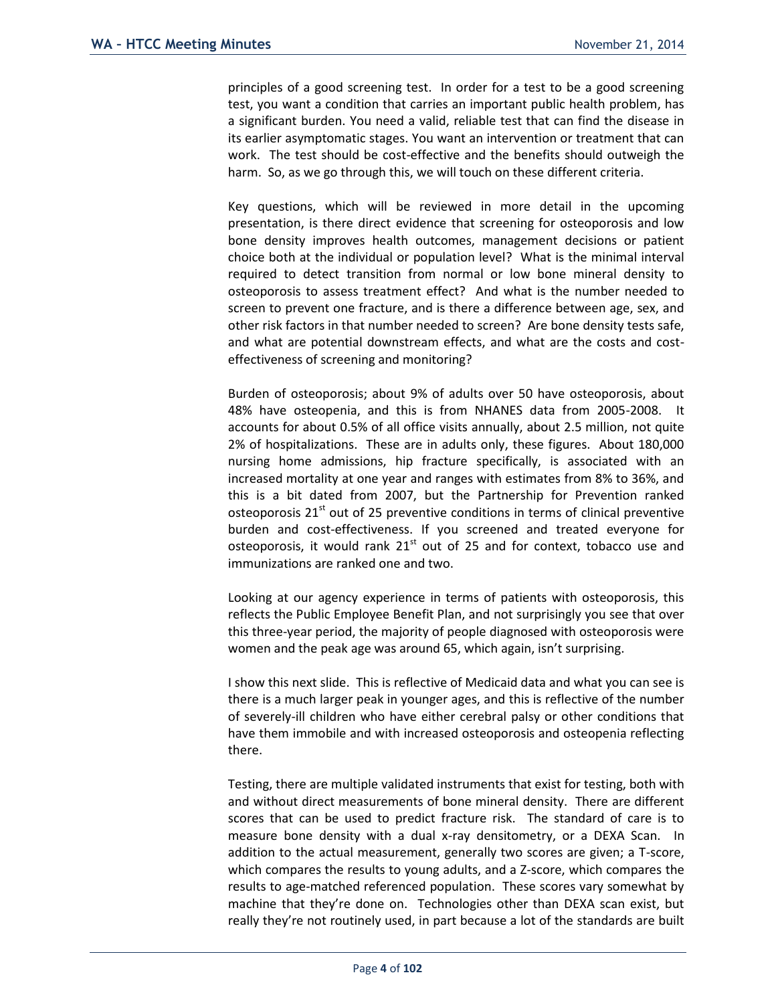principles of a good screening test. In order for a test to be a good screening test, you want a condition that carries an important public health problem, has a significant burden. You need a valid, reliable test that can find the disease in its earlier asymptomatic stages. You want an intervention or treatment that can work. The test should be cost-effective and the benefits should outweigh the harm. So, as we go through this, we will touch on these different criteria.

Key questions, which will be reviewed in more detail in the upcoming presentation, is there direct evidence that screening for osteoporosis and low bone density improves health outcomes, management decisions or patient choice both at the individual or population level? What is the minimal interval required to detect transition from normal or low bone mineral density to osteoporosis to assess treatment effect? And what is the number needed to screen to prevent one fracture, and is there a difference between age, sex, and other risk factors in that number needed to screen? Are bone density tests safe, and what are potential downstream effects, and what are the costs and costeffectiveness of screening and monitoring?

Burden of osteoporosis; about 9% of adults over 50 have osteoporosis, about 48% have osteopenia, and this is from NHANES data from 2005-2008. It accounts for about 0.5% of all office visits annually, about 2.5 million, not quite 2% of hospitalizations. These are in adults only, these figures. About 180,000 nursing home admissions, hip fracture specifically, is associated with an increased mortality at one year and ranges with estimates from 8% to 36%, and this is a bit dated from 2007, but the Partnership for Prevention ranked osteoporosis  $21<sup>st</sup>$  out of 25 preventive conditions in terms of clinical preventive burden and cost-effectiveness. If you screened and treated everyone for osteoporosis, it would rank  $21<sup>st</sup>$  out of 25 and for context, tobacco use and immunizations are ranked one and two.

Looking at our agency experience in terms of patients with osteoporosis, this reflects the Public Employee Benefit Plan, and not surprisingly you see that over this three-year period, the majority of people diagnosed with osteoporosis were women and the peak age was around 65, which again, isn't surprising.

I show this next slide. This is reflective of Medicaid data and what you can see is there is a much larger peak in younger ages, and this is reflective of the number of severely-ill children who have either cerebral palsy or other conditions that have them immobile and with increased osteoporosis and osteopenia reflecting there.

Testing, there are multiple validated instruments that exist for testing, both with and without direct measurements of bone mineral density. There are different scores that can be used to predict fracture risk. The standard of care is to measure bone density with a dual x-ray densitometry, or a DEXA Scan. In addition to the actual measurement, generally two scores are given; a T-score, which compares the results to young adults, and a Z-score, which compares the results to age-matched referenced population. These scores vary somewhat by machine that they're done on. Technologies other than DEXA scan exist, but really they're not routinely used, in part because a lot of the standards are built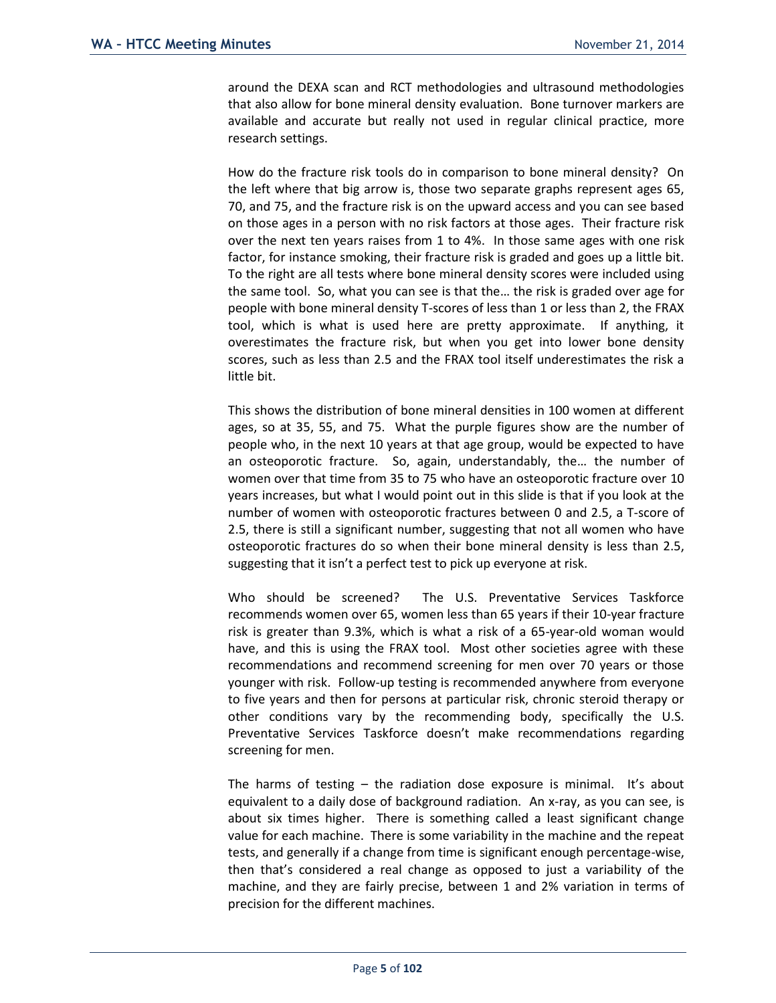around the DEXA scan and RCT methodologies and ultrasound methodologies that also allow for bone mineral density evaluation. Bone turnover markers are available and accurate but really not used in regular clinical practice, more research settings.

How do the fracture risk tools do in comparison to bone mineral density? On the left where that big arrow is, those two separate graphs represent ages 65, 70, and 75, and the fracture risk is on the upward access and you can see based on those ages in a person with no risk factors at those ages. Their fracture risk over the next ten years raises from 1 to 4%. In those same ages with one risk factor, for instance smoking, their fracture risk is graded and goes up a little bit. To the right are all tests where bone mineral density scores were included using the same tool. So, what you can see is that the… the risk is graded over age for people with bone mineral density T-scores of less than 1 or less than 2, the FRAX tool, which is what is used here are pretty approximate. If anything, it overestimates the fracture risk, but when you get into lower bone density scores, such as less than 2.5 and the FRAX tool itself underestimates the risk a little bit.

This shows the distribution of bone mineral densities in 100 women at different ages, so at 35, 55, and 75. What the purple figures show are the number of people who, in the next 10 years at that age group, would be expected to have an osteoporotic fracture. So, again, understandably, the… the number of women over that time from 35 to 75 who have an osteoporotic fracture over 10 years increases, but what I would point out in this slide is that if you look at the number of women with osteoporotic fractures between 0 and 2.5, a T-score of 2.5, there is still a significant number, suggesting that not all women who have osteoporotic fractures do so when their bone mineral density is less than 2.5, suggesting that it isn't a perfect test to pick up everyone at risk.

Who should be screened? The U.S. Preventative Services Taskforce recommends women over 65, women less than 65 years if their 10-year fracture risk is greater than 9.3%, which is what a risk of a 65-year-old woman would have, and this is using the FRAX tool. Most other societies agree with these recommendations and recommend screening for men over 70 years or those younger with risk. Follow-up testing is recommended anywhere from everyone to five years and then for persons at particular risk, chronic steroid therapy or other conditions vary by the recommending body, specifically the U.S. Preventative Services Taskforce doesn't make recommendations regarding screening for men.

The harms of testing  $-$  the radiation dose exposure is minimal. It's about equivalent to a daily dose of background radiation. An x-ray, as you can see, is about six times higher. There is something called a least significant change value for each machine. There is some variability in the machine and the repeat tests, and generally if a change from time is significant enough percentage-wise, then that's considered a real change as opposed to just a variability of the machine, and they are fairly precise, between 1 and 2% variation in terms of precision for the different machines.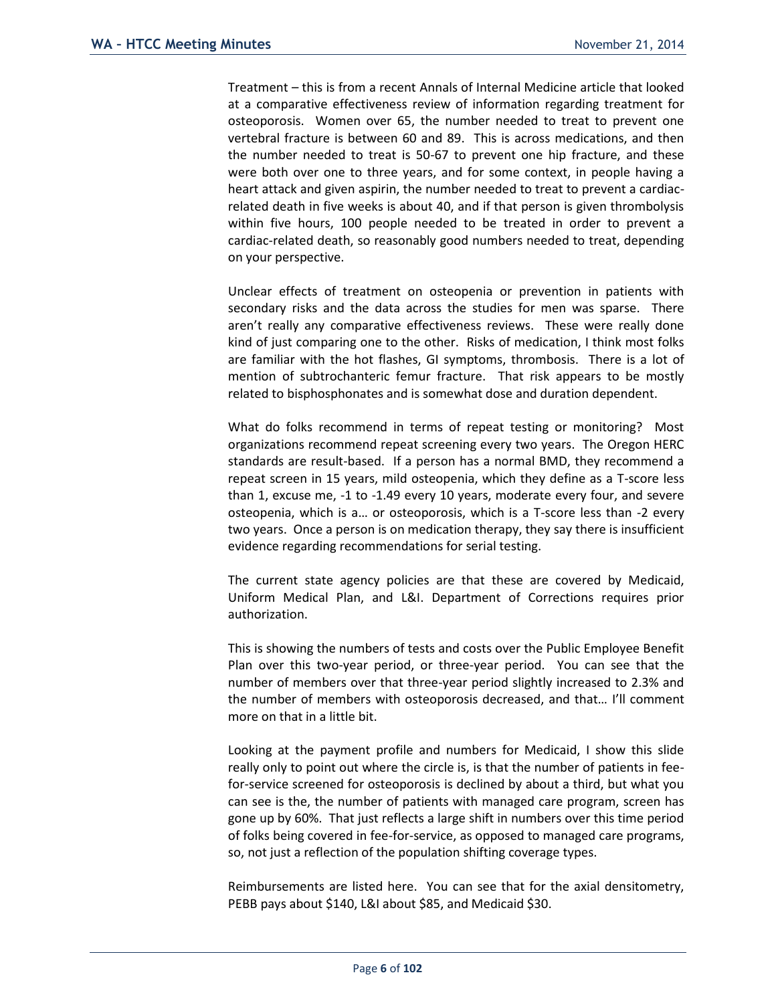Treatment – this is from a recent Annals of Internal Medicine article that looked at a comparative effectiveness review of information regarding treatment for osteoporosis. Women over 65, the number needed to treat to prevent one vertebral fracture is between 60 and 89. This is across medications, and then the number needed to treat is 50-67 to prevent one hip fracture, and these were both over one to three years, and for some context, in people having a heart attack and given aspirin, the number needed to treat to prevent a cardiacrelated death in five weeks is about 40, and if that person is given thrombolysis within five hours, 100 people needed to be treated in order to prevent a cardiac-related death, so reasonably good numbers needed to treat, depending on your perspective.

Unclear effects of treatment on osteopenia or prevention in patients with secondary risks and the data across the studies for men was sparse. There aren't really any comparative effectiveness reviews. These were really done kind of just comparing one to the other. Risks of medication, I think most folks are familiar with the hot flashes, GI symptoms, thrombosis. There is a lot of mention of subtrochanteric femur fracture. That risk appears to be mostly related to bisphosphonates and is somewhat dose and duration dependent.

What do folks recommend in terms of repeat testing or monitoring? Most organizations recommend repeat screening every two years. The Oregon HERC standards are result-based. If a person has a normal BMD, they recommend a repeat screen in 15 years, mild osteopenia, which they define as a T-score less than 1, excuse me, -1 to -1.49 every 10 years, moderate every four, and severe osteopenia, which is a… or osteoporosis, which is a T-score less than -2 every two years. Once a person is on medication therapy, they say there is insufficient evidence regarding recommendations for serial testing.

The current state agency policies are that these are covered by Medicaid, Uniform Medical Plan, and L&I. Department of Corrections requires prior authorization.

This is showing the numbers of tests and costs over the Public Employee Benefit Plan over this two-year period, or three-year period. You can see that the number of members over that three-year period slightly increased to 2.3% and the number of members with osteoporosis decreased, and that… I'll comment more on that in a little bit.

Looking at the payment profile and numbers for Medicaid, I show this slide really only to point out where the circle is, is that the number of patients in feefor-service screened for osteoporosis is declined by about a third, but what you can see is the, the number of patients with managed care program, screen has gone up by 60%. That just reflects a large shift in numbers over this time period of folks being covered in fee-for-service, as opposed to managed care programs, so, not just a reflection of the population shifting coverage types.

Reimbursements are listed here. You can see that for the axial densitometry, PEBB pays about \$140, L&I about \$85, and Medicaid \$30.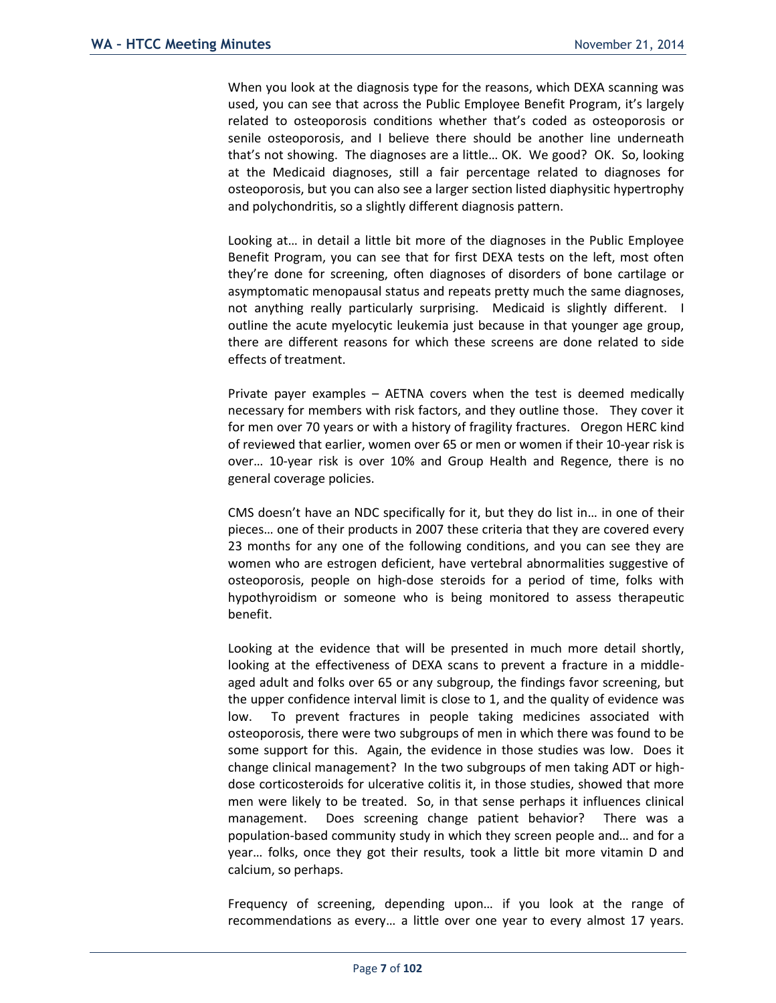When you look at the diagnosis type for the reasons, which DEXA scanning was used, you can see that across the Public Employee Benefit Program, it's largely related to osteoporosis conditions whether that's coded as osteoporosis or senile osteoporosis, and I believe there should be another line underneath that's not showing. The diagnoses are a little… OK. We good? OK. So, looking at the Medicaid diagnoses, still a fair percentage related to diagnoses for osteoporosis, but you can also see a larger section listed diaphysitic hypertrophy and polychondritis, so a slightly different diagnosis pattern.

Looking at… in detail a little bit more of the diagnoses in the Public Employee Benefit Program, you can see that for first DEXA tests on the left, most often they're done for screening, often diagnoses of disorders of bone cartilage or asymptomatic menopausal status and repeats pretty much the same diagnoses, not anything really particularly surprising. Medicaid is slightly different. I outline the acute myelocytic leukemia just because in that younger age group, there are different reasons for which these screens are done related to side effects of treatment.

Private payer examples – AETNA covers when the test is deemed medically necessary for members with risk factors, and they outline those. They cover it for men over 70 years or with a history of fragility fractures. Oregon HERC kind of reviewed that earlier, women over 65 or men or women if their 10-year risk is over… 10-year risk is over 10% and Group Health and Regence, there is no general coverage policies.

CMS doesn't have an NDC specifically for it, but they do list in… in one of their pieces… one of their products in 2007 these criteria that they are covered every 23 months for any one of the following conditions, and you can see they are women who are estrogen deficient, have vertebral abnormalities suggestive of osteoporosis, people on high-dose steroids for a period of time, folks with hypothyroidism or someone who is being monitored to assess therapeutic benefit.

Looking at the evidence that will be presented in much more detail shortly, looking at the effectiveness of DEXA scans to prevent a fracture in a middleaged adult and folks over 65 or any subgroup, the findings favor screening, but the upper confidence interval limit is close to 1, and the quality of evidence was low. To prevent fractures in people taking medicines associated with osteoporosis, there were two subgroups of men in which there was found to be some support for this. Again, the evidence in those studies was low. Does it change clinical management? In the two subgroups of men taking ADT or highdose corticosteroids for ulcerative colitis it, in those studies, showed that more men were likely to be treated. So, in that sense perhaps it influences clinical management. Does screening change patient behavior? There was a population-based community study in which they screen people and… and for a year… folks, once they got their results, took a little bit more vitamin D and calcium, so perhaps.

Frequency of screening, depending upon… if you look at the range of recommendations as every… a little over one year to every almost 17 years.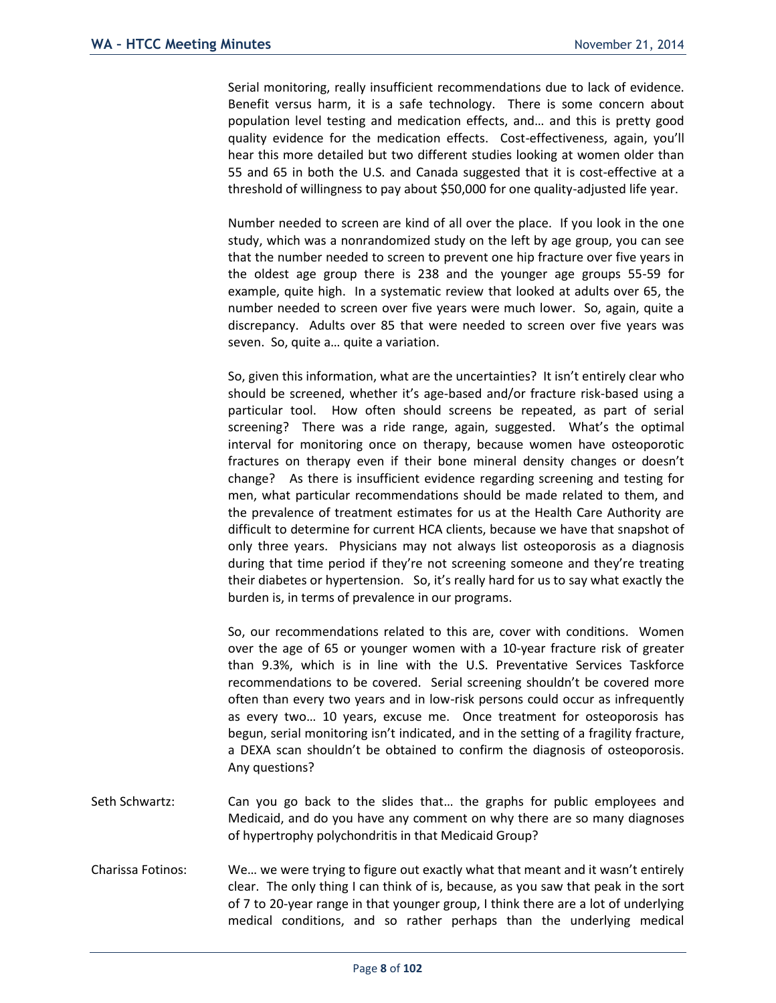Serial monitoring, really insufficient recommendations due to lack of evidence. Benefit versus harm, it is a safe technology. There is some concern about population level testing and medication effects, and… and this is pretty good quality evidence for the medication effects. Cost-effectiveness, again, you'll hear this more detailed but two different studies looking at women older than 55 and 65 in both the U.S. and Canada suggested that it is cost-effective at a threshold of willingness to pay about \$50,000 for one quality-adjusted life year.

Number needed to screen are kind of all over the place. If you look in the one study, which was a nonrandomized study on the left by age group, you can see that the number needed to screen to prevent one hip fracture over five years in the oldest age group there is 238 and the younger age groups 55-59 for example, quite high. In a systematic review that looked at adults over 65, the number needed to screen over five years were much lower. So, again, quite a discrepancy. Adults over 85 that were needed to screen over five years was seven. So, quite a… quite a variation.

So, given this information, what are the uncertainties? It isn't entirely clear who should be screened, whether it's age-based and/or fracture risk-based using a particular tool. How often should screens be repeated, as part of serial screening? There was a ride range, again, suggested. What's the optimal interval for monitoring once on therapy, because women have osteoporotic fractures on therapy even if their bone mineral density changes or doesn't change? As there is insufficient evidence regarding screening and testing for men, what particular recommendations should be made related to them, and the prevalence of treatment estimates for us at the Health Care Authority are difficult to determine for current HCA clients, because we have that snapshot of only three years. Physicians may not always list osteoporosis as a diagnosis during that time period if they're not screening someone and they're treating their diabetes or hypertension. So, it's really hard for us to say what exactly the burden is, in terms of prevalence in our programs.

So, our recommendations related to this are, cover with conditions. Women over the age of 65 or younger women with a 10-year fracture risk of greater than 9.3%, which is in line with the U.S. Preventative Services Taskforce recommendations to be covered. Serial screening shouldn't be covered more often than every two years and in low-risk persons could occur as infrequently as every two… 10 years, excuse me. Once treatment for osteoporosis has begun, serial monitoring isn't indicated, and in the setting of a fragility fracture, a DEXA scan shouldn't be obtained to confirm the diagnosis of osteoporosis. Any questions?

- Seth Schwartz: Can you go back to the slides that… the graphs for public employees and Medicaid, and do you have any comment on why there are so many diagnoses of hypertrophy polychondritis in that Medicaid Group?
- Charissa Fotinos: We… we were trying to figure out exactly what that meant and it wasn't entirely clear. The only thing I can think of is, because, as you saw that peak in the sort of 7 to 20-year range in that younger group, I think there are a lot of underlying medical conditions, and so rather perhaps than the underlying medical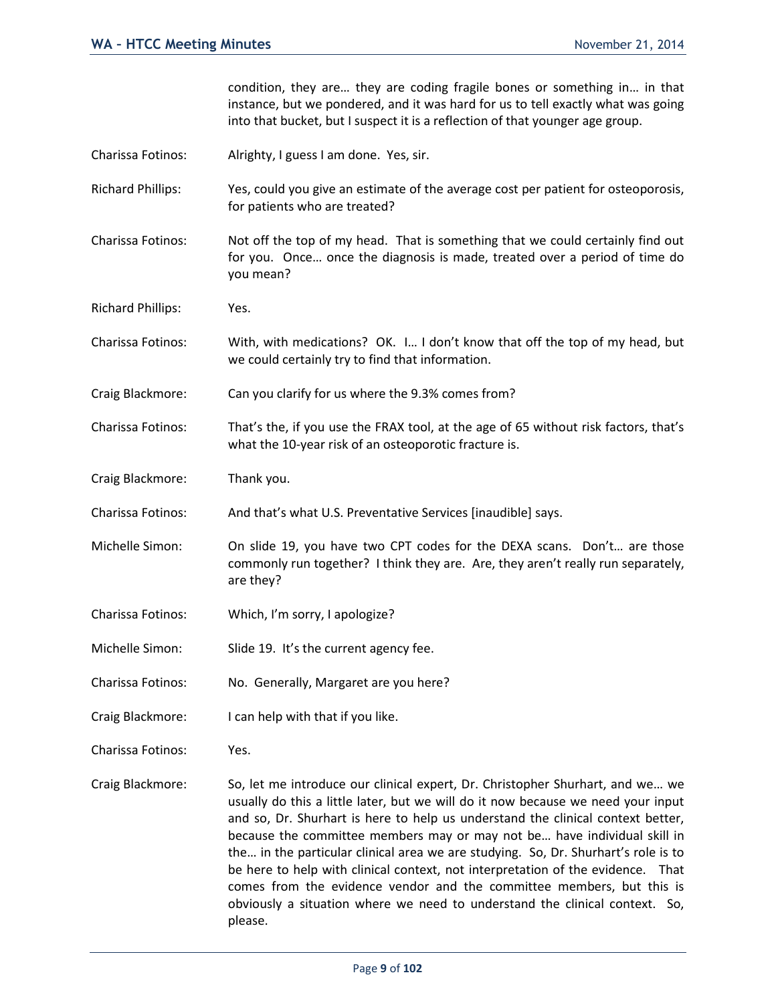condition, they are… they are coding fragile bones or something in… in that instance, but we pondered, and it was hard for us to tell exactly what was going into that bucket, but I suspect it is a reflection of that younger age group.

- Charissa Fotinos: Alrighty, I guess I am done. Yes, sir.
- Richard Phillips: Yes, could you give an estimate of the average cost per patient for osteoporosis, for patients who are treated?
- Charissa Fotinos: Not off the top of my head. That is something that we could certainly find out for you. Once… once the diagnosis is made, treated over a period of time do you mean?
- Richard Phillips: Yes.
- Charissa Fotinos: With, with medications? OK. I… I don't know that off the top of my head, but we could certainly try to find that information.
- Craig Blackmore: Can you clarify for us where the 9.3% comes from?
- Charissa Fotinos: That's the, if you use the FRAX tool, at the age of 65 without risk factors, that's what the 10-year risk of an osteoporotic fracture is.
- Craig Blackmore: Thank you.
- Charissa Fotinos: And that's what U.S. Preventative Services [inaudible] says.
- Michelle Simon: On slide 19, you have two CPT codes for the DEXA scans. Don't… are those commonly run together? I think they are. Are, they aren't really run separately, are they?
- Charissa Fotinos: Which, I'm sorry, I apologize?
- Michelle Simon: Slide 19. It's the current agency fee.
- Charissa Fotinos: No. Generally, Margaret are you here?
- Craig Blackmore: I can help with that if you like.
- Charissa Fotinos: Yes.
- Craig Blackmore: So, let me introduce our clinical expert, Dr. Christopher Shurhart, and we… we usually do this a little later, but we will do it now because we need your input and so, Dr. Shurhart is here to help us understand the clinical context better, because the committee members may or may not be… have individual skill in the… in the particular clinical area we are studying. So, Dr. Shurhart's role is to be here to help with clinical context, not interpretation of the evidence. That comes from the evidence vendor and the committee members, but this is obviously a situation where we need to understand the clinical context. So, please.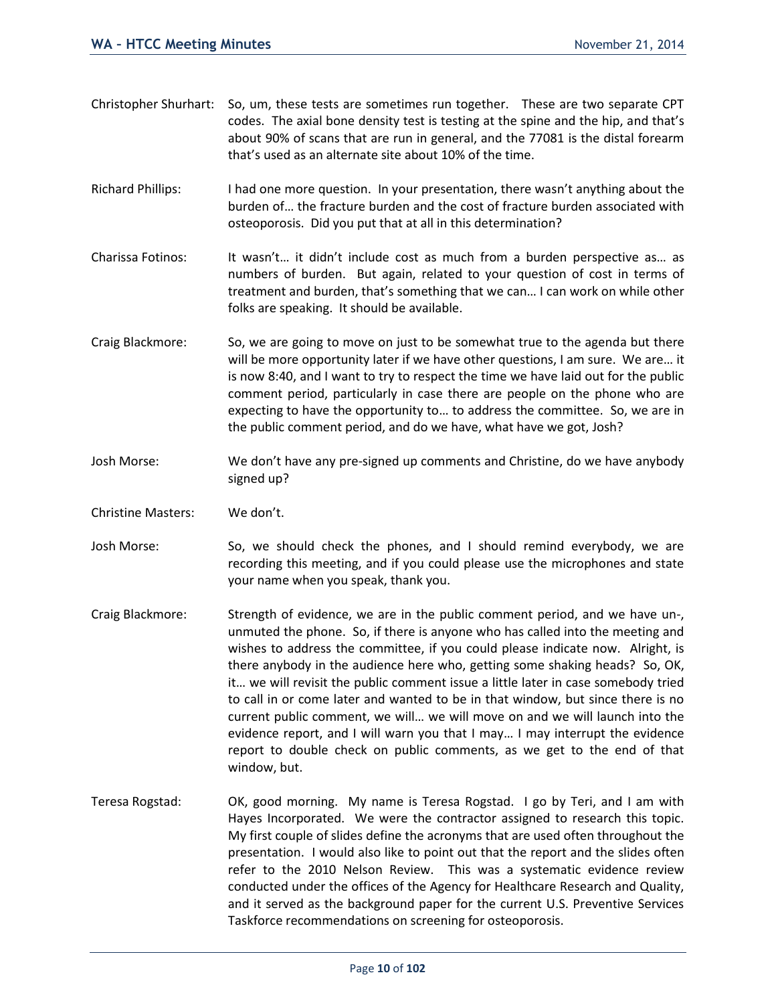- Christopher Shurhart: So, um, these tests are sometimes run together. These are two separate CPT codes. The axial bone density test is testing at the spine and the hip, and that's about 90% of scans that are run in general, and the 77081 is the distal forearm that's used as an alternate site about 10% of the time.
- Richard Phillips: I had one more question. In your presentation, there wasn't anything about the burden of… the fracture burden and the cost of fracture burden associated with osteoporosis. Did you put that at all in this determination?
- Charissa Fotinos: It wasn't… it didn't include cost as much from a burden perspective as… as numbers of burden. But again, related to your question of cost in terms of treatment and burden, that's something that we can… I can work on while other folks are speaking. It should be available.
- Craig Blackmore: So, we are going to move on just to be somewhat true to the agenda but there will be more opportunity later if we have other questions, I am sure. We are… it is now 8:40, and I want to try to respect the time we have laid out for the public comment period, particularly in case there are people on the phone who are expecting to have the opportunity to… to address the committee. So, we are in the public comment period, and do we have, what have we got, Josh?
- Josh Morse: We don't have any pre-signed up comments and Christine, do we have anybody signed up?
- Christine Masters: We don't.
- Josh Morse: So, we should check the phones, and I should remind everybody, we are recording this meeting, and if you could please use the microphones and state your name when you speak, thank you.
- Craig Blackmore: Strength of evidence, we are in the public comment period, and we have un-, unmuted the phone. So, if there is anyone who has called into the meeting and wishes to address the committee, if you could please indicate now. Alright, is there anybody in the audience here who, getting some shaking heads? So, OK, it… we will revisit the public comment issue a little later in case somebody tried to call in or come later and wanted to be in that window, but since there is no current public comment, we will… we will move on and we will launch into the evidence report, and I will warn you that I may… I may interrupt the evidence report to double check on public comments, as we get to the end of that window, but.
- Teresa Rogstad: OK, good morning. My name is Teresa Rogstad. I go by Teri, and I am with Hayes Incorporated. We were the contractor assigned to research this topic. My first couple of slides define the acronyms that are used often throughout the presentation. I would also like to point out that the report and the slides often refer to the 2010 Nelson Review. This was a systematic evidence review conducted under the offices of the Agency for Healthcare Research and Quality, and it served as the background paper for the current U.S. Preventive Services Taskforce recommendations on screening for osteoporosis.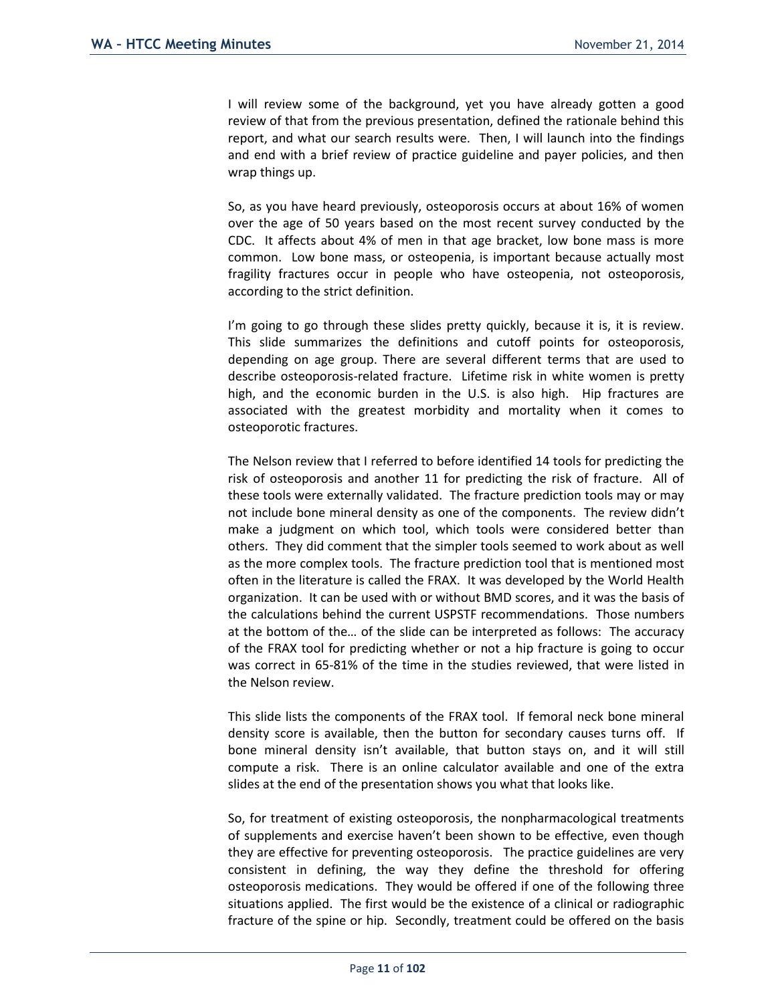I will review some of the background, yet you have already gotten a good review of that from the previous presentation, defined the rationale behind this report, and what our search results were. Then, I will launch into the findings and end with a brief review of practice guideline and payer policies, and then wrap things up.

So, as you have heard previously, osteoporosis occurs at about 16% of women over the age of 50 years based on the most recent survey conducted by the CDC. It affects about 4% of men in that age bracket, low bone mass is more common. Low bone mass, or osteopenia, is important because actually most fragility fractures occur in people who have osteopenia, not osteoporosis, according to the strict definition.

I'm going to go through these slides pretty quickly, because it is, it is review. This slide summarizes the definitions and cutoff points for osteoporosis, depending on age group. There are several different terms that are used to describe osteoporosis-related fracture. Lifetime risk in white women is pretty high, and the economic burden in the U.S. is also high. Hip fractures are associated with the greatest morbidity and mortality when it comes to osteoporotic fractures.

The Nelson review that I referred to before identified 14 tools for predicting the risk of osteoporosis and another 11 for predicting the risk of fracture. All of these tools were externally validated. The fracture prediction tools may or may not include bone mineral density as one of the components. The review didn't make a judgment on which tool, which tools were considered better than others. They did comment that the simpler tools seemed to work about as well as the more complex tools. The fracture prediction tool that is mentioned most often in the literature is called the FRAX. It was developed by the World Health organization. It can be used with or without BMD scores, and it was the basis of the calculations behind the current USPSTF recommendations. Those numbers at the bottom of the… of the slide can be interpreted as follows: The accuracy of the FRAX tool for predicting whether or not a hip fracture is going to occur was correct in 65-81% of the time in the studies reviewed, that were listed in the Nelson review.

This slide lists the components of the FRAX tool. If femoral neck bone mineral density score is available, then the button for secondary causes turns off. If bone mineral density isn't available, that button stays on, and it will still compute a risk. There is an online calculator available and one of the extra slides at the end of the presentation shows you what that looks like.

So, for treatment of existing osteoporosis, the nonpharmacological treatments of supplements and exercise haven't been shown to be effective, even though they are effective for preventing osteoporosis. The practice guidelines are very consistent in defining, the way they define the threshold for offering osteoporosis medications. They would be offered if one of the following three situations applied. The first would be the existence of a clinical or radiographic fracture of the spine or hip. Secondly, treatment could be offered on the basis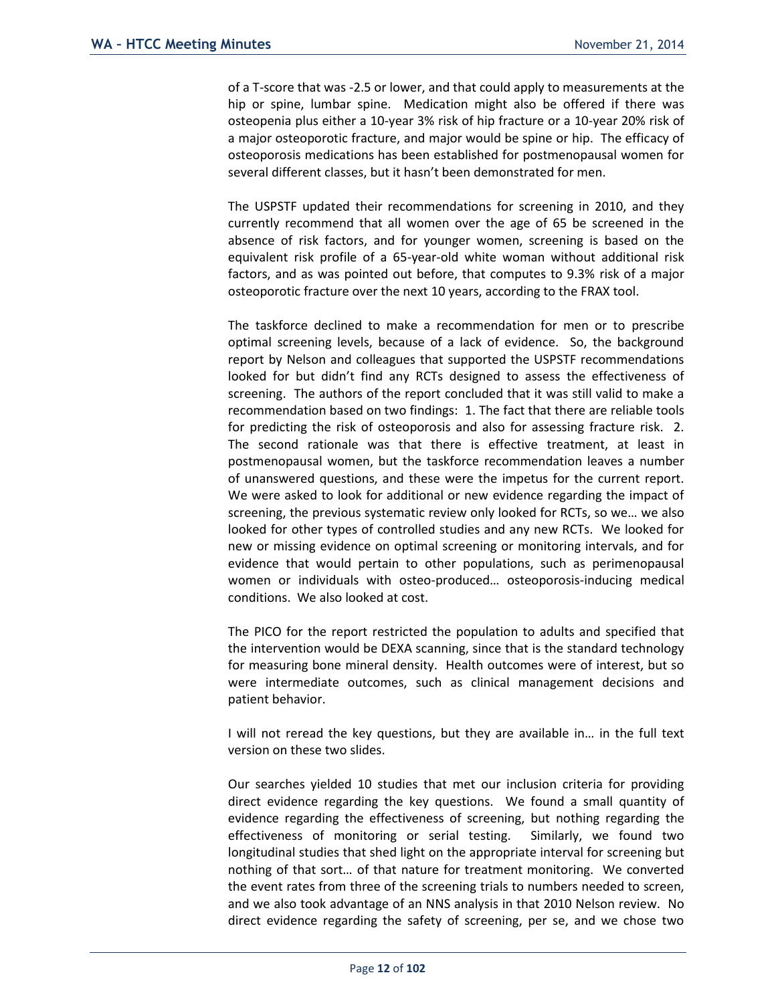of a T-score that was -2.5 or lower, and that could apply to measurements at the hip or spine, lumbar spine. Medication might also be offered if there was osteopenia plus either a 10-year 3% risk of hip fracture or a 10-year 20% risk of a major osteoporotic fracture, and major would be spine or hip. The efficacy of osteoporosis medications has been established for postmenopausal women for several different classes, but it hasn't been demonstrated for men.

The USPSTF updated their recommendations for screening in 2010, and they currently recommend that all women over the age of 65 be screened in the absence of risk factors, and for younger women, screening is based on the equivalent risk profile of a 65-year-old white woman without additional risk factors, and as was pointed out before, that computes to 9.3% risk of a major osteoporotic fracture over the next 10 years, according to the FRAX tool.

The taskforce declined to make a recommendation for men or to prescribe optimal screening levels, because of a lack of evidence. So, the background report by Nelson and colleagues that supported the USPSTF recommendations looked for but didn't find any RCTs designed to assess the effectiveness of screening. The authors of the report concluded that it was still valid to make a recommendation based on two findings: 1. The fact that there are reliable tools for predicting the risk of osteoporosis and also for assessing fracture risk. 2. The second rationale was that there is effective treatment, at least in postmenopausal women, but the taskforce recommendation leaves a number of unanswered questions, and these were the impetus for the current report. We were asked to look for additional or new evidence regarding the impact of screening, the previous systematic review only looked for RCTs, so we… we also looked for other types of controlled studies and any new RCTs. We looked for new or missing evidence on optimal screening or monitoring intervals, and for evidence that would pertain to other populations, such as perimenopausal women or individuals with osteo-produced… osteoporosis-inducing medical conditions. We also looked at cost.

The PICO for the report restricted the population to adults and specified that the intervention would be DEXA scanning, since that is the standard technology for measuring bone mineral density. Health outcomes were of interest, but so were intermediate outcomes, such as clinical management decisions and patient behavior.

I will not reread the key questions, but they are available in… in the full text version on these two slides.

Our searches yielded 10 studies that met our inclusion criteria for providing direct evidence regarding the key questions. We found a small quantity of evidence regarding the effectiveness of screening, but nothing regarding the effectiveness of monitoring or serial testing. Similarly, we found two longitudinal studies that shed light on the appropriate interval for screening but nothing of that sort… of that nature for treatment monitoring. We converted the event rates from three of the screening trials to numbers needed to screen, and we also took advantage of an NNS analysis in that 2010 Nelson review. No direct evidence regarding the safety of screening, per se, and we chose two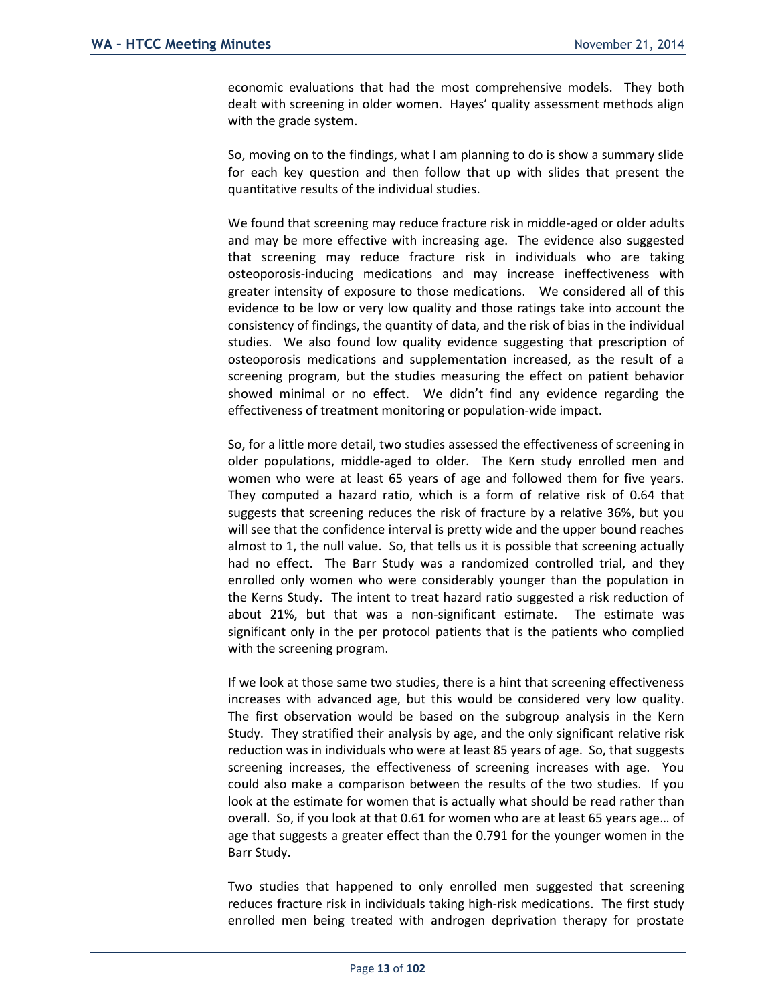economic evaluations that had the most comprehensive models. They both dealt with screening in older women. Hayes' quality assessment methods align with the grade system.

So, moving on to the findings, what I am planning to do is show a summary slide for each key question and then follow that up with slides that present the quantitative results of the individual studies.

We found that screening may reduce fracture risk in middle-aged or older adults and may be more effective with increasing age. The evidence also suggested that screening may reduce fracture risk in individuals who are taking osteoporosis-inducing medications and may increase ineffectiveness with greater intensity of exposure to those medications. We considered all of this evidence to be low or very low quality and those ratings take into account the consistency of findings, the quantity of data, and the risk of bias in the individual studies. We also found low quality evidence suggesting that prescription of osteoporosis medications and supplementation increased, as the result of a screening program, but the studies measuring the effect on patient behavior showed minimal or no effect. We didn't find any evidence regarding the effectiveness of treatment monitoring or population-wide impact.

So, for a little more detail, two studies assessed the effectiveness of screening in older populations, middle-aged to older. The Kern study enrolled men and women who were at least 65 years of age and followed them for five years. They computed a hazard ratio, which is a form of relative risk of 0.64 that suggests that screening reduces the risk of fracture by a relative 36%, but you will see that the confidence interval is pretty wide and the upper bound reaches almost to 1, the null value. So, that tells us it is possible that screening actually had no effect. The Barr Study was a randomized controlled trial, and they enrolled only women who were considerably younger than the population in the Kerns Study. The intent to treat hazard ratio suggested a risk reduction of about 21%, but that was a non-significant estimate. The estimate was significant only in the per protocol patients that is the patients who complied with the screening program.

If we look at those same two studies, there is a hint that screening effectiveness increases with advanced age, but this would be considered very low quality. The first observation would be based on the subgroup analysis in the Kern Study. They stratified their analysis by age, and the only significant relative risk reduction was in individuals who were at least 85 years of age. So, that suggests screening increases, the effectiveness of screening increases with age. You could also make a comparison between the results of the two studies. If you look at the estimate for women that is actually what should be read rather than overall. So, if you look at that 0.61 for women who are at least 65 years age… of age that suggests a greater effect than the 0.791 for the younger women in the Barr Study.

Two studies that happened to only enrolled men suggested that screening reduces fracture risk in individuals taking high-risk medications. The first study enrolled men being treated with androgen deprivation therapy for prostate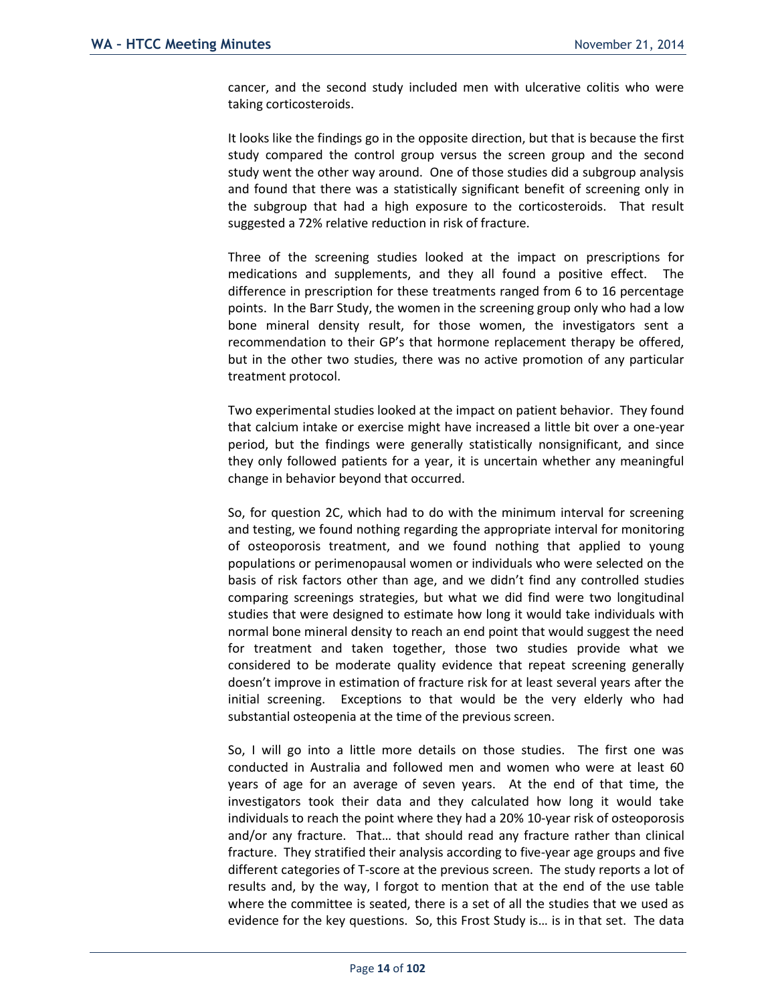cancer, and the second study included men with ulcerative colitis who were taking corticosteroids.

It looks like the findings go in the opposite direction, but that is because the first study compared the control group versus the screen group and the second study went the other way around. One of those studies did a subgroup analysis and found that there was a statistically significant benefit of screening only in the subgroup that had a high exposure to the corticosteroids. That result suggested a 72% relative reduction in risk of fracture.

Three of the screening studies looked at the impact on prescriptions for medications and supplements, and they all found a positive effect. The difference in prescription for these treatments ranged from 6 to 16 percentage points. In the Barr Study, the women in the screening group only who had a low bone mineral density result, for those women, the investigators sent a recommendation to their GP's that hormone replacement therapy be offered, but in the other two studies, there was no active promotion of any particular treatment protocol.

Two experimental studies looked at the impact on patient behavior. They found that calcium intake or exercise might have increased a little bit over a one-year period, but the findings were generally statistically nonsignificant, and since they only followed patients for a year, it is uncertain whether any meaningful change in behavior beyond that occurred.

So, for question 2C, which had to do with the minimum interval for screening and testing, we found nothing regarding the appropriate interval for monitoring of osteoporosis treatment, and we found nothing that applied to young populations or perimenopausal women or individuals who were selected on the basis of risk factors other than age, and we didn't find any controlled studies comparing screenings strategies, but what we did find were two longitudinal studies that were designed to estimate how long it would take individuals with normal bone mineral density to reach an end point that would suggest the need for treatment and taken together, those two studies provide what we considered to be moderate quality evidence that repeat screening generally doesn't improve in estimation of fracture risk for at least several years after the initial screening. Exceptions to that would be the very elderly who had substantial osteopenia at the time of the previous screen.

So, I will go into a little more details on those studies. The first one was conducted in Australia and followed men and women who were at least 60 years of age for an average of seven years. At the end of that time, the investigators took their data and they calculated how long it would take individuals to reach the point where they had a 20% 10-year risk of osteoporosis and/or any fracture. That… that should read any fracture rather than clinical fracture. They stratified their analysis according to five-year age groups and five different categories of T-score at the previous screen. The study reports a lot of results and, by the way, I forgot to mention that at the end of the use table where the committee is seated, there is a set of all the studies that we used as evidence for the key questions. So, this Frost Study is… is in that set. The data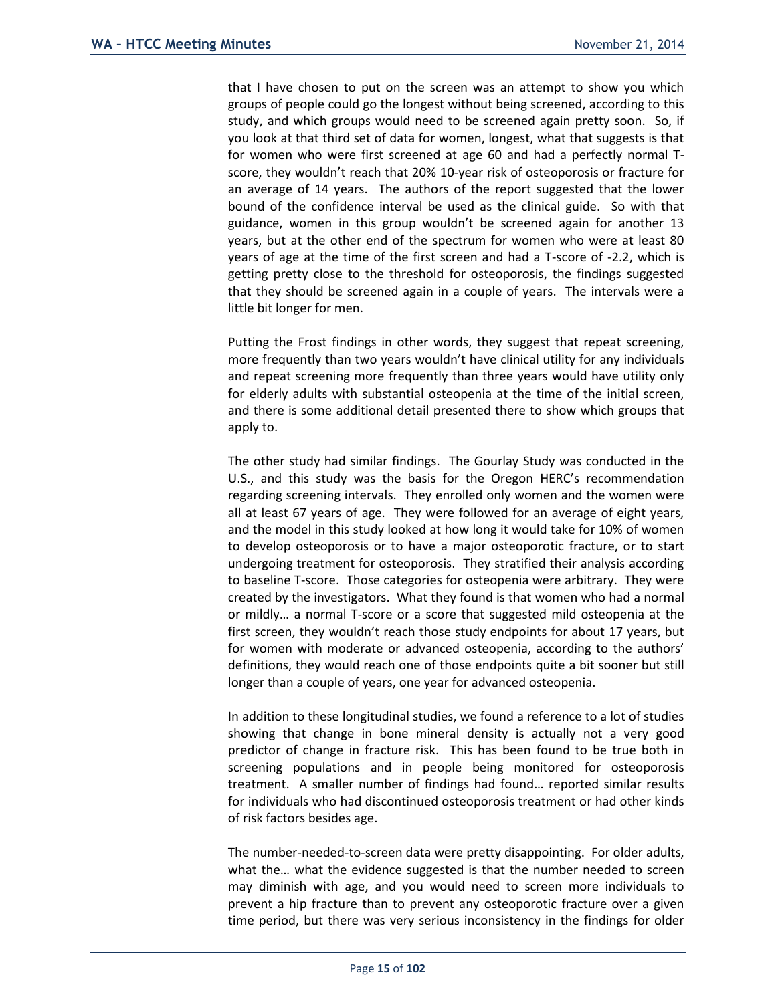that I have chosen to put on the screen was an attempt to show you which groups of people could go the longest without being screened, according to this study, and which groups would need to be screened again pretty soon. So, if you look at that third set of data for women, longest, what that suggests is that for women who were first screened at age 60 and had a perfectly normal Tscore, they wouldn't reach that 20% 10-year risk of osteoporosis or fracture for an average of 14 years. The authors of the report suggested that the lower bound of the confidence interval be used as the clinical guide. So with that guidance, women in this group wouldn't be screened again for another 13 years, but at the other end of the spectrum for women who were at least 80 years of age at the time of the first screen and had a T-score of -2.2, which is getting pretty close to the threshold for osteoporosis, the findings suggested that they should be screened again in a couple of years. The intervals were a little bit longer for men.

Putting the Frost findings in other words, they suggest that repeat screening, more frequently than two years wouldn't have clinical utility for any individuals and repeat screening more frequently than three years would have utility only for elderly adults with substantial osteopenia at the time of the initial screen, and there is some additional detail presented there to show which groups that apply to.

The other study had similar findings. The Gourlay Study was conducted in the U.S., and this study was the basis for the Oregon HERC's recommendation regarding screening intervals. They enrolled only women and the women were all at least 67 years of age. They were followed for an average of eight years, and the model in this study looked at how long it would take for 10% of women to develop osteoporosis or to have a major osteoporotic fracture, or to start undergoing treatment for osteoporosis. They stratified their analysis according to baseline T-score. Those categories for osteopenia were arbitrary. They were created by the investigators. What they found is that women who had a normal or mildly… a normal T-score or a score that suggested mild osteopenia at the first screen, they wouldn't reach those study endpoints for about 17 years, but for women with moderate or advanced osteopenia, according to the authors' definitions, they would reach one of those endpoints quite a bit sooner but still longer than a couple of years, one year for advanced osteopenia.

In addition to these longitudinal studies, we found a reference to a lot of studies showing that change in bone mineral density is actually not a very good predictor of change in fracture risk. This has been found to be true both in screening populations and in people being monitored for osteoporosis treatment. A smaller number of findings had found… reported similar results for individuals who had discontinued osteoporosis treatment or had other kinds of risk factors besides age.

The number-needed-to-screen data were pretty disappointing. For older adults, what the… what the evidence suggested is that the number needed to screen may diminish with age, and you would need to screen more individuals to prevent a hip fracture than to prevent any osteoporotic fracture over a given time period, but there was very serious inconsistency in the findings for older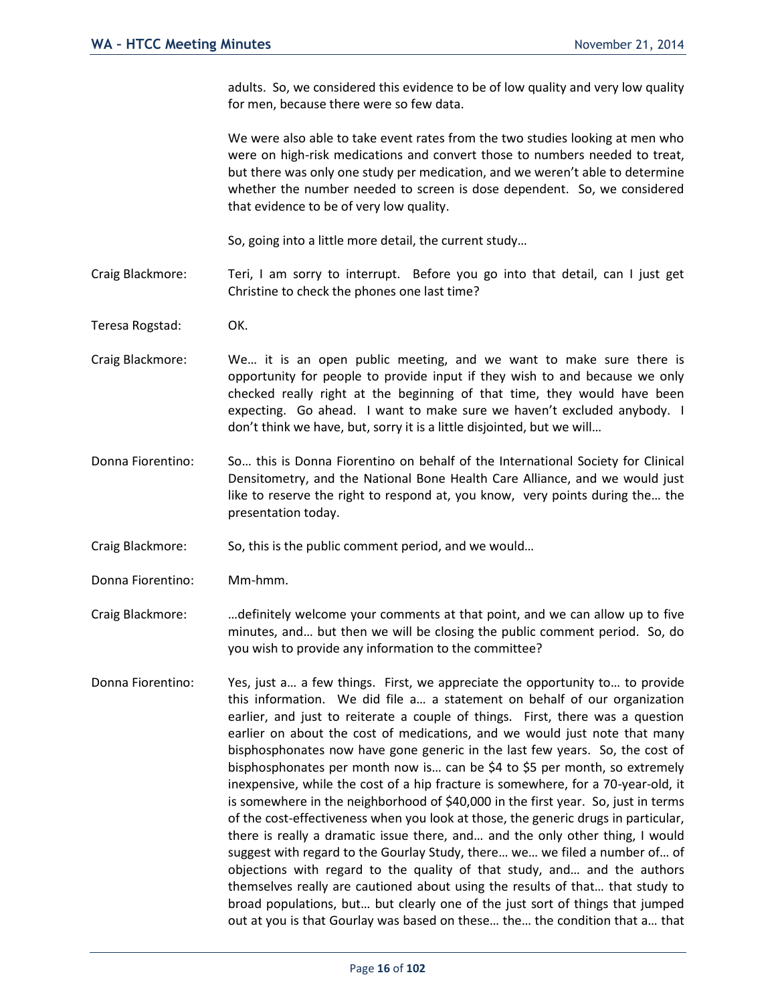adults. So, we considered this evidence to be of low quality and very low quality for men, because there were so few data.

We were also able to take event rates from the two studies looking at men who were on high-risk medications and convert those to numbers needed to treat, but there was only one study per medication, and we weren't able to determine whether the number needed to screen is dose dependent. So, we considered that evidence to be of very low quality.

So, going into a little more detail, the current study…

- Craig Blackmore: Teri, I am sorry to interrupt. Before you go into that detail, can I just get Christine to check the phones one last time?
- Teresa Rogstad: OK.
- Craig Blackmore: We… it is an open public meeting, and we want to make sure there is opportunity for people to provide input if they wish to and because we only checked really right at the beginning of that time, they would have been expecting. Go ahead. I want to make sure we haven't excluded anybody. I don't think we have, but, sorry it is a little disjointed, but we will…
- Donna Fiorentino: So… this is Donna Fiorentino on behalf of the International Society for Clinical Densitometry, and the National Bone Health Care Alliance, and we would just like to reserve the right to respond at, you know, very points during the… the presentation today.
- Craig Blackmore: So, this is the public comment period, and we would…
- Donna Fiorentino: Mm-hmm.
- Craig Blackmore: …definitely welcome your comments at that point, and we can allow up to five minutes, and… but then we will be closing the public comment period. So, do you wish to provide any information to the committee?
- Donna Fiorentino: Yes, just a… a few things. First, we appreciate the opportunity to… to provide this information. We did file a… a statement on behalf of our organization earlier, and just to reiterate a couple of things. First, there was a question earlier on about the cost of medications, and we would just note that many bisphosphonates now have gone generic in the last few years. So, the cost of bisphosphonates per month now is… can be \$4 to \$5 per month, so extremely inexpensive, while the cost of a hip fracture is somewhere, for a 70-year-old, it is somewhere in the neighborhood of \$40,000 in the first year. So, just in terms of the cost-effectiveness when you look at those, the generic drugs in particular, there is really a dramatic issue there, and… and the only other thing, I would suggest with regard to the Gourlay Study, there… we… we filed a number of… of objections with regard to the quality of that study, and… and the authors themselves really are cautioned about using the results of that… that study to broad populations, but… but clearly one of the just sort of things that jumped out at you is that Gourlay was based on these… the… the condition that a… that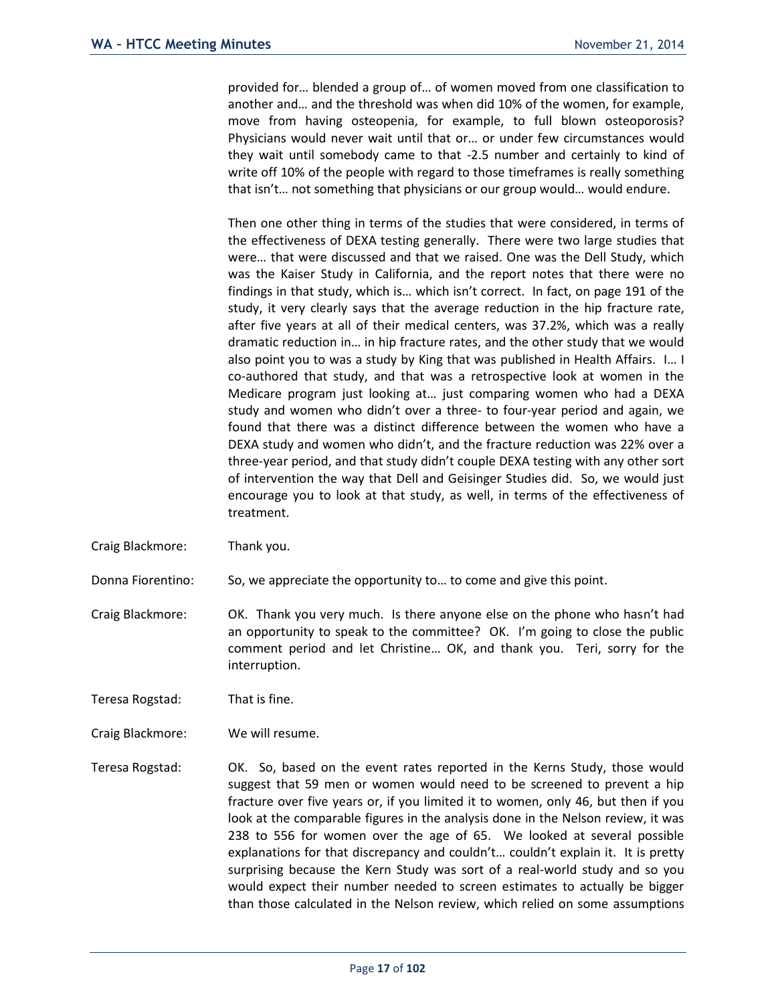provided for… blended a group of… of women moved from one classification to another and… and the threshold was when did 10% of the women, for example, move from having osteopenia, for example, to full blown osteoporosis? Physicians would never wait until that or… or under few circumstances would they wait until somebody came to that -2.5 number and certainly to kind of write off 10% of the people with regard to those timeframes is really something that isn't… not something that physicians or our group would… would endure.

Then one other thing in terms of the studies that were considered, in terms of the effectiveness of DEXA testing generally. There were two large studies that were… that were discussed and that we raised. One was the Dell Study, which was the Kaiser Study in California, and the report notes that there were no findings in that study, which is… which isn't correct. In fact, on page 191 of the study, it very clearly says that the average reduction in the hip fracture rate, after five years at all of their medical centers, was 37.2%, which was a really dramatic reduction in… in hip fracture rates, and the other study that we would also point you to was a study by King that was published in Health Affairs. I… I co-authored that study, and that was a retrospective look at women in the Medicare program just looking at… just comparing women who had a DEXA study and women who didn't over a three- to four-year period and again, we found that there was a distinct difference between the women who have a DEXA study and women who didn't, and the fracture reduction was 22% over a three-year period, and that study didn't couple DEXA testing with any other sort of intervention the way that Dell and Geisinger Studies did. So, we would just encourage you to look at that study, as well, in terms of the effectiveness of treatment.

Craig Blackmore: Thank you.

Donna Fiorentino: So, we appreciate the opportunity to… to come and give this point.

Craig Blackmore: OK. Thank you very much. Is there anyone else on the phone who hasn't had an opportunity to speak to the committee? OK. I'm going to close the public comment period and let Christine… OK, and thank you. Teri, sorry for the interruption.

Teresa Rogstad: That is fine.

Craig Blackmore: We will resume.

Teresa Rogstad: OK. So, based on the event rates reported in the Kerns Study, those would suggest that 59 men or women would need to be screened to prevent a hip fracture over five years or, if you limited it to women, only 46, but then if you look at the comparable figures in the analysis done in the Nelson review, it was 238 to 556 for women over the age of 65. We looked at several possible explanations for that discrepancy and couldn't… couldn't explain it. It is pretty surprising because the Kern Study was sort of a real-world study and so you would expect their number needed to screen estimates to actually be bigger than those calculated in the Nelson review, which relied on some assumptions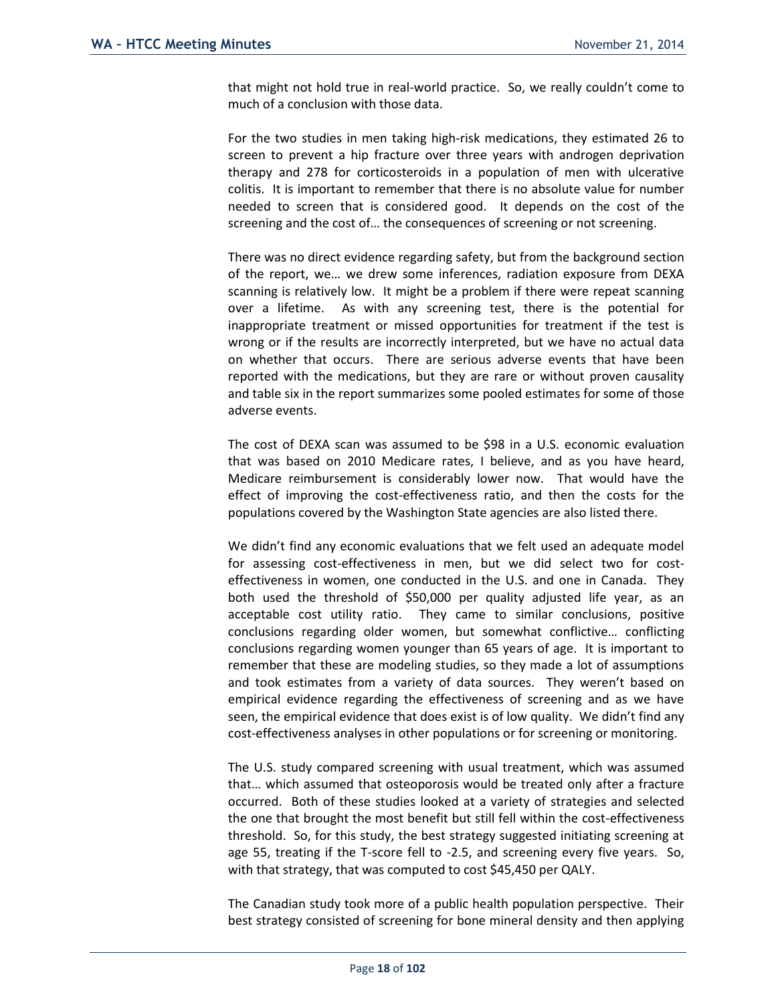that might not hold true in real-world practice. So, we really couldn't come to much of a conclusion with those data.

For the two studies in men taking high-risk medications, they estimated 26 to screen to prevent a hip fracture over three years with androgen deprivation therapy and 278 for corticosteroids in a population of men with ulcerative colitis. It is important to remember that there is no absolute value for number needed to screen that is considered good. It depends on the cost of the screening and the cost of… the consequences of screening or not screening.

There was no direct evidence regarding safety, but from the background section of the report, we… we drew some inferences, radiation exposure from DEXA scanning is relatively low. It might be a problem if there were repeat scanning over a lifetime. As with any screening test, there is the potential for inappropriate treatment or missed opportunities for treatment if the test is wrong or if the results are incorrectly interpreted, but we have no actual data on whether that occurs. There are serious adverse events that have been reported with the medications, but they are rare or without proven causality and table six in the report summarizes some pooled estimates for some of those adverse events.

The cost of DEXA scan was assumed to be \$98 in a U.S. economic evaluation that was based on 2010 Medicare rates, I believe, and as you have heard, Medicare reimbursement is considerably lower now. That would have the effect of improving the cost-effectiveness ratio, and then the costs for the populations covered by the Washington State agencies are also listed there.

We didn't find any economic evaluations that we felt used an adequate model for assessing cost-effectiveness in men, but we did select two for costeffectiveness in women, one conducted in the U.S. and one in Canada. They both used the threshold of \$50,000 per quality adjusted life year, as an acceptable cost utility ratio. They came to similar conclusions, positive conclusions regarding older women, but somewhat conflictive… conflicting conclusions regarding women younger than 65 years of age. It is important to remember that these are modeling studies, so they made a lot of assumptions and took estimates from a variety of data sources. They weren't based on empirical evidence regarding the effectiveness of screening and as we have seen, the empirical evidence that does exist is of low quality. We didn't find any cost-effectiveness analyses in other populations or for screening or monitoring.

The U.S. study compared screening with usual treatment, which was assumed that… which assumed that osteoporosis would be treated only after a fracture occurred. Both of these studies looked at a variety of strategies and selected the one that brought the most benefit but still fell within the cost-effectiveness threshold. So, for this study, the best strategy suggested initiating screening at age 55, treating if the T-score fell to -2.5, and screening every five years. So, with that strategy, that was computed to cost \$45,450 per QALY.

The Canadian study took more of a public health population perspective. Their best strategy consisted of screening for bone mineral density and then applying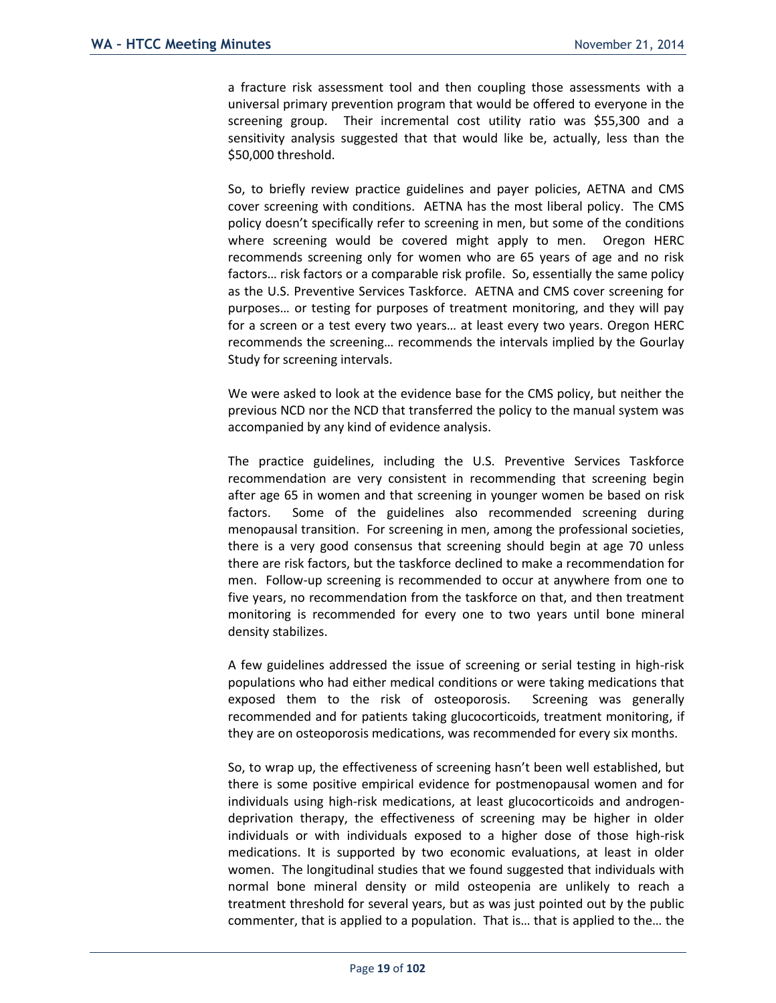a fracture risk assessment tool and then coupling those assessments with a universal primary prevention program that would be offered to everyone in the screening group. Their incremental cost utility ratio was \$55,300 and a sensitivity analysis suggested that that would like be, actually, less than the \$50,000 threshold.

So, to briefly review practice guidelines and payer policies, AETNA and CMS cover screening with conditions. AETNA has the most liberal policy. The CMS policy doesn't specifically refer to screening in men, but some of the conditions where screening would be covered might apply to men. Oregon HERC recommends screening only for women who are 65 years of age and no risk factors… risk factors or a comparable risk profile. So, essentially the same policy as the U.S. Preventive Services Taskforce. AETNA and CMS cover screening for purposes… or testing for purposes of treatment monitoring, and they will pay for a screen or a test every two years… at least every two years. Oregon HERC recommends the screening… recommends the intervals implied by the Gourlay Study for screening intervals.

We were asked to look at the evidence base for the CMS policy, but neither the previous NCD nor the NCD that transferred the policy to the manual system was accompanied by any kind of evidence analysis.

The practice guidelines, including the U.S. Preventive Services Taskforce recommendation are very consistent in recommending that screening begin after age 65 in women and that screening in younger women be based on risk factors. Some of the guidelines also recommended screening during menopausal transition. For screening in men, among the professional societies, there is a very good consensus that screening should begin at age 70 unless there are risk factors, but the taskforce declined to make a recommendation for men. Follow-up screening is recommended to occur at anywhere from one to five years, no recommendation from the taskforce on that, and then treatment monitoring is recommended for every one to two years until bone mineral density stabilizes.

A few guidelines addressed the issue of screening or serial testing in high-risk populations who had either medical conditions or were taking medications that exposed them to the risk of osteoporosis. Screening was generally recommended and for patients taking glucocorticoids, treatment monitoring, if they are on osteoporosis medications, was recommended for every six months.

So, to wrap up, the effectiveness of screening hasn't been well established, but there is some positive empirical evidence for postmenopausal women and for individuals using high-risk medications, at least glucocorticoids and androgendeprivation therapy, the effectiveness of screening may be higher in older individuals or with individuals exposed to a higher dose of those high-risk medications. It is supported by two economic evaluations, at least in older women. The longitudinal studies that we found suggested that individuals with normal bone mineral density or mild osteopenia are unlikely to reach a treatment threshold for several years, but as was just pointed out by the public commenter, that is applied to a population. That is… that is applied to the… the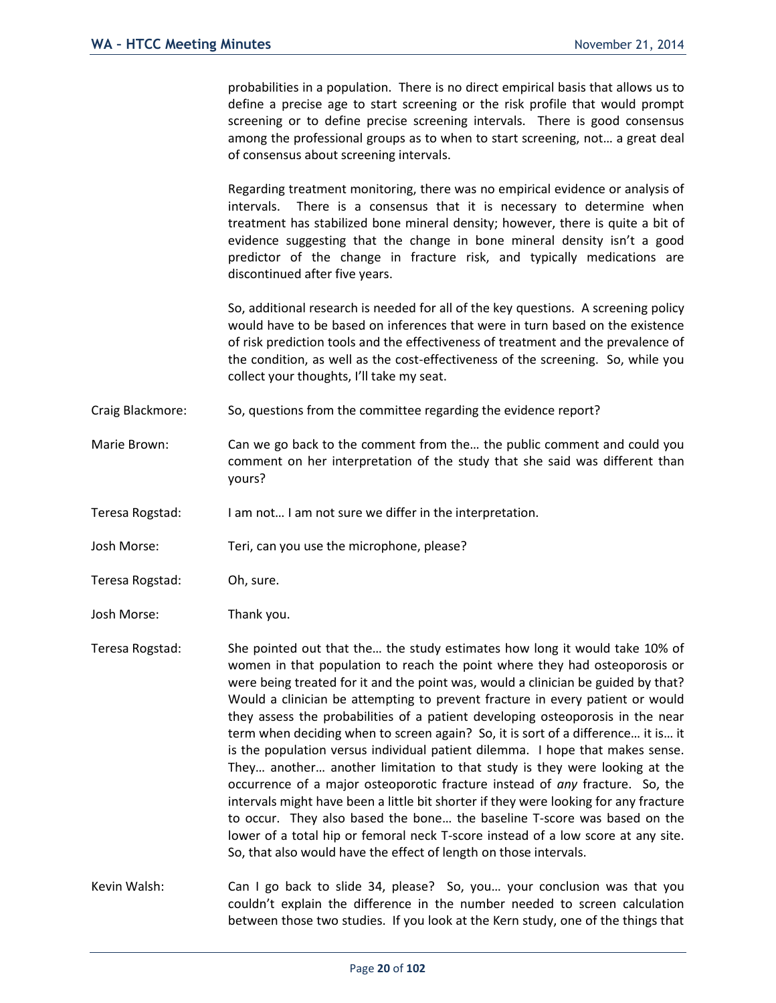probabilities in a population. There is no direct empirical basis that allows us to define a precise age to start screening or the risk profile that would prompt screening or to define precise screening intervals. There is good consensus among the professional groups as to when to start screening, not… a great deal of consensus about screening intervals.

Regarding treatment monitoring, there was no empirical evidence or analysis of intervals. There is a consensus that it is necessary to determine when treatment has stabilized bone mineral density; however, there is quite a bit of evidence suggesting that the change in bone mineral density isn't a good predictor of the change in fracture risk, and typically medications are discontinued after five years.

So, additional research is needed for all of the key questions. A screening policy would have to be based on inferences that were in turn based on the existence of risk prediction tools and the effectiveness of treatment and the prevalence of the condition, as well as the cost-effectiveness of the screening. So, while you collect your thoughts, I'll take my seat.

- Craig Blackmore: So, questions from the committee regarding the evidence report?
- Marie Brown: Can we go back to the comment from the... the public comment and could you comment on her interpretation of the study that she said was different than yours?

Teresa Rogstad: I am not… I am not sure we differ in the interpretation.

- Josh Morse: Teri, can you use the microphone, please?
- Teresa Rogstad: Oh, sure.
- Josh Morse: Thank you.

Teresa Rogstad: She pointed out that the… the study estimates how long it would take 10% of women in that population to reach the point where they had osteoporosis or were being treated for it and the point was, would a clinician be guided by that? Would a clinician be attempting to prevent fracture in every patient or would they assess the probabilities of a patient developing osteoporosis in the near term when deciding when to screen again? So, it is sort of a difference… it is… it is the population versus individual patient dilemma. I hope that makes sense. They… another… another limitation to that study is they were looking at the occurrence of a major osteoporotic fracture instead of *any* fracture. So, the intervals might have been a little bit shorter if they were looking for any fracture to occur. They also based the bone… the baseline T-score was based on the lower of a total hip or femoral neck T-score instead of a low score at any site. So, that also would have the effect of length on those intervals.

Kevin Walsh: Can I go back to slide 34, please? So, you… your conclusion was that you couldn't explain the difference in the number needed to screen calculation between those two studies. If you look at the Kern study, one of the things that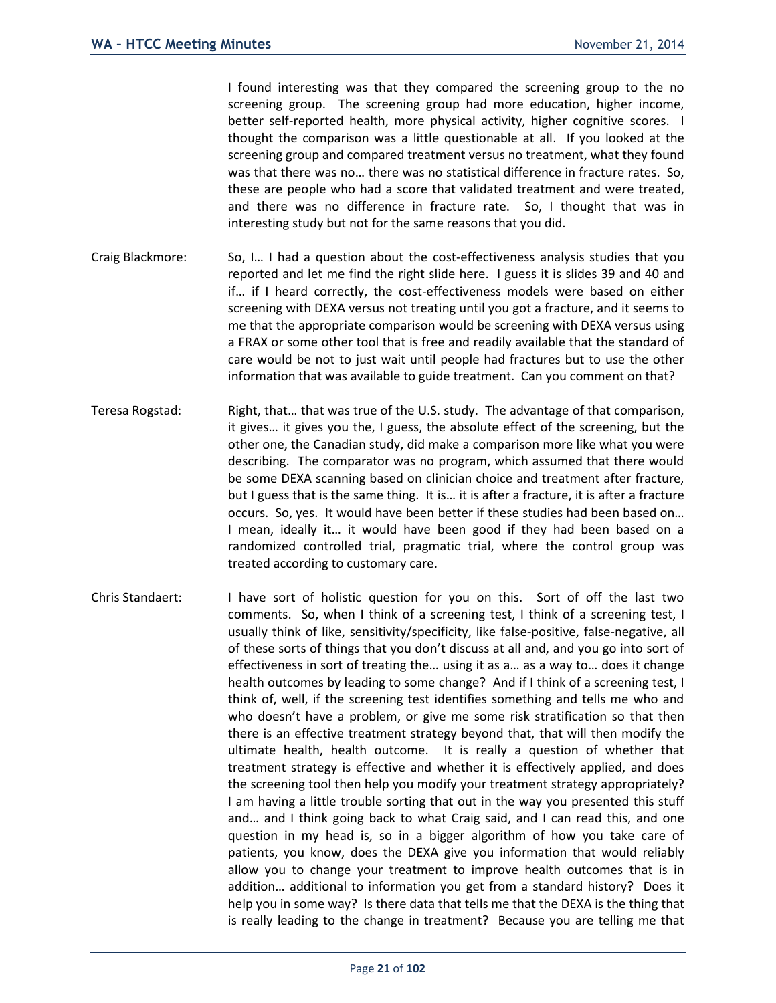I found interesting was that they compared the screening group to the no screening group. The screening group had more education, higher income, better self-reported health, more physical activity, higher cognitive scores. I thought the comparison was a little questionable at all. If you looked at the screening group and compared treatment versus no treatment, what they found was that there was no… there was no statistical difference in fracture rates. So, these are people who had a score that validated treatment and were treated, and there was no difference in fracture rate. So, I thought that was in interesting study but not for the same reasons that you did.

- Craig Blackmore: So, I… I had a question about the cost-effectiveness analysis studies that you reported and let me find the right slide here. I guess it is slides 39 and 40 and if… if I heard correctly, the cost-effectiveness models were based on either screening with DEXA versus not treating until you got a fracture, and it seems to me that the appropriate comparison would be screening with DEXA versus using a FRAX or some other tool that is free and readily available that the standard of care would be not to just wait until people had fractures but to use the other information that was available to guide treatment. Can you comment on that?
- Teresa Rogstad: Right, that… that was true of the U.S. study. The advantage of that comparison, it gives… it gives you the, I guess, the absolute effect of the screening, but the other one, the Canadian study, did make a comparison more like what you were describing. The comparator was no program, which assumed that there would be some DEXA scanning based on clinician choice and treatment after fracture, but I guess that is the same thing. It is… it is after a fracture, it is after a fracture occurs. So, yes. It would have been better if these studies had been based on… I mean, ideally it… it would have been good if they had been based on a randomized controlled trial, pragmatic trial, where the control group was treated according to customary care.
- Chris Standaert: I have sort of holistic question for you on this. Sort of off the last two comments. So, when I think of a screening test, I think of a screening test, I usually think of like, sensitivity/specificity, like false-positive, false-negative, all of these sorts of things that you don't discuss at all and, and you go into sort of effectiveness in sort of treating the… using it as a… as a way to… does it change health outcomes by leading to some change? And if I think of a screening test, I think of, well, if the screening test identifies something and tells me who and who doesn't have a problem, or give me some risk stratification so that then there is an effective treatment strategy beyond that, that will then modify the ultimate health, health outcome. It is really a question of whether that treatment strategy is effective and whether it is effectively applied, and does the screening tool then help you modify your treatment strategy appropriately? I am having a little trouble sorting that out in the way you presented this stuff and… and I think going back to what Craig said, and I can read this, and one question in my head is, so in a bigger algorithm of how you take care of patients, you know, does the DEXA give you information that would reliably allow you to change your treatment to improve health outcomes that is in addition… additional to information you get from a standard history? Does it help you in some way? Is there data that tells me that the DEXA is the thing that is really leading to the change in treatment? Because you are telling me that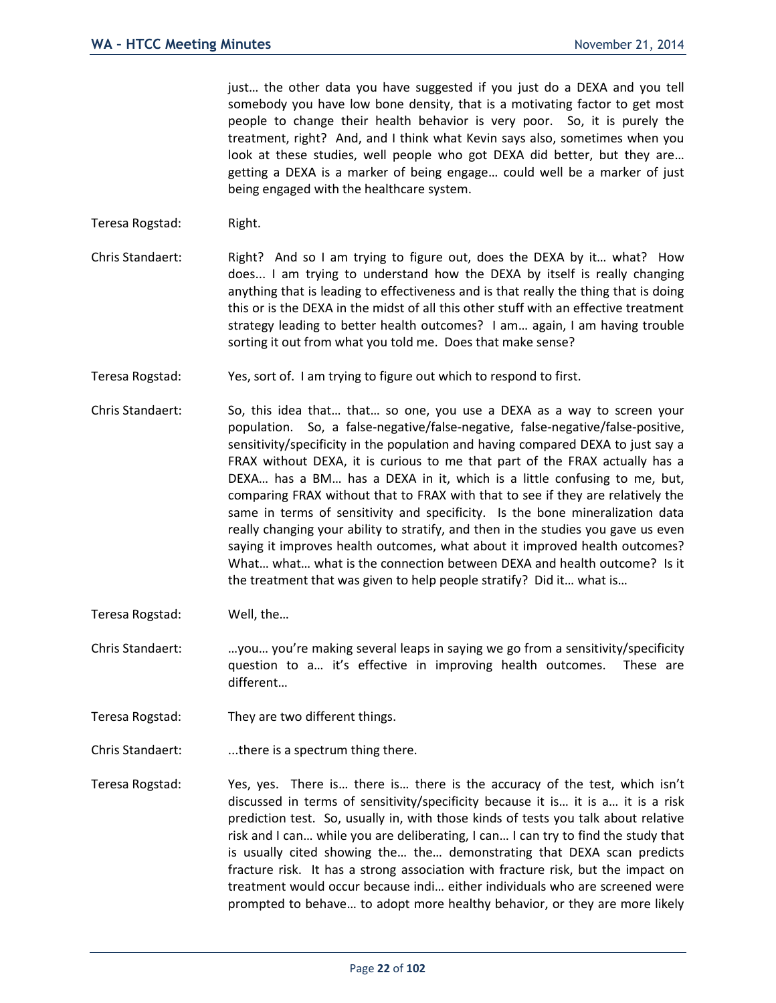just… the other data you have suggested if you just do a DEXA and you tell somebody you have low bone density, that is a motivating factor to get most people to change their health behavior is very poor. So, it is purely the treatment, right? And, and I think what Kevin says also, sometimes when you look at these studies, well people who got DEXA did better, but they are… getting a DEXA is a marker of being engage… could well be a marker of just being engaged with the healthcare system.

- Teresa Rogstad: Right.
- Chris Standaert: Right? And so I am trying to figure out, does the DEXA by it… what? How does... I am trying to understand how the DEXA by itself is really changing anything that is leading to effectiveness and is that really the thing that is doing this or is the DEXA in the midst of all this other stuff with an effective treatment strategy leading to better health outcomes? I am… again, I am having trouble sorting it out from what you told me. Does that make sense?
- Teresa Rogstad: Yes, sort of. I am trying to figure out which to respond to first.
- Chris Standaert: So, this idea that… that… so one, you use a DEXA as a way to screen your population. So, a false-negative/false-negative, false-negative/false-positive, sensitivity/specificity in the population and having compared DEXA to just say a FRAX without DEXA, it is curious to me that part of the FRAX actually has a DEXA… has a BM… has a DEXA in it, which is a little confusing to me, but, comparing FRAX without that to FRAX with that to see if they are relatively the same in terms of sensitivity and specificity. Is the bone mineralization data really changing your ability to stratify, and then in the studies you gave us even saying it improves health outcomes, what about it improved health outcomes? What… what… what is the connection between DEXA and health outcome? Is it the treatment that was given to help people stratify? Did it… what is…
- Teresa Rogstad: Well, the…
- Chris Standaert: …you… you're making several leaps in saying we go from a sensitivity/specificity question to a… it's effective in improving health outcomes. These are different…
- Teresa Rogstad: They are two different things.
- Chris Standaert: ...there is a spectrum thing there.
- Teresa Rogstad: Yes, yes. There is… there is… there is the accuracy of the test, which isn't discussed in terms of sensitivity/specificity because it is… it is a… it is a risk prediction test. So, usually in, with those kinds of tests you talk about relative risk and I can… while you are deliberating, I can… I can try to find the study that is usually cited showing the… the… demonstrating that DEXA scan predicts fracture risk. It has a strong association with fracture risk, but the impact on treatment would occur because indi… either individuals who are screened were prompted to behave… to adopt more healthy behavior, or they are more likely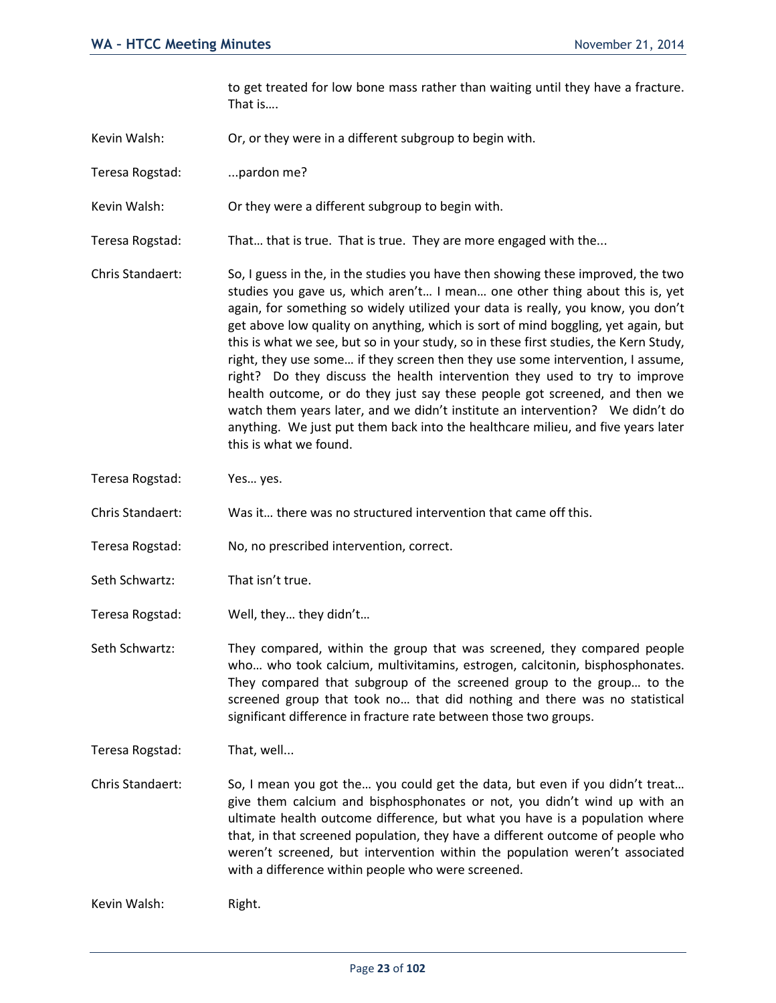to get treated for low bone mass rather than waiting until they have a fracture. That is….

- Kevin Walsh: Or, or they were in a different subgroup to begin with.
- Teresa Rogstad: ...pardon me?
- Kevin Walsh: Or they were a different subgroup to begin with.
- Teresa Rogstad: That… that is true. That is true. They are more engaged with the...
- Chris Standaert: So, I guess in the, in the studies you have then showing these improved, the two studies you gave us, which aren't… I mean… one other thing about this is, yet again, for something so widely utilized your data is really, you know, you don't get above low quality on anything, which is sort of mind boggling, yet again, but this is what we see, but so in your study, so in these first studies, the Kern Study, right, they use some… if they screen then they use some intervention, I assume, right? Do they discuss the health intervention they used to try to improve health outcome, or do they just say these people got screened, and then we watch them years later, and we didn't institute an intervention? We didn't do anything. We just put them back into the healthcare milieu, and five years later this is what we found.
- Teresa Rogstad: Yes… yes.
- Chris Standaert: Was it… there was no structured intervention that came off this.
- Teresa Rogstad: No, no prescribed intervention, correct.
- Seth Schwartz: That isn't true.
- Teresa Rogstad: Well, they… they didn't…
- Seth Schwartz: They compared, within the group that was screened, they compared people who… who took calcium, multivitamins, estrogen, calcitonin, bisphosphonates. They compared that subgroup of the screened group to the group… to the screened group that took no… that did nothing and there was no statistical significant difference in fracture rate between those two groups.
- Teresa Rogstad: That, well...
- Chris Standaert: So, I mean you got the… you could get the data, but even if you didn't treat… give them calcium and bisphosphonates or not, you didn't wind up with an ultimate health outcome difference, but what you have is a population where that, in that screened population, they have a different outcome of people who weren't screened, but intervention within the population weren't associated with a difference within people who were screened.

Kevin Walsh: Right.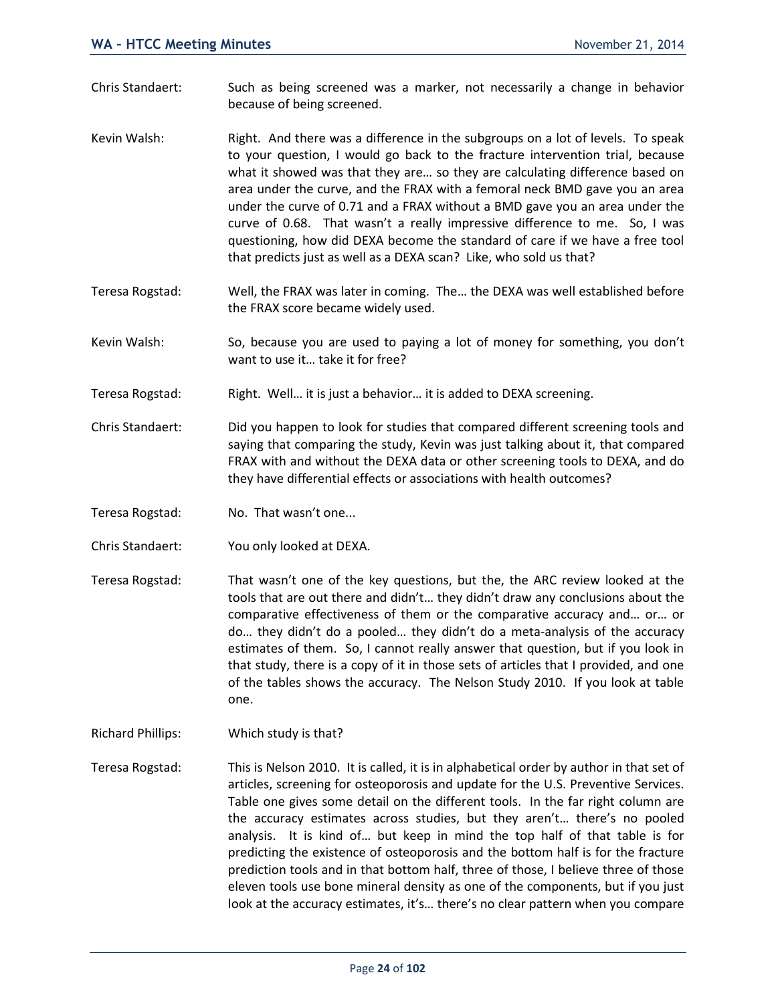- Chris Standaert: Such as being screened was a marker, not necessarily a change in behavior because of being screened.
- Kevin Walsh: Right. And there was a difference in the subgroups on a lot of levels. To speak to your question, I would go back to the fracture intervention trial, because what it showed was that they are… so they are calculating difference based on area under the curve, and the FRAX with a femoral neck BMD gave you an area under the curve of 0.71 and a FRAX without a BMD gave you an area under the curve of 0.68. That wasn't a really impressive difference to me. So, I was questioning, how did DEXA become the standard of care if we have a free tool that predicts just as well as a DEXA scan? Like, who sold us that?
- Teresa Rogstad: Well, the FRAX was later in coming. The… the DEXA was well established before the FRAX score became widely used.
- Kevin Walsh: So, because you are used to paying a lot of money for something, you don't want to use it… take it for free?
- Teresa Rogstad: Right. Well… it is just a behavior… it is added to DEXA screening.
- Chris Standaert: Did you happen to look for studies that compared different screening tools and saying that comparing the study, Kevin was just talking about it, that compared FRAX with and without the DEXA data or other screening tools to DEXA, and do they have differential effects or associations with health outcomes?
- Teresa Rogstad: No. That wasn't one...
- Chris Standaert: You only looked at DEXA.
- Teresa Rogstad: That wasn't one of the key questions, but the, the ARC review looked at the tools that are out there and didn't… they didn't draw any conclusions about the comparative effectiveness of them or the comparative accuracy and… or… or do… they didn't do a pooled… they didn't do a meta-analysis of the accuracy estimates of them. So, I cannot really answer that question, but if you look in that study, there is a copy of it in those sets of articles that I provided, and one of the tables shows the accuracy. The Nelson Study 2010. If you look at table one.
- Richard Phillips: Which study is that?
- Teresa Rogstad: This is Nelson 2010. It is called, it is in alphabetical order by author in that set of articles, screening for osteoporosis and update for the U.S. Preventive Services. Table one gives some detail on the different tools. In the far right column are the accuracy estimates across studies, but they aren't… there's no pooled analysis. It is kind of… but keep in mind the top half of that table is for predicting the existence of osteoporosis and the bottom half is for the fracture prediction tools and in that bottom half, three of those, I believe three of those eleven tools use bone mineral density as one of the components, but if you just look at the accuracy estimates, it's… there's no clear pattern when you compare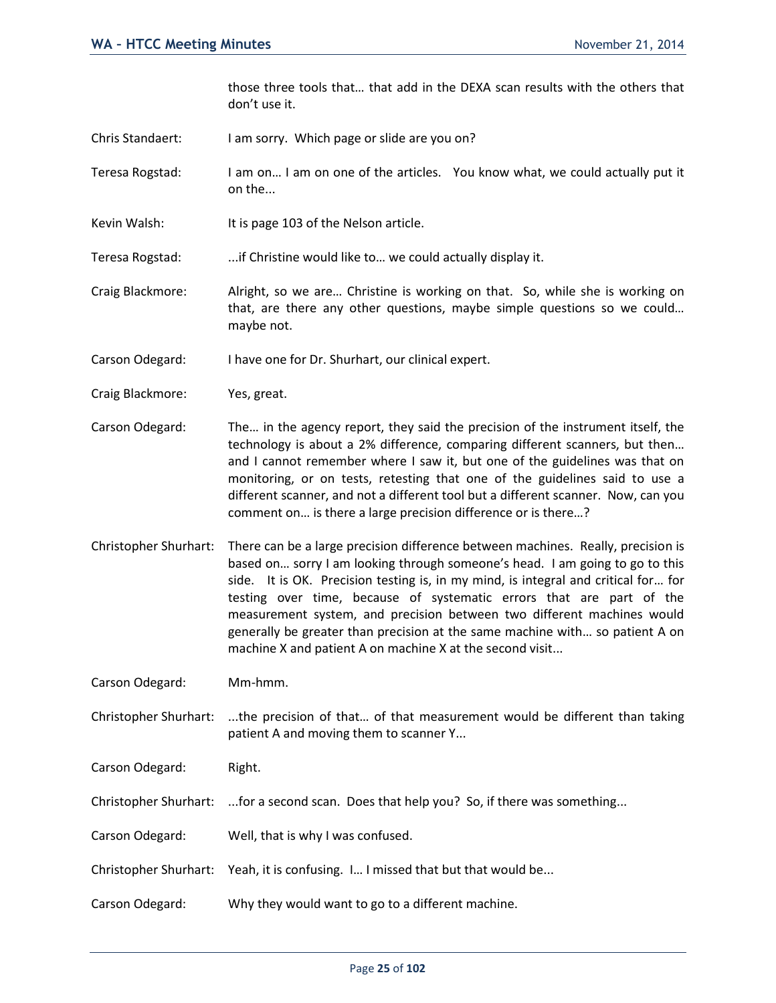those three tools that… that add in the DEXA scan results with the others that don't use it.

- Chris Standaert: I am sorry. Which page or slide are you on?
- Teresa Rogstad: I am on… I am on one of the articles. You know what, we could actually put it on the...
- Kevin Walsh: It is page 103 of the Nelson article.

Teresa Rogstad: ...if Christine would like to… we could actually display it.

- Craig Blackmore: Alright, so we are… Christine is working on that. So, while she is working on that, are there any other questions, maybe simple questions so we could… maybe not.
- Carson Odegard: I have one for Dr. Shurhart, our clinical expert.
- Craig Blackmore: Yes, great.
- Carson Odegard: The… in the agency report, they said the precision of the instrument itself, the technology is about a 2% difference, comparing different scanners, but then… and I cannot remember where I saw it, but one of the guidelines was that on monitoring, or on tests, retesting that one of the guidelines said to use a different scanner, and not a different tool but a different scanner. Now, can you comment on… is there a large precision difference or is there…?
- Christopher Shurhart: There can be a large precision difference between machines. Really, precision is based on… sorry I am looking through someone's head. I am going to go to this side. It is OK. Precision testing is, in my mind, is integral and critical for… for testing over time, because of systematic errors that are part of the measurement system, and precision between two different machines would generally be greater than precision at the same machine with… so patient A on machine X and patient A on machine X at the second visit...

Carson Odegard: Mm-hmm.

Christopher Shurhart: ...the precision of that… of that measurement would be different than taking patient A and moving them to scanner Y...

Carson Odegard: Right.

- Christopher Shurhart: ...for a second scan. Does that help you? So, if there was something...
- Carson Odegard: Well, that is why I was confused.
- Christopher Shurhart: Yeah, it is confusing. I… I missed that but that would be...
- Carson Odegard: Why they would want to go to a different machine.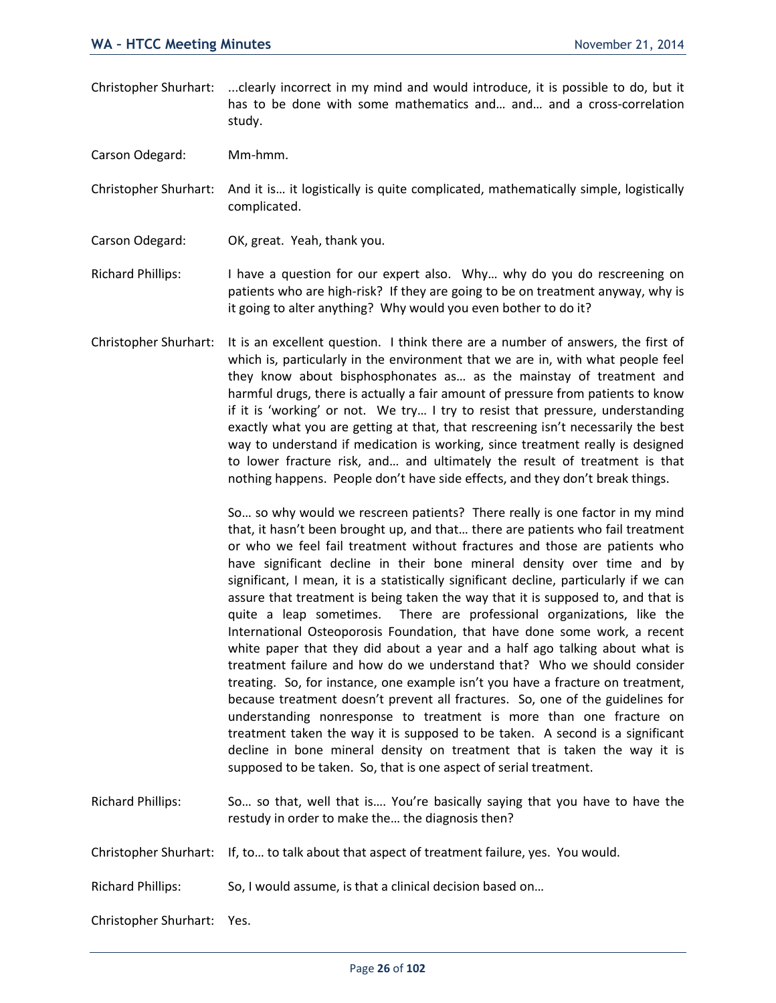Christopher Shurhart: ...clearly incorrect in my mind and would introduce, it is possible to do, but it has to be done with some mathematics and… and… and a cross-correlation study.

Carson Odegard: Mm-hmm.

Christopher Shurhart: And it is… it logistically is quite complicated, mathematically simple, logistically complicated.

- Carson Odegard: OK, great. Yeah, thank you.
- Richard Phillips: I have a question for our expert also. Why… why do you do rescreening on patients who are high-risk? If they are going to be on treatment anyway, why is it going to alter anything? Why would you even bother to do it?
- Christopher Shurhart: It is an excellent question. I think there are a number of answers, the first of which is, particularly in the environment that we are in, with what people feel they know about bisphosphonates as… as the mainstay of treatment and harmful drugs, there is actually a fair amount of pressure from patients to know if it is 'working' or not. We try… I try to resist that pressure, understanding exactly what you are getting at that, that rescreening isn't necessarily the best way to understand if medication is working, since treatment really is designed to lower fracture risk, and… and ultimately the result of treatment is that nothing happens. People don't have side effects, and they don't break things.

So… so why would we rescreen patients? There really is one factor in my mind that, it hasn't been brought up, and that… there are patients who fail treatment or who we feel fail treatment without fractures and those are patients who have significant decline in their bone mineral density over time and by significant, I mean, it is a statistically significant decline, particularly if we can assure that treatment is being taken the way that it is supposed to, and that is quite a leap sometimes. There are professional organizations, like the International Osteoporosis Foundation, that have done some work, a recent white paper that they did about a year and a half ago talking about what is treatment failure and how do we understand that? Who we should consider treating. So, for instance, one example isn't you have a fracture on treatment, because treatment doesn't prevent all fractures. So, one of the guidelines for understanding nonresponse to treatment is more than one fracture on treatment taken the way it is supposed to be taken. A second is a significant decline in bone mineral density on treatment that is taken the way it is supposed to be taken. So, that is one aspect of serial treatment.

Richard Phillips: So… so that, well that is…. You're basically saying that you have to have the restudy in order to make the… the diagnosis then?

Christopher Shurhart: If, to… to talk about that aspect of treatment failure, yes. You would.

Richard Phillips: So, I would assume, is that a clinical decision based on…

Christopher Shurhart: Yes.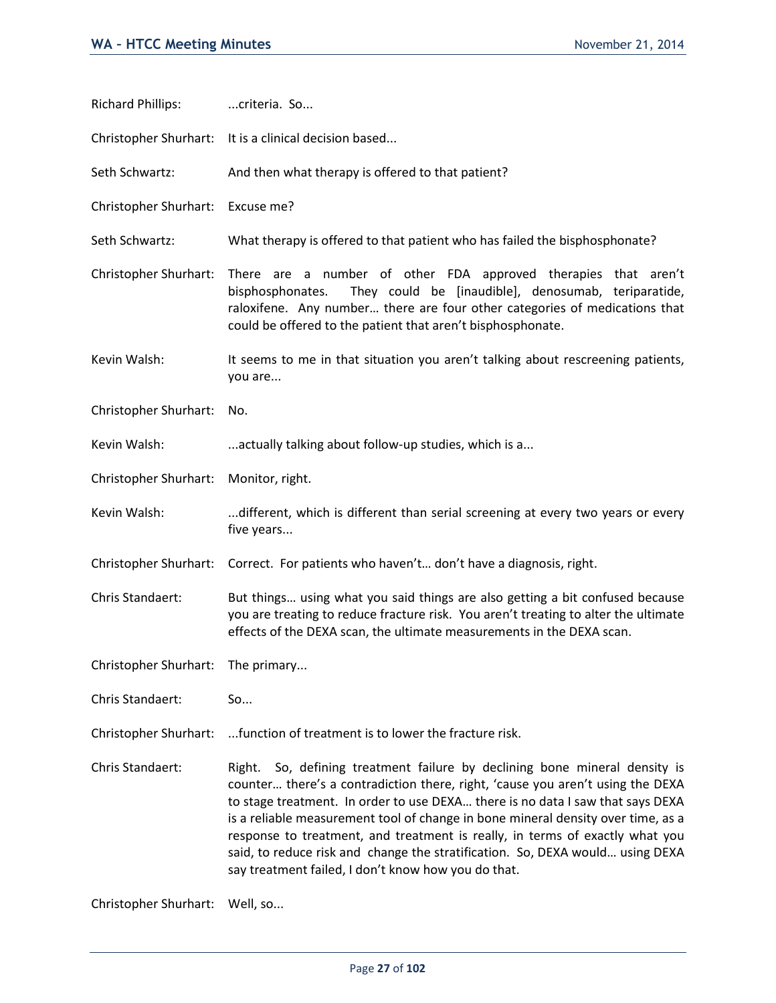| <b>Richard Phillips:</b> | criteria. So                                                                                                                                                                                                                                                                                                                                                                                                                                                                                                                                                  |
|--------------------------|---------------------------------------------------------------------------------------------------------------------------------------------------------------------------------------------------------------------------------------------------------------------------------------------------------------------------------------------------------------------------------------------------------------------------------------------------------------------------------------------------------------------------------------------------------------|
| Christopher Shurhart:    | It is a clinical decision based                                                                                                                                                                                                                                                                                                                                                                                                                                                                                                                               |
| Seth Schwartz:           | And then what therapy is offered to that patient?                                                                                                                                                                                                                                                                                                                                                                                                                                                                                                             |
| Christopher Shurhart:    | Excuse me?                                                                                                                                                                                                                                                                                                                                                                                                                                                                                                                                                    |
| Seth Schwartz:           | What therapy is offered to that patient who has failed the bisphosphonate?                                                                                                                                                                                                                                                                                                                                                                                                                                                                                    |
| Christopher Shurhart:    | There are a number of other FDA approved therapies that aren't<br>They could be [inaudible], denosumab, teriparatide,<br>bisphosphonates.<br>raloxifene. Any number there are four other categories of medications that<br>could be offered to the patient that aren't bisphosphonate.                                                                                                                                                                                                                                                                        |
| Kevin Walsh:             | It seems to me in that situation you aren't talking about rescreening patients,<br>you are                                                                                                                                                                                                                                                                                                                                                                                                                                                                    |
| Christopher Shurhart:    | No.                                                                                                                                                                                                                                                                                                                                                                                                                                                                                                                                                           |
| Kevin Walsh:             | actually talking about follow-up studies, which is a                                                                                                                                                                                                                                                                                                                                                                                                                                                                                                          |
| Christopher Shurhart:    | Monitor, right.                                                                                                                                                                                                                                                                                                                                                                                                                                                                                                                                               |
| Kevin Walsh:             | different, which is different than serial screening at every two years or every                                                                                                                                                                                                                                                                                                                                                                                                                                                                               |
|                          | five years                                                                                                                                                                                                                                                                                                                                                                                                                                                                                                                                                    |
| Christopher Shurhart:    | Correct. For patients who haven't don't have a diagnosis, right.                                                                                                                                                                                                                                                                                                                                                                                                                                                                                              |
| Chris Standaert:         | But things using what you said things are also getting a bit confused because<br>you are treating to reduce fracture risk. You aren't treating to alter the ultimate<br>effects of the DEXA scan, the ultimate measurements in the DEXA scan.                                                                                                                                                                                                                                                                                                                 |
| Christopher Shurhart:    | The primary                                                                                                                                                                                                                                                                                                                                                                                                                                                                                                                                                   |
| Chris Standaert:         | So                                                                                                                                                                                                                                                                                                                                                                                                                                                                                                                                                            |
| Christopher Shurhart:    | function of treatment is to lower the fracture risk.                                                                                                                                                                                                                                                                                                                                                                                                                                                                                                          |
| Chris Standaert:         | So, defining treatment failure by declining bone mineral density is<br>Right.<br>counter there's a contradiction there, right, 'cause you aren't using the DEXA<br>to stage treatment. In order to use DEXA there is no data I saw that says DEXA<br>is a reliable measurement tool of change in bone mineral density over time, as a<br>response to treatment, and treatment is really, in terms of exactly what you<br>said, to reduce risk and change the stratification. So, DEXA would using DEXA<br>say treatment failed, I don't know how you do that. |

Christopher Shurhart: Well, so...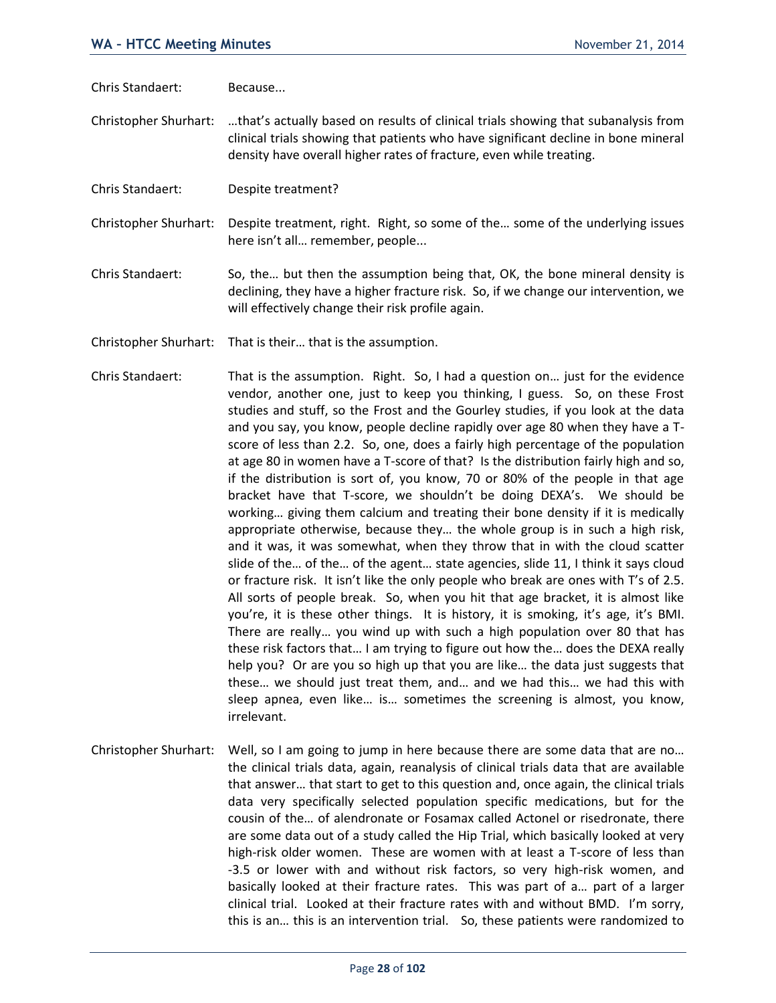Chris Standaert: Because...

Christopher Shurhart: …that's actually based on results of clinical trials showing that subanalysis from clinical trials showing that patients who have significant decline in bone mineral density have overall higher rates of fracture, even while treating.

Chris Standaert: Despite treatment?

Christopher Shurhart: Despite treatment, right. Right, so some of the… some of the underlying issues here isn't all… remember, people...

- Chris Standaert: So, the… but then the assumption being that, OK, the bone mineral density is declining, they have a higher fracture risk. So, if we change our intervention, we will effectively change their risk profile again.
- Christopher Shurhart: That is their… that is the assumption.
- Chris Standaert: That is the assumption. Right. So, I had a question on… just for the evidence vendor, another one, just to keep you thinking, I guess. So, on these Frost studies and stuff, so the Frost and the Gourley studies, if you look at the data and you say, you know, people decline rapidly over age 80 when they have a Tscore of less than 2.2. So, one, does a fairly high percentage of the population at age 80 in women have a T-score of that? Is the distribution fairly high and so, if the distribution is sort of, you know, 70 or 80% of the people in that age bracket have that T-score, we shouldn't be doing DEXA's. We should be working… giving them calcium and treating their bone density if it is medically appropriate otherwise, because they… the whole group is in such a high risk, and it was, it was somewhat, when they throw that in with the cloud scatter slide of the… of the… of the agent… state agencies, slide 11, I think it says cloud or fracture risk. It isn't like the only people who break are ones with T's of 2.5. All sorts of people break. So, when you hit that age bracket, it is almost like you're, it is these other things. It is history, it is smoking, it's age, it's BMI. There are really… you wind up with such a high population over 80 that has these risk factors that… I am trying to figure out how the… does the DEXA really help you? Or are you so high up that you are like… the data just suggests that these… we should just treat them, and… and we had this… we had this with sleep apnea, even like… is… sometimes the screening is almost, you know, irrelevant.
- Christopher Shurhart: Well, so I am going to jump in here because there are some data that are no... the clinical trials data, again, reanalysis of clinical trials data that are available that answer… that start to get to this question and, once again, the clinical trials data very specifically selected population specific medications, but for the cousin of the… of alendronate or Fosamax called Actonel or risedronate, there are some data out of a study called the Hip Trial, which basically looked at very high-risk older women. These are women with at least a T-score of less than -3.5 or lower with and without risk factors, so very high-risk women, and basically looked at their fracture rates. This was part of a… part of a larger clinical trial. Looked at their fracture rates with and without BMD. I'm sorry, this is an… this is an intervention trial. So, these patients were randomized to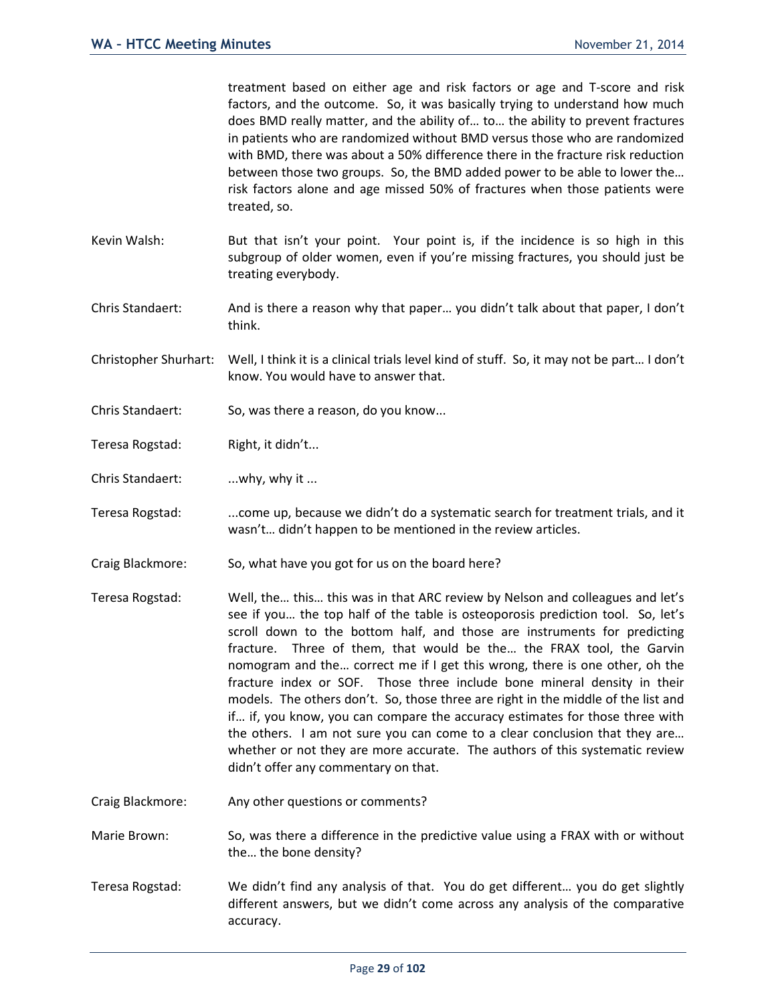treatment based on either age and risk factors or age and T-score and risk factors, and the outcome. So, it was basically trying to understand how much does BMD really matter, and the ability of… to… the ability to prevent fractures in patients who are randomized without BMD versus those who are randomized with BMD, there was about a 50% difference there in the fracture risk reduction between those two groups. So, the BMD added power to be able to lower the… risk factors alone and age missed 50% of fractures when those patients were treated, so. Kevin Walsh: But that isn't your point. Your point is, if the incidence is so high in this subgroup of older women, even if you're missing fractures, you should just be treating everybody. Chris Standaert: And is there a reason why that paper… you didn't talk about that paper, I don't think. Christopher Shurhart: Well, I think it is a clinical trials level kind of stuff. So, it may not be part… I don't know. You would have to answer that. Chris Standaert: So, was there a reason, do you know... Teresa Rogstad: Right, it didn't... Chris Standaert: ...why, why it ... Teresa Rogstad: ...come up, because we didn't do a systematic search for treatment trials, and it wasn't… didn't happen to be mentioned in the review articles. Craig Blackmore: So, what have you got for us on the board here? Teresa Rogstad: Well, the… this… this was in that ARC review by Nelson and colleagues and let's see if you… the top half of the table is osteoporosis prediction tool. So, let's scroll down to the bottom half, and those are instruments for predicting fracture. Three of them, that would be the… the FRAX tool, the Garvin

nomogram and the… correct me if I get this wrong, there is one other, oh the fracture index or SOF. Those three include bone mineral density in their models. The others don't. So, those three are right in the middle of the list and if… if, you know, you can compare the accuracy estimates for those three with the others. I am not sure you can come to a clear conclusion that they are… whether or not they are more accurate. The authors of this systematic review didn't offer any commentary on that.

Craig Blackmore: Any other questions or comments?

Marie Brown: So, was there a difference in the predictive value using a FRAX with or without the… the bone density?

Teresa Rogstad: We didn't find any analysis of that. You do get different… you do get slightly different answers, but we didn't come across any analysis of the comparative accuracy.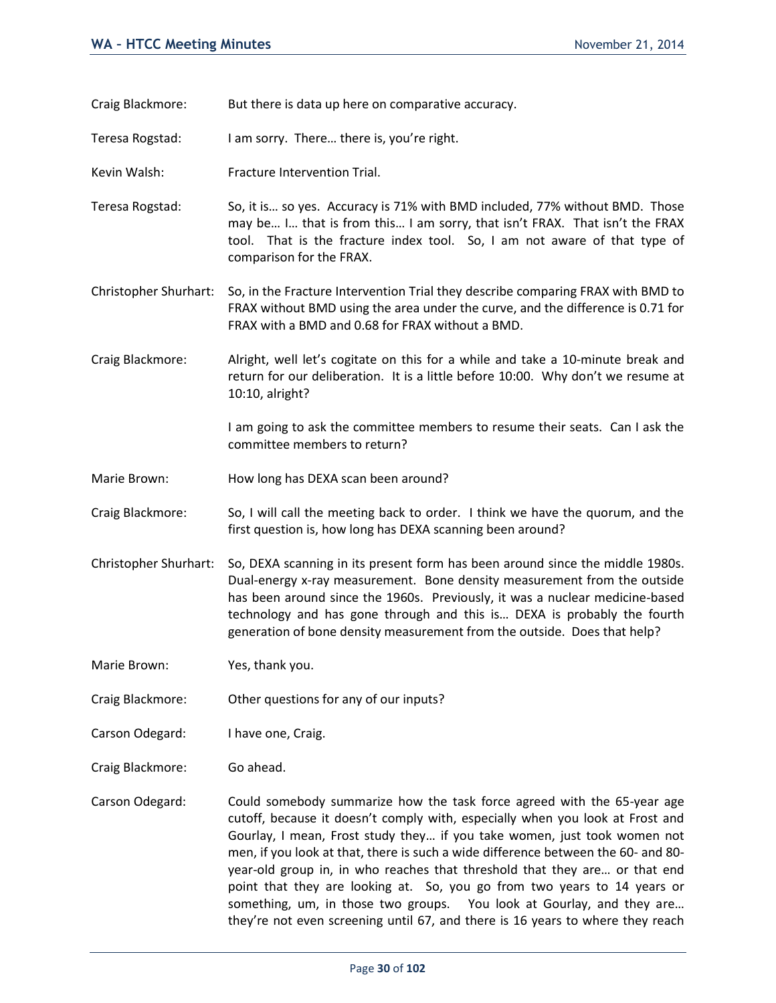- Craig Blackmore: But there is data up here on comparative accuracy.
- Teresa Rogstad: I am sorry. There… there is, you're right.
- Kevin Walsh: Fracture Intervention Trial.
- Teresa Rogstad: So, it is… so yes. Accuracy is 71% with BMD included, 77% without BMD. Those may be… I… that is from this… I am sorry, that isn't FRAX. That isn't the FRAX tool. That is the fracture index tool. So, I am not aware of that type of comparison for the FRAX.
- Christopher Shurhart: So, in the Fracture Intervention Trial they describe comparing FRAX with BMD to FRAX without BMD using the area under the curve, and the difference is 0.71 for FRAX with a BMD and 0.68 for FRAX without a BMD.
- Craig Blackmore: Alright, well let's cogitate on this for a while and take a 10-minute break and return for our deliberation. It is a little before 10:00. Why don't we resume at 10:10, alright?

I am going to ask the committee members to resume their seats. Can I ask the committee members to return?

- Marie Brown: How long has DEXA scan been around?
- Craig Blackmore: So, I will call the meeting back to order. I think we have the quorum, and the first question is, how long has DEXA scanning been around?
- Christopher Shurhart: So, DEXA scanning in its present form has been around since the middle 1980s. Dual-energy x-ray measurement. Bone density measurement from the outside has been around since the 1960s. Previously, it was a nuclear medicine-based technology and has gone through and this is… DEXA is probably the fourth generation of bone density measurement from the outside. Does that help?

Marie Brown: Yes, thank you.

- Craig Blackmore: Other questions for any of our inputs?
- Carson Odegard: I have one, Craig.
- Craig Blackmore: Go ahead.
- Carson Odegard: Could somebody summarize how the task force agreed with the 65-year age cutoff, because it doesn't comply with, especially when you look at Frost and Gourlay, I mean, Frost study they… if you take women, just took women not men, if you look at that, there is such a wide difference between the 60- and 80 year-old group in, in who reaches that threshold that they are… or that end point that they are looking at. So, you go from two years to 14 years or something, um, in those two groups. You look at Gourlay, and they are… they're not even screening until 67, and there is 16 years to where they reach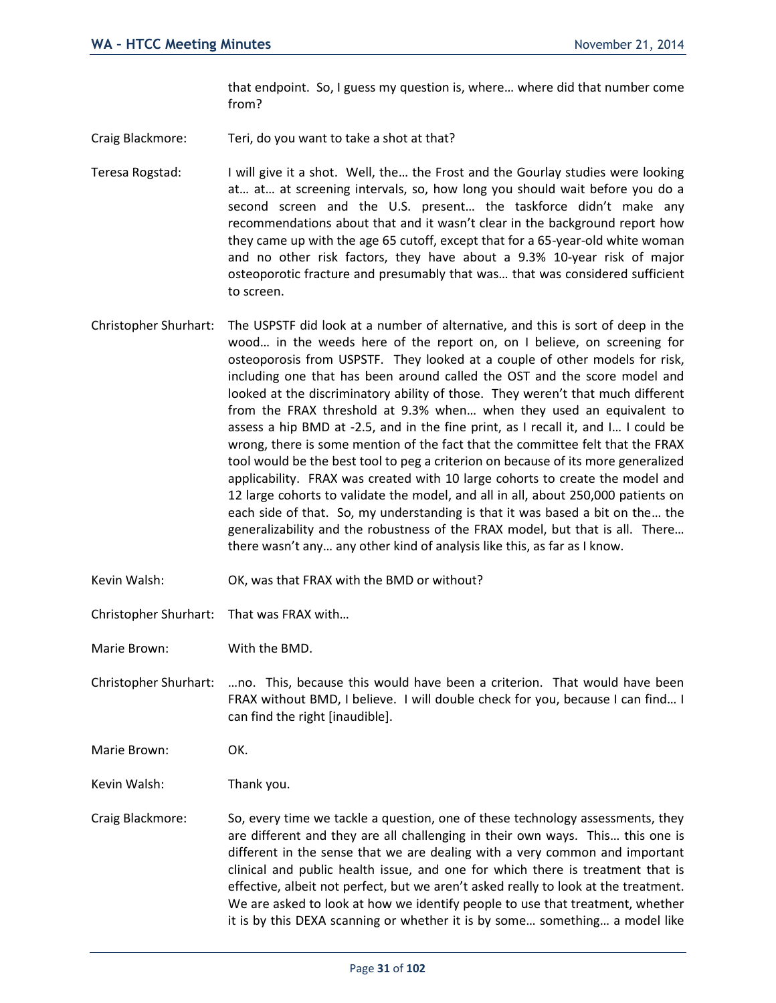that endpoint. So, I guess my question is, where… where did that number come from?

Craig Blackmore: Teri, do you want to take a shot at that?

Teresa Rogstad: I will give it a shot. Well, the… the Frost and the Gourlay studies were looking at… at… at screening intervals, so, how long you should wait before you do a second screen and the U.S. present… the taskforce didn't make any recommendations about that and it wasn't clear in the background report how they came up with the age 65 cutoff, except that for a 65-year-old white woman and no other risk factors, they have about a 9.3% 10-year risk of major osteoporotic fracture and presumably that was… that was considered sufficient to screen.

- Christopher Shurhart: The USPSTF did look at a number of alternative, and this is sort of deep in the wood… in the weeds here of the report on, on I believe, on screening for osteoporosis from USPSTF. They looked at a couple of other models for risk, including one that has been around called the OST and the score model and looked at the discriminatory ability of those. They weren't that much different from the FRAX threshold at 9.3% when… when they used an equivalent to assess a hip BMD at -2.5, and in the fine print, as I recall it, and I… I could be wrong, there is some mention of the fact that the committee felt that the FRAX tool would be the best tool to peg a criterion on because of its more generalized applicability. FRAX was created with 10 large cohorts to create the model and 12 large cohorts to validate the model, and all in all, about 250,000 patients on each side of that. So, my understanding is that it was based a bit on the… the generalizability and the robustness of the FRAX model, but that is all. There… there wasn't any… any other kind of analysis like this, as far as I know.
- Kevin Walsh: OK, was that FRAX with the BMD or without?
- Christopher Shurhart: That was FRAX with…

Marie Brown: With the BMD.

- Christopher Shurhart: …no. This, because this would have been a criterion. That would have been FRAX without BMD, I believe. I will double check for you, because I can find… I can find the right [inaudible].
- Marie Brown: OK.

Kevin Walsh: Thank you.

Craig Blackmore: So, every time we tackle a question, one of these technology assessments, they are different and they are all challenging in their own ways. This… this one is different in the sense that we are dealing with a very common and important clinical and public health issue, and one for which there is treatment that is effective, albeit not perfect, but we aren't asked really to look at the treatment. We are asked to look at how we identify people to use that treatment, whether it is by this DEXA scanning or whether it is by some… something… a model like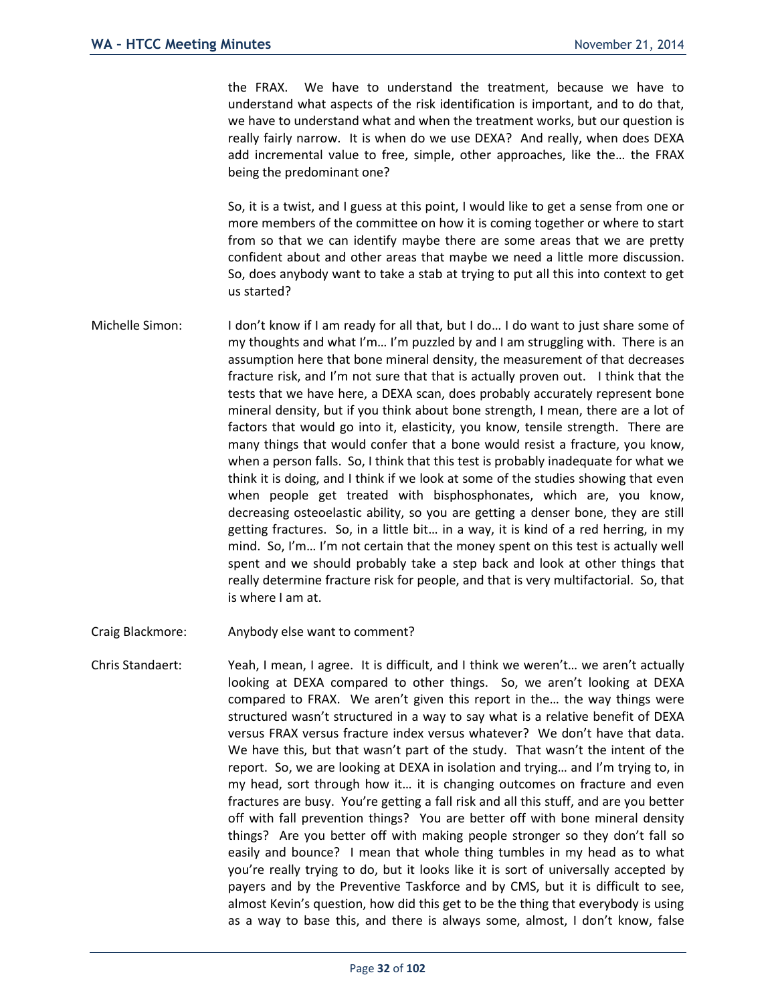the FRAX. We have to understand the treatment, because we have to understand what aspects of the risk identification is important, and to do that, we have to understand what and when the treatment works, but our question is really fairly narrow. It is when do we use DEXA? And really, when does DEXA add incremental value to free, simple, other approaches, like the… the FRAX being the predominant one?

So, it is a twist, and I guess at this point, I would like to get a sense from one or more members of the committee on how it is coming together or where to start from so that we can identify maybe there are some areas that we are pretty confident about and other areas that maybe we need a little more discussion. So, does anybody want to take a stab at trying to put all this into context to get us started?

- Michelle Simon: I don't know if I am ready for all that, but I do... I do want to just share some of my thoughts and what I'm… I'm puzzled by and I am struggling with. There is an assumption here that bone mineral density, the measurement of that decreases fracture risk, and I'm not sure that that is actually proven out. I think that the tests that we have here, a DEXA scan, does probably accurately represent bone mineral density, but if you think about bone strength, I mean, there are a lot of factors that would go into it, elasticity, you know, tensile strength. There are many things that would confer that a bone would resist a fracture, you know, when a person falls. So, I think that this test is probably inadequate for what we think it is doing, and I think if we look at some of the studies showing that even when people get treated with bisphosphonates, which are, you know, decreasing osteoelastic ability, so you are getting a denser bone, they are still getting fractures. So, in a little bit… in a way, it is kind of a red herring, in my mind. So, I'm… I'm not certain that the money spent on this test is actually well spent and we should probably take a step back and look at other things that really determine fracture risk for people, and that is very multifactorial. So, that is where I am at.
- Craig Blackmore: Anybody else want to comment?
- Chris Standaert: Yeah, I mean, I agree. It is difficult, and I think we weren't… we aren't actually looking at DEXA compared to other things. So, we aren't looking at DEXA compared to FRAX. We aren't given this report in the… the way things were structured wasn't structured in a way to say what is a relative benefit of DEXA versus FRAX versus fracture index versus whatever? We don't have that data. We have this, but that wasn't part of the study. That wasn't the intent of the report. So, we are looking at DEXA in isolation and trying… and I'm trying to, in my head, sort through how it… it is changing outcomes on fracture and even fractures are busy. You're getting a fall risk and all this stuff, and are you better off with fall prevention things? You are better off with bone mineral density things? Are you better off with making people stronger so they don't fall so easily and bounce? I mean that whole thing tumbles in my head as to what you're really trying to do, but it looks like it is sort of universally accepted by payers and by the Preventive Taskforce and by CMS, but it is difficult to see, almost Kevin's question, how did this get to be the thing that everybody is using as a way to base this, and there is always some, almost, I don't know, false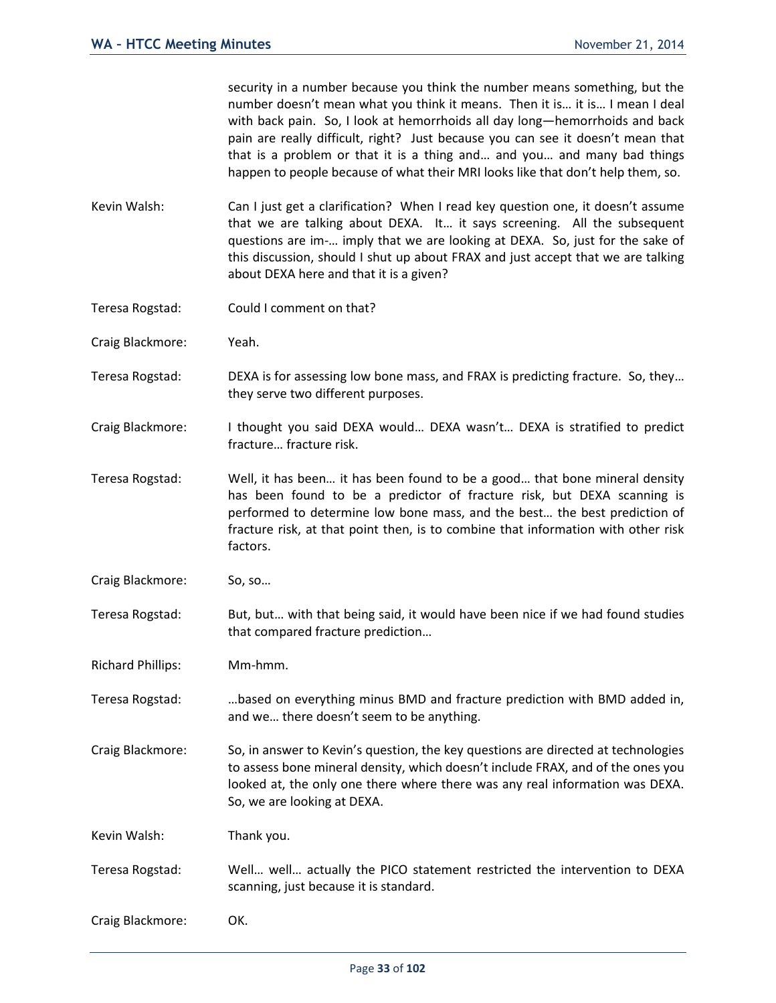security in a number because you think the number means something, but the number doesn't mean what you think it means. Then it is… it is… I mean I deal with back pain. So, I look at hemorrhoids all day long—hemorrhoids and back pain are really difficult, right? Just because you can see it doesn't mean that that is a problem or that it is a thing and… and you… and many bad things happen to people because of what their MRI looks like that don't help them, so.

- Kevin Walsh: Can I just get a clarification? When I read key question one, it doesn't assume that we are talking about DEXA. It… it says screening. All the subsequent questions are im-… imply that we are looking at DEXA. So, just for the sake of this discussion, should I shut up about FRAX and just accept that we are talking about DEXA here and that it is a given?
- Teresa Rogstad: Could I comment on that?
- Craig Blackmore: Yeah.
- Teresa Rogstad: DEXA is for assessing low bone mass, and FRAX is predicting fracture. So, they… they serve two different purposes.
- Craig Blackmore: I thought you said DEXA would… DEXA wasn't… DEXA is stratified to predict fracture… fracture risk.
- Teresa Rogstad: Well, it has been… it has been found to be a good… that bone mineral density has been found to be a predictor of fracture risk, but DEXA scanning is performed to determine low bone mass, and the best… the best prediction of fracture risk, at that point then, is to combine that information with other risk factors.
- Craig Blackmore: So, so…
- Teresa Rogstad: But, but… with that being said, it would have been nice if we had found studies that compared fracture prediction…
- Richard Phillips: Mm-hmm.
- Teresa Rogstad: …based on everything minus BMD and fracture prediction with BMD added in, and we… there doesn't seem to be anything.
- Craig Blackmore: So, in answer to Kevin's question, the key questions are directed at technologies to assess bone mineral density, which doesn't include FRAX, and of the ones you looked at, the only one there where there was any real information was DEXA. So, we are looking at DEXA.

Kevin Walsh: Thank you.

Teresa Rogstad: Well… well… actually the PICO statement restricted the intervention to DEXA scanning, just because it is standard.

Craig Blackmore: OK.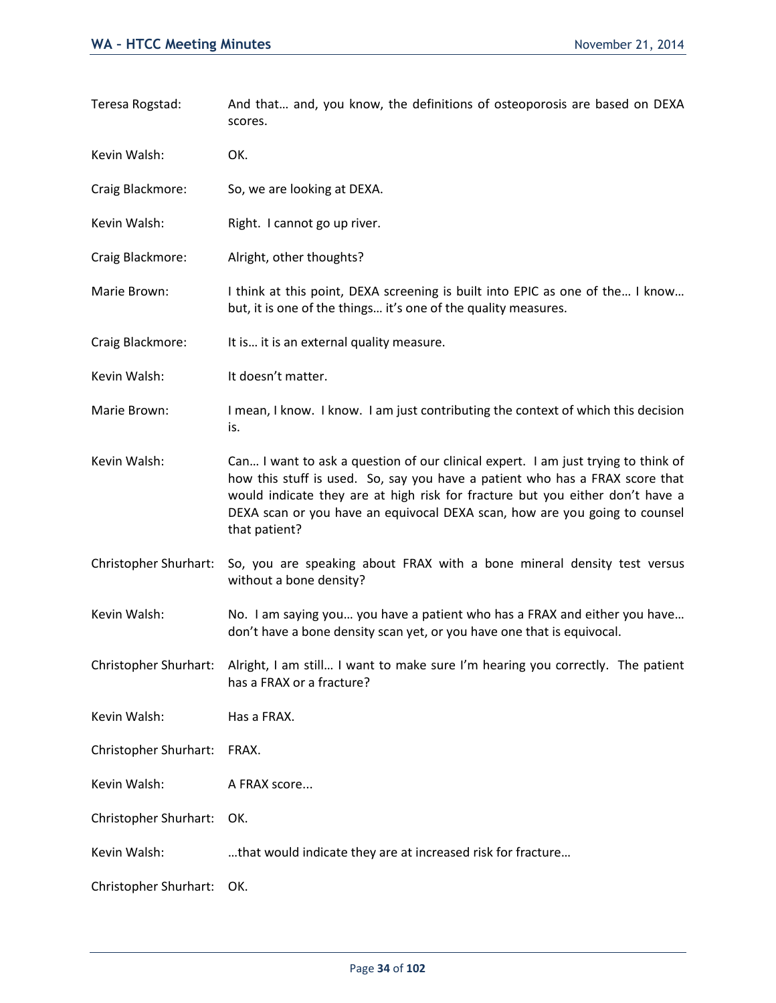Teresa Rogstad: And that… and, you know, the definitions of osteoporosis are based on DEXA scores. Kevin Walsh: OK. Craig Blackmore: So, we are looking at DEXA. Kevin Walsh: Right. I cannot go up river. Craig Blackmore: Alright, other thoughts? Marie Brown: I think at this point, DEXA screening is built into EPIC as one of the... I know... but, it is one of the things… it's one of the quality measures. Craig Blackmore: It is… it is an external quality measure. Kevin Walsh: It doesn't matter. Marie Brown: I mean, I know. I know. I am just contributing the context of which this decision is. Kevin Walsh: Can… I want to ask a question of our clinical expert. I am just trying to think of how this stuff is used. So, say you have a patient who has a FRAX score that would indicate they are at high risk for fracture but you either don't have a DEXA scan or you have an equivocal DEXA scan, how are you going to counsel that patient? Christopher Shurhart: So, you are speaking about FRAX with a bone mineral density test versus without a bone density? Kevin Walsh: No. I am saying you... you have a patient who has a FRAX and either you have... don't have a bone density scan yet, or you have one that is equivocal. Christopher Shurhart: Alright, I am still… I want to make sure I'm hearing you correctly. The patient has a FRAX or a fracture? Kevin Walsh: Has a FRAX. Christopher Shurhart: FRAX. Kevin Walsh: A FRAX score... Christopher Shurhart: OK. Kevin Walsh: …that would indicate they are at increased risk for fracture… Christopher Shurhart: OK.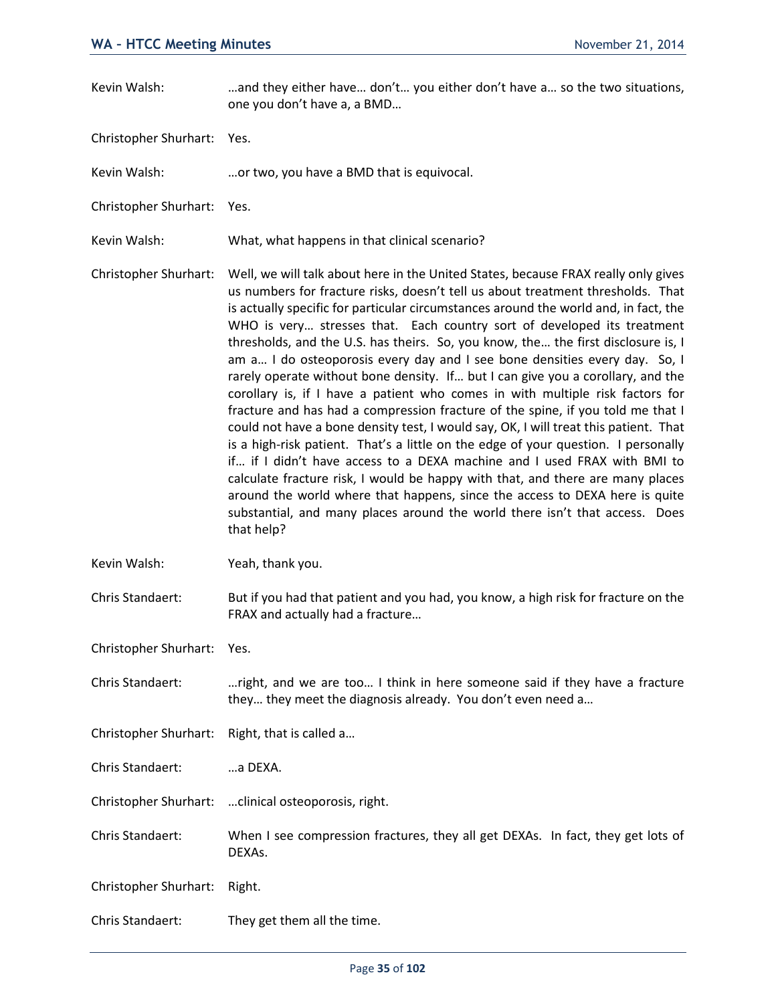- Kevin Walsh: … …and they either have... don't... you either don't have a... so the two situations, one you don't have a, a BMD…
- Christopher Shurhart: Yes.
- Kevin Walsh: …or two, you have a BMD that is equivocal.
- Christopher Shurhart: Yes.
- Kevin Walsh: What, what happens in that clinical scenario?
- Christopher Shurhart: Well, we will talk about here in the United States, because FRAX really only gives us numbers for fracture risks, doesn't tell us about treatment thresholds. That is actually specific for particular circumstances around the world and, in fact, the WHO is very… stresses that. Each country sort of developed its treatment thresholds, and the U.S. has theirs. So, you know, the… the first disclosure is, I am a… I do osteoporosis every day and I see bone densities every day. So, I rarely operate without bone density. If… but I can give you a corollary, and the corollary is, if I have a patient who comes in with multiple risk factors for fracture and has had a compression fracture of the spine, if you told me that I could not have a bone density test, I would say, OK, I will treat this patient. That is a high-risk patient. That's a little on the edge of your question. I personally if… if I didn't have access to a DEXA machine and I used FRAX with BMI to calculate fracture risk, I would be happy with that, and there are many places around the world where that happens, since the access to DEXA here is quite substantial, and many places around the world there isn't that access. Does that help?
- Kevin Walsh: Yeah, thank you.
- Chris Standaert: But if you had that patient and you had, you know, a high risk for fracture on the FRAX and actually had a fracture…
- Christopher Shurhart: Yes.
- Chris Standaert: …right, and we are too… I think in here someone said if they have a fracture they… they meet the diagnosis already. You don't even need a…
- Christopher Shurhart: Right, that is called a…
- Chris Standaert: …a DEXA.
- Christopher Shurhart: …clinical osteoporosis, right.
- Chris Standaert: When I see compression fractures, they all get DEXAs. In fact, they get lots of DEXAs.
- Christopher Shurhart: Right.
- Chris Standaert: They get them all the time.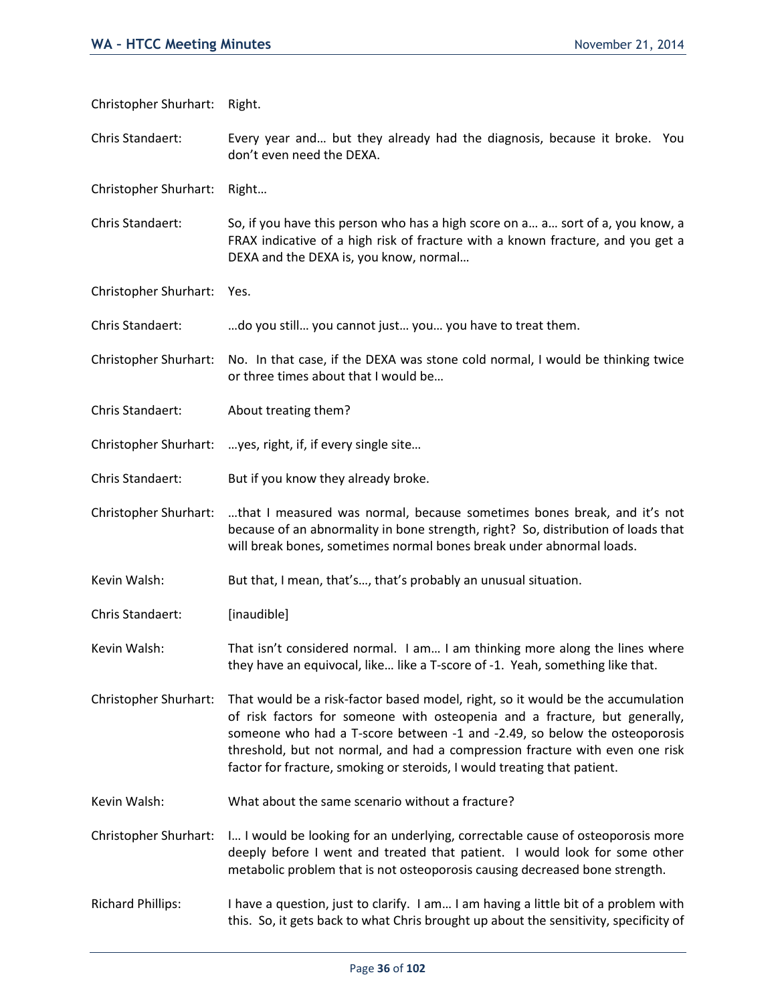| Christopher Shurhart:    | Right.                                                                                                                                                                                                                                                                                                                                                                                                 |
|--------------------------|--------------------------------------------------------------------------------------------------------------------------------------------------------------------------------------------------------------------------------------------------------------------------------------------------------------------------------------------------------------------------------------------------------|
| Chris Standaert:         | Every year and but they already had the diagnosis, because it broke. You<br>don't even need the DEXA.                                                                                                                                                                                                                                                                                                  |
| Christopher Shurhart:    | Right                                                                                                                                                                                                                                                                                                                                                                                                  |
| Chris Standaert:         | So, if you have this person who has a high score on a a sort of a, you know, a<br>FRAX indicative of a high risk of fracture with a known fracture, and you get a<br>DEXA and the DEXA is, you know, normal                                                                                                                                                                                            |
| Christopher Shurhart:    | Yes.                                                                                                                                                                                                                                                                                                                                                                                                   |
| Chris Standaert:         | do you still you cannot just you you have to treat them.                                                                                                                                                                                                                                                                                                                                               |
| Christopher Shurhart:    | No. In that case, if the DEXA was stone cold normal, I would be thinking twice<br>or three times about that I would be                                                                                                                                                                                                                                                                                 |
| Chris Standaert:         | About treating them?                                                                                                                                                                                                                                                                                                                                                                                   |
| Christopher Shurhart:    | yes, right, if, if every single site                                                                                                                                                                                                                                                                                                                                                                   |
| Chris Standaert:         | But if you know they already broke.                                                                                                                                                                                                                                                                                                                                                                    |
| Christopher Shurhart:    | that I measured was normal, because sometimes bones break, and it's not<br>because of an abnormality in bone strength, right? So, distribution of loads that<br>will break bones, sometimes normal bones break under abnormal loads.                                                                                                                                                                   |
| Kevin Walsh:             | But that, I mean, that's, that's probably an unusual situation.                                                                                                                                                                                                                                                                                                                                        |
| Chris Standaert:         | [inaudible]                                                                                                                                                                                                                                                                                                                                                                                            |
| Kevin Walsh:             | That isn't considered normal. I am I am thinking more along the lines where<br>they have an equivocal, like like a T-score of -1. Yeah, something like that.                                                                                                                                                                                                                                           |
| Christopher Shurhart:    | That would be a risk-factor based model, right, so it would be the accumulation<br>of risk factors for someone with osteopenia and a fracture, but generally,<br>someone who had a T-score between -1 and -2.49, so below the osteoporosis<br>threshold, but not normal, and had a compression fracture with even one risk<br>factor for fracture, smoking or steroids, I would treating that patient. |
| Kevin Walsh:             | What about the same scenario without a fracture?                                                                                                                                                                                                                                                                                                                                                       |
| Christopher Shurhart:    | I I would be looking for an underlying, correctable cause of osteoporosis more<br>deeply before I went and treated that patient. I would look for some other<br>metabolic problem that is not osteoporosis causing decreased bone strength.                                                                                                                                                            |
| <b>Richard Phillips:</b> | I have a question, just to clarify. I am I am having a little bit of a problem with<br>this. So, it gets back to what Chris brought up about the sensitivity, specificity of                                                                                                                                                                                                                           |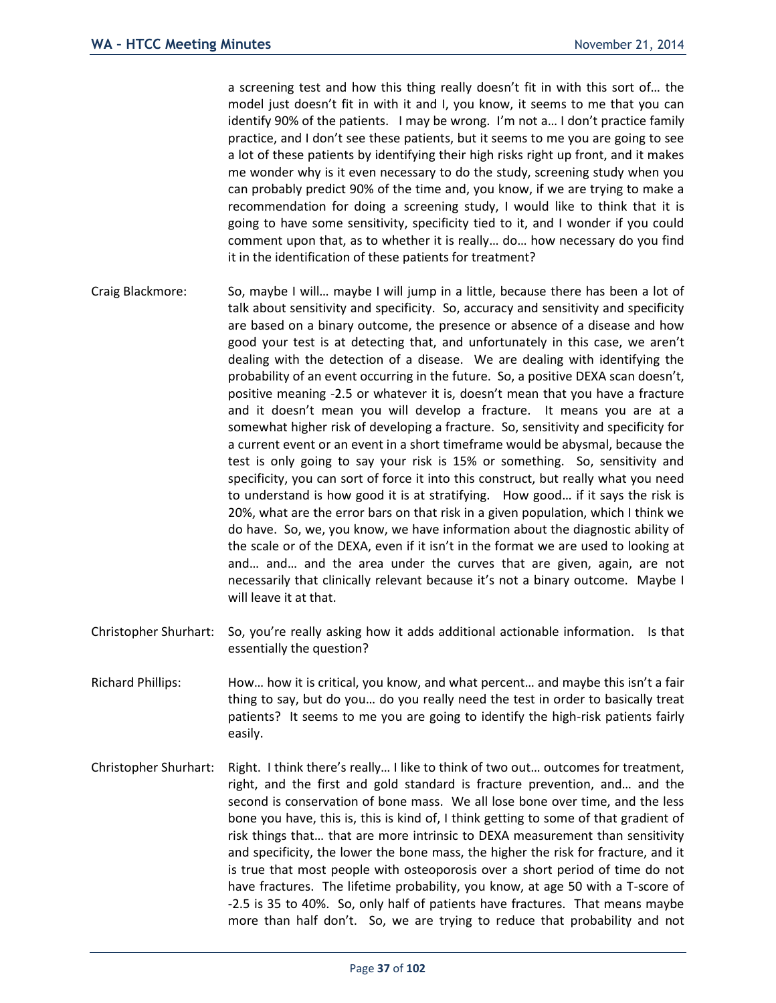a screening test and how this thing really doesn't fit in with this sort of… the model just doesn't fit in with it and I, you know, it seems to me that you can identify 90% of the patients. I may be wrong. I'm not a… I don't practice family practice, and I don't see these patients, but it seems to me you are going to see a lot of these patients by identifying their high risks right up front, and it makes me wonder why is it even necessary to do the study, screening study when you can probably predict 90% of the time and, you know, if we are trying to make a recommendation for doing a screening study, I would like to think that it is going to have some sensitivity, specificity tied to it, and I wonder if you could comment upon that, as to whether it is really… do… how necessary do you find it in the identification of these patients for treatment?

- Craig Blackmore: So, maybe I will… maybe I will jump in a little, because there has been a lot of talk about sensitivity and specificity. So, accuracy and sensitivity and specificity are based on a binary outcome, the presence or absence of a disease and how good your test is at detecting that, and unfortunately in this case, we aren't dealing with the detection of a disease. We are dealing with identifying the probability of an event occurring in the future. So, a positive DEXA scan doesn't, positive meaning -2.5 or whatever it is, doesn't mean that you have a fracture and it doesn't mean you will develop a fracture. It means you are at a somewhat higher risk of developing a fracture. So, sensitivity and specificity for a current event or an event in a short timeframe would be abysmal, because the test is only going to say your risk is 15% or something. So, sensitivity and specificity, you can sort of force it into this construct, but really what you need to understand is how good it is at stratifying. How good… if it says the risk is 20%, what are the error bars on that risk in a given population, which I think we do have. So, we, you know, we have information about the diagnostic ability of the scale or of the DEXA, even if it isn't in the format we are used to looking at and… and… and the area under the curves that are given, again, are not necessarily that clinically relevant because it's not a binary outcome. Maybe I will leave it at that.
- Christopher Shurhart: So, you're really asking how it adds additional actionable information. Is that essentially the question?
- Richard Phillips: How… how it is critical, you know, and what percent… and maybe this isn't a fair thing to say, but do you… do you really need the test in order to basically treat patients? It seems to me you are going to identify the high-risk patients fairly easily.
- Christopher Shurhart: Right. I think there's really… I like to think of two out… outcomes for treatment, right, and the first and gold standard is fracture prevention, and… and the second is conservation of bone mass. We all lose bone over time, and the less bone you have, this is, this is kind of, I think getting to some of that gradient of risk things that… that are more intrinsic to DEXA measurement than sensitivity and specificity, the lower the bone mass, the higher the risk for fracture, and it is true that most people with osteoporosis over a short period of time do not have fractures. The lifetime probability, you know, at age 50 with a T-score of -2.5 is 35 to 40%. So, only half of patients have fractures. That means maybe more than half don't. So, we are trying to reduce that probability and not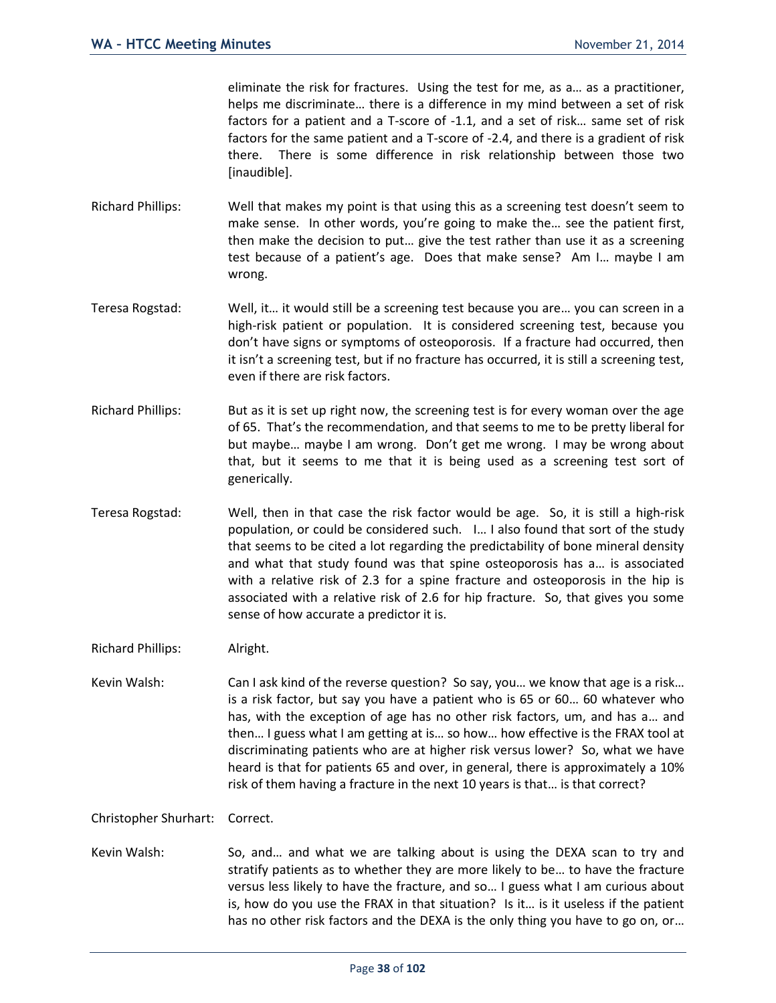eliminate the risk for fractures. Using the test for me, as a… as a practitioner, helps me discriminate… there is a difference in my mind between a set of risk factors for a patient and a T-score of -1.1, and a set of risk… same set of risk factors for the same patient and a T-score of -2.4, and there is a gradient of risk there. There is some difference in risk relationship between those two [inaudible].

- Richard Phillips: Well that makes my point is that using this as a screening test doesn't seem to make sense. In other words, you're going to make the… see the patient first, then make the decision to put… give the test rather than use it as a screening test because of a patient's age. Does that make sense? Am I… maybe I am wrong.
- Teresa Rogstad: Well, it… it would still be a screening test because you are… you can screen in a high-risk patient or population. It is considered screening test, because you don't have signs or symptoms of osteoporosis. If a fracture had occurred, then it isn't a screening test, but if no fracture has occurred, it is still a screening test, even if there are risk factors.
- Richard Phillips: But as it is set up right now, the screening test is for every woman over the age of 65. That's the recommendation, and that seems to me to be pretty liberal for but maybe… maybe I am wrong. Don't get me wrong. I may be wrong about that, but it seems to me that it is being used as a screening test sort of generically.
- Teresa Rogstad: Well, then in that case the risk factor would be age. So, it is still a high-risk population, or could be considered such. I… I also found that sort of the study that seems to be cited a lot regarding the predictability of bone mineral density and what that study found was that spine osteoporosis has a… is associated with a relative risk of 2.3 for a spine fracture and osteoporosis in the hip is associated with a relative risk of 2.6 for hip fracture. So, that gives you some sense of how accurate a predictor it is.
- Richard Phillips: Alright.
- Kevin Walsh: Can I ask kind of the reverse question? So say, you... we know that age is a risk... is a risk factor, but say you have a patient who is 65 or 60… 60 whatever who has, with the exception of age has no other risk factors, um, and has a… and then… I guess what I am getting at is… so how… how effective is the FRAX tool at discriminating patients who are at higher risk versus lower? So, what we have heard is that for patients 65 and over, in general, there is approximately a 10% risk of them having a fracture in the next 10 years is that… is that correct?

Christopher Shurhart: Correct.

Kevin Walsh: So, and... and what we are talking about is using the DEXA scan to try and stratify patients as to whether they are more likely to be… to have the fracture versus less likely to have the fracture, and so… I guess what I am curious about is, how do you use the FRAX in that situation? Is it… is it useless if the patient has no other risk factors and the DEXA is the only thing you have to go on, or…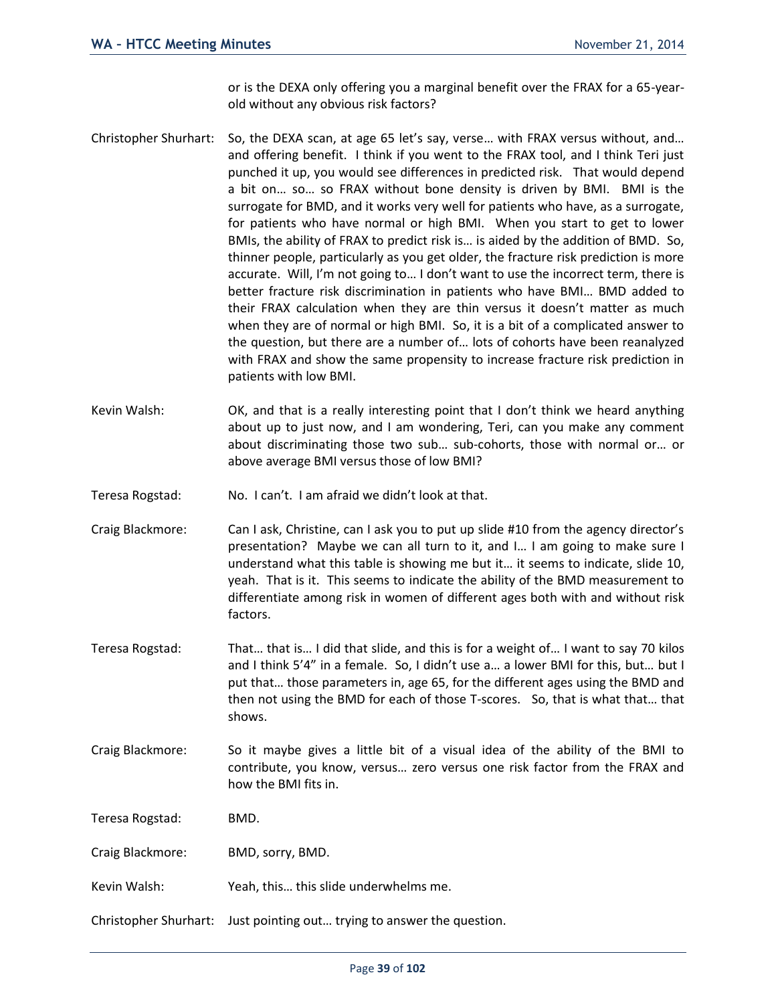or is the DEXA only offering you a marginal benefit over the FRAX for a 65-yearold without any obvious risk factors?

- Christopher Shurhart: So, the DEXA scan, at age 65 let's say, verse… with FRAX versus without, and… and offering benefit. I think if you went to the FRAX tool, and I think Teri just punched it up, you would see differences in predicted risk. That would depend a bit on… so… so FRAX without bone density is driven by BMI. BMI is the surrogate for BMD, and it works very well for patients who have, as a surrogate, for patients who have normal or high BMI. When you start to get to lower BMIs, the ability of FRAX to predict risk is… is aided by the addition of BMD. So, thinner people, particularly as you get older, the fracture risk prediction is more accurate. Will, I'm not going to… I don't want to use the incorrect term, there is better fracture risk discrimination in patients who have BMI… BMD added to their FRAX calculation when they are thin versus it doesn't matter as much when they are of normal or high BMI. So, it is a bit of a complicated answer to the question, but there are a number of… lots of cohorts have been reanalyzed with FRAX and show the same propensity to increase fracture risk prediction in patients with low BMI.
- Kevin Walsh: OK, and that is a really interesting point that I don't think we heard anything about up to just now, and I am wondering, Teri, can you make any comment about discriminating those two sub… sub-cohorts, those with normal or… or above average BMI versus those of low BMI?
- Teresa Rogstad: No. I can't. I am afraid we didn't look at that.
- Craig Blackmore: Can I ask, Christine, can I ask you to put up slide #10 from the agency director's presentation? Maybe we can all turn to it, and I… I am going to make sure I understand what this table is showing me but it… it seems to indicate, slide 10, yeah. That is it. This seems to indicate the ability of the BMD measurement to differentiate among risk in women of different ages both with and without risk factors.
- Teresa Rogstad: That… that is… I did that slide, and this is for a weight of… I want to say 70 kilos and I think 5'4" in a female. So, I didn't use a… a lower BMI for this, but… but I put that… those parameters in, age 65, for the different ages using the BMD and then not using the BMD for each of those T-scores. So, that is what that… that shows.
- Craig Blackmore: So it maybe gives a little bit of a visual idea of the ability of the BMI to contribute, you know, versus… zero versus one risk factor from the FRAX and how the BMI fits in.

Teresa Rogstad: BMD.

Craig Blackmore: BMD, sorry, BMD.

Kevin Walsh: Yeah, this… this slide underwhelms me.

Christopher Shurhart: Just pointing out… trying to answer the question.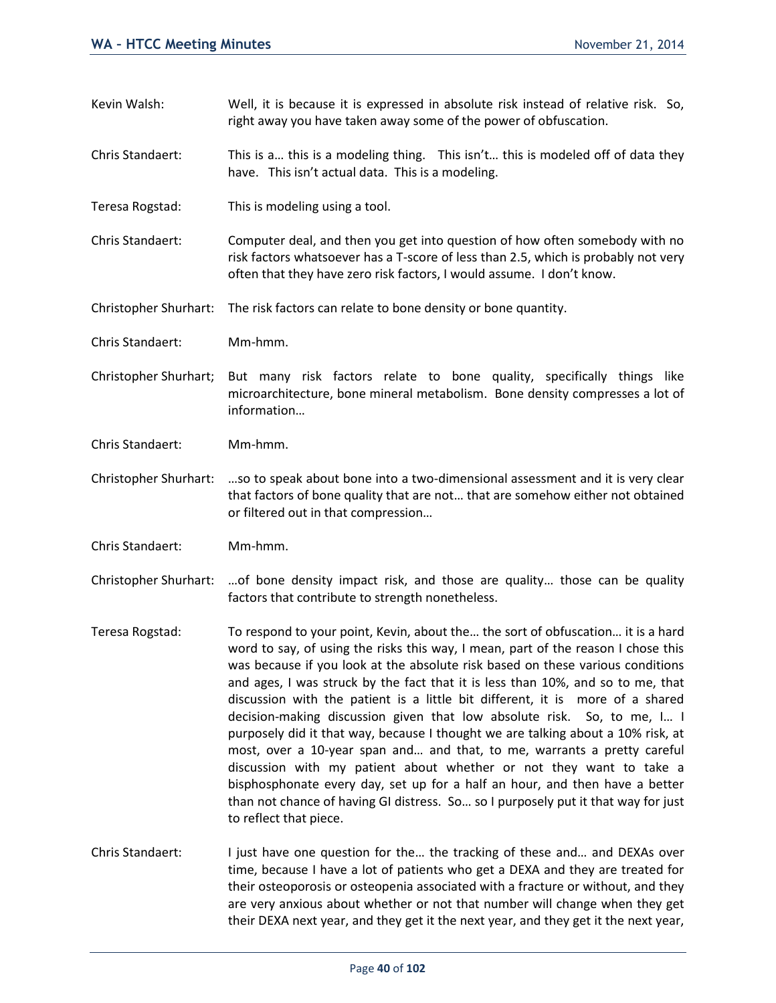- Kevin Walsh: Well, it is because it is expressed in absolute risk instead of relative risk. So, right away you have taken away some of the power of obfuscation.
- Chris Standaert: This is a… this is a modeling thing. This isn't… this is modeled off of data they have. This isn't actual data. This is a modeling.
- Teresa Rogstad: This is modeling using a tool.
- Chris Standaert: Computer deal, and then you get into question of how often somebody with no risk factors whatsoever has a T-score of less than 2.5, which is probably not very often that they have zero risk factors, I would assume. I don't know.

Christopher Shurhart: The risk factors can relate to bone density or bone quantity.

- Chris Standaert: Mm-hmm.
- Christopher Shurhart; But many risk factors relate to bone quality, specifically things like microarchitecture, bone mineral metabolism. Bone density compresses a lot of information…
- Chris Standaert: Mm-hmm.
- Christopher Shurhart: …so to speak about bone into a two-dimensional assessment and it is very clear that factors of bone quality that are not… that are somehow either not obtained or filtered out in that compression…
- Chris Standaert: Mm-hmm.
- Christopher Shurhart: …of bone density impact risk, and those are quality… those can be quality factors that contribute to strength nonetheless.
- Teresa Rogstad: To respond to your point, Kevin, about the… the sort of obfuscation… it is a hard word to say, of using the risks this way, I mean, part of the reason I chose this was because if you look at the absolute risk based on these various conditions and ages, I was struck by the fact that it is less than 10%, and so to me, that discussion with the patient is a little bit different, it is more of a shared decision-making discussion given that low absolute risk. So, to me, I… I purposely did it that way, because I thought we are talking about a 10% risk, at most, over a 10-year span and… and that, to me, warrants a pretty careful discussion with my patient about whether or not they want to take a bisphosphonate every day, set up for a half an hour, and then have a better than not chance of having GI distress. So… so I purposely put it that way for just to reflect that piece.
- Chris Standaert: I just have one question for the… the tracking of these and… and DEXAs over time, because I have a lot of patients who get a DEXA and they are treated for their osteoporosis or osteopenia associated with a fracture or without, and they are very anxious about whether or not that number will change when they get their DEXA next year, and they get it the next year, and they get it the next year,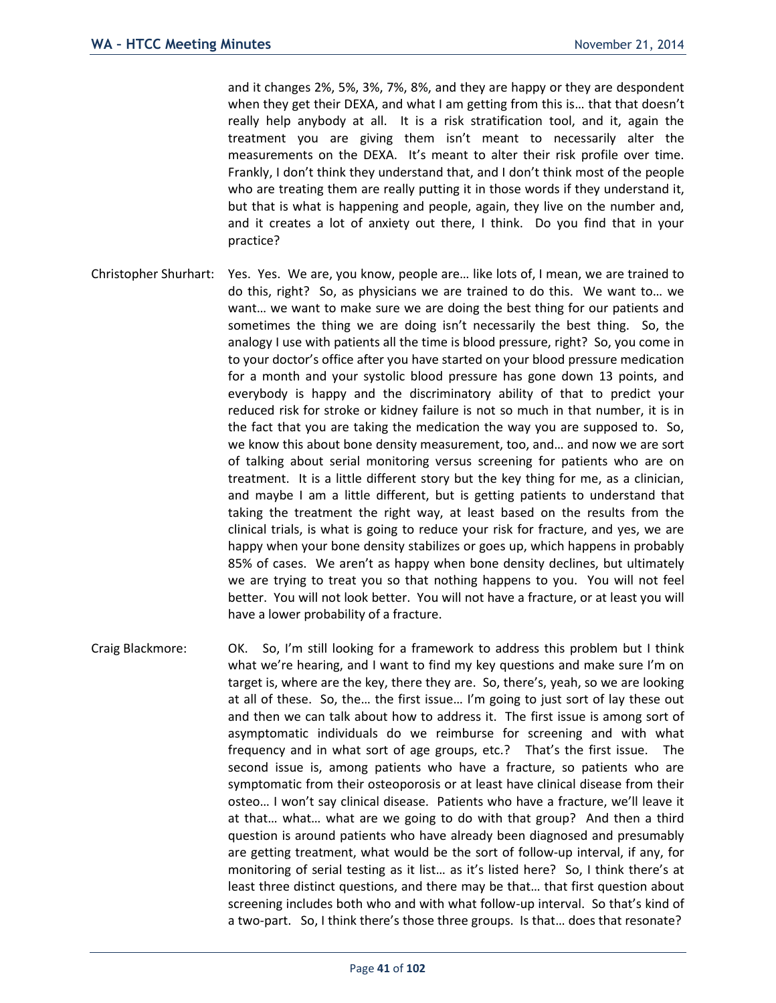and it changes 2%, 5%, 3%, 7%, 8%, and they are happy or they are despondent when they get their DEXA, and what I am getting from this is... that that doesn't really help anybody at all. It is a risk stratification tool, and it, again the treatment you are giving them isn't meant to necessarily alter the measurements on the DEXA. It's meant to alter their risk profile over time. Frankly, I don't think they understand that, and I don't think most of the people who are treating them are really putting it in those words if they understand it, but that is what is happening and people, again, they live on the number and, and it creates a lot of anxiety out there, I think. Do you find that in your practice?

- Christopher Shurhart: Yes. Yes. We are, you know, people are… like lots of, I mean, we are trained to do this, right? So, as physicians we are trained to do this. We want to… we want… we want to make sure we are doing the best thing for our patients and sometimes the thing we are doing isn't necessarily the best thing. So, the analogy I use with patients all the time is blood pressure, right? So, you come in to your doctor's office after you have started on your blood pressure medication for a month and your systolic blood pressure has gone down 13 points, and everybody is happy and the discriminatory ability of that to predict your reduced risk for stroke or kidney failure is not so much in that number, it is in the fact that you are taking the medication the way you are supposed to. So, we know this about bone density measurement, too, and… and now we are sort of talking about serial monitoring versus screening for patients who are on treatment. It is a little different story but the key thing for me, as a clinician, and maybe I am a little different, but is getting patients to understand that taking the treatment the right way, at least based on the results from the clinical trials, is what is going to reduce your risk for fracture, and yes, we are happy when your bone density stabilizes or goes up, which happens in probably 85% of cases. We aren't as happy when bone density declines, but ultimately we are trying to treat you so that nothing happens to you. You will not feel better. You will not look better. You will not have a fracture, or at least you will have a lower probability of a fracture.
- Craig Blackmore: OK. So, I'm still looking for a framework to address this problem but I think what we're hearing, and I want to find my key questions and make sure I'm on target is, where are the key, there they are. So, there's, yeah, so we are looking at all of these. So, the… the first issue… I'm going to just sort of lay these out and then we can talk about how to address it. The first issue is among sort of asymptomatic individuals do we reimburse for screening and with what frequency and in what sort of age groups, etc.? That's the first issue. The second issue is, among patients who have a fracture, so patients who are symptomatic from their osteoporosis or at least have clinical disease from their osteo… I won't say clinical disease. Patients who have a fracture, we'll leave it at that… what… what are we going to do with that group? And then a third question is around patients who have already been diagnosed and presumably are getting treatment, what would be the sort of follow-up interval, if any, for monitoring of serial testing as it list… as it's listed here? So, I think there's at least three distinct questions, and there may be that… that first question about screening includes both who and with what follow-up interval. So that's kind of a two-part. So, I think there's those three groups. Is that… does that resonate?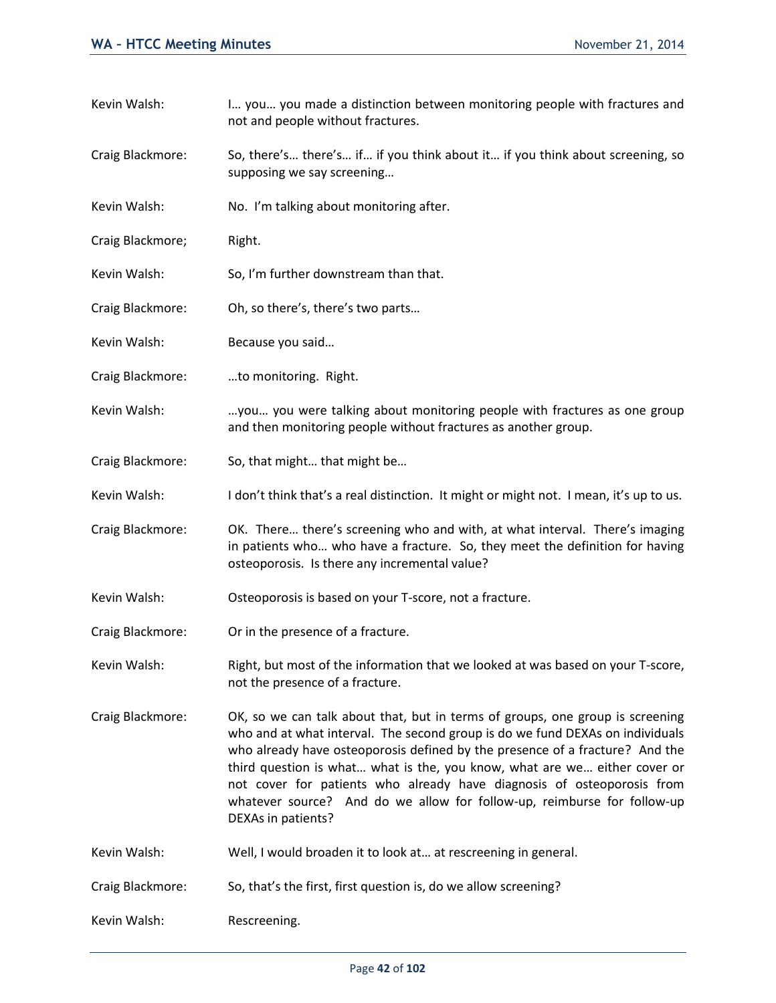- Kevin Walsh: I... you... you made a distinction between monitoring people with fractures and not and people without fractures.
- Craig Blackmore: So, there's… there's… if… if you think about it… if you think about screening, so supposing we say screening…
- Kevin Walsh: No. I'm talking about monitoring after.
- Craig Blackmore; Right.
- Kevin Walsh: So, I'm further downstream than that.
- Craig Blackmore: Oh, so there's, there's two parts…
- Kevin Walsh: Because you said…
- Craig Blackmore: …to monitoring. Right.
- Kevin Walsh: …you… you were talking about monitoring people with fractures as one group and then monitoring people without fractures as another group.
- Craig Blackmore: So, that might… that might be…
- Kevin Walsh: I don't think that's a real distinction. It might or might not. I mean, it's up to us.
- Craig Blackmore: OK. There… there's screening who and with, at what interval. There's imaging in patients who… who have a fracture. So, they meet the definition for having osteoporosis. Is there any incremental value?
- Kevin Walsh: Osteoporosis is based on your T-score, not a fracture.
- Craig Blackmore: Or in the presence of a fracture.
- Kevin Walsh: Right, but most of the information that we looked at was based on your T-score, not the presence of a fracture.
- Craig Blackmore: OK, so we can talk about that, but in terms of groups, one group is screening who and at what interval. The second group is do we fund DEXAs on individuals who already have osteoporosis defined by the presence of a fracture? And the third question is what… what is the, you know, what are we… either cover or not cover for patients who already have diagnosis of osteoporosis from whatever source? And do we allow for follow-up, reimburse for follow-up DEXAs in patients?
- Kevin Walsh: Well, I would broaden it to look at… at rescreening in general.
- Craig Blackmore: So, that's the first, first question is, do we allow screening?
- Kevin Walsh: Rescreening.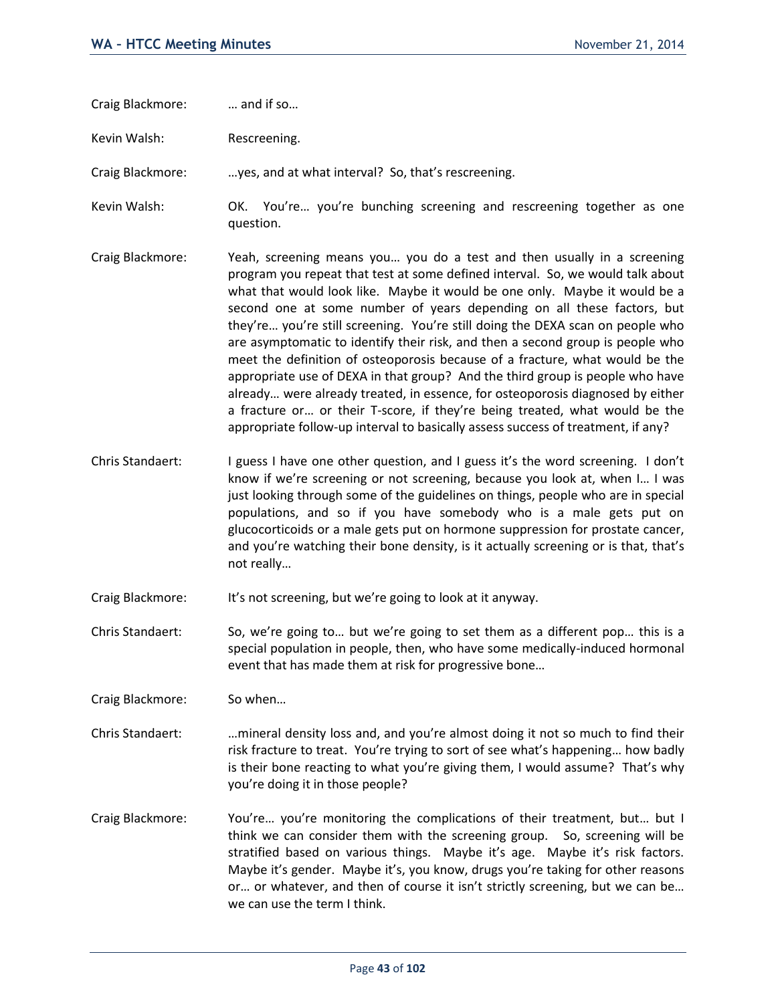Craig Blackmore: … and if so…

Kevin Walsh: Rescreening.

Craig Blackmore: …yes, and at what interval? So, that's rescreening.

Kevin Walsh: OK. You're... you're bunching screening and rescreening together as one question.

- Craig Blackmore: Yeah, screening means you… you do a test and then usually in a screening program you repeat that test at some defined interval. So, we would talk about what that would look like. Maybe it would be one only. Maybe it would be a second one at some number of years depending on all these factors, but they're… you're still screening. You're still doing the DEXA scan on people who are asymptomatic to identify their risk, and then a second group is people who meet the definition of osteoporosis because of a fracture, what would be the appropriate use of DEXA in that group? And the third group is people who have already… were already treated, in essence, for osteoporosis diagnosed by either a fracture or… or their T-score, if they're being treated, what would be the appropriate follow-up interval to basically assess success of treatment, if any?
- Chris Standaert: I guess I have one other question, and I guess it's the word screening. I don't know if we're screening or not screening, because you look at, when I… I was just looking through some of the guidelines on things, people who are in special populations, and so if you have somebody who is a male gets put on glucocorticoids or a male gets put on hormone suppression for prostate cancer, and you're watching their bone density, is it actually screening or is that, that's not really…

Craig Blackmore: It's not screening, but we're going to look at it anyway.

Chris Standaert: So, we're going to… but we're going to set them as a different pop… this is a special population in people, then, who have some medically-induced hormonal event that has made them at risk for progressive bone…

Craig Blackmore: So when…

- Chris Standaert: …mineral density loss and, and you're almost doing it not so much to find their risk fracture to treat. You're trying to sort of see what's happening… how badly is their bone reacting to what you're giving them, I would assume? That's why you're doing it in those people?
- Craig Blackmore: You're… you're monitoring the complications of their treatment, but… but I think we can consider them with the screening group. So, screening will be stratified based on various things. Maybe it's age. Maybe it's risk factors. Maybe it's gender. Maybe it's, you know, drugs you're taking for other reasons or… or whatever, and then of course it isn't strictly screening, but we can be… we can use the term I think.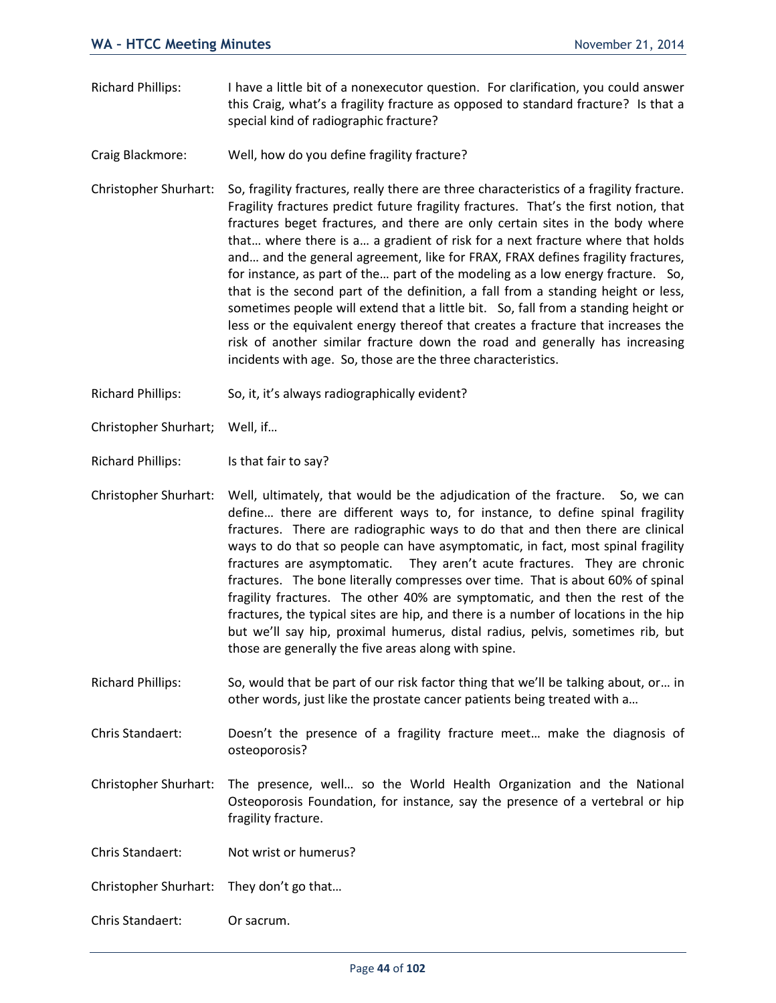- Richard Phillips: I have a little bit of a nonexecutor question. For clarification, you could answer this Craig, what's a fragility fracture as opposed to standard fracture? Is that a special kind of radiographic fracture?
- Craig Blackmore: Well, how do you define fragility fracture?
- Christopher Shurhart: So, fragility fractures, really there are three characteristics of a fragility fracture. Fragility fractures predict future fragility fractures. That's the first notion, that fractures beget fractures, and there are only certain sites in the body where that… where there is a… a gradient of risk for a next fracture where that holds and… and the general agreement, like for FRAX, FRAX defines fragility fractures, for instance, as part of the… part of the modeling as a low energy fracture. So, that is the second part of the definition, a fall from a standing height or less, sometimes people will extend that a little bit. So, fall from a standing height or less or the equivalent energy thereof that creates a fracture that increases the risk of another similar fracture down the road and generally has increasing incidents with age. So, those are the three characteristics.
- Richard Phillips: So, it, it's always radiographically evident?
- Christopher Shurhart; Well, if…
- Richard Phillips: Is that fair to say?
- Christopher Shurhart: Well, ultimately, that would be the adjudication of the fracture. So, we can define… there are different ways to, for instance, to define spinal fragility fractures. There are radiographic ways to do that and then there are clinical ways to do that so people can have asymptomatic, in fact, most spinal fragility fractures are asymptomatic. They aren't acute fractures. They are chronic fractures. The bone literally compresses over time. That is about 60% of spinal fragility fractures. The other 40% are symptomatic, and then the rest of the fractures, the typical sites are hip, and there is a number of locations in the hip but we'll say hip, proximal humerus, distal radius, pelvis, sometimes rib, but those are generally the five areas along with spine.
- Richard Phillips: So, would that be part of our risk factor thing that we'll be talking about, or… in other words, just like the prostate cancer patients being treated with a…
- Chris Standaert: Doesn't the presence of a fragility fracture meet… make the diagnosis of osteoporosis?
- Christopher Shurhart: The presence, well… so the World Health Organization and the National Osteoporosis Foundation, for instance, say the presence of a vertebral or hip fragility fracture.
- Chris Standaert: Not wrist or humerus?
- Christopher Shurhart: They don't go that…
- Chris Standaert: Or sacrum.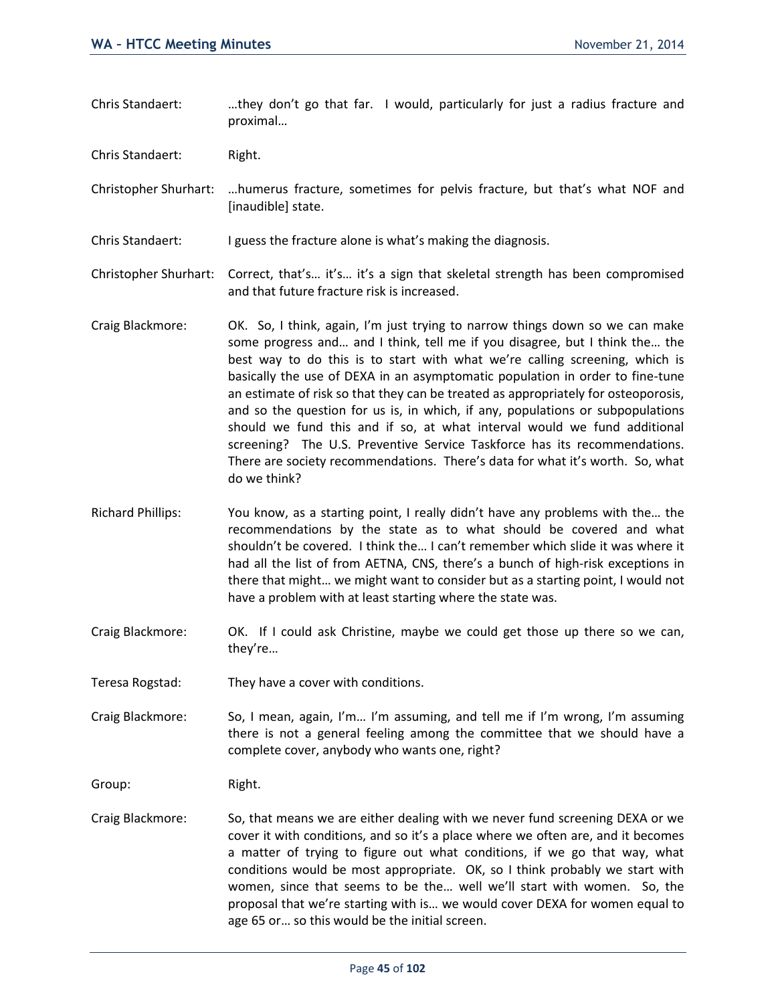Chris Standaert: . ...they don't go that far. I would, particularly for just a radius fracture and proximal…

Chris Standaert: Right.

Christopher Shurhart: …humerus fracture, sometimes for pelvis fracture, but that's what NOF and [inaudible] state.

Chris Standaert: I guess the fracture alone is what's making the diagnosis.

Christopher Shurhart: Correct, that's… it's… it's a sign that skeletal strength has been compromised and that future fracture risk is increased.

- Craig Blackmore: OK. So, I think, again, I'm just trying to narrow things down so we can make some progress and… and I think, tell me if you disagree, but I think the… the best way to do this is to start with what we're calling screening, which is basically the use of DEXA in an asymptomatic population in order to fine-tune an estimate of risk so that they can be treated as appropriately for osteoporosis, and so the question for us is, in which, if any, populations or subpopulations should we fund this and if so, at what interval would we fund additional screening? The U.S. Preventive Service Taskforce has its recommendations. There are society recommendations. There's data for what it's worth. So, what do we think?
- Richard Phillips: You know, as a starting point, I really didn't have any problems with the… the recommendations by the state as to what should be covered and what shouldn't be covered. I think the… I can't remember which slide it was where it had all the list of from AETNA, CNS, there's a bunch of high-risk exceptions in there that might… we might want to consider but as a starting point, I would not have a problem with at least starting where the state was.
- Craig Blackmore: OK. If I could ask Christine, maybe we could get those up there so we can, they're…

Teresa Rogstad: They have a cover with conditions.

Craig Blackmore: So, I mean, again, I'm… I'm assuming, and tell me if I'm wrong, I'm assuming there is not a general feeling among the committee that we should have a complete cover, anybody who wants one, right?

Group: Right.

Craig Blackmore: So, that means we are either dealing with we never fund screening DEXA or we cover it with conditions, and so it's a place where we often are, and it becomes a matter of trying to figure out what conditions, if we go that way, what conditions would be most appropriate. OK, so I think probably we start with women, since that seems to be the… well we'll start with women. So, the proposal that we're starting with is… we would cover DEXA for women equal to age 65 or… so this would be the initial screen.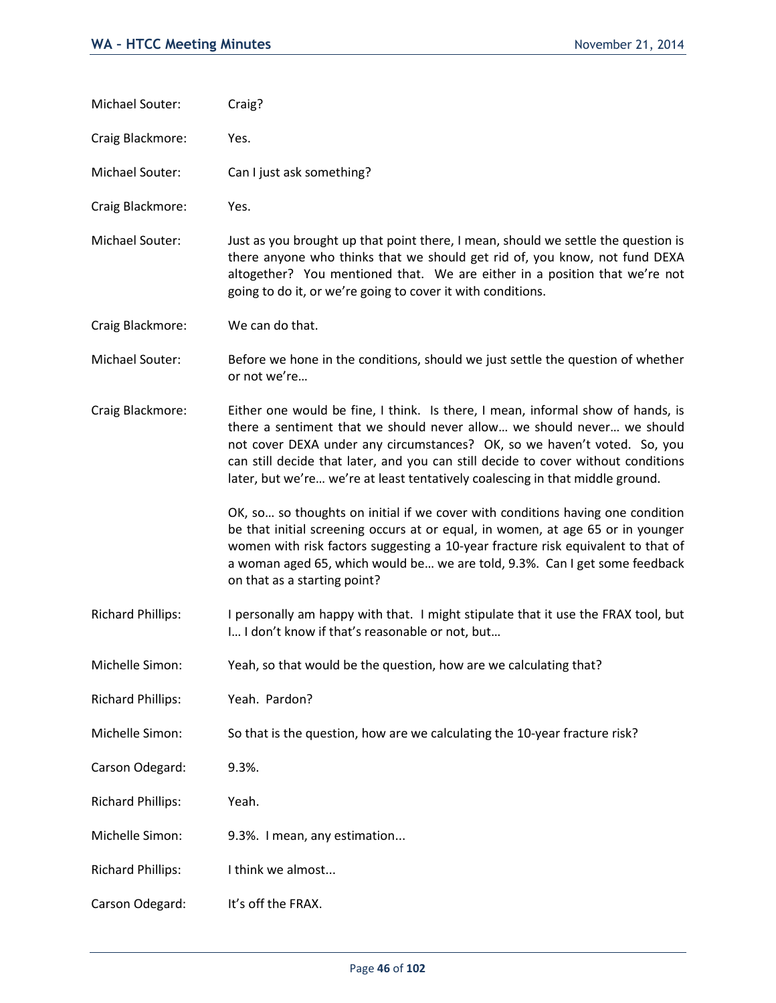| Michael Souter:          | Craig?                                                                                                                                                                                                                                                                                                                                                                                                      |
|--------------------------|-------------------------------------------------------------------------------------------------------------------------------------------------------------------------------------------------------------------------------------------------------------------------------------------------------------------------------------------------------------------------------------------------------------|
| Craig Blackmore:         | Yes.                                                                                                                                                                                                                                                                                                                                                                                                        |
| Michael Souter:          | Can I just ask something?                                                                                                                                                                                                                                                                                                                                                                                   |
| Craig Blackmore:         | Yes.                                                                                                                                                                                                                                                                                                                                                                                                        |
| Michael Souter:          | Just as you brought up that point there, I mean, should we settle the question is<br>there anyone who thinks that we should get rid of, you know, not fund DEXA<br>altogether? You mentioned that. We are either in a position that we're not<br>going to do it, or we're going to cover it with conditions.                                                                                                |
| Craig Blackmore:         | We can do that.                                                                                                                                                                                                                                                                                                                                                                                             |
| Michael Souter:          | Before we hone in the conditions, should we just settle the question of whether<br>or not we're                                                                                                                                                                                                                                                                                                             |
| Craig Blackmore:         | Either one would be fine, I think. Is there, I mean, informal show of hands, is<br>there a sentiment that we should never allow we should never we should<br>not cover DEXA under any circumstances? OK, so we haven't voted. So, you<br>can still decide that later, and you can still decide to cover without conditions<br>later, but we're we're at least tentatively coalescing in that middle ground. |
|                          | OK, so so thoughts on initial if we cover with conditions having one condition<br>be that initial screening occurs at or equal, in women, at age 65 or in younger<br>women with risk factors suggesting a 10-year fracture risk equivalent to that of<br>a woman aged 65, which would be we are told, 9.3%. Can I get some feedback<br>on that as a starting point?                                         |
| <b>Richard Phillips:</b> | I personally am happy with that. I might stipulate that it use the FRAX tool, but<br>I I don't know if that's reasonable or not, but                                                                                                                                                                                                                                                                        |
| Michelle Simon:          | Yeah, so that would be the question, how are we calculating that?                                                                                                                                                                                                                                                                                                                                           |
| <b>Richard Phillips:</b> | Yeah. Pardon?                                                                                                                                                                                                                                                                                                                                                                                               |
| Michelle Simon:          | So that is the question, how are we calculating the 10-year fracture risk?                                                                                                                                                                                                                                                                                                                                  |
| Carson Odegard:          | 9.3%.                                                                                                                                                                                                                                                                                                                                                                                                       |
| <b>Richard Phillips:</b> | Yeah.                                                                                                                                                                                                                                                                                                                                                                                                       |
| Michelle Simon:          | 9.3%. I mean, any estimation                                                                                                                                                                                                                                                                                                                                                                                |
| <b>Richard Phillips:</b> | I think we almost                                                                                                                                                                                                                                                                                                                                                                                           |
| Carson Odegard:          | It's off the FRAX.                                                                                                                                                                                                                                                                                                                                                                                          |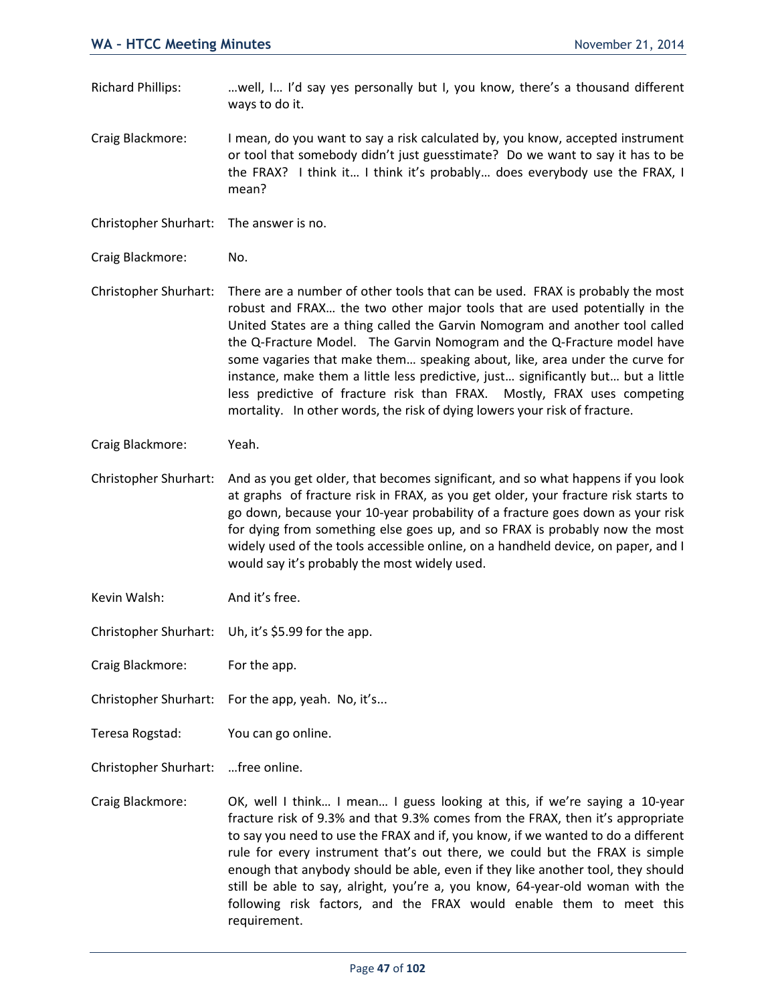Richard Phillips: …well, I… I'd say yes personally but I, you know, there's a thousand different ways to do it.

Craig Blackmore: I mean, do you want to say a risk calculated by, you know, accepted instrument or tool that somebody didn't just guesstimate? Do we want to say it has to be the FRAX? I think it… I think it's probably… does everybody use the FRAX, I mean?

Christopher Shurhart: The answer is no.

Craig Blackmore: No.

Christopher Shurhart: There are a number of other tools that can be used. FRAX is probably the most robust and FRAX… the two other major tools that are used potentially in the United States are a thing called the Garvin Nomogram and another tool called the Q-Fracture Model. The Garvin Nomogram and the Q-Fracture model have some vagaries that make them… speaking about, like, area under the curve for instance, make them a little less predictive, just… significantly but… but a little less predictive of fracture risk than FRAX. Mostly, FRAX uses competing mortality. In other words, the risk of dying lowers your risk of fracture.

Craig Blackmore: Yeah.

- Christopher Shurhart: And as you get older, that becomes significant, and so what happens if you look at graphs of fracture risk in FRAX, as you get older, your fracture risk starts to go down, because your 10-year probability of a fracture goes down as your risk for dying from something else goes up, and so FRAX is probably now the most widely used of the tools accessible online, on a handheld device, on paper, and I would say it's probably the most widely used.
- Kevin Walsh: And it's free.
- Christopher Shurhart: Uh, it's \$5.99 for the app.

Craig Blackmore: For the app.

Christopher Shurhart: For the app, yeah. No, it's...

Teresa Rogstad: You can go online.

Christopher Shurhart: …free online.

Craig Blackmore: OK, well I think… I mean… I guess looking at this, if we're saying a 10-year fracture risk of 9.3% and that 9.3% comes from the FRAX, then it's appropriate to say you need to use the FRAX and if, you know, if we wanted to do a different rule for every instrument that's out there, we could but the FRAX is simple enough that anybody should be able, even if they like another tool, they should still be able to say, alright, you're a, you know, 64-year-old woman with the following risk factors, and the FRAX would enable them to meet this requirement.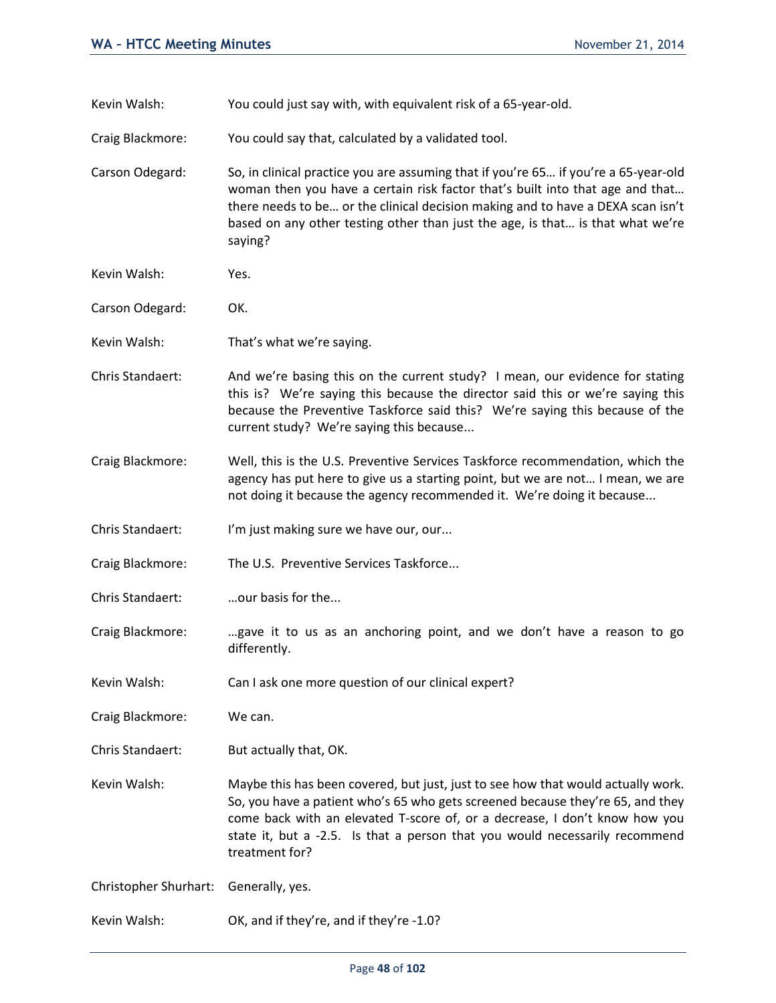- Kevin Walsh: You could just say with, with equivalent risk of a 65-year-old.
- Craig Blackmore: You could say that, calculated by a validated tool.

Carson Odegard: So, in clinical practice you are assuming that if you're 65… if you're a 65-year-old woman then you have a certain risk factor that's built into that age and that… there needs to be… or the clinical decision making and to have a DEXA scan isn't based on any other testing other than just the age, is that… is that what we're saying?

- Kevin Walsh: Yes.
- Carson Odegard: OK.
- Kevin Walsh: That's what we're saying.
- Chris Standaert: And we're basing this on the current study? I mean, our evidence for stating this is? We're saying this because the director said this or we're saying this because the Preventive Taskforce said this? We're saying this because of the current study? We're saying this because...
- Craig Blackmore: Well, this is the U.S. Preventive Services Taskforce recommendation, which the agency has put here to give us a starting point, but we are not… I mean, we are not doing it because the agency recommended it. We're doing it because...
- Chris Standaert: I'm just making sure we have our, our...
- Craig Blackmore: The U.S. Preventive Services Taskforce...
- Chris Standaert: …our basis for the...
- Craig Blackmore: …gave it to us as an anchoring point, and we don't have a reason to go differently.
- Kevin Walsh: Can I ask one more question of our clinical expert?
- Craig Blackmore: We can.
- Chris Standaert: But actually that, OK.
- Kevin Walsh: Maybe this has been covered, but just, just to see how that would actually work. So, you have a patient who's 65 who gets screened because they're 65, and they come back with an elevated T-score of, or a decrease, I don't know how you state it, but a -2.5. Is that a person that you would necessarily recommend treatment for?

Christopher Shurhart: Generally, yes.

Kevin Walsh: OK, and if they're, and if they're -1.0?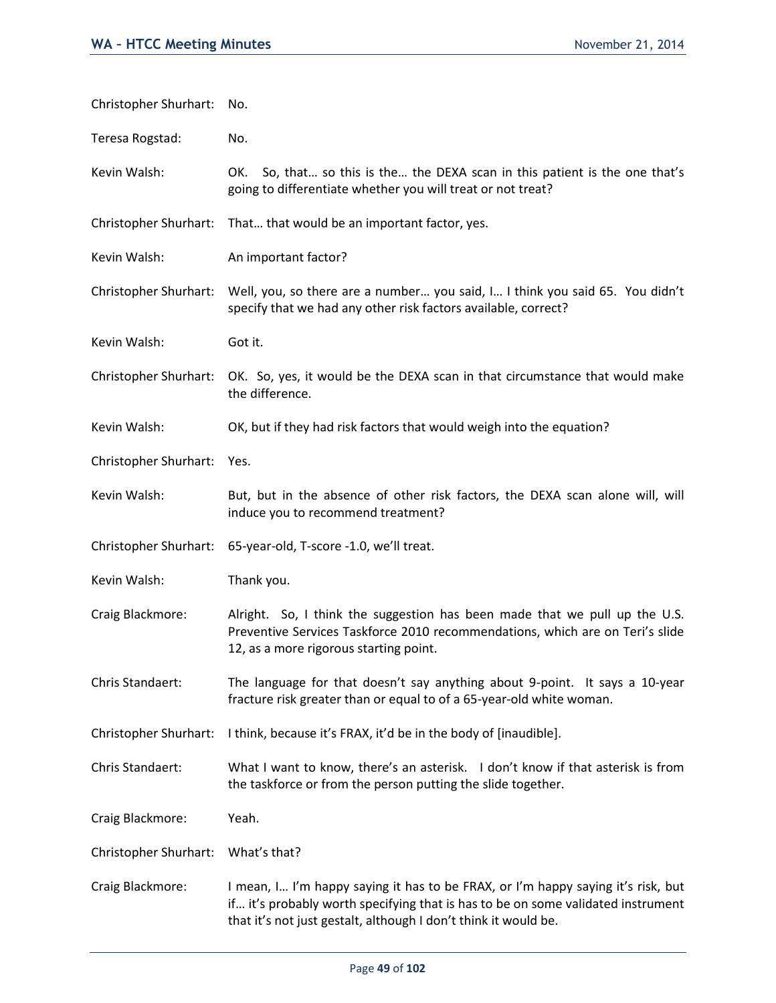| Christopher Shurhart:        | No.                                                                                                                                                                                                                                     |
|------------------------------|-----------------------------------------------------------------------------------------------------------------------------------------------------------------------------------------------------------------------------------------|
| Teresa Rogstad:              | No.                                                                                                                                                                                                                                     |
| Kevin Walsh:                 | So, that so this is the the DEXA scan in this patient is the one that's<br>OK.<br>going to differentiate whether you will treat or not treat?                                                                                           |
| Christopher Shurhart:        | That that would be an important factor, yes.                                                                                                                                                                                            |
| Kevin Walsh:                 | An important factor?                                                                                                                                                                                                                    |
| <b>Christopher Shurhart:</b> | Well, you, so there are a number you said, I I think you said 65. You didn't<br>specify that we had any other risk factors available, correct?                                                                                          |
| Kevin Walsh:                 | Got it.                                                                                                                                                                                                                                 |
| Christopher Shurhart:        | OK. So, yes, it would be the DEXA scan in that circumstance that would make<br>the difference.                                                                                                                                          |
| Kevin Walsh:                 | OK, but if they had risk factors that would weigh into the equation?                                                                                                                                                                    |
| <b>Christopher Shurhart:</b> | Yes.                                                                                                                                                                                                                                    |
| Kevin Walsh:                 | But, but in the absence of other risk factors, the DEXA scan alone will, will<br>induce you to recommend treatment?                                                                                                                     |
| Christopher Shurhart:        | 65-year-old, T-score -1.0, we'll treat.                                                                                                                                                                                                 |
| Kevin Walsh:                 | Thank you.                                                                                                                                                                                                                              |
| Craig Blackmore:             | Alright. So, I think the suggestion has been made that we pull up the U.S.<br>Preventive Services Taskforce 2010 recommendations, which are on Teri's slide<br>12, as a more rigorous starting point.                                   |
| Chris Standaert:             | The language for that doesn't say anything about 9-point. It says a 10-year<br>fracture risk greater than or equal to of a 65-year-old white woman.                                                                                     |
| Christopher Shurhart:        | I think, because it's FRAX, it'd be in the body of [inaudible].                                                                                                                                                                         |
| Chris Standaert:             | What I want to know, there's an asterisk. I don't know if that asterisk is from<br>the taskforce or from the person putting the slide together.                                                                                         |
| Craig Blackmore:             | Yeah.                                                                                                                                                                                                                                   |
| Christopher Shurhart:        | What's that?                                                                                                                                                                                                                            |
| Craig Blackmore:             | I mean, I I'm happy saying it has to be FRAX, or I'm happy saying it's risk, but<br>if it's probably worth specifying that is has to be on some validated instrument<br>that it's not just gestalt, although I don't think it would be. |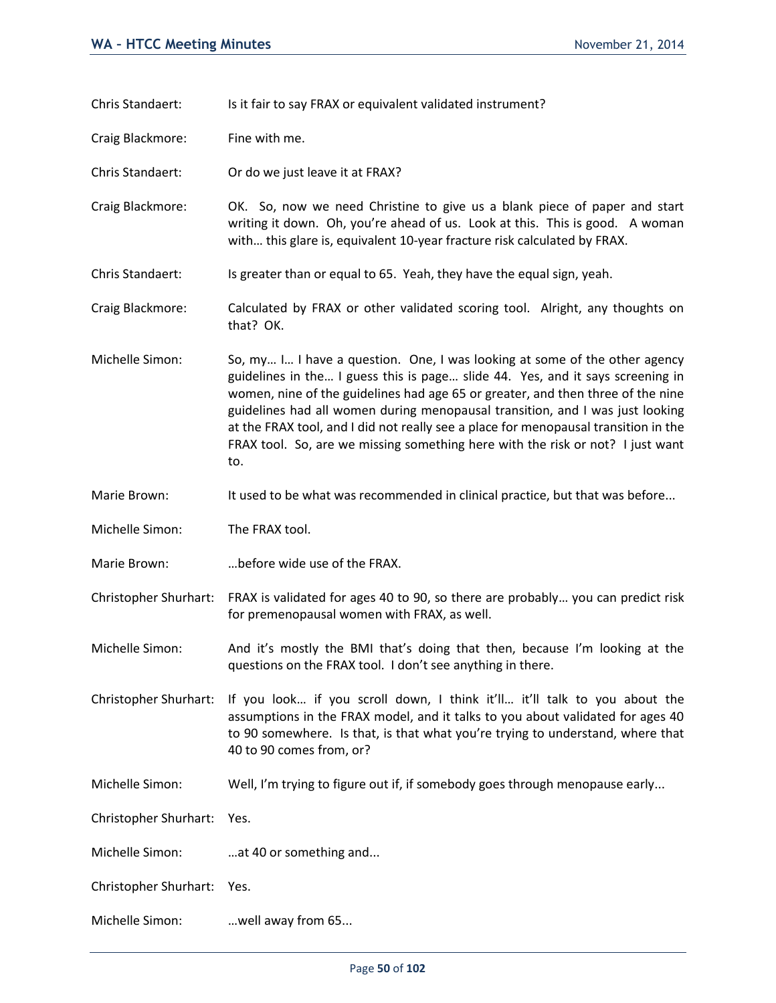Chris Standaert: Is it fair to say FRAX or equivalent validated instrument?

Craig Blackmore: Fine with me.

Chris Standaert: Or do we just leave it at FRAX?

Craig Blackmore: OK. So, now we need Christine to give us a blank piece of paper and start writing it down. Oh, you're ahead of us. Look at this. This is good. A woman with… this glare is, equivalent 10-year fracture risk calculated by FRAX.

Chris Standaert: Is greater than or equal to 65. Yeah, they have the equal sign, yeah.

Craig Blackmore: Calculated by FRAX or other validated scoring tool. Alright, any thoughts on that? OK.

Michelle Simon: So, my... I... I have a question. One, I was looking at some of the other agency guidelines in the… I guess this is page… slide 44. Yes, and it says screening in women, nine of the guidelines had age 65 or greater, and then three of the nine guidelines had all women during menopausal transition, and I was just looking at the FRAX tool, and I did not really see a place for menopausal transition in the FRAX tool. So, are we missing something here with the risk or not? I just want to.

Marie Brown: It used to be what was recommended in clinical practice, but that was before...

Michelle Simon: The FRAX tool.

Marie Brown: …before wide use of the FRAX.

Christopher Shurhart: FRAX is validated for ages 40 to 90, so there are probably… you can predict risk for premenopausal women with FRAX, as well.

Michelle Simon: And it's mostly the BMI that's doing that then, because I'm looking at the questions on the FRAX tool. I don't see anything in there.

Christopher Shurhart: If you look… if you scroll down, I think it'll… it'll talk to you about the assumptions in the FRAX model, and it talks to you about validated for ages 40 to 90 somewhere. Is that, is that what you're trying to understand, where that 40 to 90 comes from, or?

Michelle Simon: Well, I'm trying to figure out if, if somebody goes through menopause early...

Christopher Shurhart: Yes.

Michelle Simon: ...at 40 or something and...

Christopher Shurhart: Yes.

Michelle Simon: …well away from 65...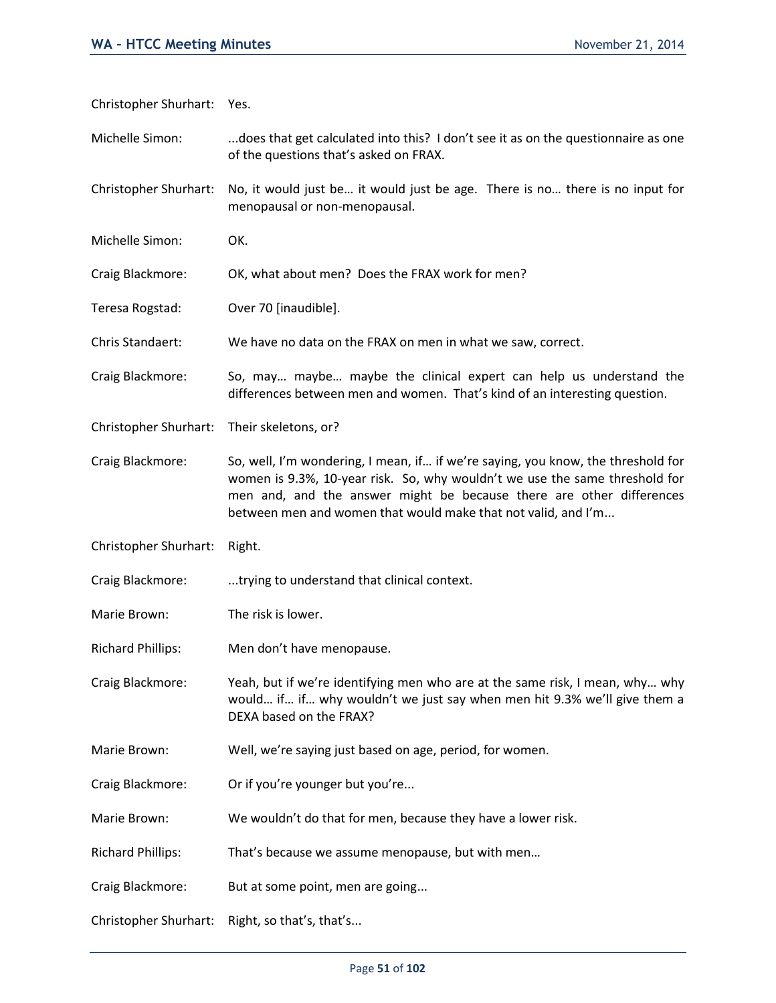Christopher Shurhart: Yes.

Michelle Simon: ...does that get calculated into this? I don't see it as on the questionnaire as one of the questions that's asked on FRAX.

Christopher Shurhart: No, it would just be… it would just be age. There is no… there is no input for menopausal or non-menopausal.

Michelle Simon: OK.

Craig Blackmore: OK, what about men? Does the FRAX work for men?

Teresa Rogstad: Over 70 [inaudible].

Chris Standaert: We have no data on the FRAX on men in what we saw, correct.

Craig Blackmore: So, may… maybe… maybe the clinical expert can help us understand the differences between men and women. That's kind of an interesting question.

Christopher Shurhart: Their skeletons, or?

Craig Blackmore: So, well, I'm wondering, I mean, if… if we're saying, you know, the threshold for women is 9.3%, 10-year risk. So, why wouldn't we use the same threshold for men and, and the answer might be because there are other differences between men and women that would make that not valid, and I'm...

Christopher Shurhart: Right.

Craig Blackmore: ...trying to understand that clinical context.

Marie Brown: The risk is lower.

Richard Phillips: Men don't have menopause.

Craig Blackmore: Yeah, but if we're identifying men who are at the same risk, I mean, why… why would… if… if… why wouldn't we just say when men hit 9.3% we'll give them a DEXA based on the FRAX?

Marie Brown: Well, we're saying just based on age, period, for women.

Craig Blackmore: Or if you're younger but you're...

Marie Brown: We wouldn't do that for men, because they have a lower risk.

Richard Phillips: That's because we assume menopause, but with men…

Craig Blackmore: But at some point, men are going...

Christopher Shurhart: Right, so that's, that's...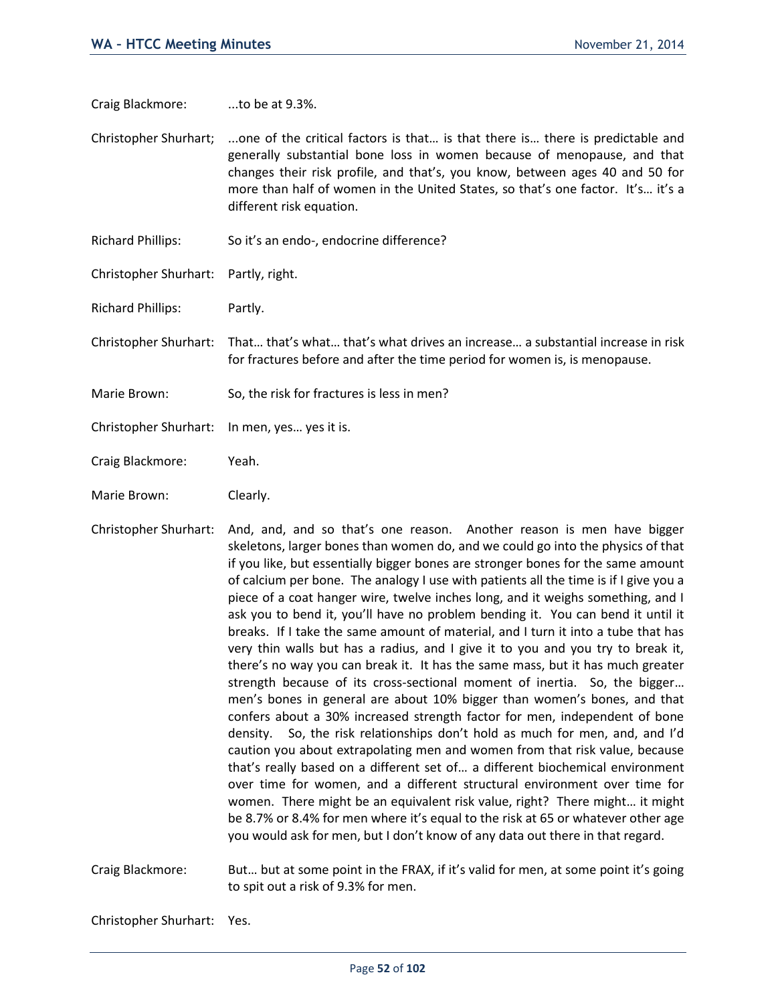Craig Blackmore: ...to be at 9.3%.

Christopher Shurhart; ...one of the critical factors is that… is that there is… there is predictable and generally substantial bone loss in women because of menopause, and that changes their risk profile, and that's, you know, between ages 40 and 50 for more than half of women in the United States, so that's one factor. It's… it's a different risk equation.

Richard Phillips: So it's an endo-, endocrine difference?

Christopher Shurhart: Partly, right.

Richard Phillips: Partly.

Christopher Shurhart: That… that's what… that's what drives an increase… a substantial increase in risk for fractures before and after the time period for women is, is menopause.

- Marie Brown: So, the risk for fractures is less in men?
- Christopher Shurhart: In men, yes… yes it is.
- Craig Blackmore: Yeah.
- Marie Brown: Clearly.
- Christopher Shurhart: And, and, and so that's one reason. Another reason is men have bigger skeletons, larger bones than women do, and we could go into the physics of that if you like, but essentially bigger bones are stronger bones for the same amount of calcium per bone. The analogy I use with patients all the time is if I give you a piece of a coat hanger wire, twelve inches long, and it weighs something, and I ask you to bend it, you'll have no problem bending it. You can bend it until it breaks. If I take the same amount of material, and I turn it into a tube that has very thin walls but has a radius, and I give it to you and you try to break it, there's no way you can break it. It has the same mass, but it has much greater strength because of its cross-sectional moment of inertia. So, the bigger… men's bones in general are about 10% bigger than women's bones, and that confers about a 30% increased strength factor for men, independent of bone density. So, the risk relationships don't hold as much for men, and, and I'd caution you about extrapolating men and women from that risk value, because that's really based on a different set of… a different biochemical environment over time for women, and a different structural environment over time for women. There might be an equivalent risk value, right? There might… it might be 8.7% or 8.4% for men where it's equal to the risk at 65 or whatever other age you would ask for men, but I don't know of any data out there in that regard.

Craig Blackmore: But… but at some point in the FRAX, if it's valid for men, at some point it's going to spit out a risk of 9.3% for men.

Christopher Shurhart: Yes.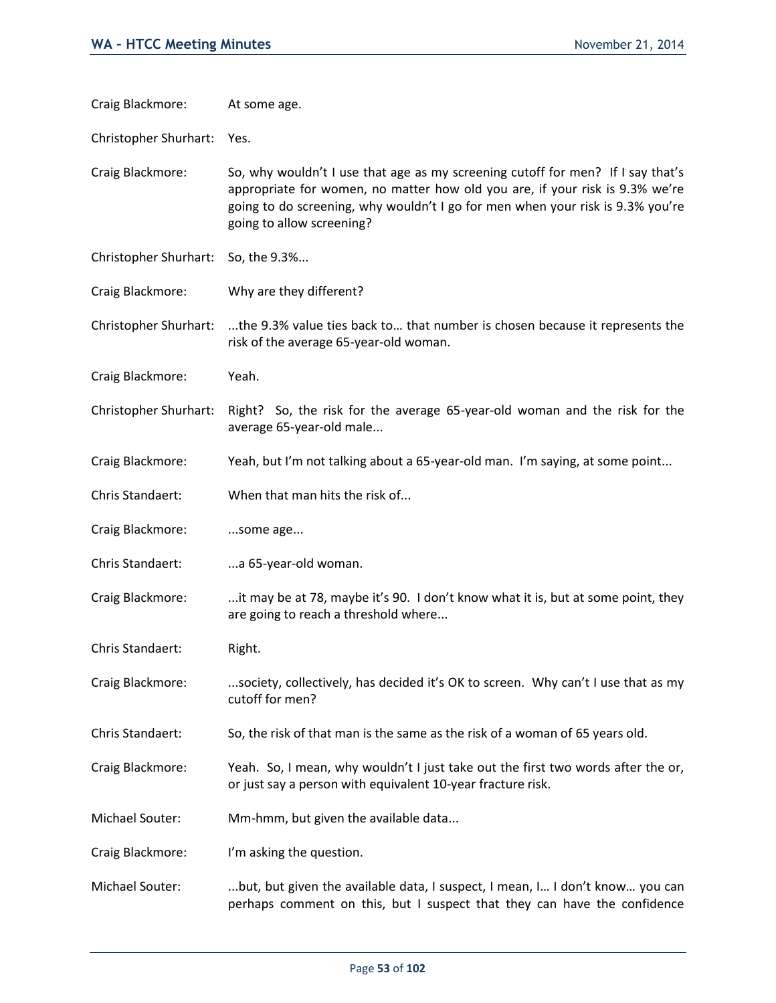| Craig Blackmore:      | At some age.                                                                                                                                                                                                                                                                   |
|-----------------------|--------------------------------------------------------------------------------------------------------------------------------------------------------------------------------------------------------------------------------------------------------------------------------|
| Christopher Shurhart: | Yes.                                                                                                                                                                                                                                                                           |
| Craig Blackmore:      | So, why wouldn't I use that age as my screening cutoff for men? If I say that's<br>appropriate for women, no matter how old you are, if your risk is 9.3% we're<br>going to do screening, why wouldn't I go for men when your risk is 9.3% you're<br>going to allow screening? |
| Christopher Shurhart: | So, the 9.3%                                                                                                                                                                                                                                                                   |
| Craig Blackmore:      | Why are they different?                                                                                                                                                                                                                                                        |
| Christopher Shurhart: | the 9.3% value ties back to that number is chosen because it represents the<br>risk of the average 65-year-old woman.                                                                                                                                                          |
| Craig Blackmore:      | Yeah.                                                                                                                                                                                                                                                                          |
| Christopher Shurhart: | Right? So, the risk for the average 65-year-old woman and the risk for the<br>average 65-year-old male                                                                                                                                                                         |
| Craig Blackmore:      | Yeah, but I'm not talking about a 65-year-old man. I'm saying, at some point                                                                                                                                                                                                   |
| Chris Standaert:      | When that man hits the risk of                                                                                                                                                                                                                                                 |
| Craig Blackmore:      | some age                                                                                                                                                                                                                                                                       |
| Chris Standaert:      | a 65-year-old woman.                                                                                                                                                                                                                                                           |
| Craig Blackmore:      | it may be at 78, maybe it's 90. I don't know what it is, but at some point, they<br>are going to reach a threshold where                                                                                                                                                       |
| Chris Standaert:      | Right.                                                                                                                                                                                                                                                                         |
| Craig Blackmore:      | society, collectively, has decided it's OK to screen. Why can't I use that as my<br>cutoff for men?                                                                                                                                                                            |
| Chris Standaert:      | So, the risk of that man is the same as the risk of a woman of 65 years old.                                                                                                                                                                                                   |
| Craig Blackmore:      | Yeah. So, I mean, why wouldn't I just take out the first two words after the or,<br>or just say a person with equivalent 10-year fracture risk.                                                                                                                                |
| Michael Souter:       | Mm-hmm, but given the available data                                                                                                                                                                                                                                           |
| Craig Blackmore:      | I'm asking the question.                                                                                                                                                                                                                                                       |
| Michael Souter:       | but, but given the available data, I suspect, I mean, I I don't know you can<br>perhaps comment on this, but I suspect that they can have the confidence                                                                                                                       |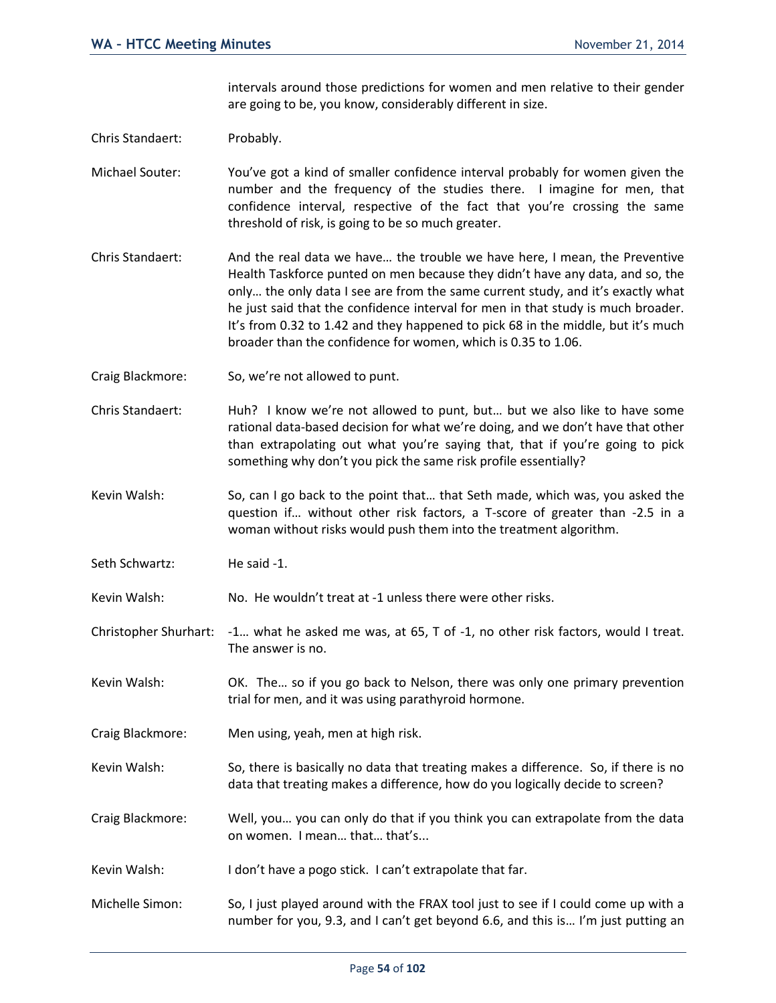intervals around those predictions for women and men relative to their gender are going to be, you know, considerably different in size.

Chris Standaert: Probably.

Michael Souter: You've got a kind of smaller confidence interval probably for women given the number and the frequency of the studies there. I imagine for men, that confidence interval, respective of the fact that you're crossing the same threshold of risk, is going to be so much greater.

- Chris Standaert: And the real data we have… the trouble we have here, I mean, the Preventive Health Taskforce punted on men because they didn't have any data, and so, the only… the only data I see are from the same current study, and it's exactly what he just said that the confidence interval for men in that study is much broader. It's from 0.32 to 1.42 and they happened to pick 68 in the middle, but it's much broader than the confidence for women, which is 0.35 to 1.06.
- Craig Blackmore: So, we're not allowed to punt.
- Chris Standaert: Huh? I know we're not allowed to punt, but… but we also like to have some rational data-based decision for what we're doing, and we don't have that other than extrapolating out what you're saying that, that if you're going to pick something why don't you pick the same risk profile essentially?

Kevin Walsh: So, can I go back to the point that... that Seth made, which was, you asked the question if… without other risk factors, a T-score of greater than -2.5 in a woman without risks would push them into the treatment algorithm.

Seth Schwartz: He said -1.

Kevin Walsh: No. He wouldn't treat at -1 unless there were other risks.

Christopher Shurhart: -1… what he asked me was, at 65, T of -1, no other risk factors, would I treat. The answer is no.

- Kevin Walsh: OK. The... so if you go back to Nelson, there was only one primary prevention trial for men, and it was using parathyroid hormone.
- Craig Blackmore: Men using, yeah, men at high risk.
- Kevin Walsh: So, there is basically no data that treating makes a difference. So, if there is no data that treating makes a difference, how do you logically decide to screen?
- Craig Blackmore: Well, you… you can only do that if you think you can extrapolate from the data on women. I mean… that… that's...

Kevin Walsh: I don't have a pogo stick. I can't extrapolate that far.

Michelle Simon: So, I just played around with the FRAX tool just to see if I could come up with a number for you, 9.3, and I can't get beyond 6.6, and this is… I'm just putting an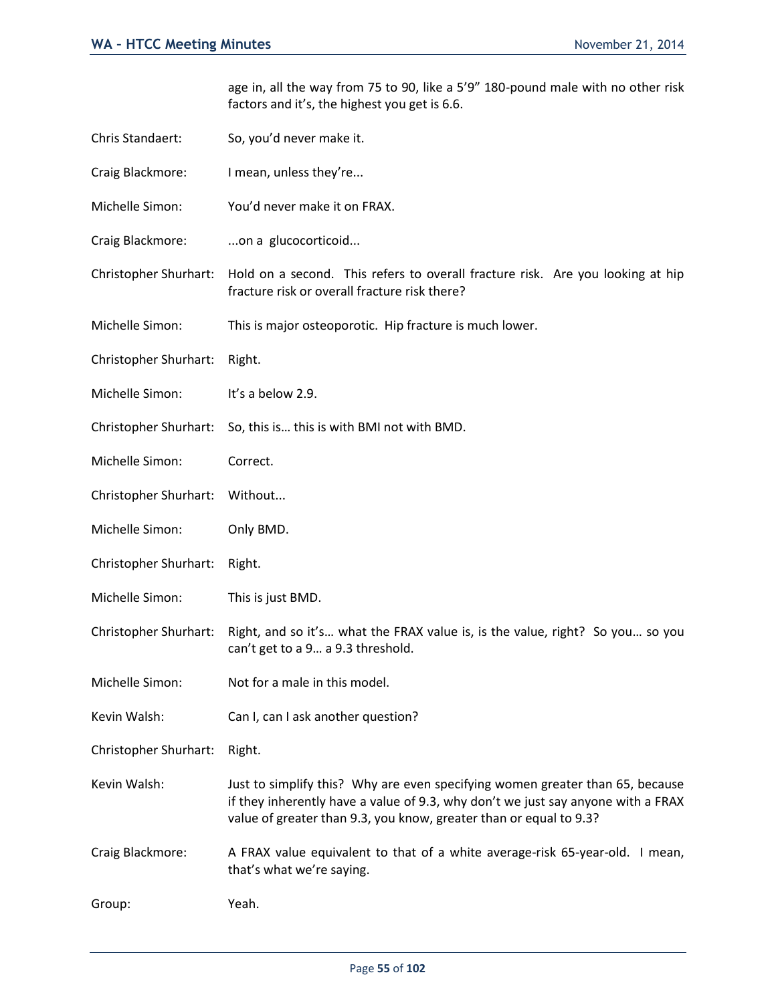age in, all the way from 75 to 90, like a 5'9" 180-pound male with no other risk factors and it's, the highest you get is 6.6.

- Chris Standaert: So, you'd never make it.
- Craig Blackmore: I mean, unless they're...
- Michelle Simon: You'd never make it on FRAX.
- Craig Blackmore: ...on a glucocorticoid...
- Christopher Shurhart: Hold on a second. This refers to overall fracture risk. Are you looking at hip fracture risk or overall fracture risk there?
- Michelle Simon: This is major osteoporotic. Hip fracture is much lower.
- Christopher Shurhart: Right.
- Michelle Simon: It's a below 2.9.
- Christopher Shurhart: So, this is… this is with BMI not with BMD.
- Michelle Simon: Correct.
- Christopher Shurhart: Without...
- Michelle Simon: Only BMD.
- Christopher Shurhart: Right.
- Michelle Simon: This is just BMD.
- Christopher Shurhart: Right, and so it's… what the FRAX value is, is the value, right? So you… so you can't get to a 9… a 9.3 threshold.
- Michelle Simon: Not for a male in this model.
- Kevin Walsh: Can I, can I ask another question?
- Christopher Shurhart: Right.
- Kevin Walsh: Just to simplify this? Why are even specifying women greater than 65, because if they inherently have a value of 9.3, why don't we just say anyone with a FRAX value of greater than 9.3, you know, greater than or equal to 9.3?
- Craig Blackmore: A FRAX value equivalent to that of a white average-risk 65-year-old. I mean, that's what we're saying.
- Group: Yeah.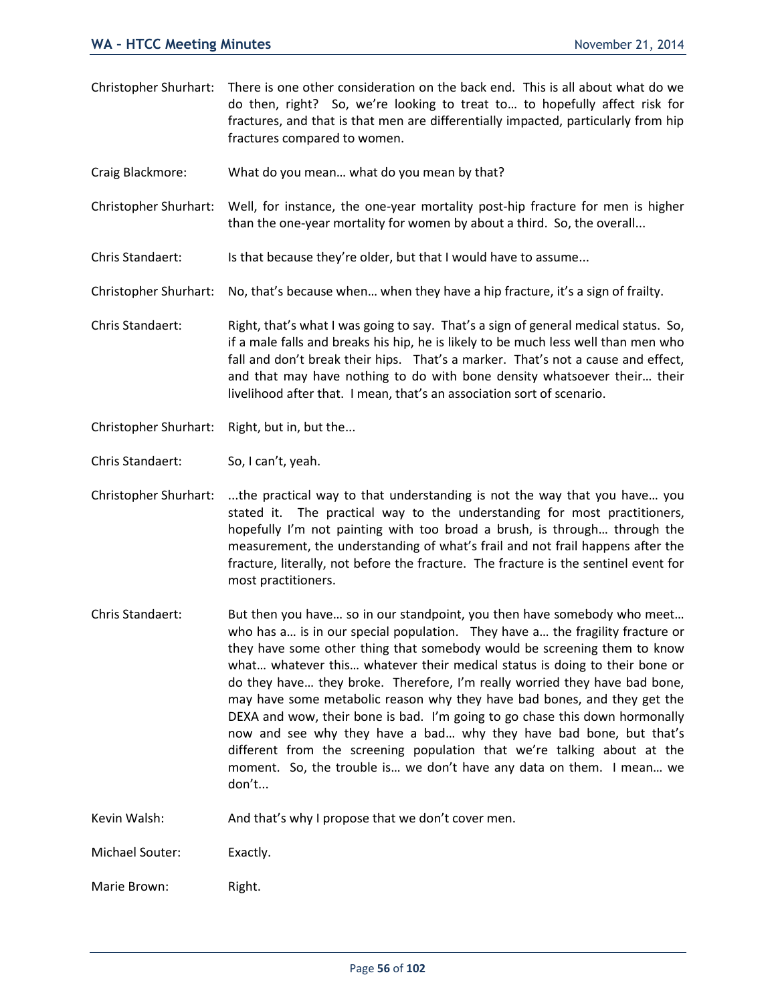- Christopher Shurhart: There is one other consideration on the back end. This is all about what do we do then, right? So, we're looking to treat to… to hopefully affect risk for fractures, and that is that men are differentially impacted, particularly from hip fractures compared to women.
- Craig Blackmore: What do you mean… what do you mean by that?
- Christopher Shurhart: Well, for instance, the one-year mortality post-hip fracture for men is higher than the one-year mortality for women by about a third. So, the overall...
- Chris Standaert: Is that because they're older, but that I would have to assume...
- Christopher Shurhart: No, that's because when… when they have a hip fracture, it's a sign of frailty.
- Chris Standaert: Right, that's what I was going to say. That's a sign of general medical status. So, if a male falls and breaks his hip, he is likely to be much less well than men who fall and don't break their hips. That's a marker. That's not a cause and effect, and that may have nothing to do with bone density whatsoever their… their livelihood after that. I mean, that's an association sort of scenario.
- Christopher Shurhart: Right, but in, but the...
- Chris Standaert: So, I can't, yeah.
- Christopher Shurhart: ...the practical way to that understanding is not the way that you have… you stated it. The practical way to the understanding for most practitioners, hopefully I'm not painting with too broad a brush, is through… through the measurement, the understanding of what's frail and not frail happens after the fracture, literally, not before the fracture. The fracture is the sentinel event for most practitioners.
- Chris Standaert: But then you have… so in our standpoint, you then have somebody who meet… who has a… is in our special population. They have a… the fragility fracture or they have some other thing that somebody would be screening them to know what… whatever this… whatever their medical status is doing to their bone or do they have… they broke. Therefore, I'm really worried they have bad bone, may have some metabolic reason why they have bad bones, and they get the DEXA and wow, their bone is bad. I'm going to go chase this down hormonally now and see why they have a bad… why they have bad bone, but that's different from the screening population that we're talking about at the moment. So, the trouble is… we don't have any data on them. I mean… we don't...
- Kevin Walsh: And that's why I propose that we don't cover men.
- Michael Souter: Exactly.
- Marie Brown: Right.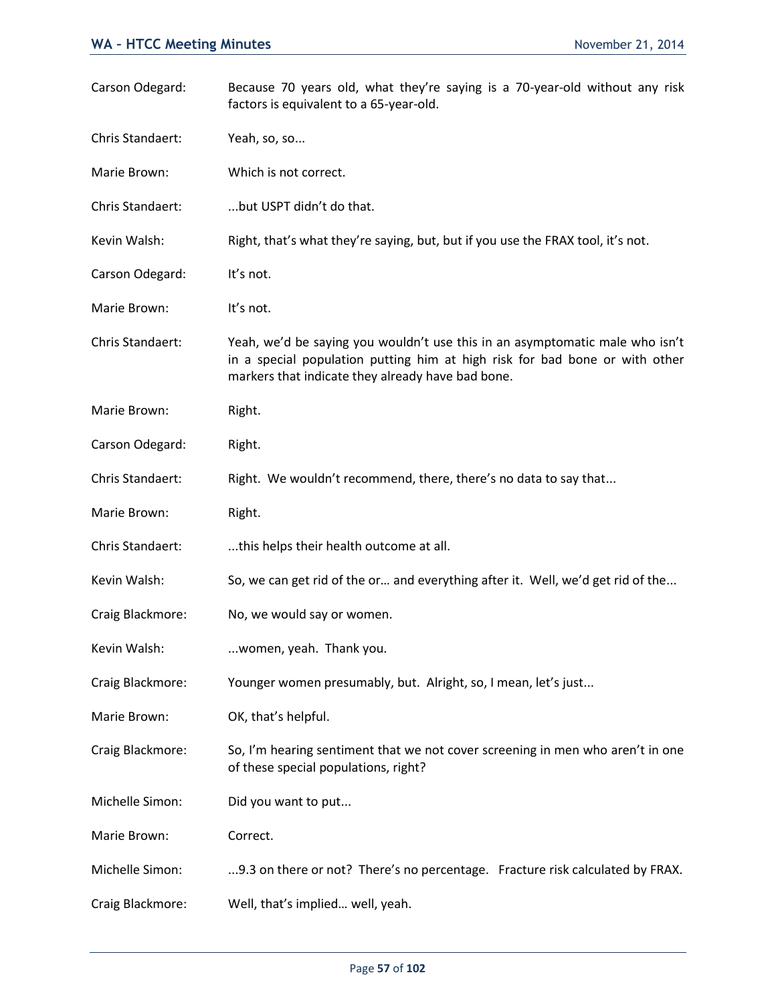| Carson Odegard:  | Because 70 years old, what they're saying is a 70-year-old without any risk<br>factors is equivalent to a 65-year-old.                                                                                           |
|------------------|------------------------------------------------------------------------------------------------------------------------------------------------------------------------------------------------------------------|
| Chris Standaert: | Yeah, so, so                                                                                                                                                                                                     |
| Marie Brown:     | Which is not correct.                                                                                                                                                                                            |
| Chris Standaert: | but USPT didn't do that.                                                                                                                                                                                         |
| Kevin Walsh:     | Right, that's what they're saying, but, but if you use the FRAX tool, it's not.                                                                                                                                  |
| Carson Odegard:  | It's not.                                                                                                                                                                                                        |
| Marie Brown:     | It's not.                                                                                                                                                                                                        |
| Chris Standaert: | Yeah, we'd be saying you wouldn't use this in an asymptomatic male who isn't<br>in a special population putting him at high risk for bad bone or with other<br>markers that indicate they already have bad bone. |
| Marie Brown:     | Right.                                                                                                                                                                                                           |
| Carson Odegard:  | Right.                                                                                                                                                                                                           |
| Chris Standaert: | Right. We wouldn't recommend, there, there's no data to say that                                                                                                                                                 |
| Marie Brown:     | Right.                                                                                                                                                                                                           |
| Chris Standaert: | this helps their health outcome at all.                                                                                                                                                                          |
| Kevin Walsh:     | So, we can get rid of the or and everything after it. Well, we'd get rid of the                                                                                                                                  |
| Craig Blackmore: | No, we would say or women.                                                                                                                                                                                       |
| Kevin Walsh:     | women, yeah. Thank you.                                                                                                                                                                                          |
| Craig Blackmore: | Younger women presumably, but. Alright, so, I mean, let's just                                                                                                                                                   |
| Marie Brown:     | OK, that's helpful.                                                                                                                                                                                              |
| Craig Blackmore: | So, I'm hearing sentiment that we not cover screening in men who aren't in one<br>of these special populations, right?                                                                                           |
| Michelle Simon:  | Did you want to put                                                                                                                                                                                              |
| Marie Brown:     | Correct.                                                                                                                                                                                                         |
| Michelle Simon:  | 9.3 on there or not? There's no percentage. Fracture risk calculated by FRAX.                                                                                                                                    |
| Craig Blackmore: | Well, that's implied well, yeah.                                                                                                                                                                                 |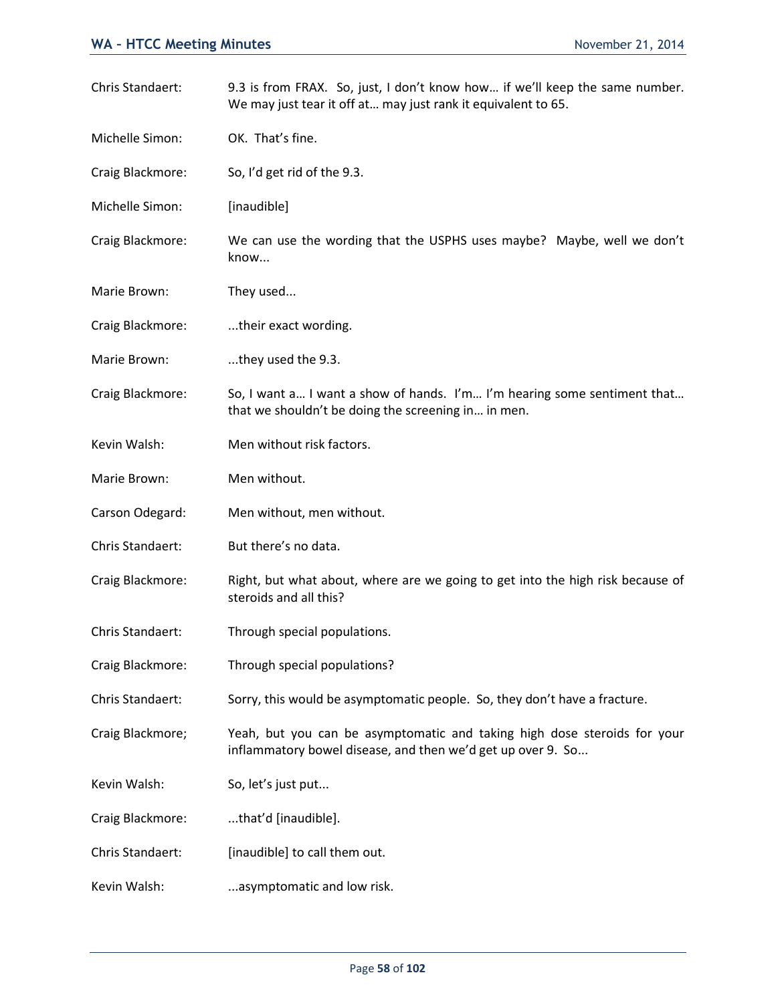| Chris Standaert: | 9.3 is from FRAX. So, just, I don't know how if we'll keep the same number.<br>We may just tear it off at may just rank it equivalent to 65. |
|------------------|----------------------------------------------------------------------------------------------------------------------------------------------|
| Michelle Simon:  | OK. That's fine.                                                                                                                             |
| Craig Blackmore: | So, I'd get rid of the 9.3.                                                                                                                  |
| Michelle Simon:  | [inaudible]                                                                                                                                  |
| Craig Blackmore: | We can use the wording that the USPHS uses maybe? Maybe, well we don't<br>know                                                               |
| Marie Brown:     | They used                                                                                                                                    |
| Craig Blackmore: | their exact wording.                                                                                                                         |
| Marie Brown:     | they used the 9.3.                                                                                                                           |
| Craig Blackmore: | So, I want a I want a show of hands. I'm I'm hearing some sentiment that<br>that we shouldn't be doing the screening in in men.              |
| Kevin Walsh:     | Men without risk factors.                                                                                                                    |
| Marie Brown:     | Men without.                                                                                                                                 |
| Carson Odegard:  | Men without, men without.                                                                                                                    |
| Chris Standaert: | But there's no data.                                                                                                                         |
| Craig Blackmore: | Right, but what about, where are we going to get into the high risk because of<br>steroids and all this?                                     |
| Chris Standaert: | Through special populations.                                                                                                                 |
| Craig Blackmore: | Through special populations?                                                                                                                 |
| Chris Standaert: | Sorry, this would be asymptomatic people. So, they don't have a fracture.                                                                    |
| Craig Blackmore; | Yeah, but you can be asymptomatic and taking high dose steroids for your<br>inflammatory bowel disease, and then we'd get up over 9. So      |
| Kevin Walsh:     | So, let's just put                                                                                                                           |
| Craig Blackmore: | that'd [inaudible].                                                                                                                          |
| Chris Standaert: | [inaudible] to call them out.                                                                                                                |
| Kevin Walsh:     | asymptomatic and low risk.                                                                                                                   |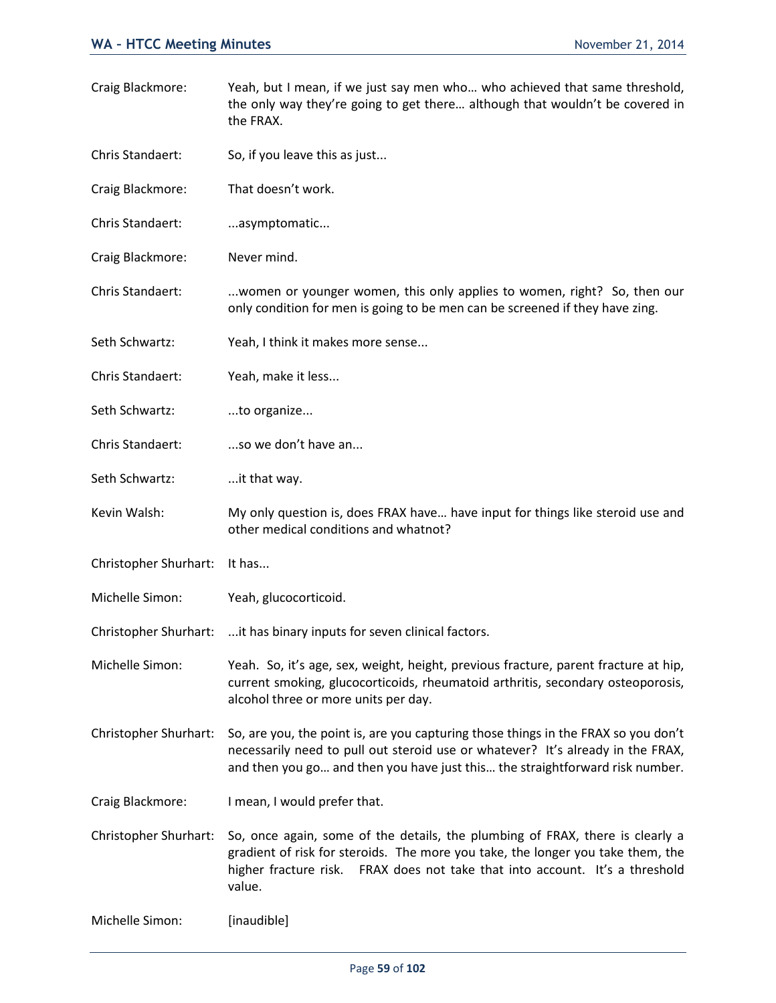- Craig Blackmore: Yeah, but I mean, if we just say men who… who achieved that same threshold, the only way they're going to get there… although that wouldn't be covered in the FRAX.
- Chris Standaert: So, if you leave this as just...
- Craig Blackmore: That doesn't work.
- Chris Standaert: ...asymptomatic...
- Craig Blackmore: Never mind.
- Chris Standaert: ...women or younger women, this only applies to women, right? So, then our only condition for men is going to be men can be screened if they have zing.
- Seth Schwartz: Yeah, I think it makes more sense...
- Chris Standaert: Yeah, make it less...
- Seth Schwartz: ...to organize...
- Chris Standaert: ...so we don't have an...
- Seth Schwartz: ...it that way.
- Kevin Walsh: My only question is, does FRAX have… have input for things like steroid use and other medical conditions and whatnot?
- Christopher Shurhart: It has...
- Michelle Simon: Yeah, glucocorticoid.
- Christopher Shurhart: ...it has binary inputs for seven clinical factors.
- Michelle Simon: Yeah. So, it's age, sex, weight, height, previous fracture, parent fracture at hip, current smoking, glucocorticoids, rheumatoid arthritis, secondary osteoporosis, alcohol three or more units per day.
- Christopher Shurhart: So, are you, the point is, are you capturing those things in the FRAX so you don't necessarily need to pull out steroid use or whatever? It's already in the FRAX, and then you go… and then you have just this… the straightforward risk number.
- Craig Blackmore: I mean, I would prefer that.
- Christopher Shurhart: So, once again, some of the details, the plumbing of FRAX, there is clearly a gradient of risk for steroids. The more you take, the longer you take them, the higher fracture risk. FRAX does not take that into account. It's a threshold value.
- Michelle Simon: [inaudible]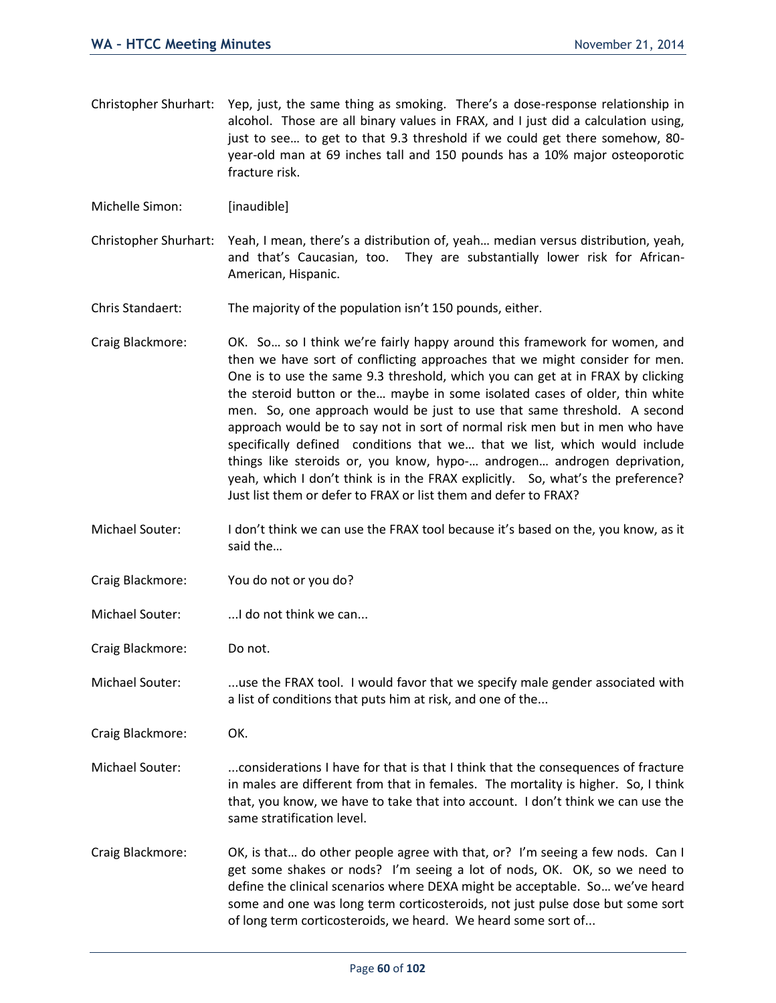- Christopher Shurhart: Yep, just, the same thing as smoking. There's a dose-response relationship in alcohol. Those are all binary values in FRAX, and I just did a calculation using, just to see… to get to that 9.3 threshold if we could get there somehow, 80 year-old man at 69 inches tall and 150 pounds has a 10% major osteoporotic fracture risk.
- Michelle Simon: [inaudible]
- Christopher Shurhart: Yeah, I mean, there's a distribution of, yeah… median versus distribution, yeah, and that's Caucasian, too. They are substantially lower risk for African-American, Hispanic.
- Chris Standaert: The majority of the population isn't 150 pounds, either.
- Craig Blackmore: OK. So… so I think we're fairly happy around this framework for women, and then we have sort of conflicting approaches that we might consider for men. One is to use the same 9.3 threshold, which you can get at in FRAX by clicking the steroid button or the… maybe in some isolated cases of older, thin white men. So, one approach would be just to use that same threshold. A second approach would be to say not in sort of normal risk men but in men who have specifically defined conditions that we… that we list, which would include things like steroids or, you know, hypo-… androgen… androgen deprivation, yeah, which I don't think is in the FRAX explicitly. So, what's the preference? Just list them or defer to FRAX or list them and defer to FRAX?
- Michael Souter: I don't think we can use the FRAX tool because it's based on the, you know, as it said the…
- Craig Blackmore: You do not or you do?
- Michael Souter: ...I do not think we can...

Craig Blackmore: Do not.

Michael Souter: ...use the FRAX tool. I would favor that we specify male gender associated with a list of conditions that puts him at risk, and one of the...

Craig Blackmore: OK.

- Michael Souter: ...considerations I have for that is that I think that the consequences of fracture in males are different from that in females. The mortality is higher. So, I think that, you know, we have to take that into account. I don't think we can use the same stratification level.
- Craig Blackmore: OK, is that… do other people agree with that, or? I'm seeing a few nods. Can I get some shakes or nods? I'm seeing a lot of nods, OK. OK, so we need to define the clinical scenarios where DEXA might be acceptable. So… we've heard some and one was long term corticosteroids, not just pulse dose but some sort of long term corticosteroids, we heard. We heard some sort of...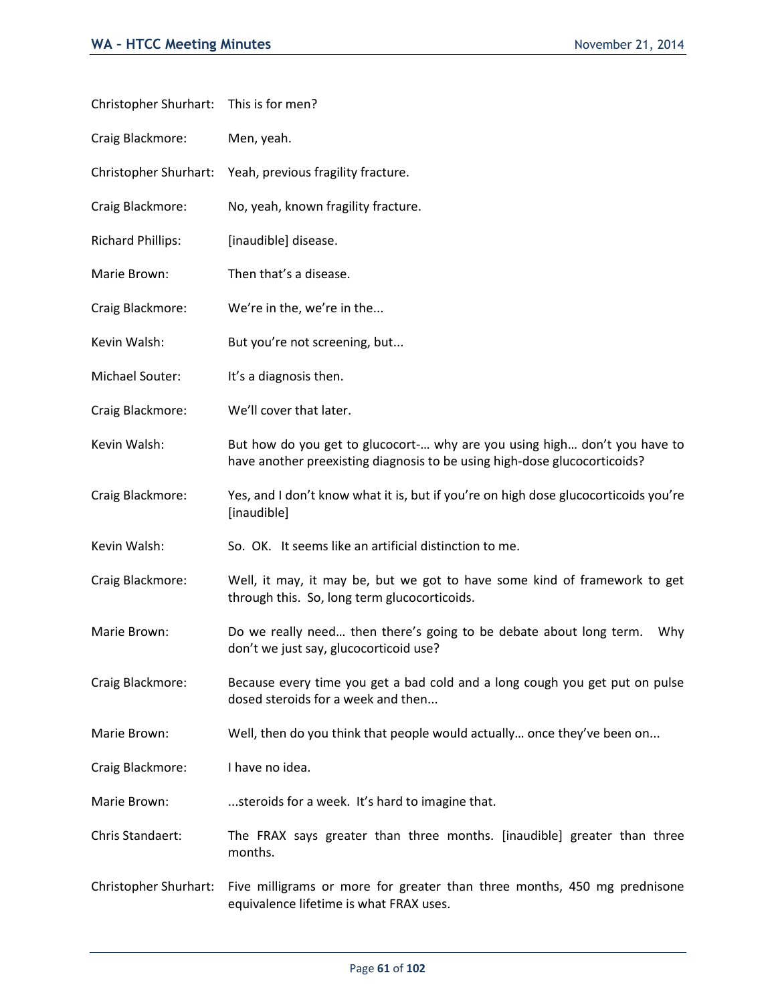| Christopher Shurhart: This is for men? |                                                                                                                                                        |
|----------------------------------------|--------------------------------------------------------------------------------------------------------------------------------------------------------|
| Craig Blackmore:                       | Men, yeah.                                                                                                                                             |
| Christopher Shurhart:                  | Yeah, previous fragility fracture.                                                                                                                     |
| Craig Blackmore:                       | No, yeah, known fragility fracture.                                                                                                                    |
| <b>Richard Phillips:</b>               | [inaudible] disease.                                                                                                                                   |
| Marie Brown:                           | Then that's a disease.                                                                                                                                 |
| Craig Blackmore:                       | We're in the, we're in the                                                                                                                             |
| Kevin Walsh:                           | But you're not screening, but                                                                                                                          |
| Michael Souter:                        | It's a diagnosis then.                                                                                                                                 |
| Craig Blackmore:                       | We'll cover that later.                                                                                                                                |
| Kevin Walsh:                           | But how do you get to glucocort- why are you using high don't you have to<br>have another preexisting diagnosis to be using high-dose glucocorticoids? |
| Craig Blackmore:                       | Yes, and I don't know what it is, but if you're on high dose glucocorticoids you're<br>[inaudible]                                                     |
| Kevin Walsh:                           | So. OK. It seems like an artificial distinction to me.                                                                                                 |
| Craig Blackmore:                       | Well, it may, it may be, but we got to have some kind of framework to get<br>through this. So, long term glucocorticoids.                              |
| Marie Brown:                           | Do we really need then there's going to be debate about long term.<br>Why<br>don't we just say, glucocorticoid use?                                    |
| Craig Blackmore:                       | Because every time you get a bad cold and a long cough you get put on pulse<br>dosed steroids for a week and then                                      |
| Marie Brown:                           | Well, then do you think that people would actually once they've been on                                                                                |
| Craig Blackmore:                       | I have no idea.                                                                                                                                        |
| Marie Brown:                           | steroids for a week. It's hard to imagine that.                                                                                                        |
| Chris Standaert:                       | The FRAX says greater than three months. [inaudible] greater than three<br>months.                                                                     |
| Christopher Shurhart:                  | Five milligrams or more for greater than three months, 450 mg prednisone<br>equivalence lifetime is what FRAX uses.                                    |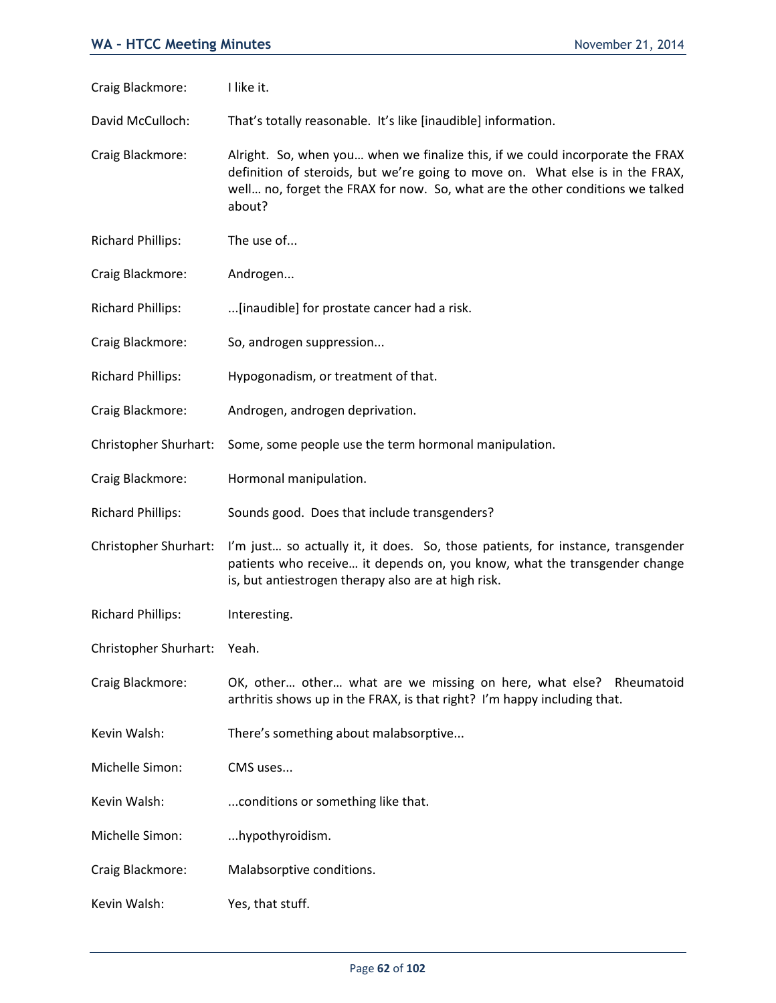| Craig Blackmore:         | I like it.                                                                                                                                                                                                                                                |
|--------------------------|-----------------------------------------------------------------------------------------------------------------------------------------------------------------------------------------------------------------------------------------------------------|
| David McCulloch:         | That's totally reasonable. It's like [inaudible] information.                                                                                                                                                                                             |
| Craig Blackmore:         | Alright. So, when you when we finalize this, if we could incorporate the FRAX<br>definition of steroids, but we're going to move on. What else is in the FRAX,<br>well no, forget the FRAX for now. So, what are the other conditions we talked<br>about? |
| <b>Richard Phillips:</b> | The use of                                                                                                                                                                                                                                                |
| Craig Blackmore:         | Androgen                                                                                                                                                                                                                                                  |
| <b>Richard Phillips:</b> | [inaudible] for prostate cancer had a risk.                                                                                                                                                                                                               |
| Craig Blackmore:         | So, androgen suppression                                                                                                                                                                                                                                  |
| <b>Richard Phillips:</b> | Hypogonadism, or treatment of that.                                                                                                                                                                                                                       |
| Craig Blackmore:         | Androgen, androgen deprivation.                                                                                                                                                                                                                           |
| Christopher Shurhart:    | Some, some people use the term hormonal manipulation.                                                                                                                                                                                                     |
| Craig Blackmore:         | Hormonal manipulation.                                                                                                                                                                                                                                    |
| <b>Richard Phillips:</b> | Sounds good. Does that include transgenders?                                                                                                                                                                                                              |
| Christopher Shurhart:    | I'm just so actually it, it does. So, those patients, for instance, transgender<br>patients who receive it depends on, you know, what the transgender change<br>is, but antiestrogen therapy also are at high risk.                                       |
| <b>Richard Phillips:</b> | Interesting.                                                                                                                                                                                                                                              |
| Christopher Shurhart:    | Yeah.                                                                                                                                                                                                                                                     |
| Craig Blackmore:         | OK, other other what are we missing on here, what else? Rheumatoid<br>arthritis shows up in the FRAX, is that right? I'm happy including that.                                                                                                            |
| Kevin Walsh:             | There's something about malabsorptive                                                                                                                                                                                                                     |
| Michelle Simon:          | CMS uses                                                                                                                                                                                                                                                  |
| Kevin Walsh:             | conditions or something like that.                                                                                                                                                                                                                        |
| Michelle Simon:          | hypothyroidism.                                                                                                                                                                                                                                           |
| Craig Blackmore:         | Malabsorptive conditions.                                                                                                                                                                                                                                 |
| Kevin Walsh:             | Yes, that stuff.                                                                                                                                                                                                                                          |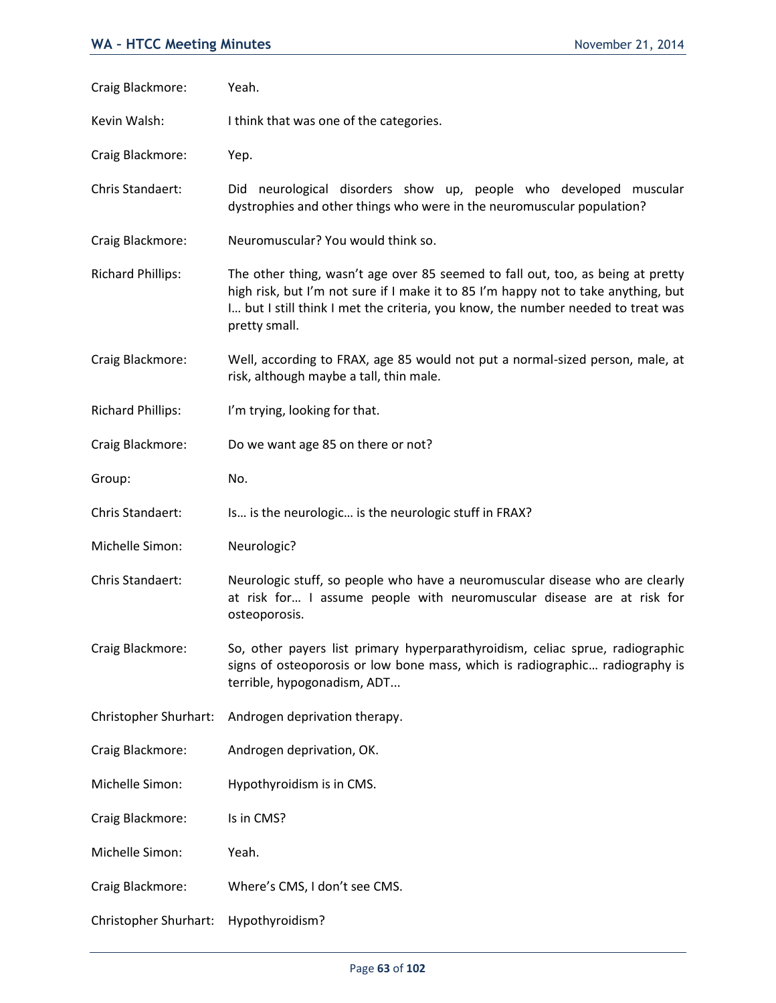| Craig Blackmore:         | Yeah.                                                                                                                                                                                                                                                                      |
|--------------------------|----------------------------------------------------------------------------------------------------------------------------------------------------------------------------------------------------------------------------------------------------------------------------|
| Kevin Walsh:             | I think that was one of the categories.                                                                                                                                                                                                                                    |
| Craig Blackmore:         | Yep.                                                                                                                                                                                                                                                                       |
| Chris Standaert:         | Did neurological disorders show up, people who developed muscular<br>dystrophies and other things who were in the neuromuscular population?                                                                                                                                |
| Craig Blackmore:         | Neuromuscular? You would think so.                                                                                                                                                                                                                                         |
| <b>Richard Phillips:</b> | The other thing, wasn't age over 85 seemed to fall out, too, as being at pretty<br>high risk, but I'm not sure if I make it to 85 I'm happy not to take anything, but<br>I but I still think I met the criteria, you know, the number needed to treat was<br>pretty small. |
| Craig Blackmore:         | Well, according to FRAX, age 85 would not put a normal-sized person, male, at<br>risk, although maybe a tall, thin male.                                                                                                                                                   |
| <b>Richard Phillips:</b> | I'm trying, looking for that.                                                                                                                                                                                                                                              |
| Craig Blackmore:         | Do we want age 85 on there or not?                                                                                                                                                                                                                                         |
| Group:                   | No.                                                                                                                                                                                                                                                                        |
| Chris Standaert:         | Is is the neurologic is the neurologic stuff in FRAX?                                                                                                                                                                                                                      |
| Michelle Simon:          | Neurologic?                                                                                                                                                                                                                                                                |
| Chris Standaert:         | Neurologic stuff, so people who have a neuromuscular disease who are clearly<br>at risk for I assume people with neuromuscular disease are at risk for<br>osteoporosis.                                                                                                    |
| Craig Blackmore:         | So, other payers list primary hyperparathyroidism, celiac sprue, radiographic<br>signs of osteoporosis or low bone mass, which is radiographic radiography is<br>terrible, hypogonadism, ADT                                                                               |
| Christopher Shurhart:    | Androgen deprivation therapy.                                                                                                                                                                                                                                              |
| Craig Blackmore:         | Androgen deprivation, OK.                                                                                                                                                                                                                                                  |
| Michelle Simon:          | Hypothyroidism is in CMS.                                                                                                                                                                                                                                                  |
| Craig Blackmore:         | Is in CMS?                                                                                                                                                                                                                                                                 |
| Michelle Simon:          | Yeah.                                                                                                                                                                                                                                                                      |
| Craig Blackmore:         | Where's CMS, I don't see CMS.                                                                                                                                                                                                                                              |
| Christopher Shurhart:    | Hypothyroidism?                                                                                                                                                                                                                                                            |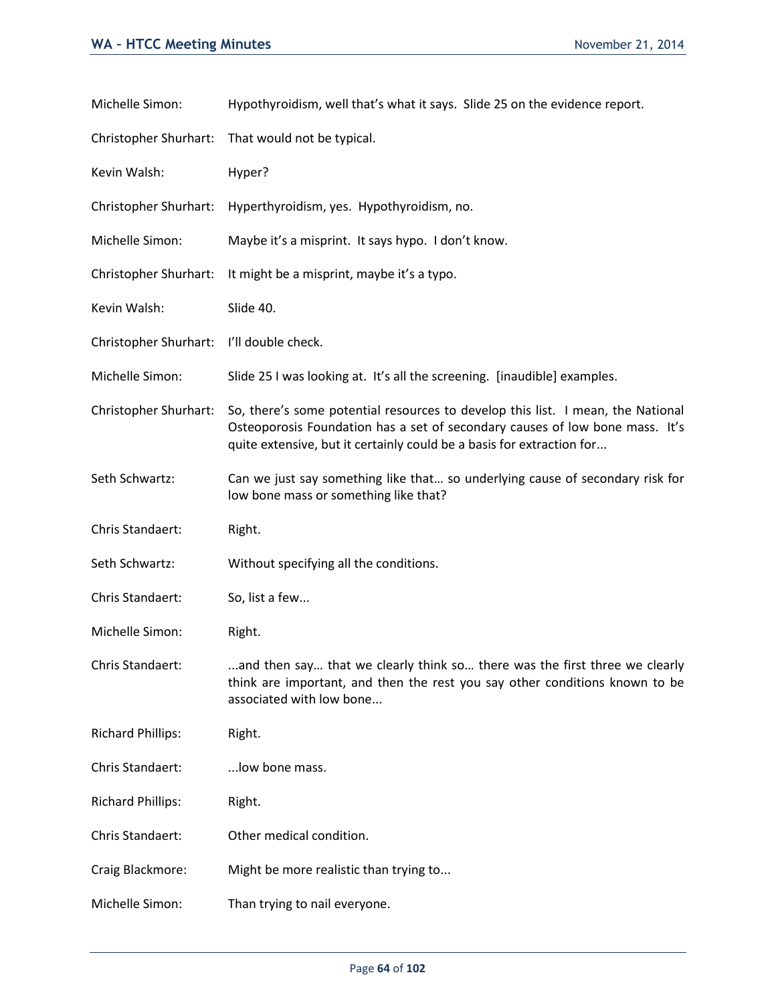| Michelle Simon:          | Hypothyroidism, well that's what it says. Slide 25 on the evidence report.                                                                                                                                                               |
|--------------------------|------------------------------------------------------------------------------------------------------------------------------------------------------------------------------------------------------------------------------------------|
| Christopher Shurhart:    | That would not be typical.                                                                                                                                                                                                               |
| Kevin Walsh:             | Hyper?                                                                                                                                                                                                                                   |
| Christopher Shurhart:    | Hyperthyroidism, yes. Hypothyroidism, no.                                                                                                                                                                                                |
| Michelle Simon:          | Maybe it's a misprint. It says hypo. I don't know.                                                                                                                                                                                       |
| Christopher Shurhart:    | It might be a misprint, maybe it's a typo.                                                                                                                                                                                               |
| Kevin Walsh:             | Slide 40.                                                                                                                                                                                                                                |
| Christopher Shurhart:    | I'll double check.                                                                                                                                                                                                                       |
| Michelle Simon:          | Slide 25 I was looking at. It's all the screening. [inaudible] examples.                                                                                                                                                                 |
| Christopher Shurhart:    | So, there's some potential resources to develop this list. I mean, the National<br>Osteoporosis Foundation has a set of secondary causes of low bone mass. It's<br>quite extensive, but it certainly could be a basis for extraction for |
| Seth Schwartz:           | Can we just say something like that so underlying cause of secondary risk for<br>low bone mass or something like that?                                                                                                                   |
| Chris Standaert:         | Right.                                                                                                                                                                                                                                   |
| Seth Schwartz:           | Without specifying all the conditions.                                                                                                                                                                                                   |
| Chris Standaert:         | So, list a few                                                                                                                                                                                                                           |
| Michelle Simon:          | Right.                                                                                                                                                                                                                                   |
| Chris Standaert:         | and then say that we clearly think so there was the first three we clearly<br>think are important, and then the rest you say other conditions known to be<br>associated with low bone                                                    |
| <b>Richard Phillips:</b> | Right.                                                                                                                                                                                                                                   |
| Chris Standaert:         | low bone mass.                                                                                                                                                                                                                           |
| <b>Richard Phillips:</b> | Right.                                                                                                                                                                                                                                   |
| Chris Standaert:         | Other medical condition.                                                                                                                                                                                                                 |
| Craig Blackmore:         | Might be more realistic than trying to                                                                                                                                                                                                   |
| Michelle Simon:          | Than trying to nail everyone.                                                                                                                                                                                                            |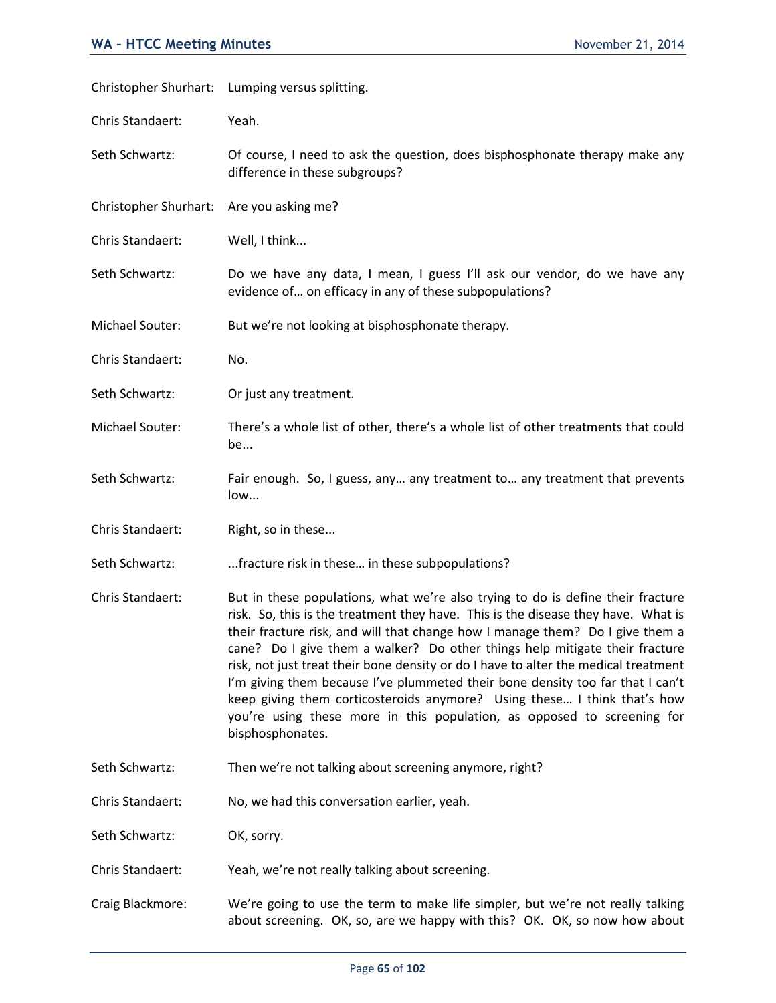|                       | Christopher Shurhart: Lumping versus splitting.                                                                                                                                                                                                                                                                                                                                                                                                                                                                                                                                                                                                                                          |
|-----------------------|------------------------------------------------------------------------------------------------------------------------------------------------------------------------------------------------------------------------------------------------------------------------------------------------------------------------------------------------------------------------------------------------------------------------------------------------------------------------------------------------------------------------------------------------------------------------------------------------------------------------------------------------------------------------------------------|
| Chris Standaert:      | Yeah.                                                                                                                                                                                                                                                                                                                                                                                                                                                                                                                                                                                                                                                                                    |
| Seth Schwartz:        | Of course, I need to ask the question, does bisphosphonate therapy make any<br>difference in these subgroups?                                                                                                                                                                                                                                                                                                                                                                                                                                                                                                                                                                            |
| Christopher Shurhart: | Are you asking me?                                                                                                                                                                                                                                                                                                                                                                                                                                                                                                                                                                                                                                                                       |
| Chris Standaert:      | Well, I think                                                                                                                                                                                                                                                                                                                                                                                                                                                                                                                                                                                                                                                                            |
| Seth Schwartz:        | Do we have any data, I mean, I guess I'll ask our vendor, do we have any<br>evidence of on efficacy in any of these subpopulations?                                                                                                                                                                                                                                                                                                                                                                                                                                                                                                                                                      |
| Michael Souter:       | But we're not looking at bisphosphonate therapy.                                                                                                                                                                                                                                                                                                                                                                                                                                                                                                                                                                                                                                         |
| Chris Standaert:      | No.                                                                                                                                                                                                                                                                                                                                                                                                                                                                                                                                                                                                                                                                                      |
| Seth Schwartz:        | Or just any treatment.                                                                                                                                                                                                                                                                                                                                                                                                                                                                                                                                                                                                                                                                   |
| Michael Souter:       | There's a whole list of other, there's a whole list of other treatments that could<br>be                                                                                                                                                                                                                                                                                                                                                                                                                                                                                                                                                                                                 |
| Seth Schwartz:        | Fair enough. So, I guess, any any treatment to any treatment that prevents<br>low                                                                                                                                                                                                                                                                                                                                                                                                                                                                                                                                                                                                        |
| Chris Standaert:      | Right, so in these                                                                                                                                                                                                                                                                                                                                                                                                                                                                                                                                                                                                                                                                       |
| Seth Schwartz:        | fracture risk in these in these subpopulations?                                                                                                                                                                                                                                                                                                                                                                                                                                                                                                                                                                                                                                          |
| Chris Standaert:      | But in these populations, what we're also trying to do is define their fracture<br>risk. So, this is the treatment they have. This is the disease they have. What is<br>their fracture risk, and will that change how I manage them? Do I give them a<br>cane? Do I give them a walker? Do other things help mitigate their fracture<br>risk, not just treat their bone density or do I have to alter the medical treatment<br>I'm giving them because I've plummeted their bone density too far that I can't<br>keep giving them corticosteroids anymore? Using these I think that's how<br>you're using these more in this population, as opposed to screening for<br>bisphosphonates. |
| Seth Schwartz:        | Then we're not talking about screening anymore, right?                                                                                                                                                                                                                                                                                                                                                                                                                                                                                                                                                                                                                                   |
| Chris Standaert:      | No, we had this conversation earlier, yeah.                                                                                                                                                                                                                                                                                                                                                                                                                                                                                                                                                                                                                                              |
| Seth Schwartz:        | OK, sorry.                                                                                                                                                                                                                                                                                                                                                                                                                                                                                                                                                                                                                                                                               |
| Chris Standaert:      | Yeah, we're not really talking about screening.                                                                                                                                                                                                                                                                                                                                                                                                                                                                                                                                                                                                                                          |
| Craig Blackmore:      | We're going to use the term to make life simpler, but we're not really talking<br>about screening. OK, so, are we happy with this? OK. OK, so now how about                                                                                                                                                                                                                                                                                                                                                                                                                                                                                                                              |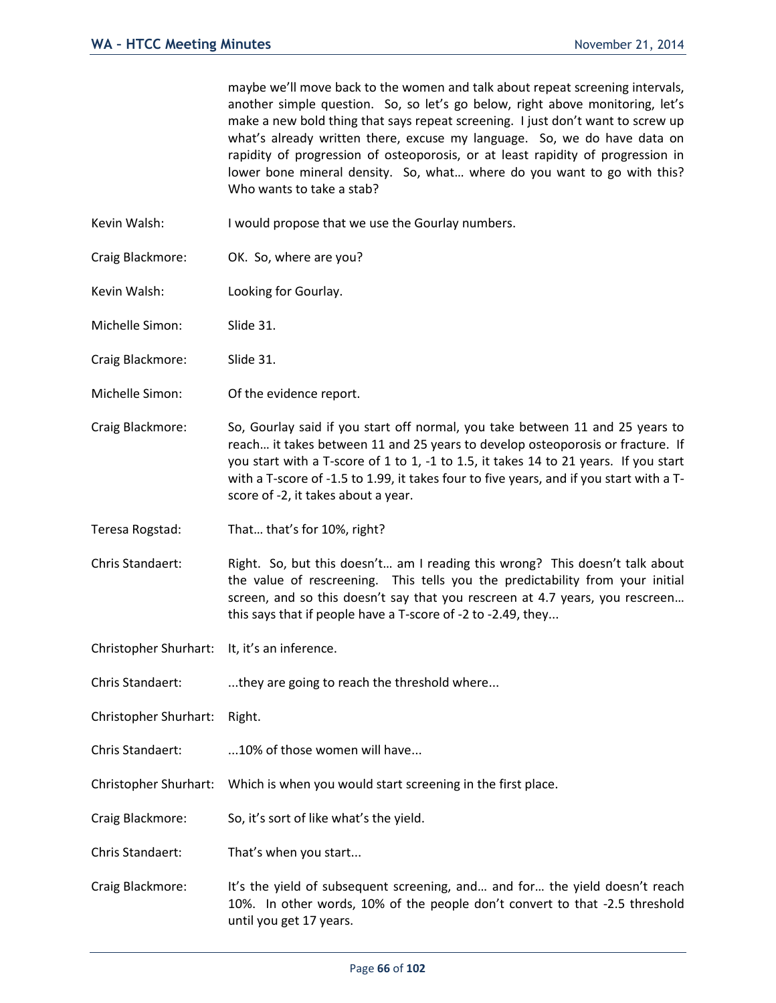maybe we'll move back to the women and talk about repeat screening intervals, another simple question. So, so let's go below, right above monitoring, let's make a new bold thing that says repeat screening. I just don't want to screw up what's already written there, excuse my language. So, we do have data on rapidity of progression of osteoporosis, or at least rapidity of progression in lower bone mineral density. So, what… where do you want to go with this? Who wants to take a stab?

- Kevin Walsh: I would propose that we use the Gourlay numbers.
- Craig Blackmore: OK. So, where are you?
- Kevin Walsh: Looking for Gourlay.

Michelle Simon: Slide 31.

- Craig Blackmore: Slide 31.
- Michelle Simon: Of the evidence report.
- Craig Blackmore: So, Gourlay said if you start off normal, you take between 11 and 25 years to reach… it takes between 11 and 25 years to develop osteoporosis or fracture. If you start with a T-score of 1 to 1, -1 to 1.5, it takes 14 to 21 years. If you start with a T-score of -1.5 to 1.99, it takes four to five years, and if you start with a Tscore of -2, it takes about a year.
- Teresa Rogstad: That… that's for 10%, right?
- Chris Standaert: Right. So, but this doesn't… am I reading this wrong? This doesn't talk about the value of rescreening. This tells you the predictability from your initial screen, and so this doesn't say that you rescreen at 4.7 years, you rescreen… this says that if people have a T-score of -2 to -2.49, they...
- Christopher Shurhart: It, it's an inference.
- Chris Standaert: ....they are going to reach the threshold where...
- Christopher Shurhart: Right.
- Chris Standaert: ...10% of those women will have...
- Christopher Shurhart: Which is when you would start screening in the first place.
- Craig Blackmore: So, it's sort of like what's the yield.
- Chris Standaert: That's when you start...
- Craig Blackmore: It's the yield of subsequent screening, and… and for… the yield doesn't reach 10%. In other words, 10% of the people don't convert to that -2.5 threshold until you get 17 years.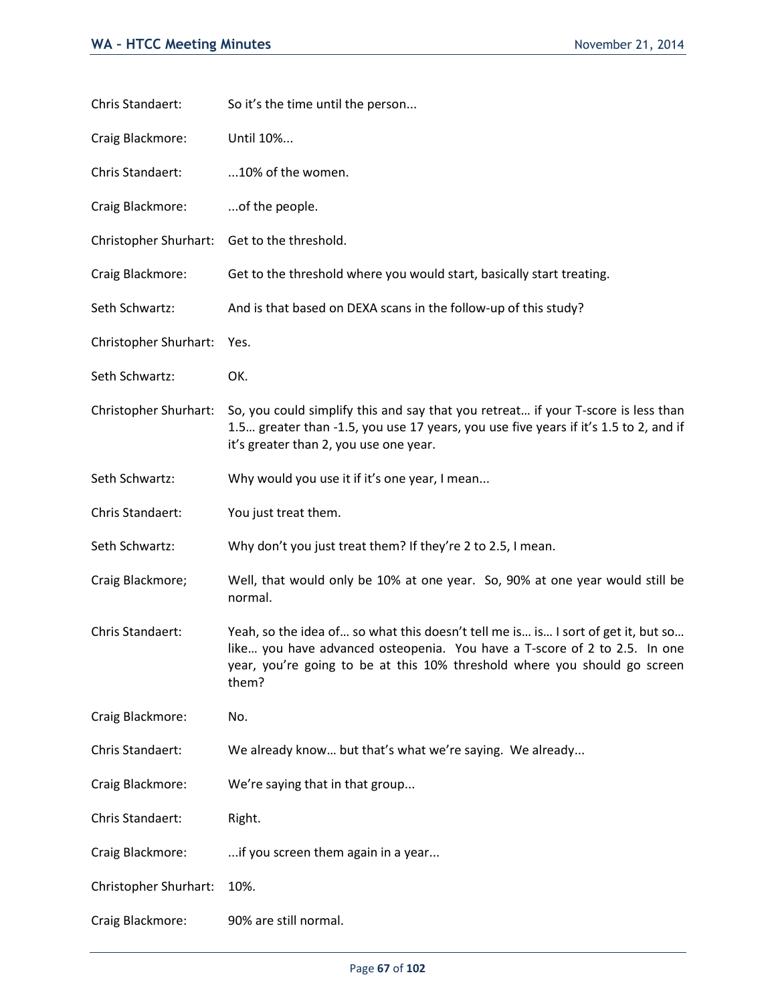| Chris Standaert:      | So it's the time until the person                                                                                                                                                                                                                   |
|-----------------------|-----------------------------------------------------------------------------------------------------------------------------------------------------------------------------------------------------------------------------------------------------|
| Craig Blackmore:      | Until 10%                                                                                                                                                                                                                                           |
| Chris Standaert:      | 10% of the women.                                                                                                                                                                                                                                   |
| Craig Blackmore:      | of the people.                                                                                                                                                                                                                                      |
| Christopher Shurhart: | Get to the threshold.                                                                                                                                                                                                                               |
| Craig Blackmore:      | Get to the threshold where you would start, basically start treating.                                                                                                                                                                               |
| Seth Schwartz:        | And is that based on DEXA scans in the follow-up of this study?                                                                                                                                                                                     |
| Christopher Shurhart: | Yes.                                                                                                                                                                                                                                                |
| Seth Schwartz:        | OK.                                                                                                                                                                                                                                                 |
| Christopher Shurhart: | So, you could simplify this and say that you retreat if your T-score is less than<br>1.5 greater than -1.5, you use 17 years, you use five years if it's 1.5 to 2, and if<br>it's greater than 2, you use one year.                                 |
| Seth Schwartz:        | Why would you use it if it's one year, I mean                                                                                                                                                                                                       |
| Chris Standaert:      | You just treat them.                                                                                                                                                                                                                                |
| Seth Schwartz:        | Why don't you just treat them? If they're 2 to 2.5, I mean.                                                                                                                                                                                         |
| Craig Blackmore;      | Well, that would only be 10% at one year. So, 90% at one year would still be<br>normal.                                                                                                                                                             |
| Chris Standaert:      | Yeah, so the idea of so what this doesn't tell me is is I sort of get it, but so<br>like you have advanced osteopenia. You have a T-score of 2 to 2.5. In one<br>year, you're going to be at this 10% threshold where you should go screen<br>them? |
| Craig Blackmore:      | No.                                                                                                                                                                                                                                                 |
| Chris Standaert:      | We already know but that's what we're saying. We already                                                                                                                                                                                            |
| Craig Blackmore:      | We're saying that in that group                                                                                                                                                                                                                     |
| Chris Standaert:      | Right.                                                                                                                                                                                                                                              |
| Craig Blackmore:      | if you screen them again in a year                                                                                                                                                                                                                  |
| Christopher Shurhart: | 10%.                                                                                                                                                                                                                                                |
| Craig Blackmore:      | 90% are still normal.                                                                                                                                                                                                                               |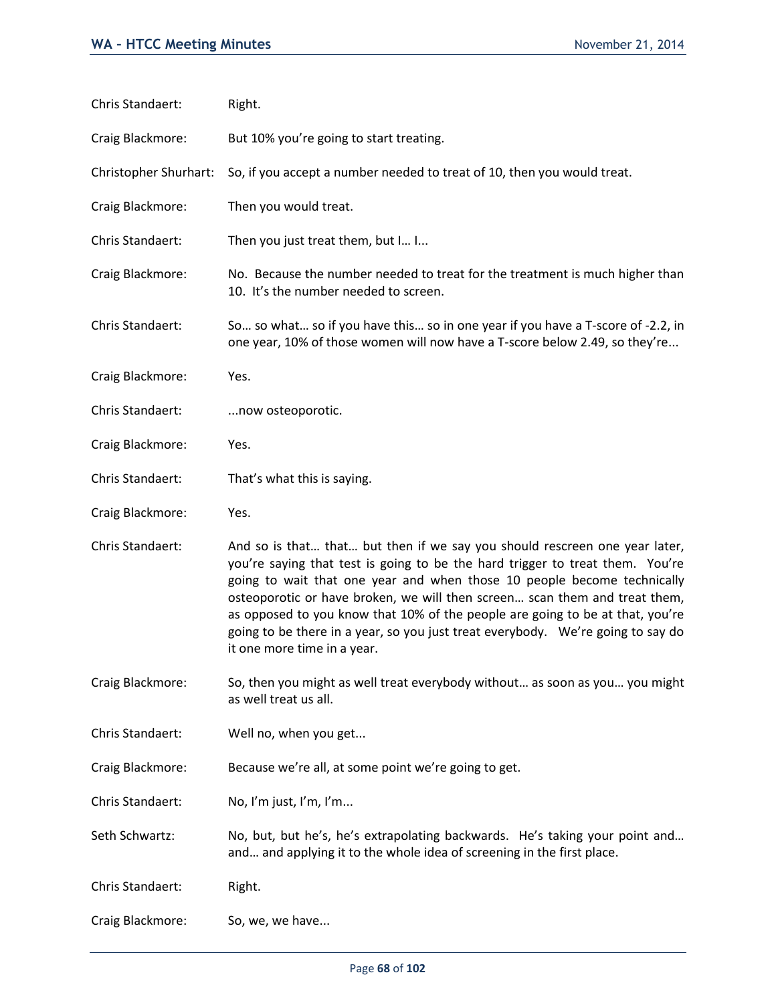| Chris Standaert:      | Right.                                                                                                                                                                                                                                                                                                                                                                                                                                                                                                                  |
|-----------------------|-------------------------------------------------------------------------------------------------------------------------------------------------------------------------------------------------------------------------------------------------------------------------------------------------------------------------------------------------------------------------------------------------------------------------------------------------------------------------------------------------------------------------|
| Craig Blackmore:      | But 10% you're going to start treating.                                                                                                                                                                                                                                                                                                                                                                                                                                                                                 |
| Christopher Shurhart: | So, if you accept a number needed to treat of 10, then you would treat.                                                                                                                                                                                                                                                                                                                                                                                                                                                 |
| Craig Blackmore:      | Then you would treat.                                                                                                                                                                                                                                                                                                                                                                                                                                                                                                   |
| Chris Standaert:      | Then you just treat them, but I I                                                                                                                                                                                                                                                                                                                                                                                                                                                                                       |
| Craig Blackmore:      | No. Because the number needed to treat for the treatment is much higher than<br>10. It's the number needed to screen.                                                                                                                                                                                                                                                                                                                                                                                                   |
| Chris Standaert:      | So so what so if you have this so in one year if you have a T-score of -2.2, in<br>one year, 10% of those women will now have a T-score below 2.49, so they're                                                                                                                                                                                                                                                                                                                                                          |
| Craig Blackmore:      | Yes.                                                                                                                                                                                                                                                                                                                                                                                                                                                                                                                    |
| Chris Standaert:      | now osteoporotic.                                                                                                                                                                                                                                                                                                                                                                                                                                                                                                       |
| Craig Blackmore:      | Yes.                                                                                                                                                                                                                                                                                                                                                                                                                                                                                                                    |
| Chris Standaert:      | That's what this is saying.                                                                                                                                                                                                                                                                                                                                                                                                                                                                                             |
| Craig Blackmore:      | Yes.                                                                                                                                                                                                                                                                                                                                                                                                                                                                                                                    |
| Chris Standaert:      | And so is that that but then if we say you should rescreen one year later,<br>you're saying that test is going to be the hard trigger to treat them. You're<br>going to wait that one year and when those 10 people become technically<br>osteoporotic or have broken, we will then screen scan them and treat them,<br>as opposed to you know that 10% of the people are going to be at that, you're<br>going to be there in a year, so you just treat everybody. We're going to say do<br>it one more time in a year. |
| Craig Blackmore:      | So, then you might as well treat everybody without as soon as you you might<br>as well treat us all.                                                                                                                                                                                                                                                                                                                                                                                                                    |
| Chris Standaert:      | Well no, when you get                                                                                                                                                                                                                                                                                                                                                                                                                                                                                                   |
| Craig Blackmore:      | Because we're all, at some point we're going to get.                                                                                                                                                                                                                                                                                                                                                                                                                                                                    |
| Chris Standaert:      | No, I'm just, I'm, I'm                                                                                                                                                                                                                                                                                                                                                                                                                                                                                                  |
| Seth Schwartz:        | No, but, but he's, he's extrapolating backwards. He's taking your point and<br>and and applying it to the whole idea of screening in the first place.                                                                                                                                                                                                                                                                                                                                                                   |
| Chris Standaert:      | Right.                                                                                                                                                                                                                                                                                                                                                                                                                                                                                                                  |
| Craig Blackmore:      | So, we, we have                                                                                                                                                                                                                                                                                                                                                                                                                                                                                                         |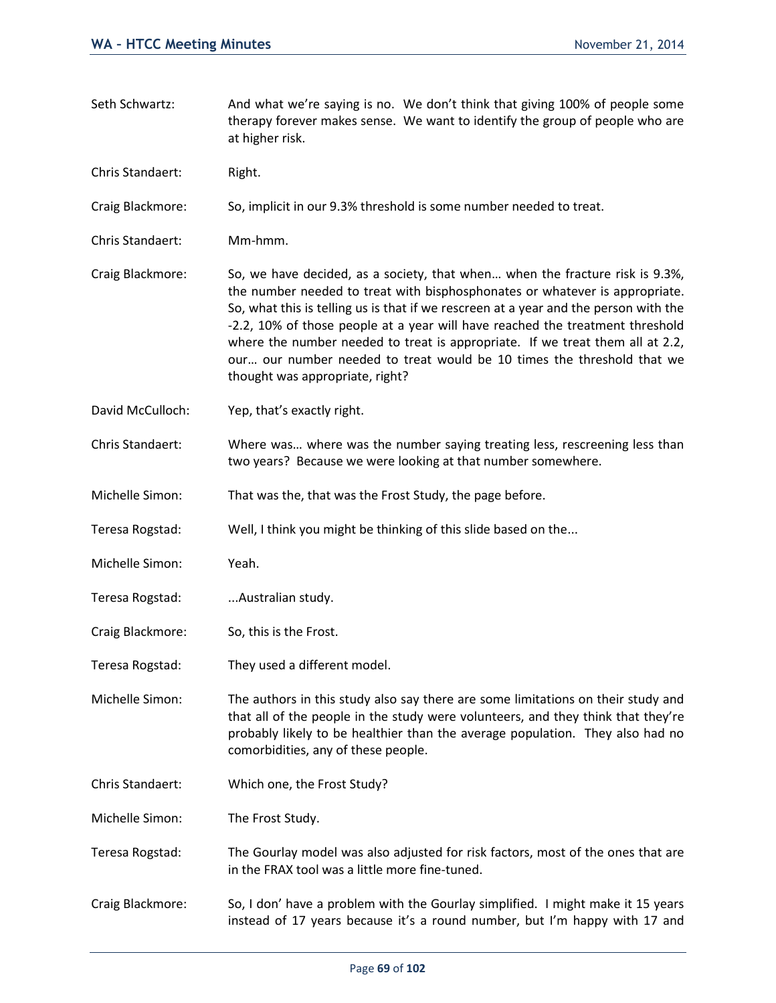- Seth Schwartz: And what we're saying is no. We don't think that giving 100% of people some therapy forever makes sense. We want to identify the group of people who are at higher risk.
- Chris Standaert: Right.

Craig Blackmore: So, implicit in our 9.3% threshold is some number needed to treat.

- Chris Standaert: Mm-hmm.
- Craig Blackmore: So, we have decided, as a society, that when… when the fracture risk is 9.3%, the number needed to treat with bisphosphonates or whatever is appropriate. So, what this is telling us is that if we rescreen at a year and the person with the -2.2, 10% of those people at a year will have reached the treatment threshold where the number needed to treat is appropriate. If we treat them all at 2.2, our… our number needed to treat would be 10 times the threshold that we thought was appropriate, right?
- David McCulloch: Yep, that's exactly right.
- Chris Standaert: Where was… where was the number saying treating less, rescreening less than two years? Because we were looking at that number somewhere.
- Michelle Simon: That was the, that was the Frost Study, the page before.
- Teresa Rogstad: Well, I think you might be thinking of this slide based on the...
- Michelle Simon: Yeah.
- Teresa Rogstad: ...Australian study.
- Craig Blackmore: So, this is the Frost.
- Teresa Rogstad: They used a different model.

Michelle Simon: The authors in this study also say there are some limitations on their study and that all of the people in the study were volunteers, and they think that they're probably likely to be healthier than the average population. They also had no comorbidities, any of these people.

- Chris Standaert: Which one, the Frost Study?
- Michelle Simon: The Frost Study.
- Teresa Rogstad: The Gourlay model was also adjusted for risk factors, most of the ones that are in the FRAX tool was a little more fine-tuned.
- Craig Blackmore: So, I don' have a problem with the Gourlay simplified. I might make it 15 years instead of 17 years because it's a round number, but I'm happy with 17 and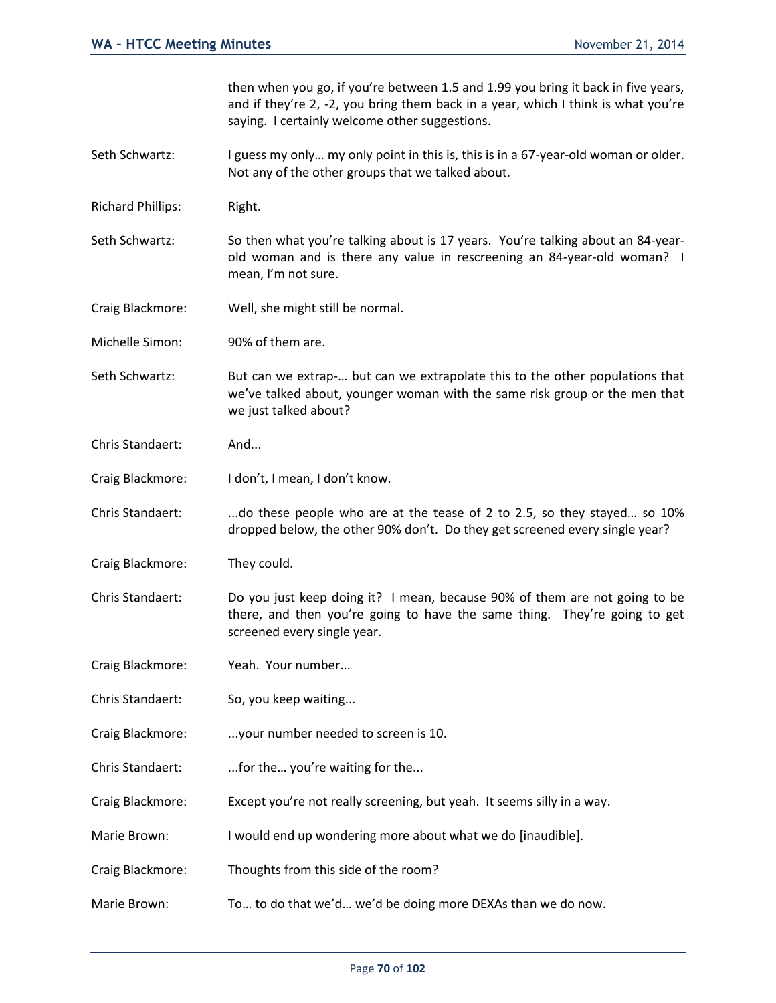then when you go, if you're between 1.5 and 1.99 you bring it back in five years, and if they're 2, -2, you bring them back in a year, which I think is what you're saying. I certainly welcome other suggestions.

- Seth Schwartz: I guess my only... my only point in this is, this is in a 67-year-old woman or older. Not any of the other groups that we talked about.
- Richard Phillips: Right.
- Seth Schwartz: So then what you're talking about is 17 years. You're talking about an 84-yearold woman and is there any value in rescreening an 84-year-old woman? I mean, I'm not sure.
- Craig Blackmore: Well, she might still be normal.
- Michelle Simon: 90% of them are.
- Seth Schwartz: But can we extrap-… but can we extrapolate this to the other populations that we've talked about, younger woman with the same risk group or the men that we just talked about?
- Chris Standaert: And...
- Craig Blackmore: I don't, I mean, I don't know.
- Chris Standaert: ...do these people who are at the tease of 2 to 2.5, so they stayed... so 10% dropped below, the other 90% don't. Do they get screened every single year?
- Craig Blackmore: They could.
- Chris Standaert: Do you just keep doing it? I mean, because 90% of them are not going to be there, and then you're going to have the same thing. They're going to get screened every single year.
- Craig Blackmore: Yeah. Your number...
- Chris Standaert: So, you keep waiting...
- Craig Blackmore: ...your number needed to screen is 10.
- Chris Standaert: ...for the… you're waiting for the...
- Craig Blackmore: Except you're not really screening, but yeah. It seems silly in a way.
- Marie Brown: I would end up wondering more about what we do [inaudible].
- Craig Blackmore: Thoughts from this side of the room?
- Marie Brown: To… to do that we'd… we'd be doing more DEXAs than we do now.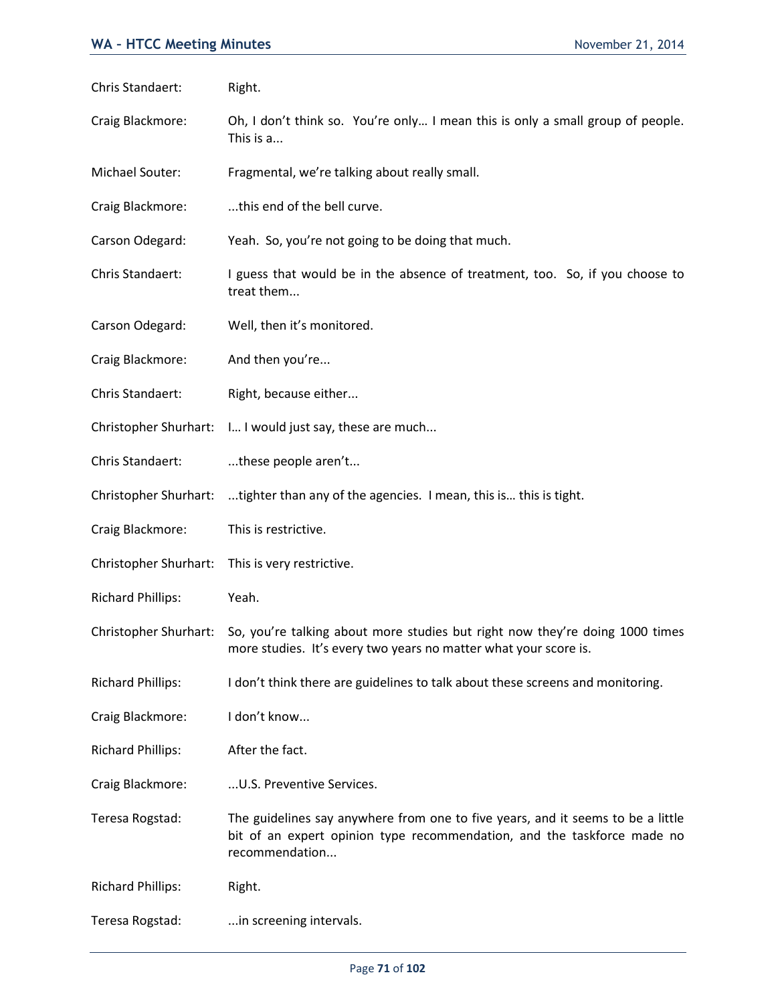| Chris Standaert:             | Right.                                                                                                                                                                       |
|------------------------------|------------------------------------------------------------------------------------------------------------------------------------------------------------------------------|
| Craig Blackmore:             | Oh, I don't think so. You're only I mean this is only a small group of people.<br>This is a                                                                                  |
| Michael Souter:              | Fragmental, we're talking about really small.                                                                                                                                |
| Craig Blackmore:             | this end of the bell curve.                                                                                                                                                  |
| Carson Odegard:              | Yeah. So, you're not going to be doing that much.                                                                                                                            |
| Chris Standaert:             | I guess that would be in the absence of treatment, too. So, if you choose to<br>treat them                                                                                   |
| Carson Odegard:              | Well, then it's monitored.                                                                                                                                                   |
| Craig Blackmore:             | And then you're                                                                                                                                                              |
| Chris Standaert:             | Right, because either                                                                                                                                                        |
| Christopher Shurhart:        | I I would just say, these are much                                                                                                                                           |
| Chris Standaert:             | these people aren't                                                                                                                                                          |
| Christopher Shurhart:        | tighter than any of the agencies. I mean, this is this is tight.                                                                                                             |
| Craig Blackmore:             | This is restrictive.                                                                                                                                                         |
| Christopher Shurhart:        | This is very restrictive.                                                                                                                                                    |
| <b>Richard Phillips:</b>     | Yeah.                                                                                                                                                                        |
| <b>Christopher Shurhart:</b> | So, you're talking about more studies but right now they're doing 1000 times<br>more studies. It's every two years no matter what your score is.                             |
| <b>Richard Phillips:</b>     | I don't think there are guidelines to talk about these screens and monitoring.                                                                                               |
| Craig Blackmore:             | I don't know                                                                                                                                                                 |
| <b>Richard Phillips:</b>     | After the fact.                                                                                                                                                              |
| Craig Blackmore:             | U.S. Preventive Services.                                                                                                                                                    |
| Teresa Rogstad:              | The guidelines say anywhere from one to five years, and it seems to be a little<br>bit of an expert opinion type recommendation, and the taskforce made no<br>recommendation |
| <b>Richard Phillips:</b>     | Right.                                                                                                                                                                       |
| Teresa Rogstad:              | in screening intervals.                                                                                                                                                      |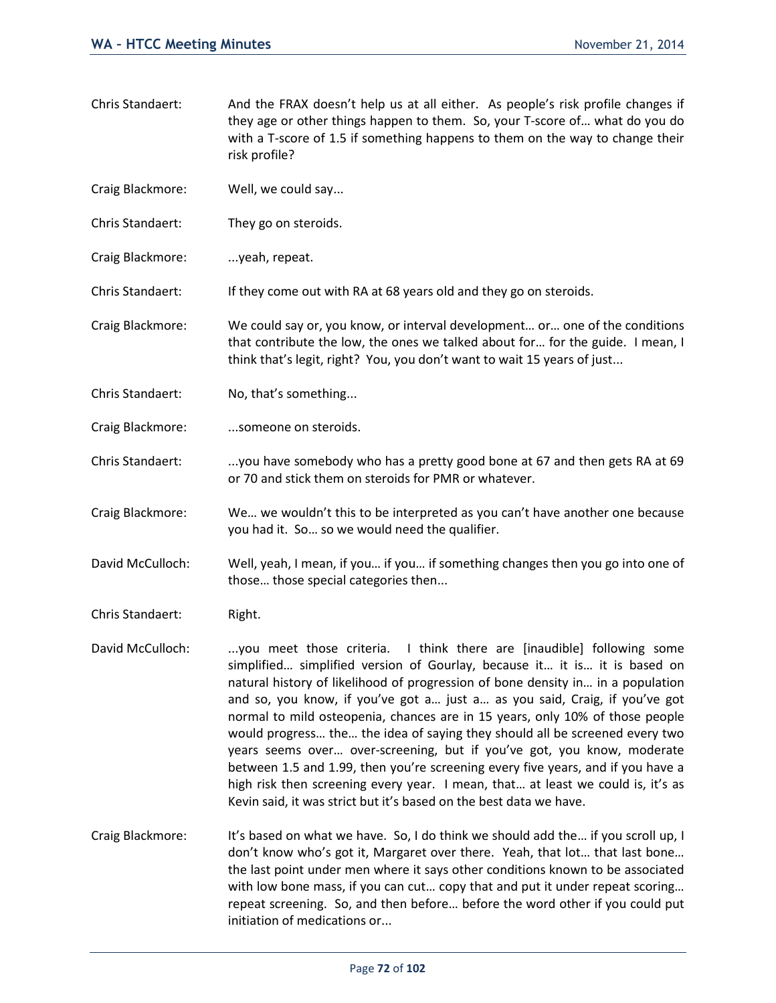- Chris Standaert: And the FRAX doesn't help us at all either. As people's risk profile changes if they age or other things happen to them. So, your T-score of… what do you do with a T-score of 1.5 if something happens to them on the way to change their risk profile?
- Craig Blackmore: Well, we could say...
- Chris Standaert: They go on steroids.
- Craig Blackmore: ... yeah, repeat.

Chris Standaert: If they come out with RA at 68 years old and they go on steroids.

- Craig Blackmore: We could say or, you know, or interval development… or… one of the conditions that contribute the low, the ones we talked about for… for the guide. I mean, I think that's legit, right? You, you don't want to wait 15 years of just...
- Chris Standaert: No, that's something...
- Craig Blackmore: ....someone on steroids.
- Chris Standaert: ....you have somebody who has a pretty good bone at 67 and then gets RA at 69 or 70 and stick them on steroids for PMR or whatever.
- Craig Blackmore: We… we wouldn't this to be interpreted as you can't have another one because you had it. So… so we would need the qualifier.
- David McCulloch: Well, yeah, I mean, if you… if you… if something changes then you go into one of those… those special categories then...
- Chris Standaert: Right.
- David McCulloch: ...you meet those criteria. I think there are [inaudible] following some simplified… simplified version of Gourlay, because it… it is… it is based on natural history of likelihood of progression of bone density in… in a population and so, you know, if you've got a… just a… as you said, Craig, if you've got normal to mild osteopenia, chances are in 15 years, only 10% of those people would progress… the… the idea of saying they should all be screened every two years seems over… over-screening, but if you've got, you know, moderate between 1.5 and 1.99, then you're screening every five years, and if you have a high risk then screening every year. I mean, that… at least we could is, it's as Kevin said, it was strict but it's based on the best data we have.
- Craig Blackmore: It's based on what we have. So, I do think we should add the… if you scroll up, I don't know who's got it, Margaret over there. Yeah, that lot… that last bone… the last point under men where it says other conditions known to be associated with low bone mass, if you can cut... copy that and put it under repeat scoring... repeat screening. So, and then before… before the word other if you could put initiation of medications or...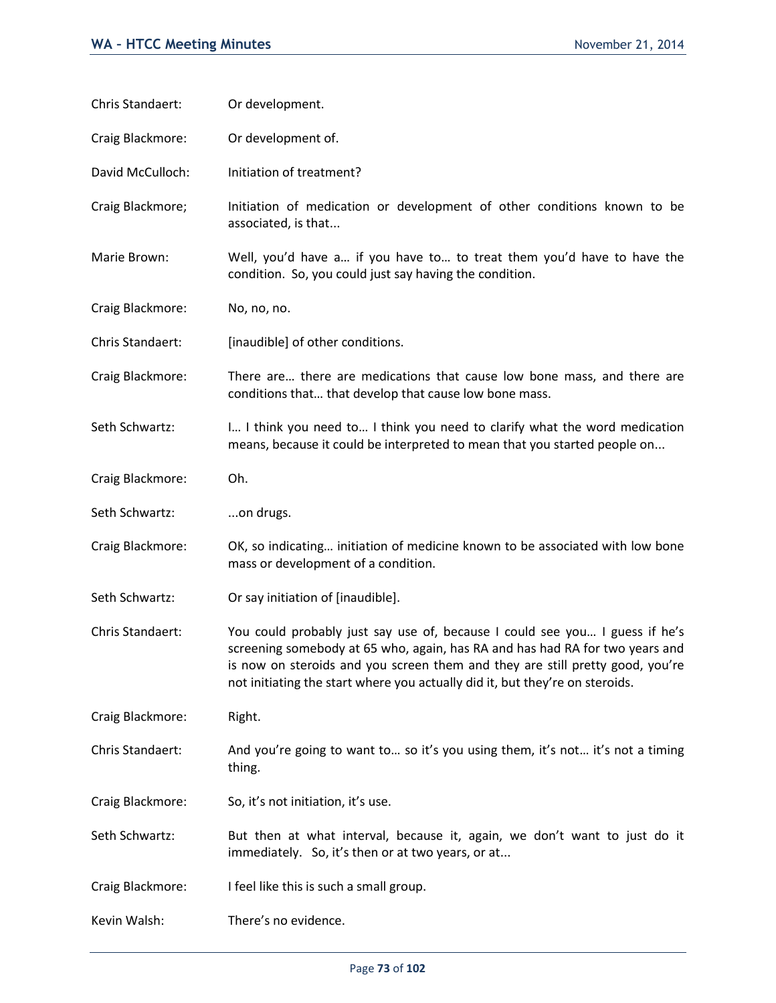| Chris Standaert: | Or development.                                                                                                                                                                                                                                                                                                              |
|------------------|------------------------------------------------------------------------------------------------------------------------------------------------------------------------------------------------------------------------------------------------------------------------------------------------------------------------------|
| Craig Blackmore: | Or development of.                                                                                                                                                                                                                                                                                                           |
| David McCulloch: | Initiation of treatment?                                                                                                                                                                                                                                                                                                     |
| Craig Blackmore; | Initiation of medication or development of other conditions known to be<br>associated, is that                                                                                                                                                                                                                               |
| Marie Brown:     | Well, you'd have a if you have to to treat them you'd have to have the<br>condition. So, you could just say having the condition.                                                                                                                                                                                            |
| Craig Blackmore: | No, no, no.                                                                                                                                                                                                                                                                                                                  |
| Chris Standaert: | [inaudible] of other conditions.                                                                                                                                                                                                                                                                                             |
| Craig Blackmore: | There are there are medications that cause low bone mass, and there are<br>conditions that that develop that cause low bone mass.                                                                                                                                                                                            |
| Seth Schwartz:   | I I think you need to I think you need to clarify what the word medication<br>means, because it could be interpreted to mean that you started people on                                                                                                                                                                      |
| Craig Blackmore: | Oh.                                                                                                                                                                                                                                                                                                                          |
| Seth Schwartz:   | on drugs.                                                                                                                                                                                                                                                                                                                    |
| Craig Blackmore: | OK, so indicating initiation of medicine known to be associated with low bone<br>mass or development of a condition.                                                                                                                                                                                                         |
| Seth Schwartz:   | Or say initiation of [inaudible].                                                                                                                                                                                                                                                                                            |
| Chris Standaert: | You could probably just say use of, because I could see you I guess if he's<br>screening somebody at 65 who, again, has RA and has had RA for two years and<br>is now on steroids and you screen them and they are still pretty good, you're<br>not initiating the start where you actually did it, but they're on steroids. |
| Craig Blackmore: | Right.                                                                                                                                                                                                                                                                                                                       |
| Chris Standaert: | And you're going to want to so it's you using them, it's not it's not a timing<br>thing.                                                                                                                                                                                                                                     |
| Craig Blackmore: | So, it's not initiation, it's use.                                                                                                                                                                                                                                                                                           |
| Seth Schwartz:   | But then at what interval, because it, again, we don't want to just do it<br>immediately. So, it's then or at two years, or at                                                                                                                                                                                               |
| Craig Blackmore: | I feel like this is such a small group.                                                                                                                                                                                                                                                                                      |
| Kevin Walsh:     | There's no evidence.                                                                                                                                                                                                                                                                                                         |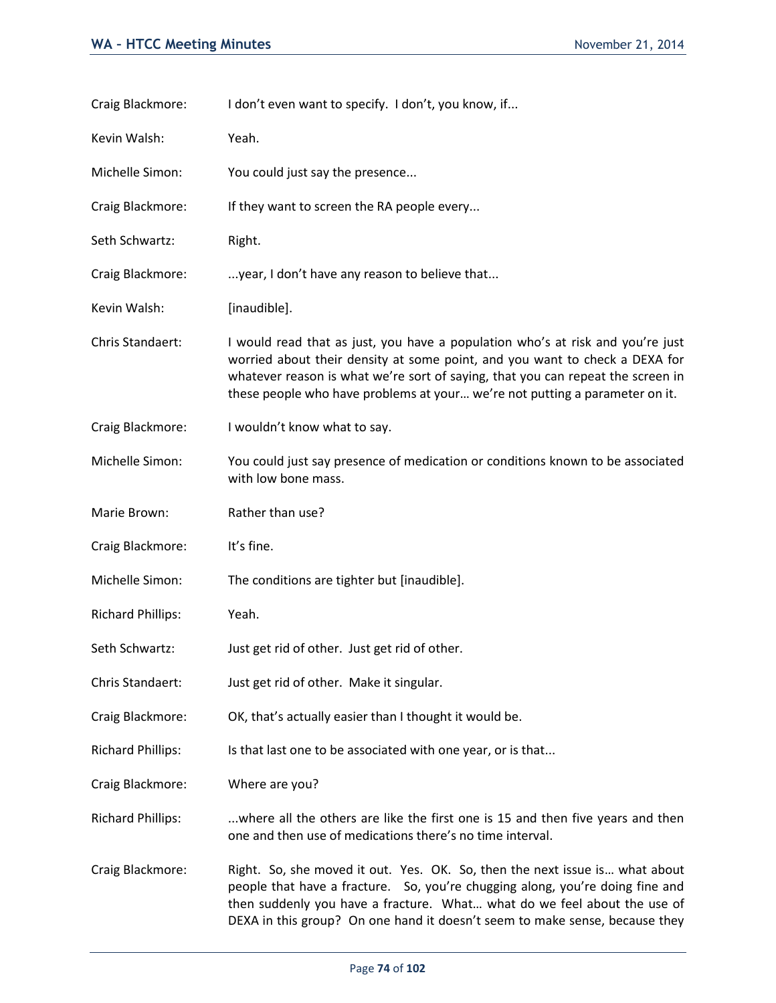| Craig Blackmore:         | I don't even want to specify. I don't, you know, if                                                                                                                                                                                                                                                                             |
|--------------------------|---------------------------------------------------------------------------------------------------------------------------------------------------------------------------------------------------------------------------------------------------------------------------------------------------------------------------------|
| Kevin Walsh:             | Yeah.                                                                                                                                                                                                                                                                                                                           |
| Michelle Simon:          | You could just say the presence                                                                                                                                                                                                                                                                                                 |
| Craig Blackmore:         | If they want to screen the RA people every                                                                                                                                                                                                                                                                                      |
| Seth Schwartz:           | Right.                                                                                                                                                                                                                                                                                                                          |
| Craig Blackmore:         | year, I don't have any reason to believe that                                                                                                                                                                                                                                                                                   |
| Kevin Walsh:             | [inaudible].                                                                                                                                                                                                                                                                                                                    |
| Chris Standaert:         | I would read that as just, you have a population who's at risk and you're just<br>worried about their density at some point, and you want to check a DEXA for<br>whatever reason is what we're sort of saying, that you can repeat the screen in<br>these people who have problems at your we're not putting a parameter on it. |
| Craig Blackmore:         | I wouldn't know what to say.                                                                                                                                                                                                                                                                                                    |
| Michelle Simon:          | You could just say presence of medication or conditions known to be associated<br>with low bone mass.                                                                                                                                                                                                                           |
| Marie Brown:             | Rather than use?                                                                                                                                                                                                                                                                                                                |
| Craig Blackmore:         | It's fine.                                                                                                                                                                                                                                                                                                                      |
| Michelle Simon:          | The conditions are tighter but [inaudible].                                                                                                                                                                                                                                                                                     |
| <b>Richard Phillips:</b> | Yeah.                                                                                                                                                                                                                                                                                                                           |
| Seth Schwartz:           | Just get rid of other. Just get rid of other.                                                                                                                                                                                                                                                                                   |
| Chris Standaert:         | Just get rid of other. Make it singular.                                                                                                                                                                                                                                                                                        |
| Craig Blackmore:         | OK, that's actually easier than I thought it would be.                                                                                                                                                                                                                                                                          |
| <b>Richard Phillips:</b> | Is that last one to be associated with one year, or is that                                                                                                                                                                                                                                                                     |
| Craig Blackmore:         | Where are you?                                                                                                                                                                                                                                                                                                                  |
| <b>Richard Phillips:</b> | where all the others are like the first one is 15 and then five years and then<br>one and then use of medications there's no time interval.                                                                                                                                                                                     |
| Craig Blackmore:         | Right. So, she moved it out. Yes. OK. So, then the next issue is what about<br>people that have a fracture. So, you're chugging along, you're doing fine and<br>then suddenly you have a fracture. What what do we feel about the use of<br>DEXA in this group? On one hand it doesn't seem to make sense, because they         |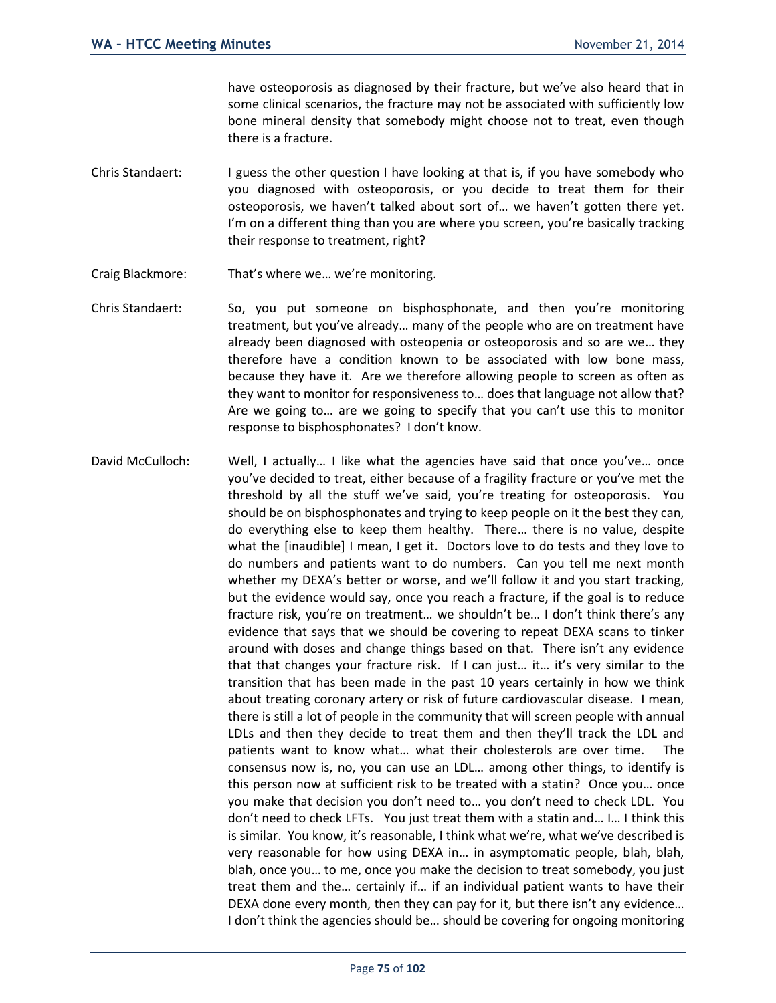have osteoporosis as diagnosed by their fracture, but we've also heard that in some clinical scenarios, the fracture may not be associated with sufficiently low bone mineral density that somebody might choose not to treat, even though there is a fracture.

- Chris Standaert: I guess the other question I have looking at that is, if you have somebody who you diagnosed with osteoporosis, or you decide to treat them for their osteoporosis, we haven't talked about sort of… we haven't gotten there yet. I'm on a different thing than you are where you screen, you're basically tracking their response to treatment, right?
- Craig Blackmore: That's where we… we're monitoring.
- Chris Standaert: So, you put someone on bisphosphonate, and then you're monitoring treatment, but you've already… many of the people who are on treatment have already been diagnosed with osteopenia or osteoporosis and so are we… they therefore have a condition known to be associated with low bone mass, because they have it. Are we therefore allowing people to screen as often as they want to monitor for responsiveness to… does that language not allow that? Are we going to… are we going to specify that you can't use this to monitor response to bisphosphonates? I don't know.
- David McCulloch: Well, I actually… I like what the agencies have said that once you've… once you've decided to treat, either because of a fragility fracture or you've met the threshold by all the stuff we've said, you're treating for osteoporosis. You should be on bisphosphonates and trying to keep people on it the best they can, do everything else to keep them healthy. There… there is no value, despite what the [inaudible] I mean, I get it. Doctors love to do tests and they love to do numbers and patients want to do numbers. Can you tell me next month whether my DEXA's better or worse, and we'll follow it and you start tracking, but the evidence would say, once you reach a fracture, if the goal is to reduce fracture risk, you're on treatment… we shouldn't be… I don't think there's any evidence that says that we should be covering to repeat DEXA scans to tinker around with doses and change things based on that. There isn't any evidence that that changes your fracture risk. If I can just… it… it's very similar to the transition that has been made in the past 10 years certainly in how we think about treating coronary artery or risk of future cardiovascular disease. I mean, there is still a lot of people in the community that will screen people with annual LDLs and then they decide to treat them and then they'll track the LDL and patients want to know what… what their cholesterols are over time. The consensus now is, no, you can use an LDL… among other things, to identify is this person now at sufficient risk to be treated with a statin? Once you… once you make that decision you don't need to… you don't need to check LDL. You don't need to check LFTs. You just treat them with a statin and… I… I think this is similar. You know, it's reasonable, I think what we're, what we've described is very reasonable for how using DEXA in… in asymptomatic people, blah, blah, blah, once you… to me, once you make the decision to treat somebody, you just treat them and the… certainly if… if an individual patient wants to have their DEXA done every month, then they can pay for it, but there isn't any evidence… I don't think the agencies should be… should be covering for ongoing monitoring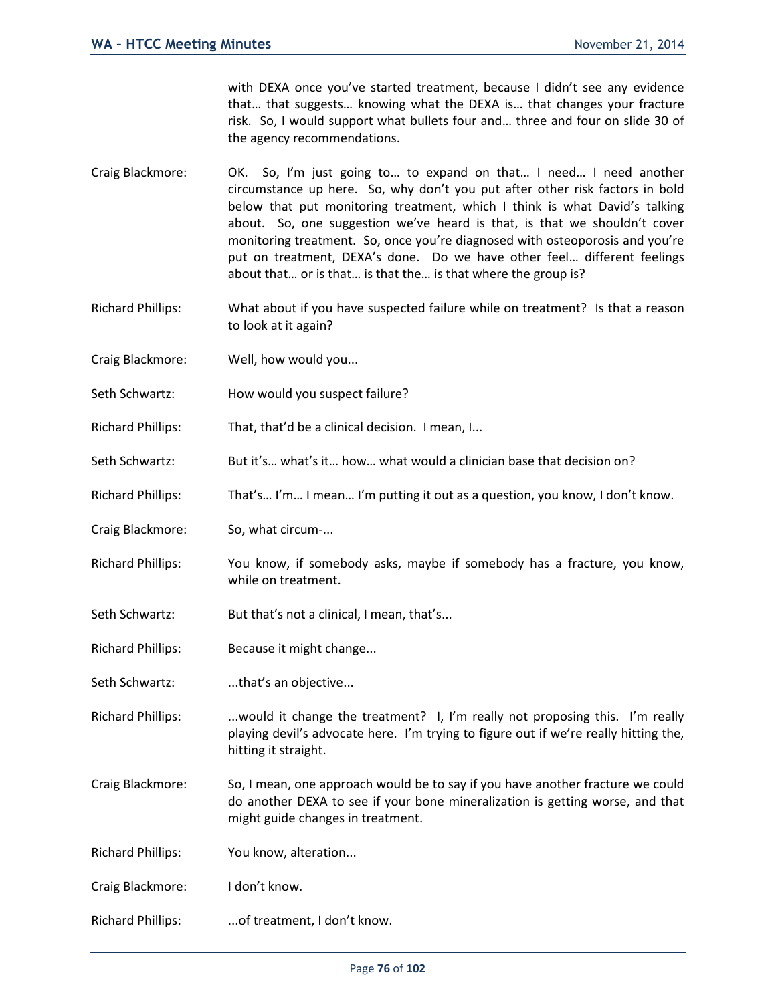with DEXA once you've started treatment, because I didn't see any evidence that… that suggests… knowing what the DEXA is… that changes your fracture risk. So, I would support what bullets four and… three and four on slide 30 of the agency recommendations.

- Craig Blackmore: OK. So, I'm just going to… to expand on that… I need… I need another circumstance up here. So, why don't you put after other risk factors in bold below that put monitoring treatment, which I think is what David's talking about. So, one suggestion we've heard is that, is that we shouldn't cover monitoring treatment. So, once you're diagnosed with osteoporosis and you're put on treatment, DEXA's done. Do we have other feel… different feelings about that… or is that… is that the… is that where the group is?
- Richard Phillips: What about if you have suspected failure while on treatment? Is that a reason to look at it again?
- Craig Blackmore: Well, how would you...
- Seth Schwartz: How would you suspect failure?
- Richard Phillips: That, that'd be a clinical decision. I mean, I...
- Seth Schwartz: But it's... what's it... how... what would a clinician base that decision on?
- Richard Phillips: That's… I'm… I mean… I'm putting it out as a question, you know, I don't know.
- Craig Blackmore: So, what circum-...
- Richard Phillips: You know, if somebody asks, maybe if somebody has a fracture, you know, while on treatment.
- Seth Schwartz: But that's not a clinical, I mean, that's...
- Richard Phillips: Because it might change...
- Seth Schwartz: ...that's an objective...

Richard Phillips: ...would it change the treatment? I, I'm really not proposing this. I'm really playing devil's advocate here. I'm trying to figure out if we're really hitting the, hitting it straight.

Craig Blackmore: So, I mean, one approach would be to say if you have another fracture we could do another DEXA to see if your bone mineralization is getting worse, and that might guide changes in treatment.

Richard Phillips: You know, alteration...

- Craig Blackmore: I don't know.
- Richard Phillips: ...of treatment, I don't know.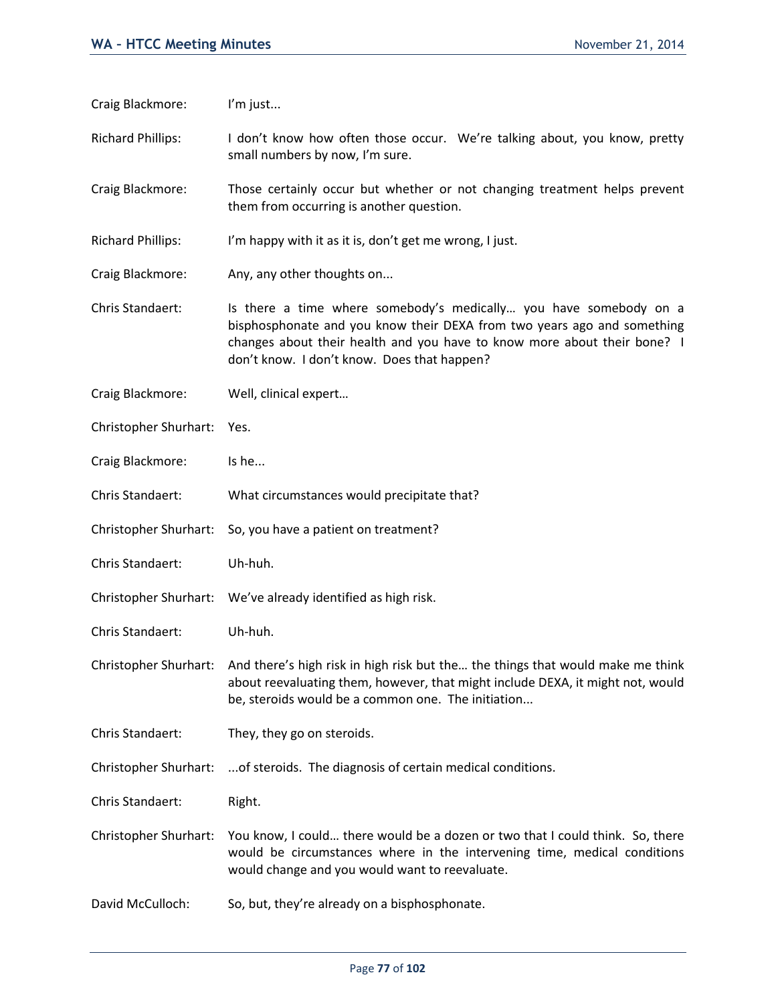Craig Blackmore: I'm just...

Richard Phillips: I don't know how often those occur. We're talking about, you know, pretty small numbers by now, I'm sure.

Craig Blackmore: Those certainly occur but whether or not changing treatment helps prevent them from occurring is another question.

Richard Phillips: I'm happy with it as it is, don't get me wrong, I just.

Craig Blackmore: Any, any other thoughts on...

Chris Standaert: Is there a time where somebody's medically… you have somebody on a bisphosphonate and you know their DEXA from two years ago and something changes about their health and you have to know more about their bone? I don't know. I don't know. Does that happen?

Craig Blackmore: Well, clinical expert…

Christopher Shurhart: Yes.

Craig Blackmore: Is he...

Chris Standaert: What circumstances would precipitate that?

Christopher Shurhart: So, you have a patient on treatment?

Chris Standaert: Uh-huh.

Christopher Shurhart: We've already identified as high risk.

Chris Standaert: Uh-huh.

Christopher Shurhart: And there's high risk in high risk but the… the things that would make me think about reevaluating them, however, that might include DEXA, it might not, would be, steroids would be a common one. The initiation...

Chris Standaert: They, they go on steroids.

Christopher Shurhart: ...of steroids. The diagnosis of certain medical conditions.

Chris Standaert: Right.

Christopher Shurhart: You know, I could… there would be a dozen or two that I could think. So, there would be circumstances where in the intervening time, medical conditions would change and you would want to reevaluate.

David McCulloch: So, but, they're already on a bisphosphonate.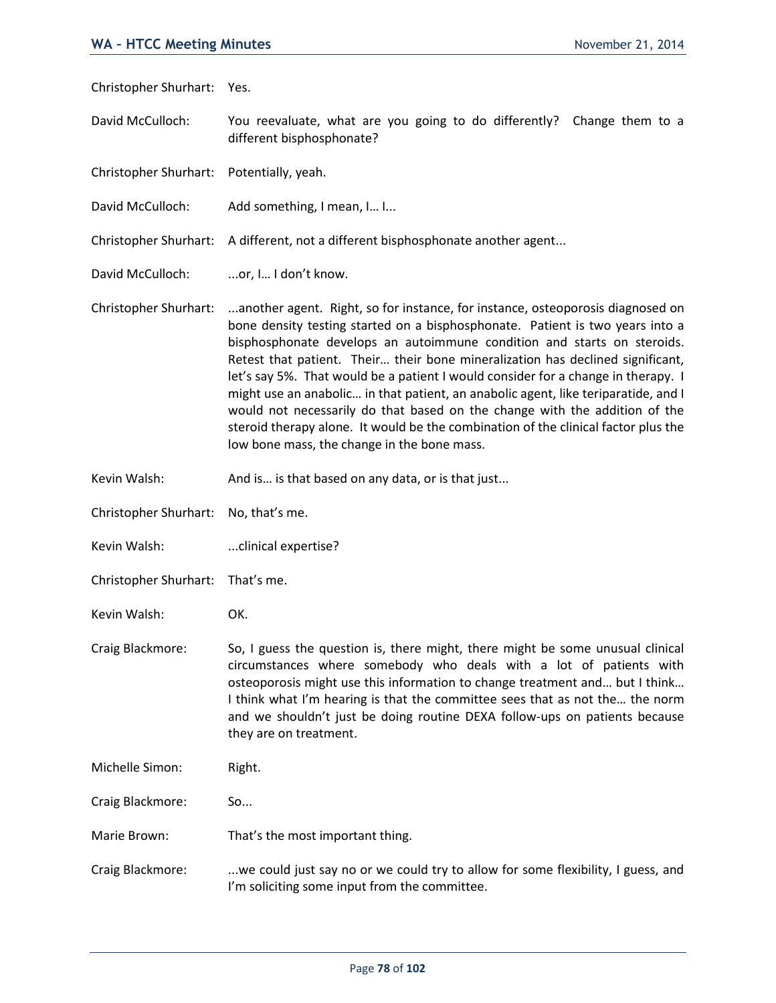Christopher Shurhart: Yes. David McCulloch: You reevaluate, what are you going to do differently? Change them to a different bisphosphonate? Christopher Shurhart: Potentially, yeah. David McCulloch: Add something, I mean, I... I... Christopher Shurhart: A different, not a different bisphosphonate another agent... David McCulloch: ...or, I... I don't know. Christopher Shurhart: ...another agent. Right, so for instance, for instance, osteoporosis diagnosed on bone density testing started on a bisphosphonate. Patient is two years into a bisphosphonate develops an autoimmune condition and starts on steroids. Retest that patient. Their… their bone mineralization has declined significant, let's say 5%. That would be a patient I would consider for a change in therapy. I might use an anabolic… in that patient, an anabolic agent, like teriparatide, and I would not necessarily do that based on the change with the addition of the steroid therapy alone. It would be the combination of the clinical factor plus the low bone mass, the change in the bone mass. Kevin Walsh: And is... is that based on any data, or is that just... Christopher Shurhart: No, that's me. Kevin Walsh: ...clinical expertise? Christopher Shurhart: That's me. Kevin Walsh: OK. Craig Blackmore: So, I guess the question is, there might, there might be some unusual clinical circumstances where somebody who deals with a lot of patients with osteoporosis might use this information to change treatment and… but I think… I think what I'm hearing is that the committee sees that as not the… the norm and we shouldn't just be doing routine DEXA follow-ups on patients because they are on treatment. Michelle Simon: Right. Craig Blackmore: So... Marie Brown: That's the most important thing. Craig Blackmore: ...we could just say no or we could try to allow for some flexibility, I guess, and I'm soliciting some input from the committee.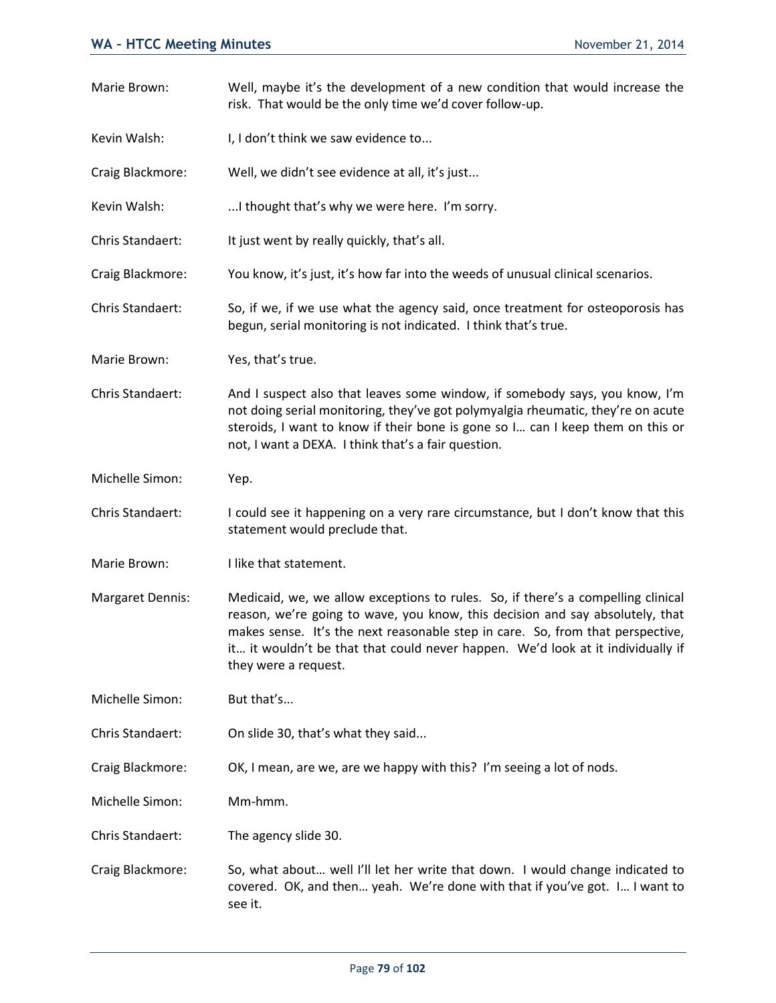| Marie Brown:            | Well, maybe it's the development of a new condition that would increase the<br>risk. That would be the only time we'd cover follow-up.                                                                                                                                                                                                                         |
|-------------------------|----------------------------------------------------------------------------------------------------------------------------------------------------------------------------------------------------------------------------------------------------------------------------------------------------------------------------------------------------------------|
| Kevin Walsh:            | I, I don't think we saw evidence to                                                                                                                                                                                                                                                                                                                            |
| Craig Blackmore:        | Well, we didn't see evidence at all, it's just                                                                                                                                                                                                                                                                                                                 |
| Kevin Walsh:            | I thought that's why we were here. I'm sorry.                                                                                                                                                                                                                                                                                                                  |
| Chris Standaert:        | It just went by really quickly, that's all.                                                                                                                                                                                                                                                                                                                    |
| Craig Blackmore:        | You know, it's just, it's how far into the weeds of unusual clinical scenarios.                                                                                                                                                                                                                                                                                |
| Chris Standaert:        | So, if we, if we use what the agency said, once treatment for osteoporosis has<br>begun, serial monitoring is not indicated. I think that's true.                                                                                                                                                                                                              |
| Marie Brown:            | Yes, that's true.                                                                                                                                                                                                                                                                                                                                              |
| Chris Standaert:        | And I suspect also that leaves some window, if somebody says, you know, I'm<br>not doing serial monitoring, they've got polymyalgia rheumatic, they're on acute<br>steroids, I want to know if their bone is gone so I can I keep them on this or<br>not, I want a DEXA. I think that's a fair question.                                                       |
| Michelle Simon:         | Yep.                                                                                                                                                                                                                                                                                                                                                           |
| Chris Standaert:        | I could see it happening on a very rare circumstance, but I don't know that this<br>statement would preclude that.                                                                                                                                                                                                                                             |
| Marie Brown:            | I like that statement.                                                                                                                                                                                                                                                                                                                                         |
| <b>Margaret Dennis:</b> | Medicaid, we, we allow exceptions to rules. So, if there's a compelling clinical<br>reason, we're going to wave, you know, this decision and say absolutely, that<br>makes sense. It's the next reasonable step in care. So, from that perspective,<br>it it wouldn't be that that could never happen. We'd look at it individually if<br>they were a request. |
| Michelle Simon:         | But that's                                                                                                                                                                                                                                                                                                                                                     |
| Chris Standaert:        | On slide 30, that's what they said                                                                                                                                                                                                                                                                                                                             |
| Craig Blackmore:        | OK, I mean, are we, are we happy with this? I'm seeing a lot of nods.                                                                                                                                                                                                                                                                                          |
| Michelle Simon:         | Mm-hmm.                                                                                                                                                                                                                                                                                                                                                        |
| Chris Standaert:        | The agency slide 30.                                                                                                                                                                                                                                                                                                                                           |
| Craig Blackmore:        | So, what about well I'll let her write that down. I would change indicated to<br>covered. OK, and then yeah. We're done with that if you've got. I I want to<br>see it.                                                                                                                                                                                        |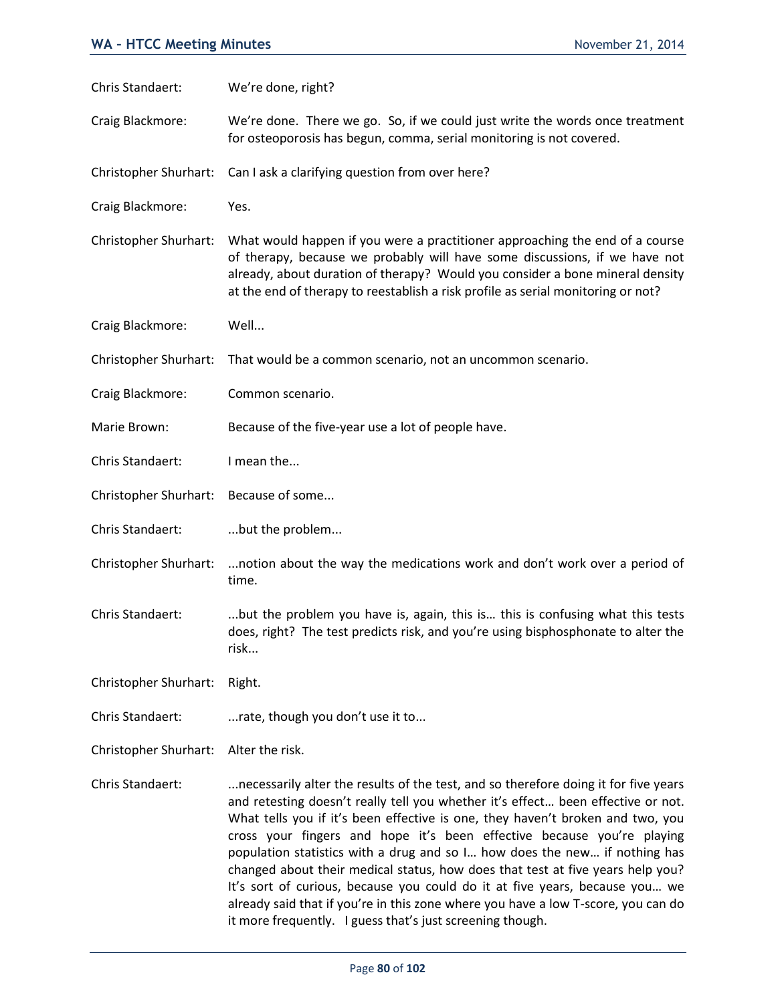| Chris Standaert:             | We're done, right?                                                                                                                                                                                                                                                                                                                                                                                                                                                                                                                                                                                                                                                      |
|------------------------------|-------------------------------------------------------------------------------------------------------------------------------------------------------------------------------------------------------------------------------------------------------------------------------------------------------------------------------------------------------------------------------------------------------------------------------------------------------------------------------------------------------------------------------------------------------------------------------------------------------------------------------------------------------------------------|
| Craig Blackmore:             | We're done. There we go. So, if we could just write the words once treatment<br>for osteoporosis has begun, comma, serial monitoring is not covered.                                                                                                                                                                                                                                                                                                                                                                                                                                                                                                                    |
| Christopher Shurhart:        | Can I ask a clarifying question from over here?                                                                                                                                                                                                                                                                                                                                                                                                                                                                                                                                                                                                                         |
| Craig Blackmore:             | Yes.                                                                                                                                                                                                                                                                                                                                                                                                                                                                                                                                                                                                                                                                    |
| Christopher Shurhart:        | What would happen if you were a practitioner approaching the end of a course<br>of therapy, because we probably will have some discussions, if we have not<br>already, about duration of therapy? Would you consider a bone mineral density<br>at the end of therapy to reestablish a risk profile as serial monitoring or not?                                                                                                                                                                                                                                                                                                                                         |
| Craig Blackmore:             | Well                                                                                                                                                                                                                                                                                                                                                                                                                                                                                                                                                                                                                                                                    |
| <b>Christopher Shurhart:</b> | That would be a common scenario, not an uncommon scenario.                                                                                                                                                                                                                                                                                                                                                                                                                                                                                                                                                                                                              |
| Craig Blackmore:             | Common scenario.                                                                                                                                                                                                                                                                                                                                                                                                                                                                                                                                                                                                                                                        |
| Marie Brown:                 | Because of the five-year use a lot of people have.                                                                                                                                                                                                                                                                                                                                                                                                                                                                                                                                                                                                                      |
| Chris Standaert:             | I mean the                                                                                                                                                                                                                                                                                                                                                                                                                                                                                                                                                                                                                                                              |
| Christopher Shurhart:        | Because of some                                                                                                                                                                                                                                                                                                                                                                                                                                                                                                                                                                                                                                                         |
| Chris Standaert:             | but the problem                                                                                                                                                                                                                                                                                                                                                                                                                                                                                                                                                                                                                                                         |
| Christopher Shurhart:        | notion about the way the medications work and don't work over a period of<br>time.                                                                                                                                                                                                                                                                                                                                                                                                                                                                                                                                                                                      |
| Chris Standaert:             | but the problem you have is, again, this is this is confusing what this tests<br>does, right? The test predicts risk, and you're using bisphosphonate to alter the<br>risk                                                                                                                                                                                                                                                                                                                                                                                                                                                                                              |
| Christopher Shurhart:        | Right.                                                                                                                                                                                                                                                                                                                                                                                                                                                                                                                                                                                                                                                                  |
| Chris Standaert:             | rate, though you don't use it to                                                                                                                                                                                                                                                                                                                                                                                                                                                                                                                                                                                                                                        |
| Christopher Shurhart:        | Alter the risk.                                                                                                                                                                                                                                                                                                                                                                                                                                                                                                                                                                                                                                                         |
| Chris Standaert:             | necessarily alter the results of the test, and so therefore doing it for five years<br>and retesting doesn't really tell you whether it's effect been effective or not.<br>What tells you if it's been effective is one, they haven't broken and two, you<br>cross your fingers and hope it's been effective because you're playing<br>population statistics with a drug and so I how does the new if nothing has<br>changed about their medical status, how does that test at five years help you?<br>It's sort of curious, because you could do it at five years, because you we<br>already said that if you're in this zone where you have a low T-score, you can do |

it more frequently. I guess that's just screening though.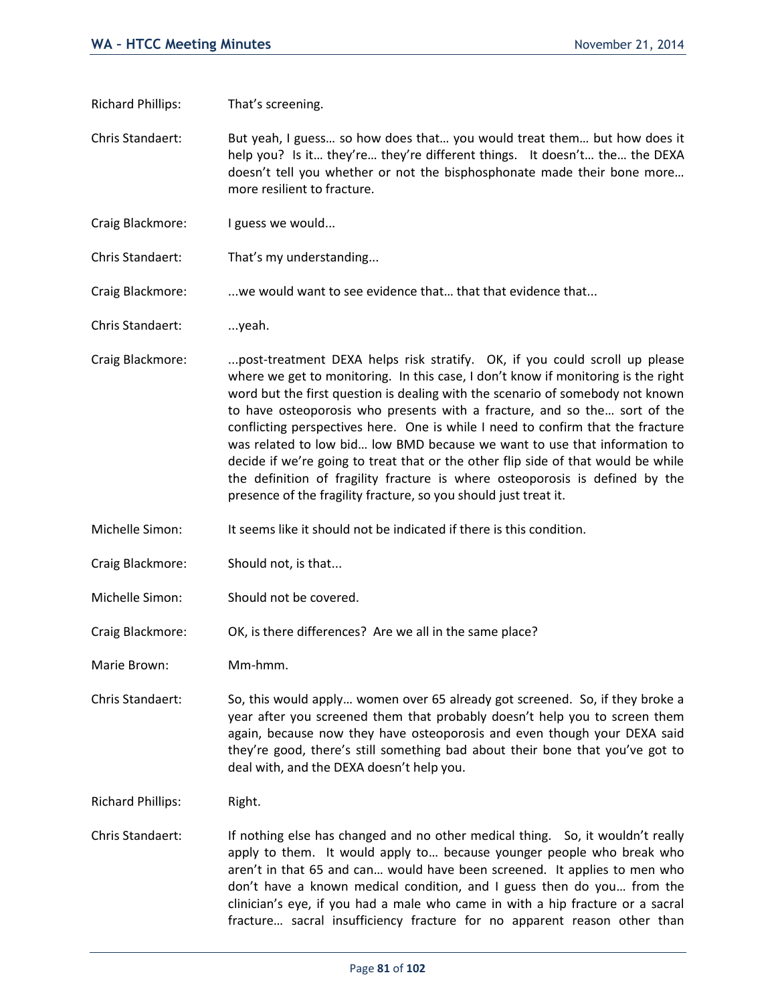Richard Phillips: That's screening.

Chris Standaert: But yeah, I guess… so how does that… you would treat them… but how does it help you? Is it… they're… they're different things. It doesn't… the… the DEXA doesn't tell you whether or not the bisphosphonate made their bone more… more resilient to fracture.

- Craig Blackmore: I guess we would...
- Chris Standaert: That's my understanding...

Craig Blackmore: . ...we would want to see evidence that... that that evidence that...

Chris Standaert: ...yeah.

- Craig Blackmore: ...post-treatment DEXA helps risk stratify. OK, if you could scroll up please where we get to monitoring. In this case, I don't know if monitoring is the right word but the first question is dealing with the scenario of somebody not known to have osteoporosis who presents with a fracture, and so the… sort of the conflicting perspectives here. One is while I need to confirm that the fracture was related to low bid… low BMD because we want to use that information to decide if we're going to treat that or the other flip side of that would be while the definition of fragility fracture is where osteoporosis is defined by the presence of the fragility fracture, so you should just treat it.
- Michelle Simon: It seems like it should not be indicated if there is this condition.
- Craig Blackmore: Should not, is that...
- Michelle Simon: Should not be covered.

Craig Blackmore: OK, is there differences? Are we all in the same place?

Marie Brown: Mm-hmm.

Chris Standaert: So, this would apply… women over 65 already got screened. So, if they broke a year after you screened them that probably doesn't help you to screen them again, because now they have osteoporosis and even though your DEXA said they're good, there's still something bad about their bone that you've got to deal with, and the DEXA doesn't help you.

Richard Phillips: Right.

Chris Standaert: If nothing else has changed and no other medical thing. So, it wouldn't really apply to them. It would apply to… because younger people who break who aren't in that 65 and can… would have been screened. It applies to men who don't have a known medical condition, and I guess then do you… from the clinician's eye, if you had a male who came in with a hip fracture or a sacral fracture… sacral insufficiency fracture for no apparent reason other than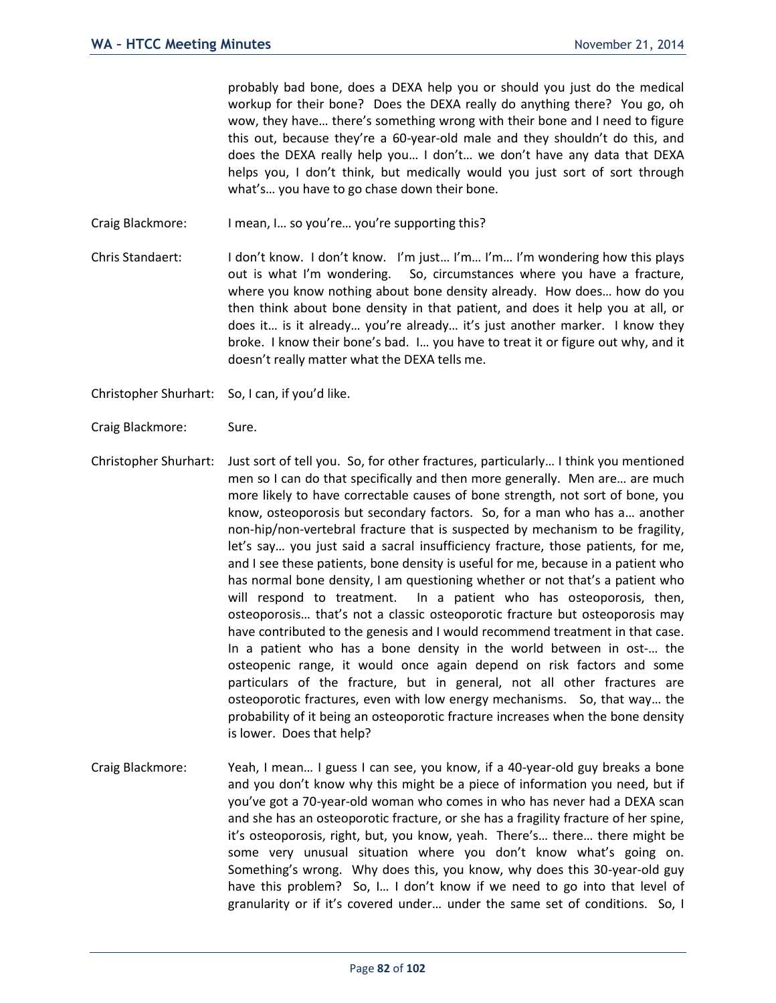probably bad bone, does a DEXA help you or should you just do the medical workup for their bone? Does the DEXA really do anything there? You go, oh wow, they have… there's something wrong with their bone and I need to figure this out, because they're a 60-year-old male and they shouldn't do this, and does the DEXA really help you… I don't… we don't have any data that DEXA helps you, I don't think, but medically would you just sort of sort through what's… you have to go chase down their bone.

- Craig Blackmore: I mean, I… so you're… you're supporting this?
- Chris Standaert: I don't know. I don't know. I'm just… I'm… I'm… I'm wondering how this plays out is what I'm wondering. So, circumstances where you have a fracture, where you know nothing about bone density already. How does… how do you then think about bone density in that patient, and does it help you at all, or does it… is it already… you're already… it's just another marker. I know they broke. I know their bone's bad. I… you have to treat it or figure out why, and it doesn't really matter what the DEXA tells me.

Christopher Shurhart: So, I can, if you'd like.

- Craig Blackmore: Sure.
- Christopher Shurhart: Just sort of tell you. So, for other fractures, particularly… I think you mentioned men so I can do that specifically and then more generally. Men are… are much more likely to have correctable causes of bone strength, not sort of bone, you know, osteoporosis but secondary factors. So, for a man who has a… another non-hip/non-vertebral fracture that is suspected by mechanism to be fragility, let's say… you just said a sacral insufficiency fracture, those patients, for me, and I see these patients, bone density is useful for me, because in a patient who has normal bone density, I am questioning whether or not that's a patient who will respond to treatment. In a patient who has osteoporosis, then, osteoporosis… that's not a classic osteoporotic fracture but osteoporosis may have contributed to the genesis and I would recommend treatment in that case. In a patient who has a bone density in the world between in ost-… the osteopenic range, it would once again depend on risk factors and some particulars of the fracture, but in general, not all other fractures are osteoporotic fractures, even with low energy mechanisms. So, that way… the probability of it being an osteoporotic fracture increases when the bone density is lower. Does that help?
- Craig Blackmore: Yeah, I mean… I guess I can see, you know, if a 40-year-old guy breaks a bone and you don't know why this might be a piece of information you need, but if you've got a 70-year-old woman who comes in who has never had a DEXA scan and she has an osteoporotic fracture, or she has a fragility fracture of her spine, it's osteoporosis, right, but, you know, yeah. There's… there… there might be some very unusual situation where you don't know what's going on. Something's wrong. Why does this, you know, why does this 30-year-old guy have this problem? So, I... I don't know if we need to go into that level of granularity or if it's covered under… under the same set of conditions. So, I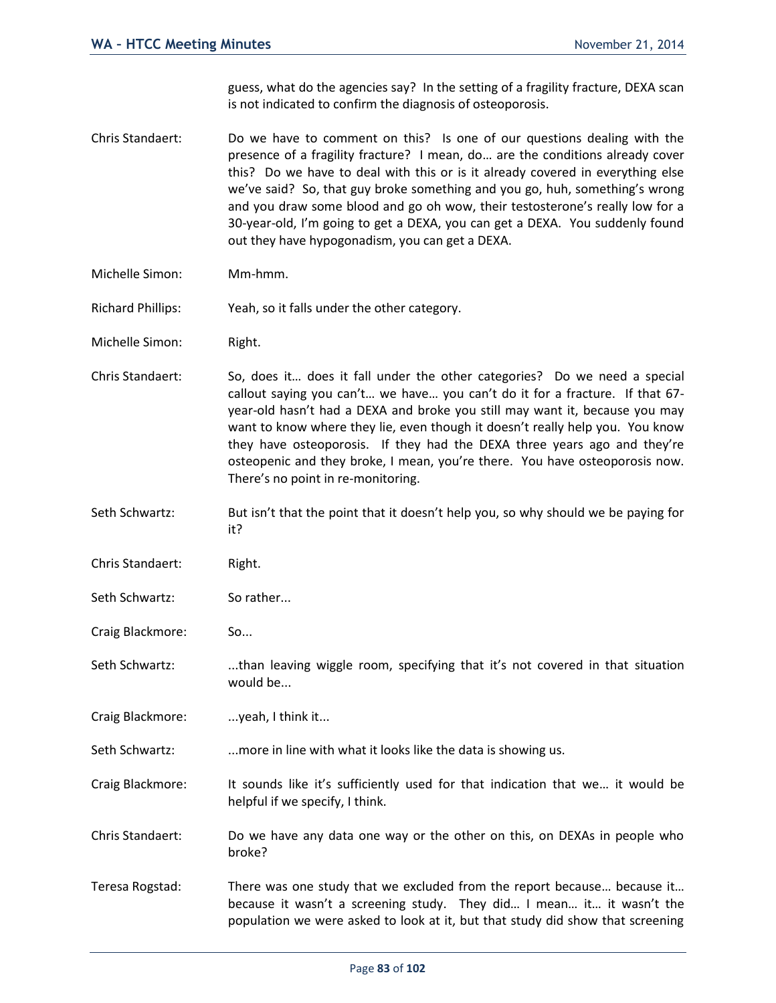guess, what do the agencies say? In the setting of a fragility fracture, DEXA scan is not indicated to confirm the diagnosis of osteoporosis.

Chris Standaert: Do we have to comment on this? Is one of our questions dealing with the presence of a fragility fracture? I mean, do… are the conditions already cover this? Do we have to deal with this or is it already covered in everything else we've said? So, that guy broke something and you go, huh, something's wrong and you draw some blood and go oh wow, their testosterone's really low for a 30-year-old, I'm going to get a DEXA, you can get a DEXA. You suddenly found out they have hypogonadism, you can get a DEXA.

- Michelle Simon: Mm-hmm.
- Richard Phillips: Yeah, so it falls under the other category.
- Michelle Simon: Right.
- Chris Standaert: So, does it… does it fall under the other categories? Do we need a special callout saying you can't… we have… you can't do it for a fracture. If that 67 year-old hasn't had a DEXA and broke you still may want it, because you may want to know where they lie, even though it doesn't really help you. You know they have osteoporosis. If they had the DEXA three years ago and they're osteopenic and they broke, I mean, you're there. You have osteoporosis now. There's no point in re-monitoring.
- Seth Schwartz: But isn't that the point that it doesn't help you, so why should we be paying for it?
- Chris Standaert: Right.
- Seth Schwartz: So rather...
- Craig Blackmore: So...
- Seth Schwartz: ....than leaving wiggle room, specifying that it's not covered in that situation would be...
- Craig Blackmore: ... yeah, I think it...
- Seth Schwartz: ...more in line with what it looks like the data is showing us.
- Craig Blackmore: It sounds like it's sufficiently used for that indication that we… it would be helpful if we specify, I think.
- Chris Standaert: Do we have any data one way or the other on this, on DEXAs in people who broke?
- Teresa Rogstad: There was one study that we excluded from the report because… because it… because it wasn't a screening study. They did… I mean… it… it wasn't the population we were asked to look at it, but that study did show that screening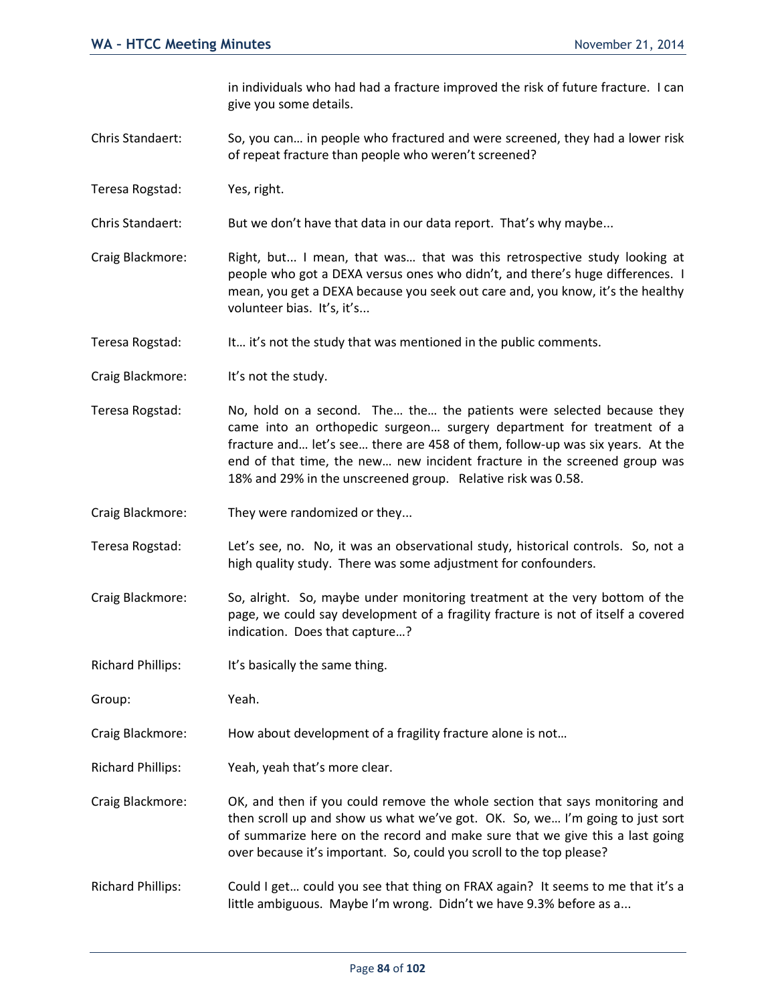in individuals who had had a fracture improved the risk of future fracture. I can give you some details.

- Chris Standaert: So, you can… in people who fractured and were screened, they had a lower risk of repeat fracture than people who weren't screened?
- Teresa Rogstad: Yes, right.
- Chris Standaert: But we don't have that data in our data report. That's why maybe...
- Craig Blackmore: Right, but... I mean, that was… that was this retrospective study looking at people who got a DEXA versus ones who didn't, and there's huge differences. I mean, you get a DEXA because you seek out care and, you know, it's the healthy volunteer bias. It's, it's...
- Teresa Rogstad: It... it's not the study that was mentioned in the public comments.
- Craig Blackmore: It's not the study.
- Teresa Rogstad: No, hold on a second. The… the… the patients were selected because they came into an orthopedic surgeon… surgery department for treatment of a fracture and… let's see… there are 458 of them, follow-up was six years. At the end of that time, the new… new incident fracture in the screened group was 18% and 29% in the unscreened group. Relative risk was 0.58.
- Craig Blackmore: They were randomized or they...
- Teresa Rogstad: Let's see, no. No, it was an observational study, historical controls. So, not a high quality study. There was some adjustment for confounders.
- Craig Blackmore: So, alright. So, maybe under monitoring treatment at the very bottom of the page, we could say development of a fragility fracture is not of itself a covered indication. Does that capture…?
- Richard Phillips: It's basically the same thing.
- Group: Yeah.
- Craig Blackmore: How about development of a fragility fracture alone is not…
- Richard Phillips: Yeah, yeah that's more clear.
- Craig Blackmore: OK, and then if you could remove the whole section that says monitoring and then scroll up and show us what we've got. OK. So, we… I'm going to just sort of summarize here on the record and make sure that we give this a last going over because it's important. So, could you scroll to the top please?
- Richard Phillips: Could I get… could you see that thing on FRAX again? It seems to me that it's a little ambiguous. Maybe I'm wrong. Didn't we have 9.3% before as a...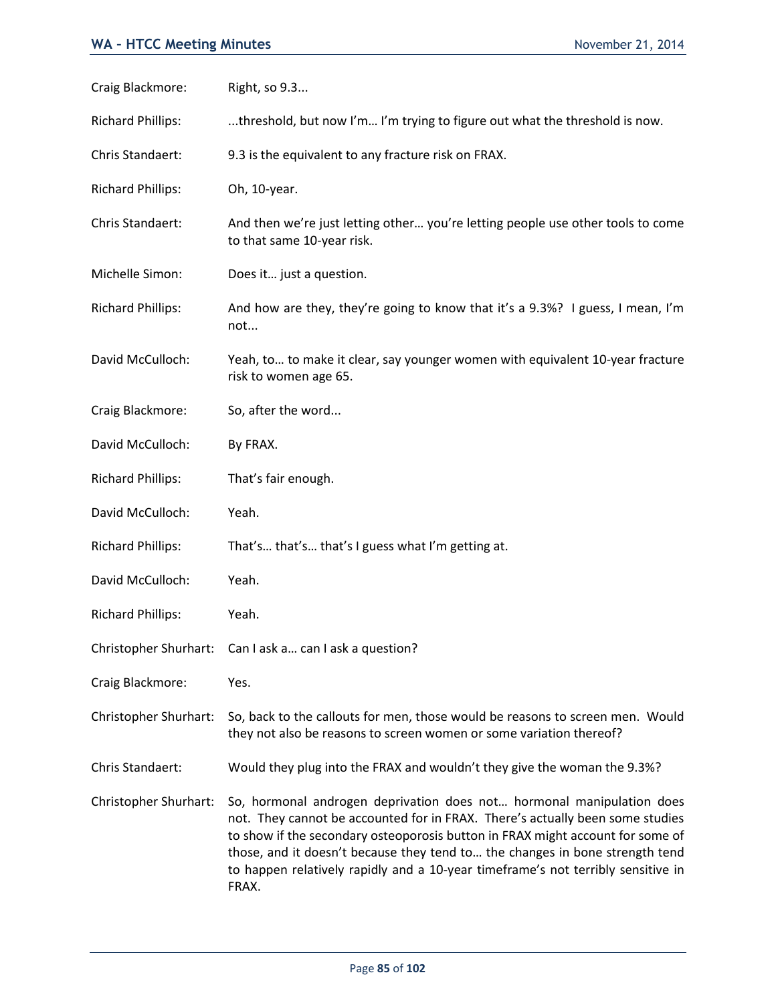## **WA - HTCC Meeting Minutes November 21, 2014**

| Craig Blackmore:         | Right, so 9.3                                                                                                                                                                                                                                                                                                                                                                                                         |
|--------------------------|-----------------------------------------------------------------------------------------------------------------------------------------------------------------------------------------------------------------------------------------------------------------------------------------------------------------------------------------------------------------------------------------------------------------------|
| <b>Richard Phillips:</b> | threshold, but now I'm I'm trying to figure out what the threshold is now.                                                                                                                                                                                                                                                                                                                                            |
| Chris Standaert:         | 9.3 is the equivalent to any fracture risk on FRAX.                                                                                                                                                                                                                                                                                                                                                                   |
| <b>Richard Phillips:</b> | Oh, 10-year.                                                                                                                                                                                                                                                                                                                                                                                                          |
| Chris Standaert:         | And then we're just letting other you're letting people use other tools to come<br>to that same 10-year risk.                                                                                                                                                                                                                                                                                                         |
| Michelle Simon:          | Does it just a question.                                                                                                                                                                                                                                                                                                                                                                                              |
| <b>Richard Phillips:</b> | And how are they, they're going to know that it's a 9.3%? I guess, I mean, I'm<br>not                                                                                                                                                                                                                                                                                                                                 |
| David McCulloch:         | Yeah, to to make it clear, say younger women with equivalent 10-year fracture<br>risk to women age 65.                                                                                                                                                                                                                                                                                                                |
| Craig Blackmore:         | So, after the word                                                                                                                                                                                                                                                                                                                                                                                                    |
| David McCulloch:         | By FRAX.                                                                                                                                                                                                                                                                                                                                                                                                              |
| <b>Richard Phillips:</b> | That's fair enough.                                                                                                                                                                                                                                                                                                                                                                                                   |
| David McCulloch:         | Yeah.                                                                                                                                                                                                                                                                                                                                                                                                                 |
| <b>Richard Phillips:</b> | That's that's that's I guess what I'm getting at.                                                                                                                                                                                                                                                                                                                                                                     |
| David McCulloch:         | Yeah.                                                                                                                                                                                                                                                                                                                                                                                                                 |
| <b>Richard Phillips:</b> | Yeah.                                                                                                                                                                                                                                                                                                                                                                                                                 |
|                          | Christopher Shurhart: Can I ask a can I ask a question?                                                                                                                                                                                                                                                                                                                                                               |
| Craig Blackmore:         | Yes.                                                                                                                                                                                                                                                                                                                                                                                                                  |
| Christopher Shurhart:    | So, back to the callouts for men, those would be reasons to screen men. Would<br>they not also be reasons to screen women or some variation thereof?                                                                                                                                                                                                                                                                  |
| Chris Standaert:         | Would they plug into the FRAX and wouldn't they give the woman the 9.3%?                                                                                                                                                                                                                                                                                                                                              |
| Christopher Shurhart:    | So, hormonal androgen deprivation does not hormonal manipulation does<br>not. They cannot be accounted for in FRAX. There's actually been some studies<br>to show if the secondary osteoporosis button in FRAX might account for some of<br>those, and it doesn't because they tend to the changes in bone strength tend<br>to happen relatively rapidly and a 10-year timeframe's not terribly sensitive in<br>FRAX. |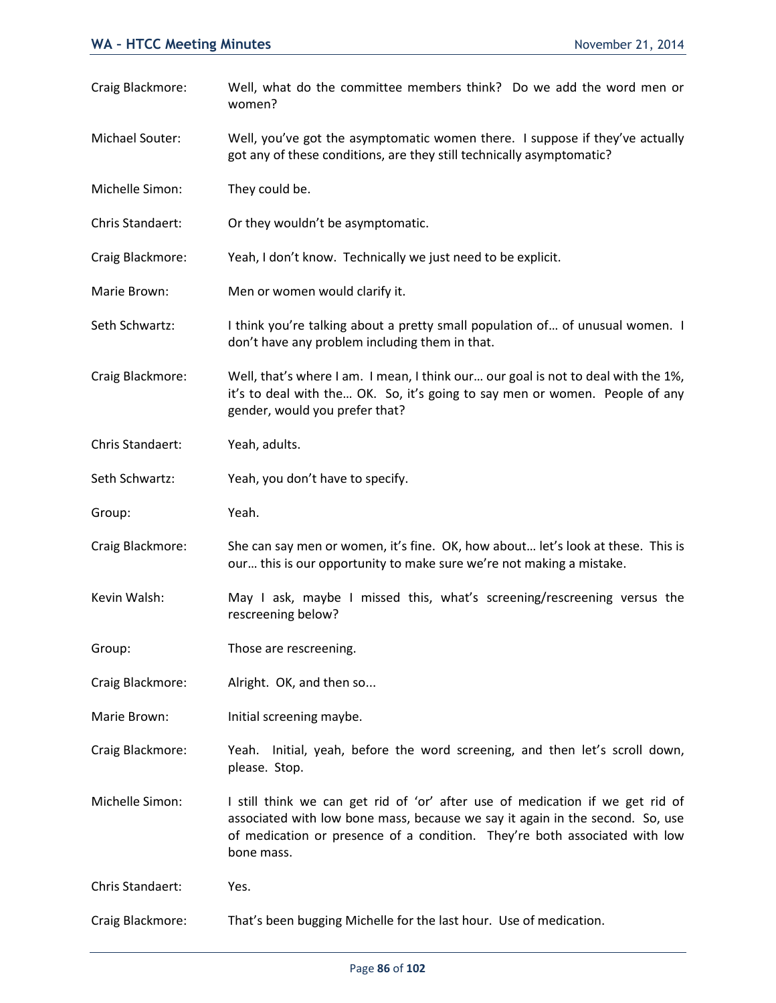Craig Blackmore: Well, what do the committee members think? Do we add the word men or women? Michael Souter: Well, you've got the asymptomatic women there. I suppose if they've actually got any of these conditions, are they still technically asymptomatic? Michelle Simon: They could be. Chris Standaert: Or they wouldn't be asymptomatic. Craig Blackmore: Yeah, I don't know. Technically we just need to be explicit. Marie Brown: Men or women would clarify it. Seth Schwartz: I think you're talking about a pretty small population of... of unusual women. I don't have any problem including them in that. Craig Blackmore: Well, that's where I am. I mean, I think our… our goal is not to deal with the 1%, it's to deal with the… OK. So, it's going to say men or women. People of any gender, would you prefer that? Chris Standaert: Yeah, adults. Seth Schwartz: Yeah, you don't have to specify. Group: Yeah. Craig Blackmore: She can say men or women, it's fine. OK, how about… let's look at these. This is our… this is our opportunity to make sure we're not making a mistake. Kevin Walsh: May I ask, maybe I missed this, what's screening/rescreening versus the rescreening below? Group: Those are rescreening. Craig Blackmore: Alright. OK, and then so... Marie Brown: Initial screening maybe. Craig Blackmore: Yeah. Initial, yeah, before the word screening, and then let's scroll down, please. Stop. Michelle Simon: I still think we can get rid of 'or' after use of medication if we get rid of associated with low bone mass, because we say it again in the second. So, use of medication or presence of a condition. They're both associated with low bone mass. Chris Standaert: Yes.

Craig Blackmore: That's been bugging Michelle for the last hour. Use of medication.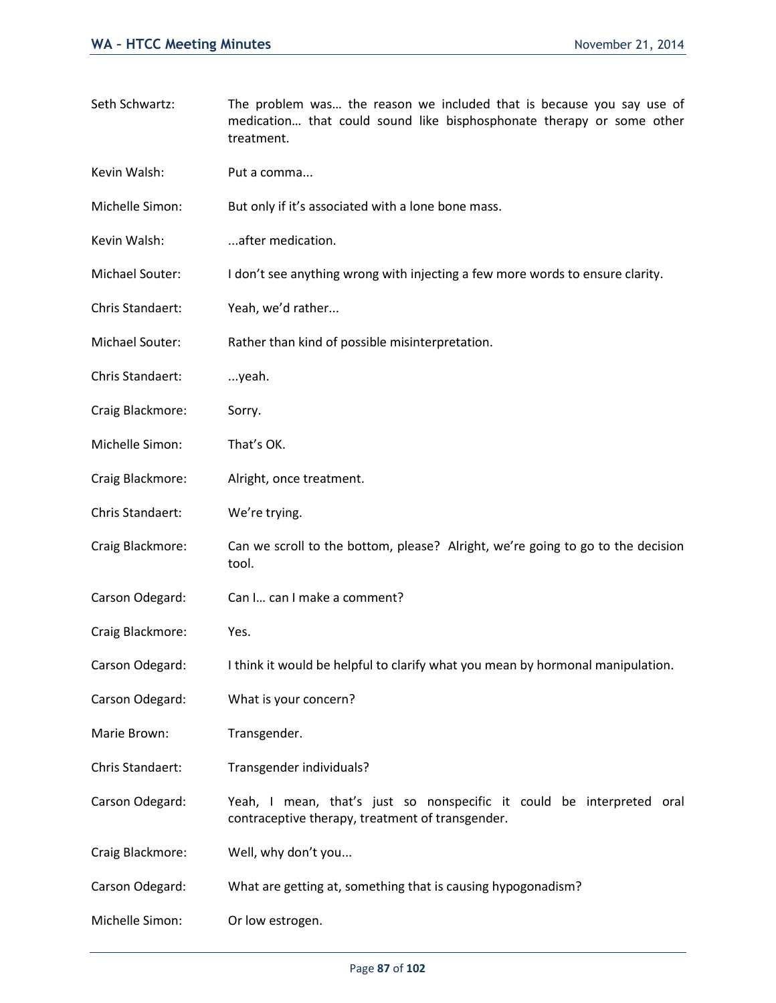Seth Schwartz: The problem was… the reason we included that is because you say use of medication… that could sound like bisphosphonate therapy or some other treatment. Kevin Walsh: Put a comma... Michelle Simon: But only if it's associated with a lone bone mass. Kevin Walsh: ...after medication. Michael Souter: I don't see anything wrong with injecting a few more words to ensure clarity. Chris Standaert: Yeah, we'd rather... Michael Souter: Rather than kind of possible misinterpretation. Chris Standaert: ...yeah. Craig Blackmore: Sorry. Michelle Simon: That's OK. Craig Blackmore: Alright, once treatment. Chris Standaert: We're trying. Craig Blackmore: Can we scroll to the bottom, please? Alright, we're going to go to the decision tool. Carson Odegard: Can I... can I make a comment? Craig Blackmore: Yes. Carson Odegard: I think it would be helpful to clarify what you mean by hormonal manipulation. Carson Odegard: What is your concern? Marie Brown: Transgender. Chris Standaert: Transgender individuals? Carson Odegard: Yeah, I mean, that's just so nonspecific it could be interpreted oral contraceptive therapy, treatment of transgender. Craig Blackmore: Well, why don't you... Carson Odegard: What are getting at, something that is causing hypogonadism? Michelle Simon: Or low estrogen.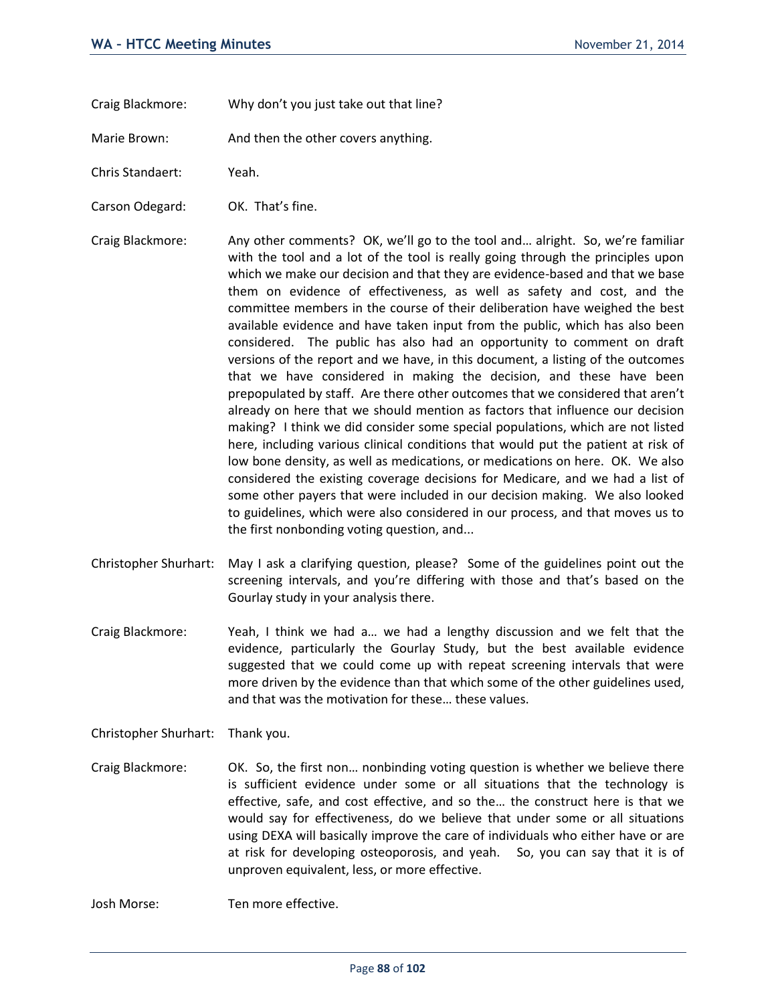- Craig Blackmore: Why don't you just take out that line?
- Marie Brown: And then the other covers anything.
- Chris Standaert: Yeah.
- Carson Odegard: OK. That's fine.
- Craig Blackmore: Any other comments? OK, we'll go to the tool and… alright. So, we're familiar with the tool and a lot of the tool is really going through the principles upon which we make our decision and that they are evidence-based and that we base them on evidence of effectiveness, as well as safety and cost, and the committee members in the course of their deliberation have weighed the best available evidence and have taken input from the public, which has also been considered. The public has also had an opportunity to comment on draft versions of the report and we have, in this document, a listing of the outcomes that we have considered in making the decision, and these have been prepopulated by staff. Are there other outcomes that we considered that aren't already on here that we should mention as factors that influence our decision making? I think we did consider some special populations, which are not listed here, including various clinical conditions that would put the patient at risk of low bone density, as well as medications, or medications on here. OK. We also considered the existing coverage decisions for Medicare, and we had a list of some other payers that were included in our decision making. We also looked to guidelines, which were also considered in our process, and that moves us to the first nonbonding voting question, and...
- Christopher Shurhart: May I ask a clarifying question, please? Some of the guidelines point out the screening intervals, and you're differing with those and that's based on the Gourlay study in your analysis there.
- Craig Blackmore: Yeah, I think we had a… we had a lengthy discussion and we felt that the evidence, particularly the Gourlay Study, but the best available evidence suggested that we could come up with repeat screening intervals that were more driven by the evidence than that which some of the other guidelines used, and that was the motivation for these… these values.

Christopher Shurhart: Thank you.

Craig Blackmore: OK. So, the first non… nonbinding voting question is whether we believe there is sufficient evidence under some or all situations that the technology is effective, safe, and cost effective, and so the… the construct here is that we would say for effectiveness, do we believe that under some or all situations using DEXA will basically improve the care of individuals who either have or are at risk for developing osteoporosis, and yeah. So, you can say that it is of unproven equivalent, less, or more effective.

Josh Morse: Ten more effective.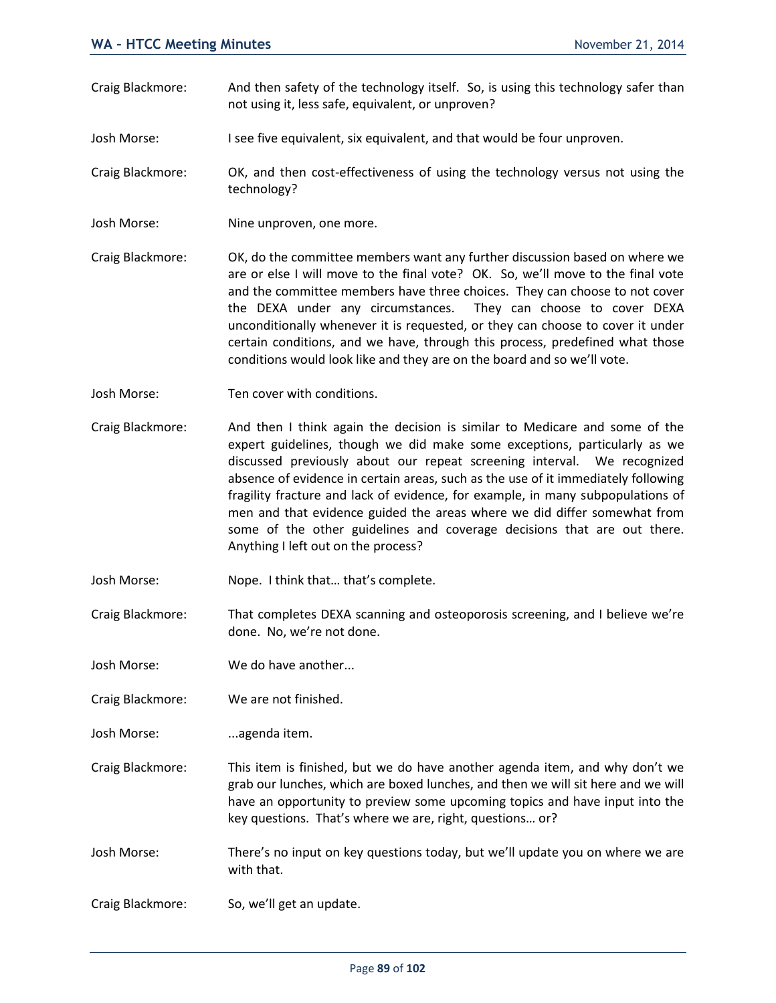- Craig Blackmore: And then safety of the technology itself. So, is using this technology safer than not using it, less safe, equivalent, or unproven?
- Josh Morse: I see five equivalent, six equivalent, and that would be four unproven.
- Craig Blackmore: OK, and then cost-effectiveness of using the technology versus not using the technology?
- Josh Morse: Nine unproven, one more.
- Craig Blackmore: OK, do the committee members want any further discussion based on where we are or else I will move to the final vote? OK. So, we'll move to the final vote and the committee members have three choices. They can choose to not cover the DEXA under any circumstances. They can choose to cover DEXA unconditionally whenever it is requested, or they can choose to cover it under certain conditions, and we have, through this process, predefined what those conditions would look like and they are on the board and so we'll vote.
- Josh Morse: Ten cover with conditions.
- Craig Blackmore: And then I think again the decision is similar to Medicare and some of the expert guidelines, though we did make some exceptions, particularly as we discussed previously about our repeat screening interval. We recognized absence of evidence in certain areas, such as the use of it immediately following fragility fracture and lack of evidence, for example, in many subpopulations of men and that evidence guided the areas where we did differ somewhat from some of the other guidelines and coverage decisions that are out there. Anything I left out on the process?
- Josh Morse: Nope. I think that… that's complete.
- Craig Blackmore: That completes DEXA scanning and osteoporosis screening, and I believe we're done. No, we're not done.
- Josh Morse: We do have another...
- Craig Blackmore: We are not finished.
- Josh Morse: ...agenda item.
- Craig Blackmore: This item is finished, but we do have another agenda item, and why don't we grab our lunches, which are boxed lunches, and then we will sit here and we will have an opportunity to preview some upcoming topics and have input into the key questions. That's where we are, right, questions… or?
- Josh Morse: There's no input on key questions today, but we'll update you on where we are with that.
- Craig Blackmore: So, we'll get an update.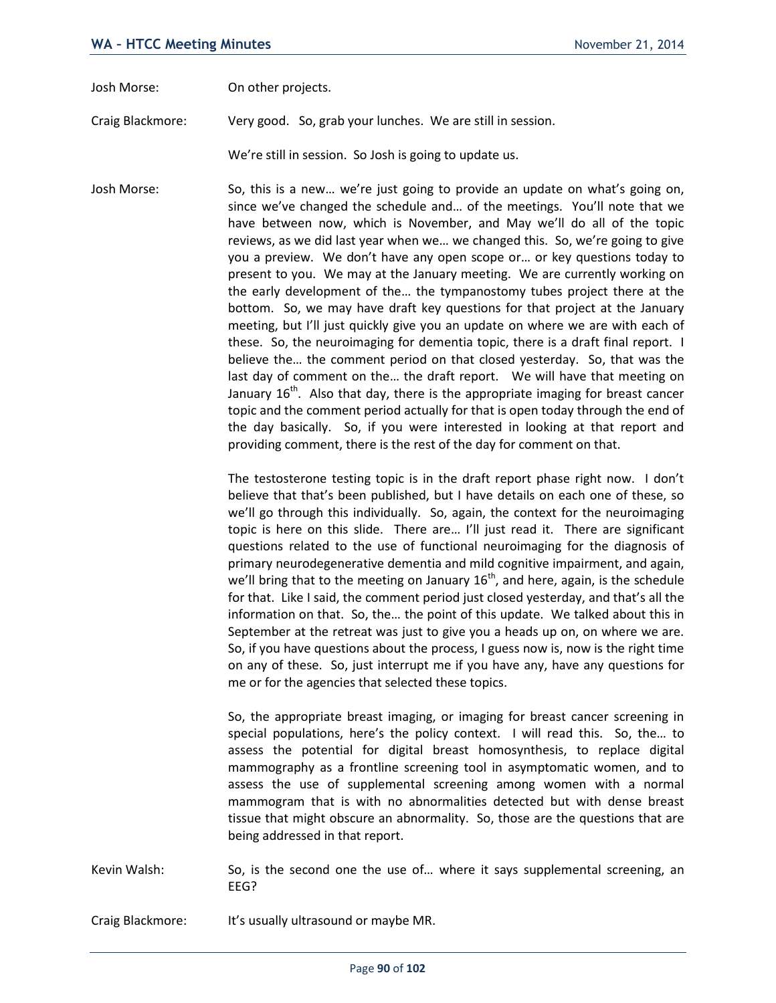Josh Morse: On other projects.

Craig Blackmore: Very good. So, grab your lunches. We are still in session.

We're still in session. So Josh is going to update us.

Josh Morse: So, this is a new… we're just going to provide an update on what's going on, since we've changed the schedule and… of the meetings. You'll note that we have between now, which is November, and May we'll do all of the topic reviews, as we did last year when we… we changed this. So, we're going to give you a preview. We don't have any open scope or… or key questions today to present to you. We may at the January meeting. We are currently working on the early development of the… the tympanostomy tubes project there at the bottom. So, we may have draft key questions for that project at the January meeting, but I'll just quickly give you an update on where we are with each of these. So, the neuroimaging for dementia topic, there is a draft final report. I believe the… the comment period on that closed yesterday. So, that was the last day of comment on the… the draft report. We will have that meeting on January  $16<sup>th</sup>$ . Also that day, there is the appropriate imaging for breast cancer topic and the comment period actually for that is open today through the end of the day basically. So, if you were interested in looking at that report and providing comment, there is the rest of the day for comment on that.

> The testosterone testing topic is in the draft report phase right now. I don't believe that that's been published, but I have details on each one of these, so we'll go through this individually. So, again, the context for the neuroimaging topic is here on this slide. There are… I'll just read it. There are significant questions related to the use of functional neuroimaging for the diagnosis of primary neurodegenerative dementia and mild cognitive impairment, and again, we'll bring that to the meeting on January  $16^{th}$ , and here, again, is the schedule for that. Like I said, the comment period just closed yesterday, and that's all the information on that. So, the… the point of this update. We talked about this in September at the retreat was just to give you a heads up on, on where we are. So, if you have questions about the process, I guess now is, now is the right time on any of these. So, just interrupt me if you have any, have any questions for me or for the agencies that selected these topics.

> So, the appropriate breast imaging, or imaging for breast cancer screening in special populations, here's the policy context. I will read this. So, the… to assess the potential for digital breast homosynthesis, to replace digital mammography as a frontline screening tool in asymptomatic women, and to assess the use of supplemental screening among women with a normal mammogram that is with no abnormalities detected but with dense breast tissue that might obscure an abnormality. So, those are the questions that are being addressed in that report.

Kevin Walsh: So, is the second one the use of... where it says supplemental screening, an EEG?

Craig Blackmore: It's usually ultrasound or maybe MR.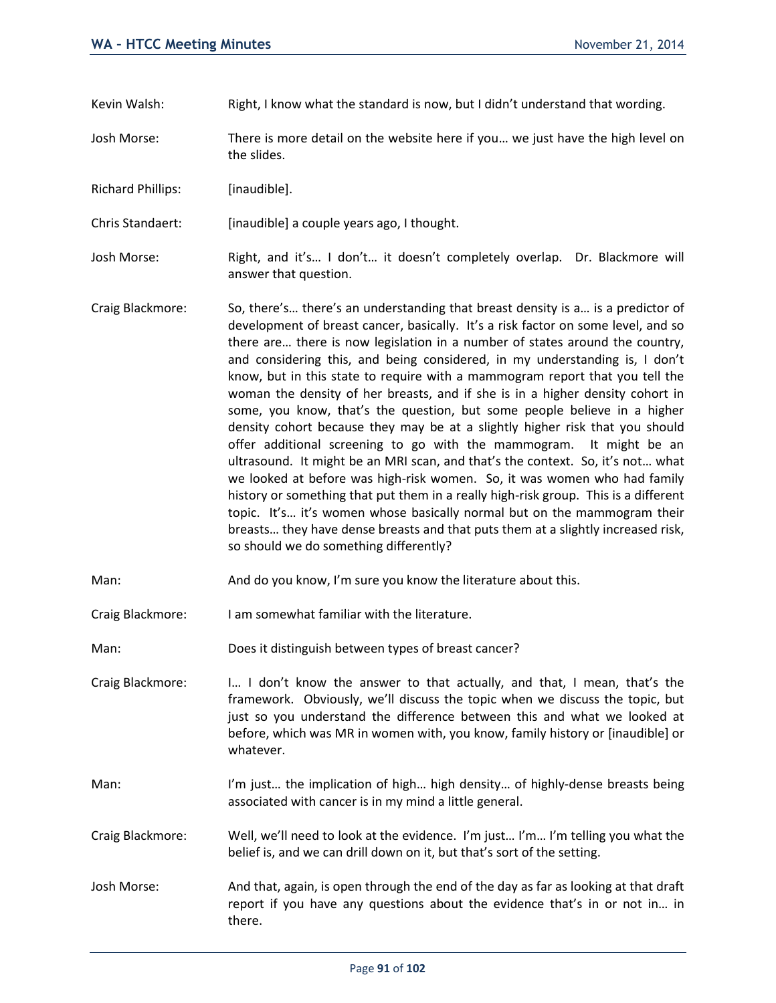- Kevin Walsh: Right, I know what the standard is now, but I didn't understand that wording.
- Josh Morse: There is more detail on the website here if you… we just have the high level on the slides.
- Richard Phillips: [inaudible].
- Chris Standaert: [inaudible] a couple years ago, I thought.
- Josh Morse: Right, and it's... I don't... it doesn't completely overlap. Dr. Blackmore will answer that question.
- Craig Blackmore: So, there's… there's an understanding that breast density is a… is a predictor of development of breast cancer, basically. It's a risk factor on some level, and so there are… there is now legislation in a number of states around the country, and considering this, and being considered, in my understanding is, I don't know, but in this state to require with a mammogram report that you tell the woman the density of her breasts, and if she is in a higher density cohort in some, you know, that's the question, but some people believe in a higher density cohort because they may be at a slightly higher risk that you should offer additional screening to go with the mammogram. It might be an ultrasound. It might be an MRI scan, and that's the context. So, it's not… what we looked at before was high-risk women. So, it was women who had family history or something that put them in a really high-risk group. This is a different topic. It's… it's women whose basically normal but on the mammogram their breasts… they have dense breasts and that puts them at a slightly increased risk, so should we do something differently?
- Man: And do you know, I'm sure you know the literature about this.
- Craig Blackmore: I am somewhat familiar with the literature.
- Man: Does it distinguish between types of breast cancer?
- Craig Blackmore: I… I don't know the answer to that actually, and that, I mean, that's the framework. Obviously, we'll discuss the topic when we discuss the topic, but just so you understand the difference between this and what we looked at before, which was MR in women with, you know, family history or [inaudible] or whatever.
- Man: I'm just... the implication of high... high density... of highly-dense breasts being associated with cancer is in my mind a little general.
- Craig Blackmore: Well, we'll need to look at the evidence. I'm just… I'm… I'm telling you what the belief is, and we can drill down on it, but that's sort of the setting.
- Josh Morse: And that, again, is open through the end of the day as far as looking at that draft report if you have any questions about the evidence that's in or not in… in there.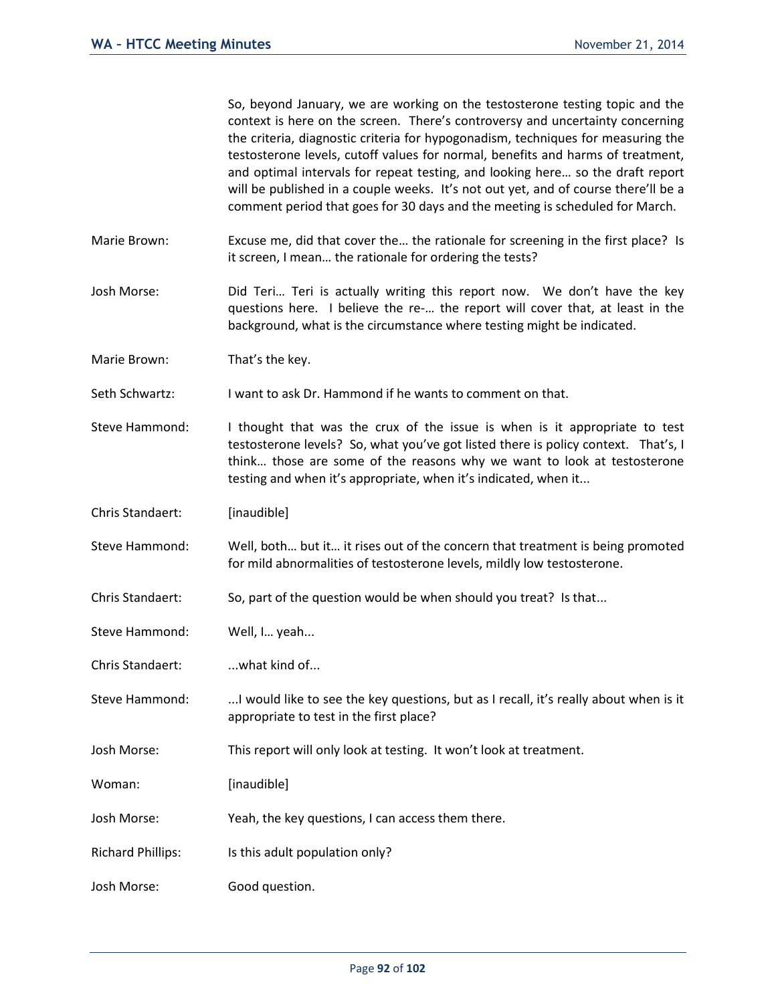So, beyond January, we are working on the testosterone testing topic and the context is here on the screen. There's controversy and uncertainty concerning the criteria, diagnostic criteria for hypogonadism, techniques for measuring the testosterone levels, cutoff values for normal, benefits and harms of treatment, and optimal intervals for repeat testing, and looking here… so the draft report will be published in a couple weeks. It's not out yet, and of course there'll be a comment period that goes for 30 days and the meeting is scheduled for March.

- Marie Brown: Excuse me, did that cover the... the rationale for screening in the first place? Is it screen, I mean… the rationale for ordering the tests?
- Josh Morse: Did Teri… Teri is actually writing this report now. We don't have the key questions here. I believe the re-… the report will cover that, at least in the background, what is the circumstance where testing might be indicated.
- Marie Brown: That's the key.
- Seth Schwartz: I want to ask Dr. Hammond if he wants to comment on that.
- Steve Hammond: I thought that was the crux of the issue is when is it appropriate to test testosterone levels? So, what you've got listed there is policy context. That's, I think… those are some of the reasons why we want to look at testosterone testing and when it's appropriate, when it's indicated, when it...
- Chris Standaert: [inaudible]
- Steve Hammond: Well, both… but it… it rises out of the concern that treatment is being promoted for mild abnormalities of testosterone levels, mildly low testosterone.
- Chris Standaert: So, part of the question would be when should you treat? Is that...
- Steve Hammond: Well, I... yeah...
- Chris Standaert: ...what kind of...
- Steve Hammond: ...I would like to see the key questions, but as I recall, it's really about when is it appropriate to test in the first place?
- Josh Morse: This report will only look at testing. It won't look at treatment.
- Woman: [inaudible]
- Josh Morse: Yeah, the key questions, I can access them there.
- Richard Phillips: Is this adult population only?
- Josh Morse: Good question.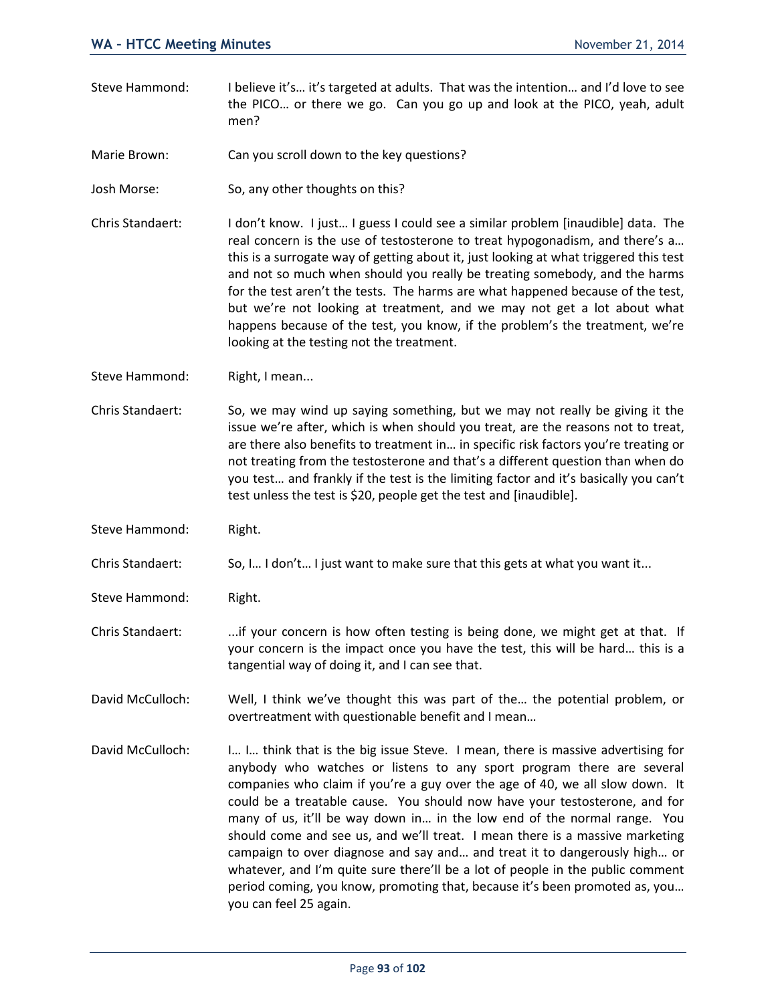- Steve Hammond: I believe it's… it's targeted at adults. That was the intention… and I'd love to see the PICO… or there we go. Can you go up and look at the PICO, yeah, adult men?
- Marie Brown: Can you scroll down to the key questions?
- Josh Morse: So, any other thoughts on this?
- Chris Standaert: I don't know. I just… I guess I could see a similar problem [inaudible] data. The real concern is the use of testosterone to treat hypogonadism, and there's a… this is a surrogate way of getting about it, just looking at what triggered this test and not so much when should you really be treating somebody, and the harms for the test aren't the tests. The harms are what happened because of the test, but we're not looking at treatment, and we may not get a lot about what happens because of the test, you know, if the problem's the treatment, we're looking at the testing not the treatment.
- Steve Hammond: Right, I mean...
- Chris Standaert: So, we may wind up saying something, but we may not really be giving it the issue we're after, which is when should you treat, are the reasons not to treat, are there also benefits to treatment in… in specific risk factors you're treating or not treating from the testosterone and that's a different question than when do you test… and frankly if the test is the limiting factor and it's basically you can't test unless the test is \$20, people get the test and [inaudible].
- Steve Hammond: Right.
- Chris Standaert: So, I… I don't… I just want to make sure that this gets at what you want it...
- Steve Hammond: Right.
- Chris Standaert: ...if your concern is how often testing is being done, we might get at that. If your concern is the impact once you have the test, this will be hard… this is a tangential way of doing it, and I can see that.
- David McCulloch: Well, I think we've thought this was part of the… the potential problem, or overtreatment with questionable benefit and I mean…
- David McCulloch: I… I… think that is the big issue Steve. I mean, there is massive advertising for anybody who watches or listens to any sport program there are several companies who claim if you're a guy over the age of 40, we all slow down. It could be a treatable cause. You should now have your testosterone, and for many of us, it'll be way down in… in the low end of the normal range. You should come and see us, and we'll treat. I mean there is a massive marketing campaign to over diagnose and say and… and treat it to dangerously high… or whatever, and I'm quite sure there'll be a lot of people in the public comment period coming, you know, promoting that, because it's been promoted as, you… you can feel 25 again.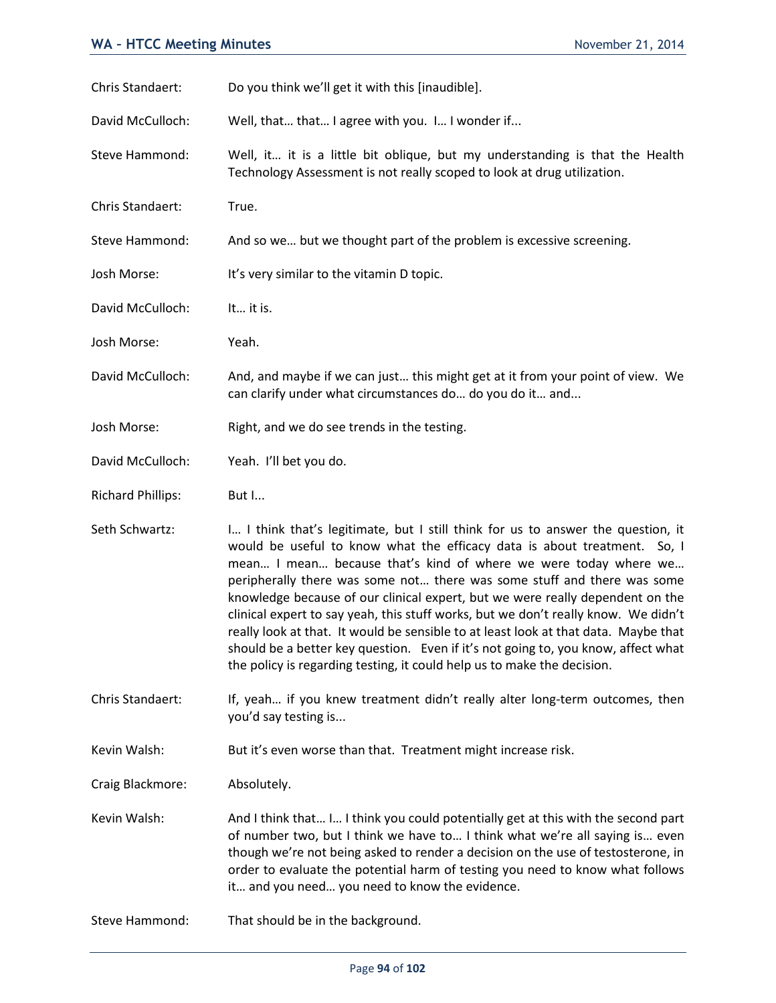| Chris Standaert:         | Do you think we'll get it with this [inaudible].                                                                                                                                                                                                                                                                                                                                                                                                                                                                                                                                                                                                                                                                                         |
|--------------------------|------------------------------------------------------------------------------------------------------------------------------------------------------------------------------------------------------------------------------------------------------------------------------------------------------------------------------------------------------------------------------------------------------------------------------------------------------------------------------------------------------------------------------------------------------------------------------------------------------------------------------------------------------------------------------------------------------------------------------------------|
| David McCulloch:         | Well, that that I agree with you. I I wonder if                                                                                                                                                                                                                                                                                                                                                                                                                                                                                                                                                                                                                                                                                          |
| Steve Hammond:           | Well, it it is a little bit oblique, but my understanding is that the Health<br>Technology Assessment is not really scoped to look at drug utilization.                                                                                                                                                                                                                                                                                                                                                                                                                                                                                                                                                                                  |
| Chris Standaert:         | True.                                                                                                                                                                                                                                                                                                                                                                                                                                                                                                                                                                                                                                                                                                                                    |
| Steve Hammond:           | And so we but we thought part of the problem is excessive screening.                                                                                                                                                                                                                                                                                                                                                                                                                                                                                                                                                                                                                                                                     |
| Josh Morse:              | It's very similar to the vitamin D topic.                                                                                                                                                                                                                                                                                                                                                                                                                                                                                                                                                                                                                                                                                                |
| David McCulloch:         | It it is.                                                                                                                                                                                                                                                                                                                                                                                                                                                                                                                                                                                                                                                                                                                                |
| Josh Morse:              | Yeah.                                                                                                                                                                                                                                                                                                                                                                                                                                                                                                                                                                                                                                                                                                                                    |
| David McCulloch:         | And, and maybe if we can just this might get at it from your point of view. We<br>can clarify under what circumstances do do you do it and                                                                                                                                                                                                                                                                                                                                                                                                                                                                                                                                                                                               |
| Josh Morse:              | Right, and we do see trends in the testing.                                                                                                                                                                                                                                                                                                                                                                                                                                                                                                                                                                                                                                                                                              |
| David McCulloch:         | Yeah. I'll bet you do.                                                                                                                                                                                                                                                                                                                                                                                                                                                                                                                                                                                                                                                                                                                   |
| <b>Richard Phillips:</b> | But I                                                                                                                                                                                                                                                                                                                                                                                                                                                                                                                                                                                                                                                                                                                                    |
| Seth Schwartz:           | I I think that's legitimate, but I still think for us to answer the question, it<br>would be useful to know what the efficacy data is about treatment. So, I<br>mean I mean because that's kind of where we were today where we<br>peripherally there was some not there was some stuff and there was some<br>knowledge because of our clinical expert, but we were really dependent on the<br>clinical expert to say yeah, this stuff works, but we don't really know. We didn't<br>really look at that. It would be sensible to at least look at that data. Maybe that<br>should be a better key question. Even if it's not going to, you know, affect what<br>the policy is regarding testing, it could help us to make the decision. |
| Chris Standaert:         | If, yeah if you knew treatment didn't really alter long-term outcomes, then<br>you'd say testing is                                                                                                                                                                                                                                                                                                                                                                                                                                                                                                                                                                                                                                      |
| Kevin Walsh:             | But it's even worse than that. Treatment might increase risk.                                                                                                                                                                                                                                                                                                                                                                                                                                                                                                                                                                                                                                                                            |
| Craig Blackmore:         | Absolutely.                                                                                                                                                                                                                                                                                                                                                                                                                                                                                                                                                                                                                                                                                                                              |
| Kevin Walsh:             | And I think that I I think you could potentially get at this with the second part<br>of number two, but I think we have to I think what we're all saying is even<br>though we're not being asked to render a decision on the use of testosterone, in<br>order to evaluate the potential harm of testing you need to know what follows<br>it and you need you need to know the evidence.                                                                                                                                                                                                                                                                                                                                                  |
| Steve Hammond:           | That should be in the background.                                                                                                                                                                                                                                                                                                                                                                                                                                                                                                                                                                                                                                                                                                        |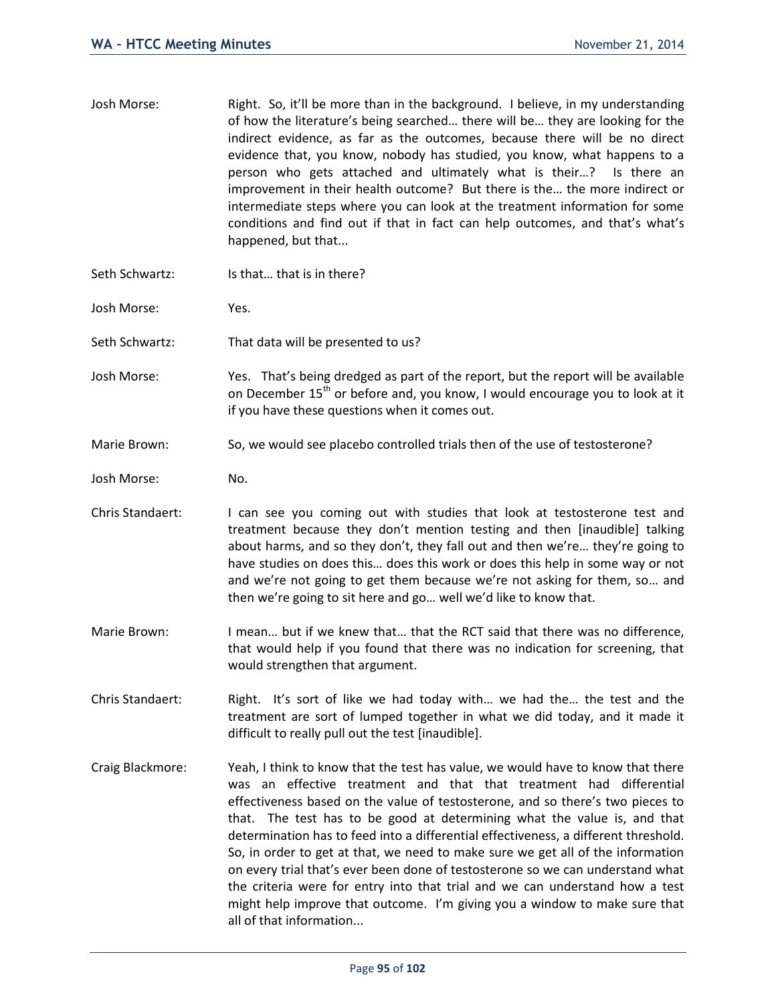| Josh Morse: | Right. So, it'll be more than in the background. I believe, in my understanding |
|-------------|---------------------------------------------------------------------------------|
|             | of how the literature's being searched there will be they are looking for the   |
|             | indirect evidence, as far as the outcomes, because there will be no direct      |
|             | evidence that, you know, nobody has studied, you know, what happens to a        |
|             | person who gets attached and ultimately what is their? Is there an              |
|             | improvement in their health outcome? But there is the the more indirect or      |
|             | intermediate steps where you can look at the treatment information for some     |
|             | conditions and find out if that in fact can help outcomes, and that's what's    |
|             | happened, but that                                                              |

- Seth Schwartz: Is that... that is in there?
- Josh Morse: Yes.
- Seth Schwartz: That data will be presented to us?
- Josh Morse: Yes. That's being dredged as part of the report, but the report will be available on December  $15<sup>th</sup>$  or before and, you know, I would encourage you to look at it if you have these questions when it comes out.
- Marie Brown: So, we would see placebo controlled trials then of the use of testosterone?
- Josh Morse: No.
- Chris Standaert: I can see you coming out with studies that look at testosterone test and treatment because they don't mention testing and then [inaudible] talking about harms, and so they don't, they fall out and then we're… they're going to have studies on does this… does this work or does this help in some way or not and we're not going to get them because we're not asking for them, so… and then we're going to sit here and go… well we'd like to know that.
- Marie Brown: I mean... but if we knew that... that the RCT said that there was no difference, that would help if you found that there was no indication for screening, that would strengthen that argument.
- Chris Standaert: Right. It's sort of like we had today with… we had the… the test and the treatment are sort of lumped together in what we did today, and it made it difficult to really pull out the test [inaudible].
- Craig Blackmore: Yeah, I think to know that the test has value, we would have to know that there was an effective treatment and that that treatment had differential effectiveness based on the value of testosterone, and so there's two pieces to that. The test has to be good at determining what the value is, and that determination has to feed into a differential effectiveness, a different threshold. So, in order to get at that, we need to make sure we get all of the information on every trial that's ever been done of testosterone so we can understand what the criteria were for entry into that trial and we can understand how a test might help improve that outcome. I'm giving you a window to make sure that all of that information...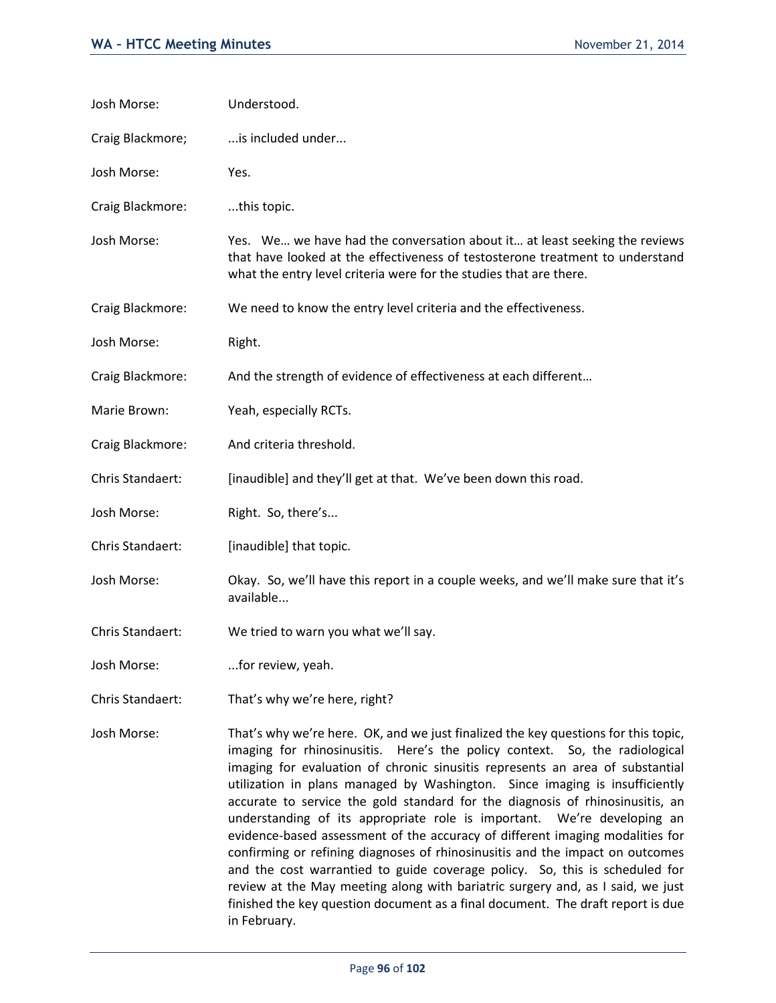| Josh Morse:      | Understood.                                                                                                                                                                                                                                                                                                                                                                                                        |
|------------------|--------------------------------------------------------------------------------------------------------------------------------------------------------------------------------------------------------------------------------------------------------------------------------------------------------------------------------------------------------------------------------------------------------------------|
| Craig Blackmore; | is included under                                                                                                                                                                                                                                                                                                                                                                                                  |
| Josh Morse:      | Yes.                                                                                                                                                                                                                                                                                                                                                                                                               |
| Craig Blackmore: | this topic.                                                                                                                                                                                                                                                                                                                                                                                                        |
| Josh Morse:      | Yes. We we have had the conversation about it at least seeking the reviews<br>that have looked at the effectiveness of testosterone treatment to understand<br>what the entry level criteria were for the studies that are there.                                                                                                                                                                                  |
| Craig Blackmore: | We need to know the entry level criteria and the effectiveness.                                                                                                                                                                                                                                                                                                                                                    |
| Josh Morse:      | Right.                                                                                                                                                                                                                                                                                                                                                                                                             |
| Craig Blackmore: | And the strength of evidence of effectiveness at each different                                                                                                                                                                                                                                                                                                                                                    |
| Marie Brown:     | Yeah, especially RCTs.                                                                                                                                                                                                                                                                                                                                                                                             |
| Craig Blackmore: | And criteria threshold.                                                                                                                                                                                                                                                                                                                                                                                            |
| Chris Standaert: | [inaudible] and they'll get at that. We've been down this road.                                                                                                                                                                                                                                                                                                                                                    |
| Josh Morse:      | Right. So, there's                                                                                                                                                                                                                                                                                                                                                                                                 |
| Chris Standaert: | [inaudible] that topic.                                                                                                                                                                                                                                                                                                                                                                                            |
| Josh Morse:      | Okay. So, we'll have this report in a couple weeks, and we'll make sure that it's<br>available                                                                                                                                                                                                                                                                                                                     |
| Chris Standaert: | We tried to warn you what we'll say.                                                                                                                                                                                                                                                                                                                                                                               |
| Josh Morse:      | for review, yeah.                                                                                                                                                                                                                                                                                                                                                                                                  |
| Chris Standaert: | That's why we're here, right?                                                                                                                                                                                                                                                                                                                                                                                      |
| Josh Morse:      | That's why we're here. OK, and we just finalized the key questions for this topic,<br>imaging for rhinosinusitis. Here's the policy context. So, the radiological<br>imaging for evaluation of chronic sinusitis represents an area of substantial<br>utilization in plans managed by Washington. Since imaging is insufficiently<br>accurate to service the gold standard for the diagnosis of rhinosinusitis, an |

in February.

understanding of its appropriate role is important. We're developing an evidence-based assessment of the accuracy of different imaging modalities for confirming or refining diagnoses of rhinosinusitis and the impact on outcomes and the cost warrantied to guide coverage policy. So, this is scheduled for review at the May meeting along with bariatric surgery and, as I said, we just finished the key question document as a final document. The draft report is due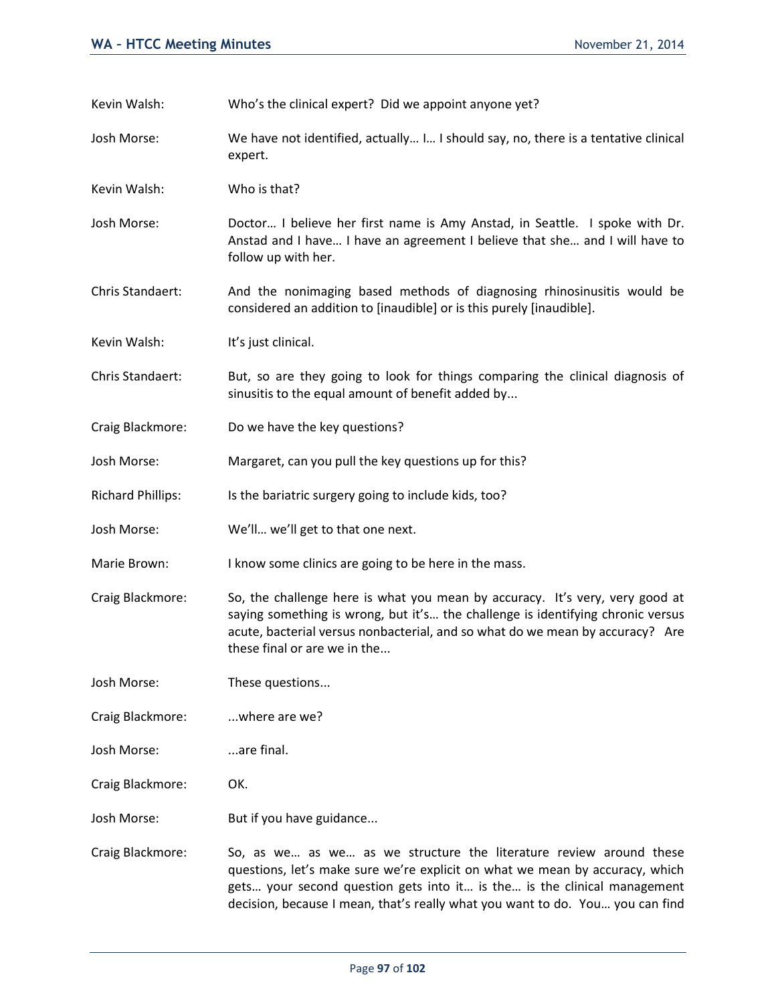Kevin Walsh: Who's the clinical expert? Did we appoint anyone yet?

Josh Morse: We have not identified, actually… I… I should say, no, there is a tentative clinical expert.

Kevin Walsh: Who is that?

- Josh Morse: Doctor… I believe her first name is Amy Anstad, in Seattle. I spoke with Dr. Anstad and I have… I have an agreement I believe that she… and I will have to follow up with her.
- Chris Standaert: And the nonimaging based methods of diagnosing rhinosinusitis would be considered an addition to [inaudible] or is this purely [inaudible].
- Kevin Walsh: It's just clinical.
- Chris Standaert: But, so are they going to look for things comparing the clinical diagnosis of sinusitis to the equal amount of benefit added by...
- Craig Blackmore: Do we have the key questions?
- Josh Morse: Margaret, can you pull the key questions up for this?
- Richard Phillips: Is the bariatric surgery going to include kids, too?
- Josh Morse: We'll… we'll get to that one next.
- Marie Brown: I know some clinics are going to be here in the mass.
- Craig Blackmore: So, the challenge here is what you mean by accuracy. It's very, very good at saying something is wrong, but it's… the challenge is identifying chronic versus acute, bacterial versus nonbacterial, and so what do we mean by accuracy? Are these final or are we in the...

Josh Morse: These questions...

- Craig Blackmore: ...where are we?
- Josh Morse: ...are final.
- Craig Blackmore: OK.
- Josh Morse: But if you have guidance...
- Craig Blackmore: So, as we… as we… as we structure the literature review around these questions, let's make sure we're explicit on what we mean by accuracy, which gets… your second question gets into it… is the… is the clinical management decision, because I mean, that's really what you want to do. You… you can find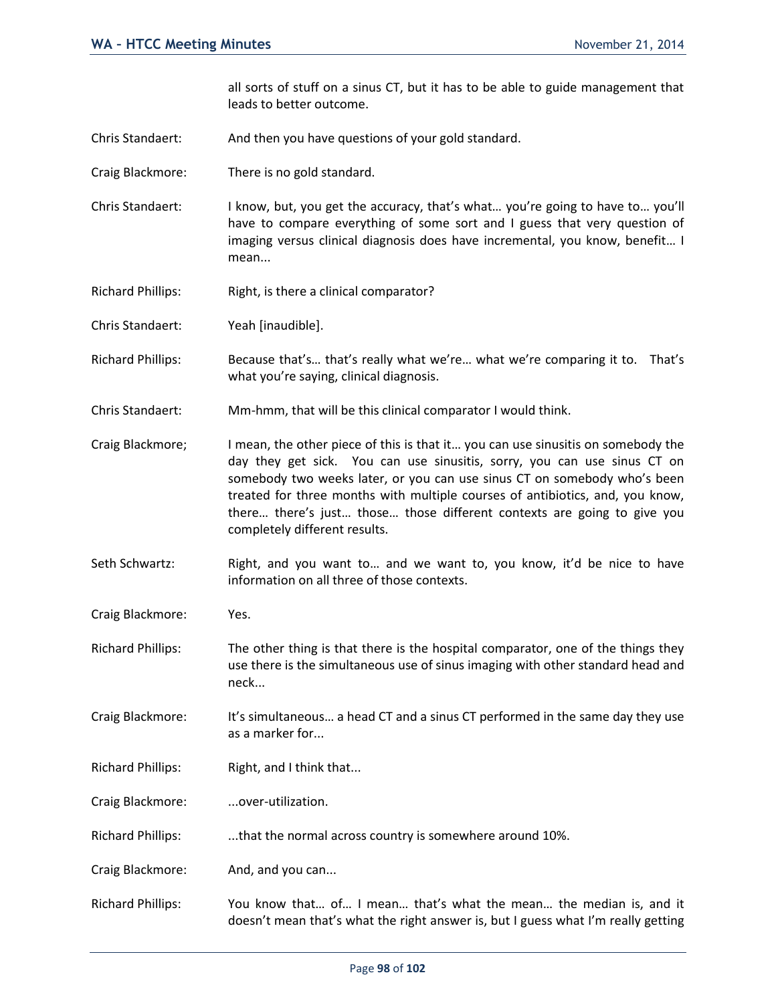all sorts of stuff on a sinus CT, but it has to be able to guide management that leads to better outcome.

- Chris Standaert: And then you have questions of your gold standard.
- Craig Blackmore: There is no gold standard.
- Chris Standaert: I know, but, you get the accuracy, that's what… you're going to have to… you'll have to compare everything of some sort and I guess that very question of imaging versus clinical diagnosis does have incremental, you know, benefit… I mean...
- Richard Phillips: Right, is there a clinical comparator?
- Chris Standaert: Yeah [inaudible].
- Richard Phillips: Because that's… that's really what we're… what we're comparing it to. That's what you're saying, clinical diagnosis.
- Chris Standaert: Mm-hmm, that will be this clinical comparator I would think.
- Craig Blackmore; I mean, the other piece of this is that it… you can use sinusitis on somebody the day they get sick. You can use sinusitis, sorry, you can use sinus CT on somebody two weeks later, or you can use sinus CT on somebody who's been treated for three months with multiple courses of antibiotics, and, you know, there… there's just… those… those different contexts are going to give you completely different results.
- Seth Schwartz: Right, and you want to… and we want to, you know, it'd be nice to have information on all three of those contexts.
- Craig Blackmore: Yes.
- Richard Phillips: The other thing is that there is the hospital comparator, one of the things they use there is the simultaneous use of sinus imaging with other standard head and neck...
- Craig Blackmore: It's simultaneous… a head CT and a sinus CT performed in the same day they use as a marker for...
- Richard Phillips: Right, and I think that...
- Craig Blackmore: ...over-utilization.
- Richard Phillips: ...that the normal across country is somewhere around 10%.
- Craig Blackmore: And, and you can...
- Richard Phillips: You know that… of… I mean… that's what the mean… the median is, and it doesn't mean that's what the right answer is, but I guess what I'm really getting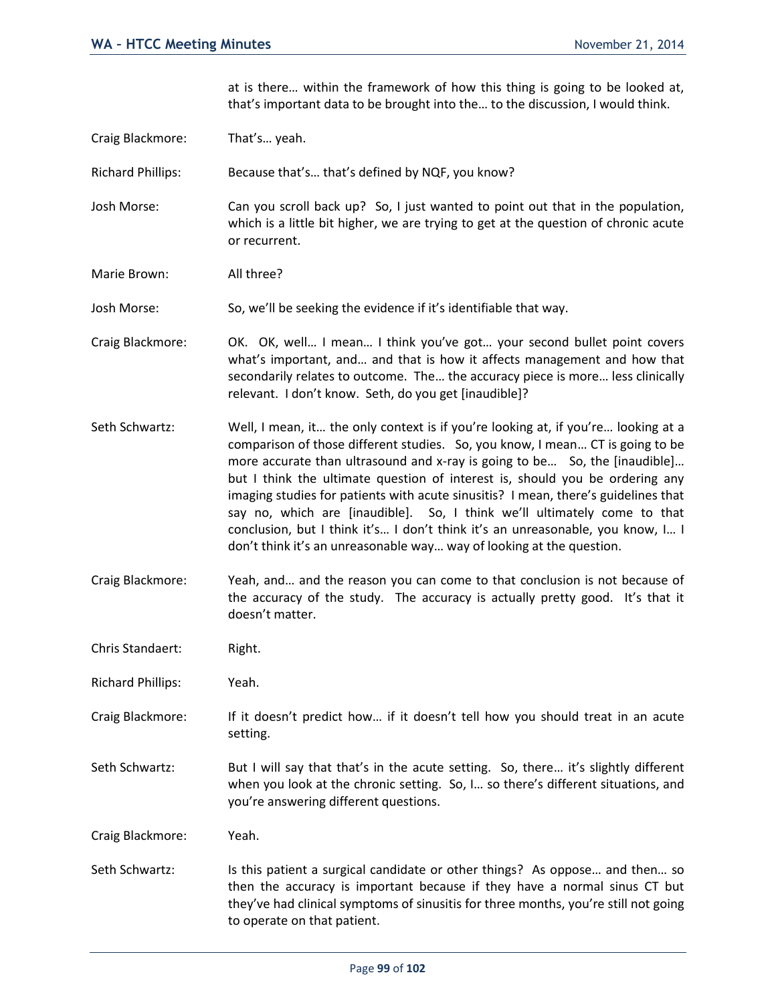at is there… within the framework of how this thing is going to be looked at, that's important data to be brought into the… to the discussion, I would think.

Craig Blackmore: That's… yeah.

Richard Phillips: Because that's… that's defined by NQF, you know?

Josh Morse: Can you scroll back up? So, I just wanted to point out that in the population, which is a little bit higher, we are trying to get at the question of chronic acute or recurrent.

Marie Brown: All three?

Josh Morse: So, we'll be seeking the evidence if it's identifiable that way.

Craig Blackmore: OK. OK, well… I mean… I think you've got… your second bullet point covers what's important, and… and that is how it affects management and how that secondarily relates to outcome. The… the accuracy piece is more… less clinically relevant. I don't know. Seth, do you get [inaudible]?

Seth Schwartz: Well, I mean, it… the only context is if you're looking at, if you're… looking at a comparison of those different studies. So, you know, I mean… CT is going to be more accurate than ultrasound and x-ray is going to be... So, the [inaudible]... but I think the ultimate question of interest is, should you be ordering any imaging studies for patients with acute sinusitis? I mean, there's guidelines that say no, which are [inaudible]. So, I think we'll ultimately come to that conclusion, but I think it's… I don't think it's an unreasonable, you know, I… I don't think it's an unreasonable way… way of looking at the question.

Craig Blackmore: Yeah, and… and the reason you can come to that conclusion is not because of the accuracy of the study. The accuracy is actually pretty good. It's that it doesn't matter.

Chris Standaert: Right.

Richard Phillips: Yeah.

Craig Blackmore: If it doesn't predict how… if it doesn't tell how you should treat in an acute setting.

Seth Schwartz: But I will say that that's in the acute setting. So, there... it's slightly different when you look at the chronic setting. So, I… so there's different situations, and you're answering different questions.

Craig Blackmore: Yeah.

Seth Schwartz: Is this patient a surgical candidate or other things? As oppose... and then... so then the accuracy is important because if they have a normal sinus CT but they've had clinical symptoms of sinusitis for three months, you're still not going to operate on that patient.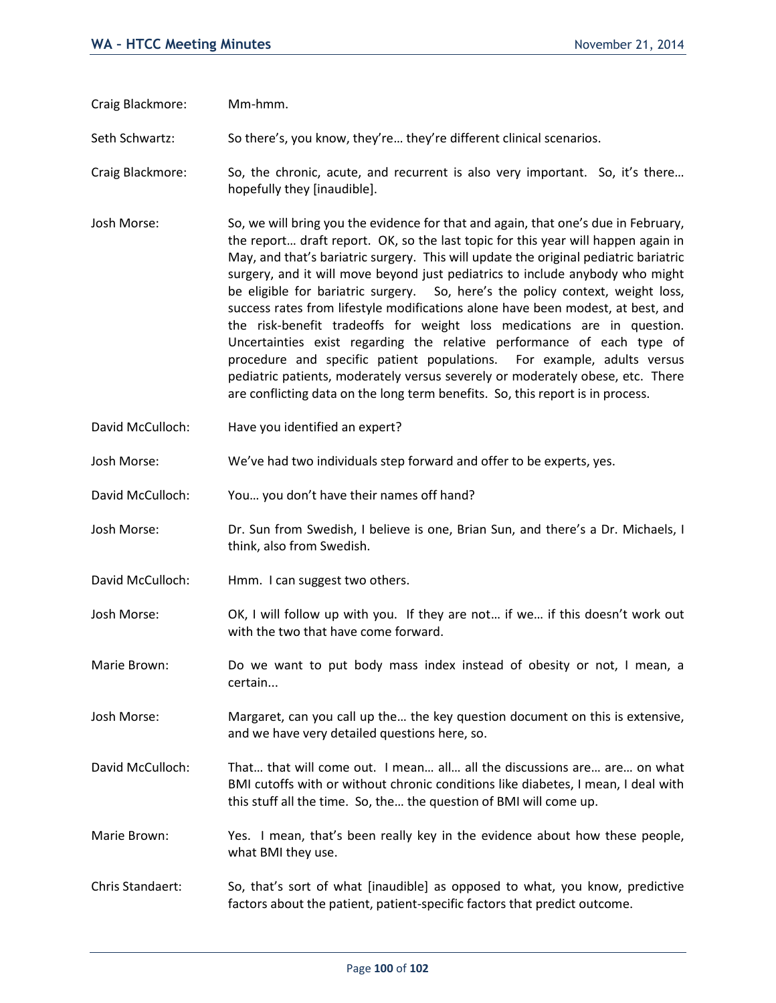Craig Blackmore: Mm-hmm.

Seth Schwartz: So there's, you know, they're... they're different clinical scenarios.

- Craig Blackmore: So, the chronic, acute, and recurrent is also very important. So, it's there… hopefully they [inaudible].
- Josh Morse: So, we will bring you the evidence for that and again, that one's due in February, the report… draft report. OK, so the last topic for this year will happen again in May, and that's bariatric surgery. This will update the original pediatric bariatric surgery, and it will move beyond just pediatrics to include anybody who might be eligible for bariatric surgery. So, here's the policy context, weight loss, success rates from lifestyle modifications alone have been modest, at best, and the risk-benefit tradeoffs for weight loss medications are in question. Uncertainties exist regarding the relative performance of each type of procedure and specific patient populations. For example, adults versus pediatric patients, moderately versus severely or moderately obese, etc. There are conflicting data on the long term benefits. So, this report is in process.
- David McCulloch: Have you identified an expert?
- Josh Morse: We've had two individuals step forward and offer to be experts, yes.
- David McCulloch: You… you don't have their names off hand?
- Josh Morse: Dr. Sun from Swedish, I believe is one, Brian Sun, and there's a Dr. Michaels, I think, also from Swedish.
- David McCulloch: Hmm. I can suggest two others.
- Josh Morse: OK, I will follow up with you. If they are not… if we… if this doesn't work out with the two that have come forward.
- Marie Brown: Do we want to put body mass index instead of obesity or not, I mean, a certain...
- Josh Morse: Margaret, can you call up the… the key question document on this is extensive, and we have very detailed questions here, so.
- David McCulloch: That… that will come out. I mean… all… all the discussions are… are… on what BMI cutoffs with or without chronic conditions like diabetes, I mean, I deal with this stuff all the time. So, the… the question of BMI will come up.
- Marie Brown: Yes. I mean, that's been really key in the evidence about how these people, what BMI they use.
- Chris Standaert: So, that's sort of what [inaudible] as opposed to what, you know, predictive factors about the patient, patient-specific factors that predict outcome.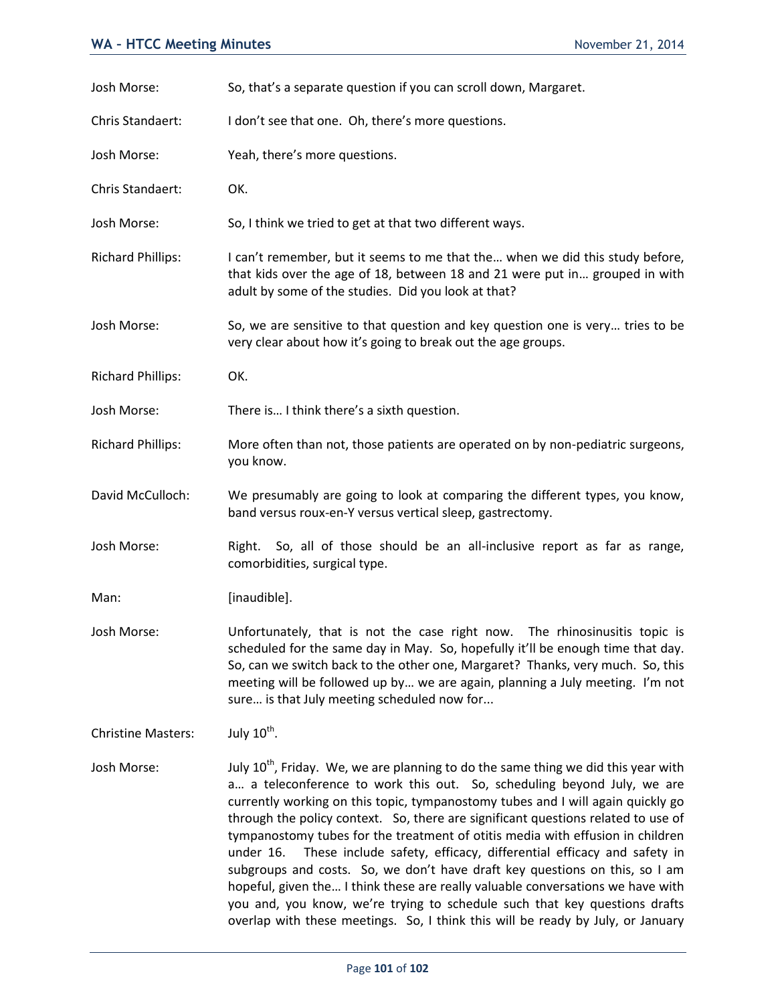| Josh Morse:               | So, that's a separate question if you can scroll down, Margaret.                                                                                                                                                                                                                                                                                                                                                                    |
|---------------------------|-------------------------------------------------------------------------------------------------------------------------------------------------------------------------------------------------------------------------------------------------------------------------------------------------------------------------------------------------------------------------------------------------------------------------------------|
| Chris Standaert:          | I don't see that one. Oh, there's more questions.                                                                                                                                                                                                                                                                                                                                                                                   |
| Josh Morse:               | Yeah, there's more questions.                                                                                                                                                                                                                                                                                                                                                                                                       |
| Chris Standaert:          | OK.                                                                                                                                                                                                                                                                                                                                                                                                                                 |
| Josh Morse:               | So, I think we tried to get at that two different ways.                                                                                                                                                                                                                                                                                                                                                                             |
| <b>Richard Phillips:</b>  | I can't remember, but it seems to me that the when we did this study before,<br>that kids over the age of 18, between 18 and 21 were put in grouped in with<br>adult by some of the studies. Did you look at that?                                                                                                                                                                                                                  |
| Josh Morse:               | So, we are sensitive to that question and key question one is very tries to be<br>very clear about how it's going to break out the age groups.                                                                                                                                                                                                                                                                                      |
| <b>Richard Phillips:</b>  | OK.                                                                                                                                                                                                                                                                                                                                                                                                                                 |
| Josh Morse:               | There is I think there's a sixth question.                                                                                                                                                                                                                                                                                                                                                                                          |
| <b>Richard Phillips:</b>  | More often than not, those patients are operated on by non-pediatric surgeons,<br>you know.                                                                                                                                                                                                                                                                                                                                         |
| David McCulloch:          | We presumably are going to look at comparing the different types, you know,<br>band versus roux-en-Y versus vertical sleep, gastrectomy.                                                                                                                                                                                                                                                                                            |
| Josh Morse:               | So, all of those should be an all-inclusive report as far as range,<br>Right.<br>comorbidities, surgical type.                                                                                                                                                                                                                                                                                                                      |
| Man:                      | [inaudible].                                                                                                                                                                                                                                                                                                                                                                                                                        |
| Josh Morse:               | Unfortunately, that is not the case right now.<br>The rhinosinusitis topic is<br>scheduled for the same day in May. So, hopefully it'll be enough time that day.<br>So, can we switch back to the other one, Margaret? Thanks, very much. So, this<br>meeting will be followed up by we are again, planning a July meeting. I'm not<br>sure is that July meeting scheduled now for                                                  |
| <b>Christine Masters:</b> | July $10^{\text{th}}$ .                                                                                                                                                                                                                                                                                                                                                                                                             |
| Josh Morse:               | July 10 <sup>th</sup> , Friday. We, we are planning to do the same thing we did this year with<br>a a teleconference to work this out. So, scheduling beyond July, we are<br>currently working on this topic, tympanostomy tubes and I will again quickly go<br>through the policy context. So, there are significant questions related to use of<br>tymnanostomy tubes for the treatment of otitis media with effusion in children |

tympanostomy tubes for the treatment of otitis media with effusion in children under 16. These include safety, efficacy, differential efficacy and safety in subgroups and costs. So, we don't have draft key questions on this, so I am hopeful, given the… I think these are really valuable conversations we have with you and, you know, we're trying to schedule such that key questions drafts overlap with these meetings. So, I think this will be ready by July, or January